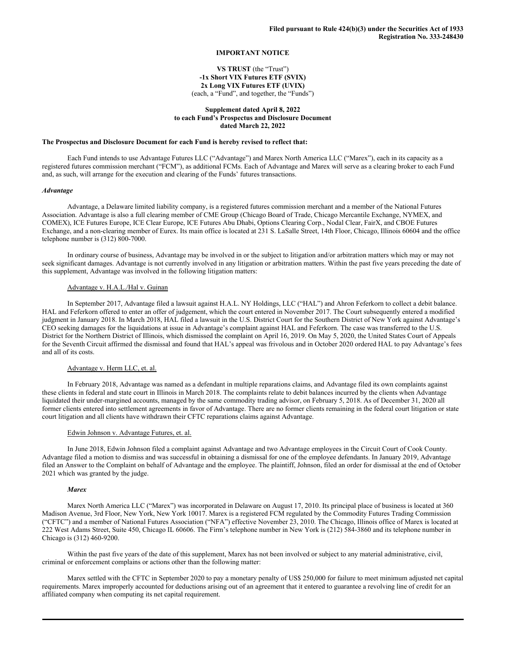### **IMPORTANT NOTICE**

#### **VS TRUST** (the "Trust") **-1x Short VIX Futures ETF (SVIX) 2x Long VIX Futures ETF (UVIX)** (each, a "Fund", and together, the "Funds")

#### **Supplement dated April 8, 2022 to each Fund's Prospectus and Disclosure Document dated March 22, 2022**

#### **The Prospectus and Disclosure Document for each Fund is hereby revised to reflect that:**

Each Fund intends to use Advantage Futures LLC ("Advantage") and Marex North America LLC ("Marex"), each in its capacity as a registered futures commission merchant ("FCM"), as additional FCMs. Each of Advantage and Marex will serve as a clearing broker to each Fund and, as such, will arrange for the execution and clearing of the Funds' futures transactions.

#### *Advantage*

Advantage, a Delaware limited liability company, is a registered futures commission merchant and a member of the National Futures Association. Advantage is also a full clearing member of CME Group (Chicago Board of Trade, Chicago Mercantile Exchange, NYMEX, and COMEX), ICE Futures Europe, ICE Clear Europe, ICE Futures Abu Dhabi, Options Clearing Corp., Nodal Clear, FairX, and CBOE Futures Exchange, and a non-clearing member of Eurex. Its main office is located at 231 S. LaSalle Street, 14th Floor, Chicago, Illinois 60604 and the office telephone number is (312) 800-7000.

In ordinary course of business, Advantage may be involved in or the subject to litigation and/or arbitration matters which may or may not seek significant damages. Advantage is not currently involved in any litigation or arbitration matters. Within the past five years preceding the date of this supplement, Advantage was involved in the following litigation matters:

#### Advantage v. H.A.L./Hal v. Guinan

In September 2017, Advantage filed a lawsuit against H.A.L. NY Holdings, LLC ("HAL") and Ahron Feferkorn to collect a debit balance. HAL and Feferkorn offered to enter an offer of judgement, which the court entered in November 2017. The Court subsequently entered a modified judgment in January 2018. In March 2018, HAL filed a lawsuit in the U.S. District Court for the Southern District of New York against Advantage's CEO seeking damages for the liquidations at issue in Advantage's complaint against HAL and Feferkorn. The case was transferred to the U.S. District for the Northern District of Illinois, which dismissed the complaint on April 16, 2019. On May 5, 2020, the United States Court of Appeals for the Seventh Circuit affirmed the dismissal and found that HAL's appeal was frivolous and in October 2020 ordered HAL to pay Advantage's fees and all of its costs.

#### Advantage v. Herm LLC, et. al.

In February 2018, Advantage was named as a defendant in multiple reparations claims, and Advantage filed its own complaints against these clients in federal and state court in Illinois in March 2018. The complaints relate to debit balances incurred by the clients when Advantage liquidated their under-margined accounts, managed by the same commodity trading advisor, on February 5, 2018. As of December 31, 2020 all former clients entered into settlement agreements in favor of Advantage. There are no former clients remaining in the federal court litigation or state court litigation and all clients have withdrawn their CFTC reparations claims against Advantage.

#### Edwin Johnson v. Advantage Futures, et. al.

In June 2018, Edwin Johnson filed a complaint against Advantage and two Advantage employees in the Circuit Court of Cook County. Advantage filed a motion to dismiss and was successful in obtaining a dismissal for one of the employee defendants. In January 2019, Advantage filed an Answer to the Complaint on behalf of Advantage and the employee. The plaintiff, Johnson, filed an order for dismissal at the end of October 2021 which was granted by the judge.

#### *Marex*

Marex North America LLC ("Marex") was incorporated in Delaware on August 17, 2010. Its principal place of business is located at 360 Madison Avenue, 3rd Floor, New York, New York 10017. Marex is a registered FCM regulated by the Commodity Futures Trading Commission ("CFTC") and a member of National Futures Association ("NFA") effective November 23, 2010. The Chicago, Illinois office of Marex is located at 222 West Adams Street, Suite 450, Chicago IL 60606. The Firm's telephone number in New York is (212) 584-3860 and its telephone number in Chicago is (312) 460-9200.

Within the past five years of the date of this supplement, Marex has not been involved or subject to any material administrative, civil, criminal or enforcement complains or actions other than the following matter:

Marex settled with the CFTC in September 2020 to pay a monetary penalty of US\$ 250,000 for failure to meet minimum adjusted net capital requirements. Marex improperly accounted for deductions arising out of an agreement that it entered to guarantee a revolving line of credit for an affiliated company when computing its net capital requirement.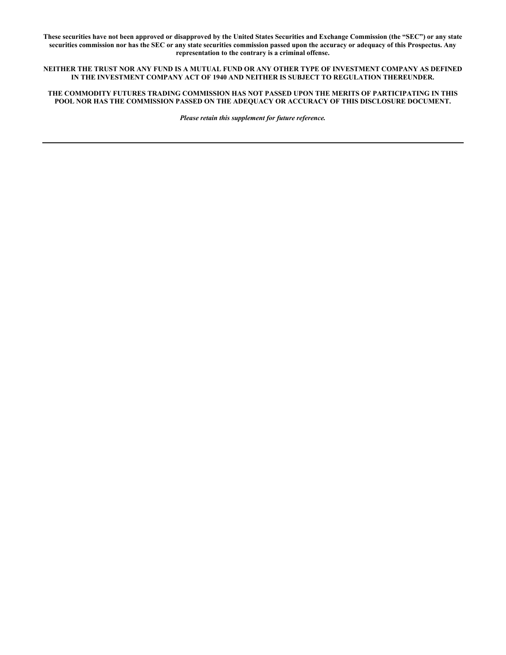**These securities have not been approved or disapproved by the United States Securities and Exchange Commission (the "SEC") or any state securities commission nor has the SEC or any state securities commission passed upon the accuracy or adequacy of this Prospectus. Any representation to the contrary is a criminal offense.**

### **NEITHER THE TRUST NOR ANY FUND IS A MUTUAL FUND OR ANY OTHER TYPE OF INVESTMENT COMPANY AS DEFINED IN THE INVESTMENT COMPANY ACT OF 1940 AND NEITHER IS SUBJECT TO REGULATION THEREUNDER.**

**THE COMMODITY FUTURES TRADING COMMISSION HAS NOT PASSED UPON THE MERITS OF PARTICIPATING IN THIS POOL NOR HAS THE COMMISSION PASSED ON THE ADEQUACY OR ACCURACY OF THIS DISCLOSURE DOCUMENT.**

*Please retain this supplement for future reference.*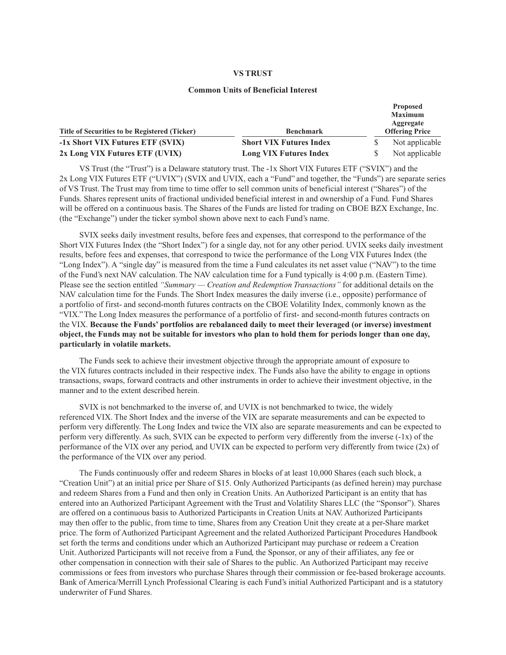### **VS TRUST**

### **Common Units of Beneficial Interest**

|                                               |                                |  | <b>Proposed</b><br><b>Maximum</b><br>Aggregate<br><b>Offering Price</b> |  |
|-----------------------------------------------|--------------------------------|--|-------------------------------------------------------------------------|--|
| Title of Securities to be Registered (Ticker) | <b>Benchmark</b>               |  |                                                                         |  |
| -1x Short VIX Futures ETF (SVIX)              | <b>Short VIX Futures Index</b> |  | Not applicable                                                          |  |
| 2x Long VIX Futures ETF (UVIX)                | Long VIX Futures Index         |  | Not applicable                                                          |  |

VS Trust (the "Trust") is a Delaware statutory trust. The -1x Short VIX Futures ETF ("SVIX") and the 2x Long VIX Futures ETF ("UVIX") (SVIX and UVIX, each a "Fund" and together, the "Funds") are separate series of VS Trust. The Trust may from time to time offer to sell common units of beneficial interest ("Shares") of the Funds. Shares represent units of fractional undivided beneficial interest in and ownership of a Fund. Fund Shares will be offered on a continuous basis. The Shares of the Funds are listed for trading on CBOE BZX Exchange, Inc. (the "Exchange") under the ticker symbol shown above next to each Fund's name.

SVIX seeks daily investment results, before fees and expenses, that correspond to the performance of the Short VIX Futures Index (the "Short Index") for a single day, not for any other period. UVIX seeks daily investment results, before fees and expenses, that correspond to twice the performance of the Long VIX Futures Index (the "Long Index"). A "single day" is measured from the time a Fund calculates its net asset value ("NAV") to the time of the Fund's next NAV calculation. The NAV calculation time for a Fund typically is 4:00 p.m. (Eastern Time). Please see the section entitled *"Summary — Creation and Redemption Transactions"* for additional details on the NAV calculation time for the Funds. The Short Index measures the daily inverse (i.e., opposite) performance of a portfolio of first- and second-month futures contracts on the CBOE Volatility Index, commonly known as the "VIX." The Long Index measures the performance of a portfolio of first- and second-month futures contracts on the VIX. **Because the Funds' portfolios are rebalanced daily to meet their leveraged (or inverse) investment object, the Funds may not be suitable for investors who plan to hold them for periods longer than one day, particularly in volatile markets.**

The Funds seek to achieve their investment objective through the appropriate amount of exposure to the VIX futures contracts included in their respective index. The Funds also have the ability to engage in options transactions, swaps, forward contracts and other instruments in order to achieve their investment objective, in the manner and to the extent described herein.

SVIX is not benchmarked to the inverse of, and UVIX is not benchmarked to twice, the widely referenced VIX. The Short Index and the inverse of the VIX are separate measurements and can be expected to perform very differently. The Long Index and twice the VIX also are separate measurements and can be expected to perform very differently. As such, SVIX can be expected to perform very differently from the inverse (-1x) of the performance of the VIX over any period, and UVIX can be expected to perform very differently from twice (2x) of the performance of the VIX over any period.

The Funds continuously offer and redeem Shares in blocks of at least 10,000 Shares (each such block, a "Creation Unit") at an initial price per Share of \$15. Only Authorized Participants (as defined herein) may purchase and redeem Shares from a Fund and then only in Creation Units. An Authorized Participant is an entity that has entered into an Authorized Participant Agreement with the Trust and Volatility Shares LLC (the "Sponsor"). Shares are offered on a continuous basis to Authorized Participants in Creation Units at NAV. Authorized Participants may then offer to the public, from time to time, Shares from any Creation Unit they create at a per-Share market price. The form of Authorized Participant Agreement and the related Authorized Participant Procedures Handbook set forth the terms and conditions under which an Authorized Participant may purchase or redeem a Creation Unit. Authorized Participants will not receive from a Fund, the Sponsor, or any of their affiliates, any fee or other compensation in connection with their sale of Shares to the public. An Authorized Participant may receive commissions or fees from investors who purchase Shares through their commission or fee-based brokerage accounts. Bank of America/Merrill Lynch Professional Clearing is each Fund's initial Authorized Participant and is a statutory underwriter of Fund Shares.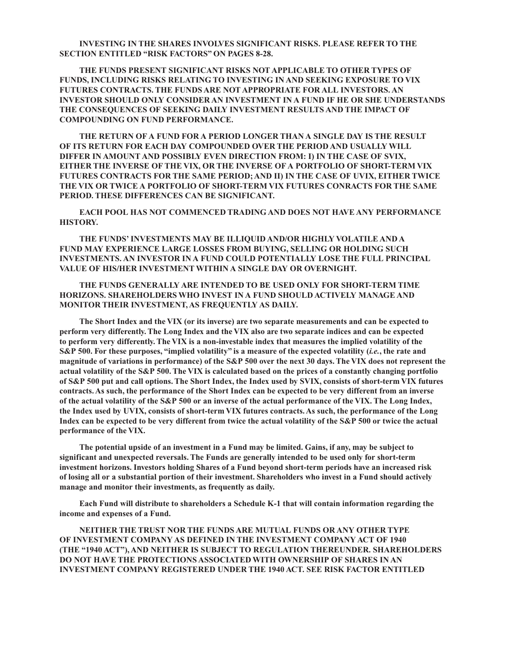**INVESTING IN THE SHARES INVOLVES SIGNIFICANT RISKS. PLEASE REFER TO THE SECTION ENTITLED "RISK FACTORS" ON PAGES 8-28.**

**THE FUNDS PRESENT SIGNIFICANT RISKS NOT APPLICABLE TO OTHER TYPES OF FUNDS, INCLUDING RISKS RELATING TO INVESTING IN AND SEEKING EXPOSURE TO VIX FUTURES CONTRACTS. THE FUNDS ARE NOT APPROPRIATE FOR ALL INVESTORS. AN INVESTOR SHOULD ONLY CONSIDER AN INVESTMENT IN A FUND IF HE OR SHE UNDERSTANDS THE CONSEQUENCES OF SEEKING DAILY INVESTMENT RESULTS AND THE IMPACT OF COMPOUNDING ON FUND PERFORMANCE.**

**THE RETURN OF A FUND FOR A PERIOD LONGER THAN A SINGLE DAY IS THE RESULT OF ITS RETURN FOR EACH DAY COMPOUNDED OVER THE PERIOD AND USUALLY WILL DIFFER IN AMOUNT AND POSSIBLY EVEN DIRECTION FROM: I) IN THE CASE OF SVIX, EITHER THE INVERSE OF THE VIX, OR THE INVERSE OF A PORTFOLIO OF SHORT-TERM VIX FUTURES CONTRACTS FOR THE SAME PERIOD; AND II) IN THE CASE OF UVIX, EITHER TWICE THE VIX OR TWICE A PORTFOLIO OF SHORT-TERM VIX FUTURES CONRACTS FOR THE SAME PERIOD. THESE DIFFERENCES CAN BE SIGNIFICANT.**

**EACH POOL HAS NOT COMMENCED TRADING AND DOES NOT HAVE ANY PERFORMANCE HISTORY.**

**THE FUNDS' INVESTMENTS MAY BE ILLIQUID AND/OR HIGHLY VOLATILE AND A FUND MAY EXPERIENCE LARGE LOSSES FROM BUYING, SELLING OR HOLDING SUCH INVESTMENTS. AN INVESTOR IN A FUND COULD POTENTIALLY LOSE THE FULL PRINCIPAL VALUE OF HIS/HER INVESTMENT WITHIN A SINGLE DAY OR OVERNIGHT.**

**THE FUNDS GENERALLY ARE INTENDED TO BE USED ONLY FOR SHORT-TERM TIME HORIZONS. SHAREHOLDERS WHO INVEST IN A FUND SHOULD ACTIVELY MANAGE AND MONITOR THEIR INVESTMENT, AS FREQUENTLY AS DAILY.**

**The Short Index and the VIX (or its inverse) are two separate measurements and can be expected to perform very differently. The Long Index and the VIX also are two separate indices and can be expected to perform very differently. The VIX is a non-investable index that measures the implied volatility of the S&P 500. For these purposes, "implied volatility" is a measure of the expected volatility (***i.e.***, the rate and magnitude of variations in performance) of the S&P 500 over the next 30 days. The VIX does not represent the actual volatility of the S&P 500. The VIX is calculated based on the prices of a constantly changing portfolio of S&P 500 put and call options. The Short Index, the Index used by SVIX, consists of short-term VIX futures contracts. As such, the performance of the Short Index can be expected to be very different from an inverse of the actual volatility of the S&P 500 or an inverse of the actual performance of the VIX. The Long Index, the Index used by UVIX, consists of short-term VIX futures contracts. As such, the performance of the Long Index can be expected to be very different from twice the actual volatility of the S&P 500 or twice the actual performance of the VIX.**

**The potential upside of an investment in a Fund may be limited. Gains, if any, may be subject to significant and unexpected reversals. The Funds are generally intended to be used only for short-term investment horizons. Investors holding Shares of a Fund beyond short-term periods have an increased risk of losing all or a substantial portion of their investment. Shareholders who invest in a Fund should actively manage and monitor their investments, as frequently as daily.**

**Each Fund will distribute to shareholders a Schedule K-1 that will contain information regarding the income and expenses of a Fund.**

**NEITHER THE TRUST NOR THE FUNDS ARE MUTUAL FUNDS OR ANY OTHER TYPE OF INVESTMENT COMPANY AS DEFINED IN THE INVESTMENT COMPANY ACT OF 1940 (THE "1940 ACT"), AND NEITHER IS SUBJECT TO REGULATION THEREUNDER. SHAREHOLDERS DO NOT HAVE THE PROTECTIONS ASSOCIATED WITH OWNERSHIP OF SHARES IN AN INVESTMENT COMPANY REGISTERED UNDER THE 1940 ACT. SEE RISK FACTOR ENTITLED**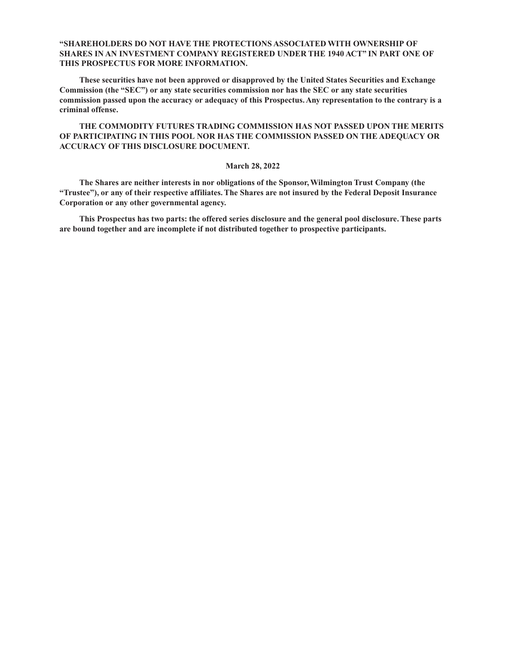# **"SHAREHOLDERS DO NOT HAVE THE PROTECTIONS ASSOCIATED WITH OWNERSHIP OF SHARES IN AN INVESTMENT COMPANY REGISTERED UNDER THE 1940 ACT" IN PART ONE OF THIS PROSPECTUS FOR MORE INFORMATION.**

**These securities have not been approved or disapproved by the United States Securities and Exchange Commission (the "SEC") or any state securities commission nor has the SEC or any state securities commission passed upon the accuracy or adequacy of this Prospectus. Any representation to the contrary is a criminal offense.**

**THE COMMODITY FUTURES TRADING COMMISSION HAS NOT PASSED UPON THE MERITS OF PARTICIPATING IN THIS POOL NOR HAS THE COMMISSION PASSED ON THE ADEQUACY OR ACCURACY OF THIS DISCLOSURE DOCUMENT.**

### **March 28, 2022**

**The Shares are neither interests in nor obligations of the Sponsor, Wilmington Trust Company (the "Trustee"), or any of their respective affiliates. The Shares are not insured by the Federal Deposit Insurance Corporation or any other governmental agency.**

**This Prospectus has two parts: the offered series disclosure and the general pool disclosure. These parts are bound together and are incomplete if not distributed together to prospective participants.**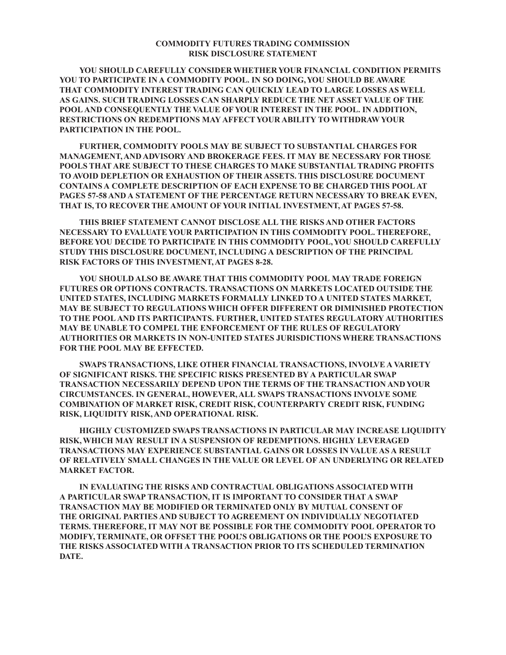### **COMMODITY FUTURES TRADING COMMISSION RISK DISCLOSURE STATEMENT**

**YOU SHOULD CAREFULLY CONSIDER WHETHER YOUR FINANCIAL CONDITION PERMITS YOU TO PARTICIPATE IN A COMMODITY POOL. IN SO DOING, YOU SHOULD BE AWARE THAT COMMODITY INTEREST TRADING CAN QUICKLY LEAD TO LARGE LOSSES AS WELL AS GAINS. SUCH TRADING LOSSES CAN SHARPLY REDUCE THE NET ASSET VALUE OF THE POOL AND CONSEQUENTLY THE VALUE OF YOUR INTEREST IN THE POOL. IN ADDITION, RESTRICTIONS ON REDEMPTIONS MAY AFFECT YOUR ABILITY TO WITHDRAW YOUR PARTICIPATION IN THE POOL.**

**FURTHER, COMMODITY POOLS MAY BE SUBJECT TO SUBSTANTIAL CHARGES FOR MANAGEMENT, AND ADVISORY AND BROKERAGE FEES. IT MAY BE NECESSARY FOR THOSE POOLS THAT ARE SUBJECT TO THESE CHARGES TO MAKE SUBSTANTIAL TRADING PROFITS TO AVOID DEPLETION OR EXHAUSTION OF THEIR ASSETS. THIS DISCLOSURE DOCUMENT CONTAINS A COMPLETE DESCRIPTION OF EACH EXPENSE TO BE CHARGED THIS POOL AT PAGES 57-58 AND A STATEMENT OF THE PERCENTAGE RETURN NECESSARY TO BREAK EVEN, THAT IS, TO RECOVER THE AMOUNT OF YOUR INITIAL INVESTMENT, AT PAGES 57-58.**

**THIS BRIEF STATEMENT CANNOT DISCLOSE ALL THE RISKS AND OTHER FACTORS NECESSARY TO EVALUATE YOUR PARTICIPATION IN THIS COMMODITY POOL. THEREFORE, BEFORE YOU DECIDE TO PARTICIPATE IN THIS COMMODITY POOL, YOU SHOULD CAREFULLY STUDY THIS DISCLOSURE DOCUMENT, INCLUDING A DESCRIPTION OF THE PRINCIPAL RISK FACTORS OF THIS INVESTMENT, AT PAGES 8-28.**

**YOU SHOULD ALSO BE AWARE THAT THIS COMMODITY POOL MAY TRADE FOREIGN FUTURES OR OPTIONS CONTRACTS. TRANSACTIONS ON MARKETS LOCATED OUTSIDE THE UNITED STATES, INCLUDING MARKETS FORMALLY LINKED TO A UNITED STATES MARKET, MAY BE SUBJECT TO REGULATIONS WHICH OFFER DIFFERENT OR DIMINISHED PROTECTION TO THE POOL AND ITS PARTICIPANTS. FURTHER, UNITED STATES REGULATORY AUTHORITIES MAY BE UNABLE TO COMPEL THE ENFORCEMENT OF THE RULES OF REGULATORY AUTHORITIES OR MARKETS IN NON-UNITED STATES JURISDICTIONS WHERE TRANSACTIONS FOR THE POOL MAY BE EFFECTED.**

**SWAPS TRANSACTIONS, LIKE OTHER FINANCIAL TRANSACTIONS, INVOLVE A VARIETY OF SIGNIFICANT RISKS. THE SPECIFIC RISKS PRESENTED BY A PARTICULAR SWAP TRANSACTION NECESSARILY DEPEND UPON THE TERMS OF THE TRANSACTION AND YOUR CIRCUMSTANCES. IN GENERAL, HOWEVER, ALL SWAPS TRANSACTIONS INVOLVE SOME COMBINATION OF MARKET RISK, CREDIT RISK, COUNTERPARTY CREDIT RISK, FUNDING RISK, LIQUIDITY RISK, AND OPERATIONAL RISK.**

**HIGHLY CUSTOMIZED SWAPS TRANSACTIONS IN PARTICULAR MAY INCREASE LIQUIDITY RISK, WHICH MAY RESULT IN A SUSPENSION OF REDEMPTIONS. HIGHLY LEVERAGED TRANSACTIONS MAY EXPERIENCE SUBSTANTIAL GAINS OR LOSSES IN VALUE AS A RESULT OF RELATIVELY SMALL CHANGES IN THE VALUE OR LEVEL OF AN UNDERLYING OR RELATED MARKET FACTOR.**

**IN EVALUATING THE RISKS AND CONTRACTUAL OBLIGATIONS ASSOCIATED WITH A PARTICULAR SWAP TRANSACTION, IT IS IMPORTANT TO CONSIDER THAT A SWAP TRANSACTION MAY BE MODIFIED OR TERMINATED ONLY BY MUTUAL CONSENT OF THE ORIGINAL PARTIES AND SUBJECT TO AGREEMENT ON INDIVIDUALLY NEGOTIATED TERMS. THEREFORE, IT MAY NOT BE POSSIBLE FOR THE COMMODITY POOL OPERATOR TO MODIFY, TERMINATE, OR OFFSET THE POOL'S OBLIGATIONS OR THE POOL'S EXPOSURE TO THE RISKS ASSOCIATED WITH A TRANSACTION PRIOR TO ITS SCHEDULED TERMINATION DATE.**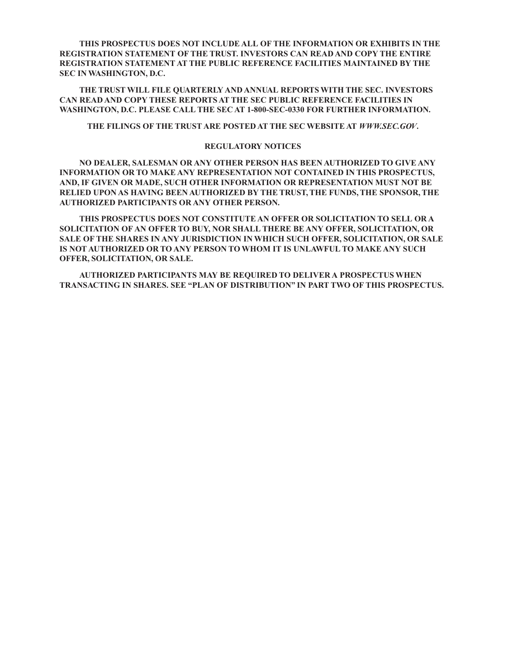**THIS PROSPECTUS DOES NOT INCLUDE ALL OF THE INFORMATION OR EXHIBITS IN THE REGISTRATION STATEMENT OF THE TRUST. INVESTORS CAN READ AND COPY THE ENTIRE REGISTRATION STATEMENT AT THE PUBLIC REFERENCE FACILITIES MAINTAINED BY THE SEC IN WASHINGTON, D.C.**

**THE TRUST WILL FILE QUARTERLY AND ANNUAL REPORTS WITH THE SEC. INVESTORS CAN READ AND COPY THESE REPORTS AT THE SEC PUBLIC REFERENCE FACILITIES IN WASHINGTON, D.C. PLEASE CALL THE SEC AT 1-800-SEC-0330 FOR FURTHER INFORMATION.**

**THE FILINGS OF THE TRUST ARE POSTED AT THE SEC WEBSITE AT** *WWW.SEC.GOV***.**

# **REGULATORY NOTICES**

**NO DEALER, SALESMAN OR ANY OTHER PERSON HAS BEEN AUTHORIZED TO GIVE ANY INFORMATION OR TO MAKE ANY REPRESENTATION NOT CONTAINED IN THIS PROSPECTUS, AND, IF GIVEN OR MADE, SUCH OTHER INFORMATION OR REPRESENTATION MUST NOT BE RELIED UPON AS HAVING BEEN AUTHORIZED BY THE TRUST, THE FUNDS, THE SPONSOR, THE AUTHORIZED PARTICIPANTS OR ANY OTHER PERSON.**

**THIS PROSPECTUS DOES NOT CONSTITUTE AN OFFER OR SOLICITATION TO SELL OR A SOLICITATION OF AN OFFER TO BUY, NOR SHALL THERE BE ANY OFFER, SOLICITATION, OR SALE OF THE SHARES IN ANY JURISDICTION IN WHICH SUCH OFFER, SOLICITATION, OR SALE IS NOT AUTHORIZED OR TO ANY PERSON TO WHOM IT IS UNLAWFUL TO MAKE ANY SUCH OFFER, SOLICITATION, OR SALE.**

**AUTHORIZED PARTICIPANTS MAY BE REQUIRED TO DELIVER A PROSPECTUS WHEN TRANSACTING IN SHARES. SEE "PLAN OF DISTRIBUTION" IN PART TWO OF THIS PROSPECTUS.**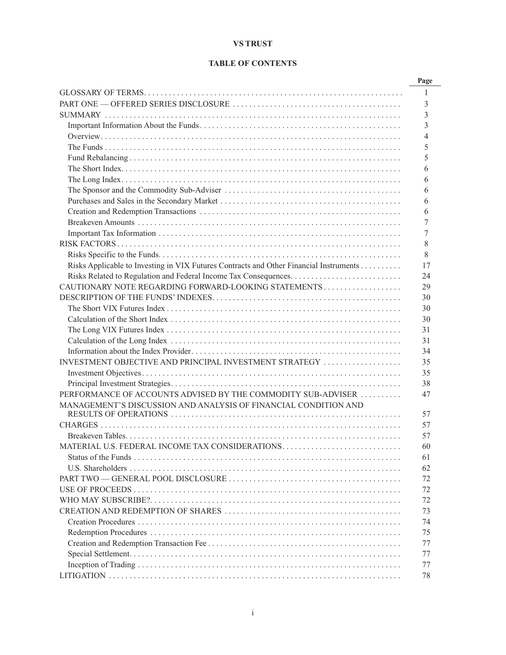# **VS TRUST**

# **TABLE OF CONTENTS**

|                                                                                        | Page           |
|----------------------------------------------------------------------------------------|----------------|
|                                                                                        | $\mathbf{1}$   |
|                                                                                        | 3              |
|                                                                                        | 3              |
|                                                                                        | 3              |
|                                                                                        | $\overline{4}$ |
|                                                                                        | 5              |
|                                                                                        | 5              |
|                                                                                        | 6              |
|                                                                                        | 6              |
|                                                                                        | 6              |
|                                                                                        | 6              |
|                                                                                        | 6              |
|                                                                                        | 7              |
|                                                                                        | 7              |
|                                                                                        | 8              |
|                                                                                        | 8              |
| Risks Applicable to Investing in VIX Futures Contracts and Other Financial Instruments | 17             |
|                                                                                        | 24             |
| CAUTIONARY NOTE REGARDING FORWARD-LOOKING STATEMENTS                                   | 29             |
|                                                                                        | 30             |
|                                                                                        | 30             |
|                                                                                        | 30             |
|                                                                                        | 31             |
|                                                                                        | 31             |
|                                                                                        | 34             |
| INVESTMENT OBJECTIVE AND PRINCIPAL INVESTMENT STRATEGY                                 | 35             |
|                                                                                        | 35             |
|                                                                                        | 38             |
| PERFORMANCE OF ACCOUNTS ADVISED BY THE COMMODITY SUB-ADVISER                           |                |
| MANAGEMENT'S DISCUSSION AND ANALYSIS OF FINANCIAL CONDITION AND                        | 47             |
|                                                                                        | 57             |
|                                                                                        | 57             |
|                                                                                        | 57             |
| MATERIAL U.S. FEDERAL INCOME TAX CONSIDERATIONS                                        | 60             |
|                                                                                        | 61             |
|                                                                                        | 62             |
|                                                                                        | 72             |
|                                                                                        | 72             |
|                                                                                        | 72             |
|                                                                                        |                |
|                                                                                        | 73             |
|                                                                                        | 74             |
|                                                                                        | 75             |
|                                                                                        | 77             |
|                                                                                        | 77             |
|                                                                                        | 77             |
|                                                                                        | 78             |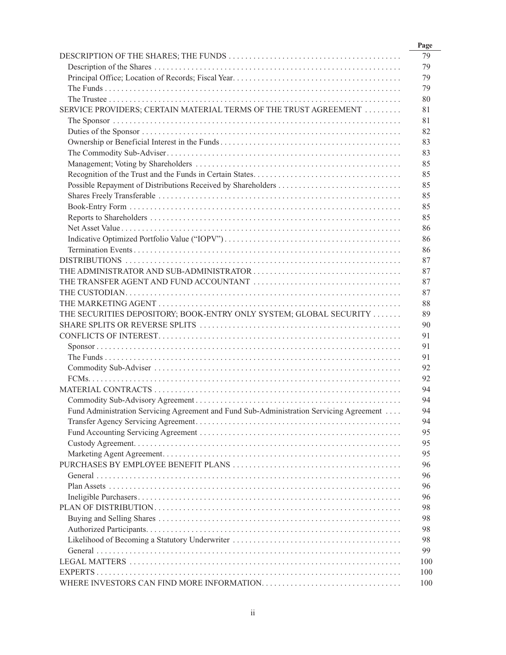|                                                                                         | Page |
|-----------------------------------------------------------------------------------------|------|
|                                                                                         | 79   |
|                                                                                         | 79   |
|                                                                                         | 79   |
|                                                                                         | 79   |
|                                                                                         | 80   |
| SERVICE PROVIDERS; CERTAIN MATERIAL TERMS OF THE TRUST AGREEMENT                        | 81   |
|                                                                                         | 81   |
|                                                                                         | 82   |
|                                                                                         | 83   |
|                                                                                         | 83   |
|                                                                                         | 85   |
|                                                                                         | 85   |
|                                                                                         | 85   |
|                                                                                         | 85   |
|                                                                                         | 85   |
|                                                                                         | 85   |
|                                                                                         | 86   |
|                                                                                         | 86   |
|                                                                                         | 86   |
|                                                                                         | 87   |
|                                                                                         | 87   |
|                                                                                         | 87   |
|                                                                                         | 87   |
|                                                                                         | 88   |
| THE SECURITIES DEPOSITORY; BOOK-ENTRY ONLY SYSTEM; GLOBAL SECURITY                      | 89   |
|                                                                                         | 90   |
|                                                                                         | 91   |
|                                                                                         | 91   |
|                                                                                         | 91   |
|                                                                                         | 92   |
|                                                                                         | 92   |
|                                                                                         | 94   |
|                                                                                         | 94   |
| Fund Administration Servicing Agreement and Fund Sub-Administration Servicing Agreement | 94   |
|                                                                                         | 94   |
|                                                                                         | 95   |
|                                                                                         | 95   |
|                                                                                         | 95   |
|                                                                                         | 96   |
|                                                                                         | 96   |
|                                                                                         | 96   |
|                                                                                         | 96   |
|                                                                                         | 98   |
|                                                                                         | 98   |
|                                                                                         | 98   |
|                                                                                         | 98   |
|                                                                                         | 99   |
|                                                                                         | 100  |
|                                                                                         | 100  |
|                                                                                         | 100  |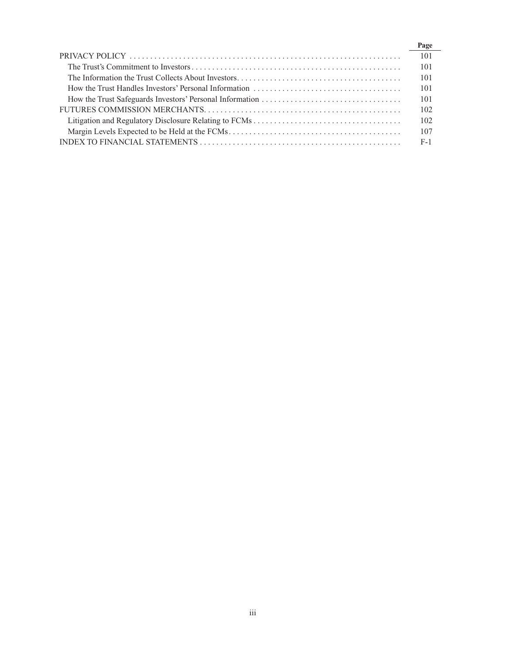| Page  |
|-------|
| 101   |
| 101   |
| 101   |
| 101   |
| 101   |
| 102   |
| 102   |
| 107   |
| $F-1$ |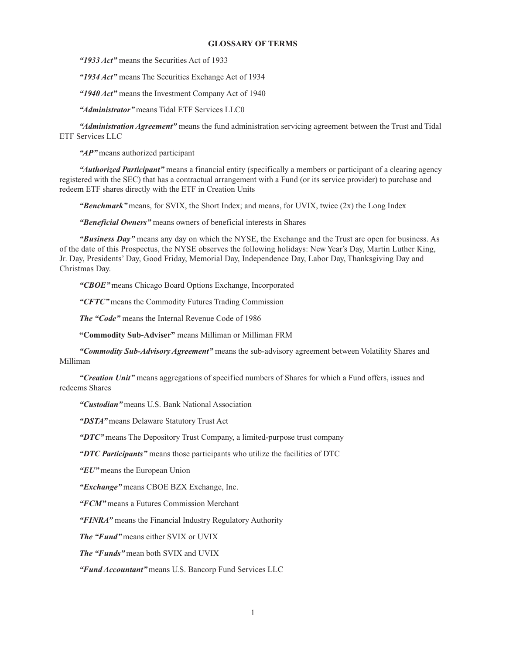### **GLOSSARY OF TERMS**

*"1933 Act"* means the Securities Act of 1933

*"1934 Act"* means The Securities Exchange Act of 1934

*"1940 Act"* means the Investment Company Act of 1940

*"Administrator"* means Tidal ETF Services LLC0

*"Administration Agreement"* means the fund administration servicing agreement between the Trust and Tidal ETF Services LLC

*"AP"* means authorized participant

*"Authorized Participant"* means a financial entity (specifically a members or participant of a clearing agency registered with the SEC) that has a contractual arrangement with a Fund (or its service provider) to purchase and redeem ETF shares directly with the ETF in Creation Units

*"Benchmark"* means, for SVIX, the Short Index; and means, for UVIX, twice (2x) the Long Index

*"Beneficial Owners"* means owners of beneficial interests in Shares

*"Business Day"* means any day on which the NYSE, the Exchange and the Trust are open for business. As of the date of this Prospectus, the NYSE observes the following holidays: New Year's Day, Martin Luther King, Jr. Day, Presidents' Day, Good Friday, Memorial Day, Independence Day, Labor Day, Thanksgiving Day and Christmas Day.

*"CBOE"* means Chicago Board Options Exchange, Incorporated

*"CFTC"* means the Commodity Futures Trading Commission

*The "Code"* means the Internal Revenue Code of 1986

**"Commodity Sub-Adviser"** means Milliman or Milliman FRM

*"Commodity Sub-Advisory Agreement"* means the sub-advisory agreement between Volatility Shares and Milliman

*"Creation Unit"* means aggregations of specified numbers of Shares for which a Fund offers, issues and redeems Shares

*"Custodian"* means U.S. Bank National Association

*"DSTA"* means Delaware Statutory Trust Act

*"DTC"* means The Depository Trust Company, a limited-purpose trust company

*"DTC Participants"* means those participants who utilize the facilities of DTC

*"EU"* means the European Union

*"Exchange"* means CBOE BZX Exchange, Inc.

*"FCM"* means a Futures Commission Merchant

*"FINRA"* means the Financial Industry Regulatory Authority

*The "Fund"* means either SVIX or UVIX

*The "Funds"* mean both SVIX and UVIX

*"Fund Accountant"* means U.S. Bancorp Fund Services LLC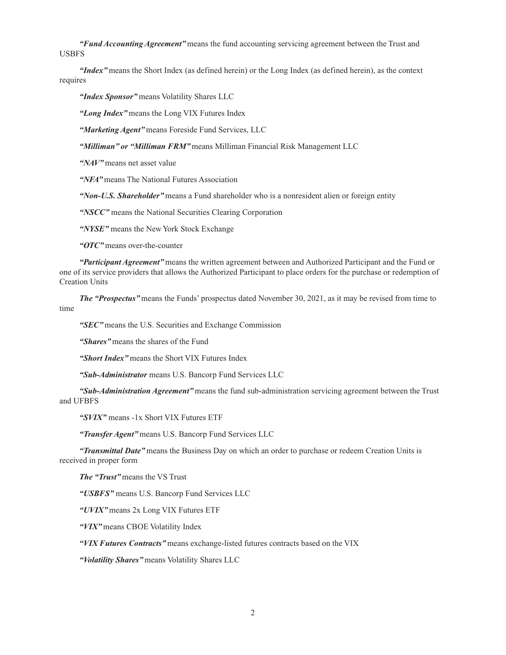*"Fund Accounting Agreement"* means the fund accounting servicing agreement between the Trust and USBFS

*"Index"* means the Short Index (as defined herein) or the Long Index (as defined herein), as the context requires

*"Index Sponsor"* means Volatility Shares LLC

*"Long Index"* means the Long VIX Futures Index

*"Marketing Agent"* means Foreside Fund Services, LLC

*"Milliman" or "Milliman FRM"* means Milliman Financial Risk Management LLC

*"NAV"* means net asset value

*"NFA"* means The National Futures Association

*"Non-U.S. Shareholder"* means a Fund shareholder who is a nonresident alien or foreign entity

*"NSCC"* means the National Securities Clearing Corporation

*"NYSE"* means the New York Stock Exchange

*"OTC"* means over-the-counter

*"Participant Agreement"* means the written agreement between and Authorized Participant and the Fund or one of its service providers that allows the Authorized Participant to place orders for the purchase or redemption of Creation Units

*The "Prospectus"* means the Funds' prospectus dated November 30, 2021, as it may be revised from time to time

*"SEC"* means the U.S. Securities and Exchange Commission

*"Shares"* means the shares of the Fund

*"Short Index"* means the Short VIX Futures Index

*"Sub-Administrator* means U.S. Bancorp Fund Services LLC

*"Sub-Administration Agreement"* means the fund sub-administration servicing agreement between the Trust and UFBFS

*"SVIX"* means -1x Short VIX Futures ETF

*"Transfer Agent"* means U.S. Bancorp Fund Services LLC

*"Transmittal Date"* means the Business Day on which an order to purchase or redeem Creation Units is received in proper form

*The "Trust"* means the VS Trust

*"USBFS"* means U.S. Bancorp Fund Services LLC

*"UVIX"* means 2x Long VIX Futures ETF

*"VIX"* means CBOE Volatility Index

*"VIX Futures Contracts"* means exchange-listed futures contracts based on the VIX

*"Volatility Shares"* means Volatility Shares LLC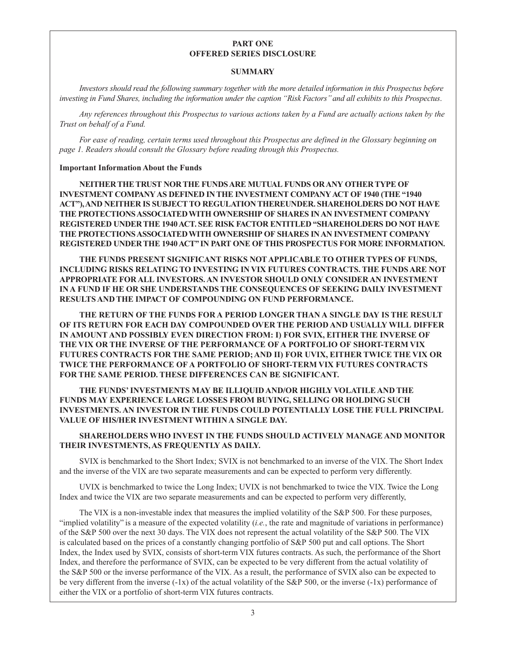### **PART ONE OFFERED SERIES DISCLOSURE**

### **SUMMARY**

*Investors should read the following summary together with the more detailed information in this Prospectus before investing in Fund Shares, including the information under the caption "Risk Factors" and all exhibits to this Prospectus*.

*Any references throughout this Prospectus to various actions taken by a Fund are actually actions taken by the Trust on behalf of a Fund.*

*For ease of reading, certain terms used throughout this Prospectus are defined in the Glossary beginning on page 1. Readers should consult the Glossary before reading through this Prospectus.*

# **Important Information About the Funds**

**NEITHER THE TRUST NOR THE FUNDS ARE MUTUAL FUNDS OR ANY OTHER TYPE OF INVESTMENT COMPANY AS DEFINED IN THE INVESTMENT COMPANY ACT OF 1940 (THE "1940 ACT"), AND NEITHER IS SUBJECT TO REGULATION THEREUNDER. SHAREHOLDERS DO NOT HAVE THE PROTECTIONS ASSOCIATED WITH OWNERSHIP OF SHARES IN AN INVESTMENT COMPANY REGISTERED UNDER THE 1940 ACT. SEE RISK FACTOR ENTITLED "SHAREHOLDERS DO NOT HAVE THE PROTECTIONS ASSOCIATED WITH OWNERSHIP OF SHARES IN AN INVESTMENT COMPANY REGISTERED UNDER THE 1940 ACT" IN PART ONE OF THIS PROSPECTUS FOR MORE INFORMATION.**

**THE FUNDS PRESENT SIGNIFICANT RISKS NOT APPLICABLE TO OTHER TYPES OF FUNDS, INCLUDING RISKS RELATING TO INVESTING IN VIX FUTURES CONTRACTS. THE FUNDS ARE NOT APPROPRIATE FOR ALL INVESTORS. AN INVESTOR SHOULD ONLY CONSIDER AN INVESTMENT IN A FUND IF HE OR SHE UNDERSTANDS THE CONSEQUENCES OF SEEKING DAILY INVESTMENT RESULTS AND THE IMPACT OF COMPOUNDING ON FUND PERFORMANCE.**

**THE RETURN OF THE FUNDS FOR A PERIOD LONGER THAN A SINGLE DAY IS THE RESULT OF ITS RETURN FOR EACH DAY COMPOUNDED OVER THE PERIOD AND USUALLY WILL DIFFER IN AMOUNT AND POSSIBLY EVEN DIRECTION FROM: I) FOR SVIX, EITHER THE INVERSE OF THE VIX OR THE INVERSE OF THE PERFORMANCE OF A PORTFOLIO OF SHORT-TERM VIX FUTURES CONTRACTS FOR THE SAME PERIOD; AND II) FOR UVIX, EITHER TWICE THE VIX OR TWICE THE PERFORMANCE OF A PORTFOLIO OF SHORT-TERM VIX FUTURES CONTRACTS FOR THE SAME PERIOD. THESE DIFFERENCES CAN BE SIGNIFICANT.**

**THE FUNDS' INVESTMENTS MAY BE ILLIQUID AND/OR HIGHLY VOLATILE AND THE FUNDS MAY EXPERIENCE LARGE LOSSES FROM BUYING, SELLING OR HOLDING SUCH INVESTMENTS. AN INVESTOR IN THE FUNDS COULD POTENTIALLY LOSE THE FULL PRINCIPAL VALUE OF HIS/HER INVESTMENT WITHIN A SINGLE DAY.**

# **SHAREHOLDERS WHO INVEST IN THE FUNDS SHOULD ACTIVELY MANAGE AND MONITOR THEIR INVESTMENTS, AS FREQUENTLY AS DAILY.**

SVIX is benchmarked to the Short Index; SVIX is not benchmarked to an inverse of the VIX. The Short Index and the inverse of the VIX are two separate measurements and can be expected to perform very differently.

UVIX is benchmarked to twice the Long Index; UVIX is not benchmarked to twice the VIX. Twice the Long Index and twice the VIX are two separate measurements and can be expected to perform very differently,

The VIX is a non-investable index that measures the implied volatility of the S&P 500. For these purposes, "implied volatility" is a measure of the expected volatility (*i.e.*, the rate and magnitude of variations in performance) of the S&P 500 over the next 30 days. The VIX does not represent the actual volatility of the S&P 500. The VIX is calculated based on the prices of a constantly changing portfolio of S&P 500 put and call options. The Short Index, the Index used by SVIX, consists of short-term VIX futures contracts. As such, the performance of the Short Index, and therefore the performance of SVIX, can be expected to be very different from the actual volatility of the S&P 500 or the inverse performance of the VIX. As a result, the performance of SVIX also can be expected to be very different from the inverse (-1x) of the actual volatility of the S&P 500, or the inverse (-1x) performance of either the VIX or a portfolio of short-term VIX futures contracts.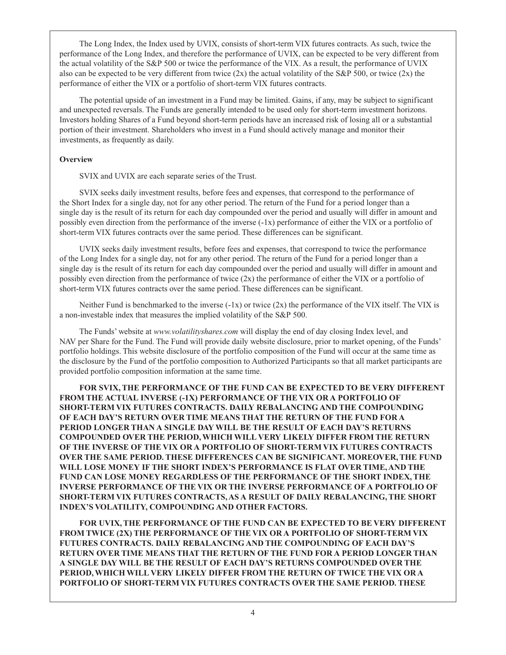The Long Index, the Index used by UVIX, consists of short-term VIX futures contracts. As such, twice the performance of the Long Index, and therefore the performance of UVIX, can be expected to be very different from the actual volatility of the S&P 500 or twice the performance of the VIX. As a result, the performance of UVIX also can be expected to be very different from twice  $(2x)$  the actual volatility of the S&P 500, or twice  $(2x)$  the performance of either the VIX or a portfolio of short-term VIX futures contracts.

The potential upside of an investment in a Fund may be limited. Gains, if any, may be subject to significant and unexpected reversals. The Funds are generally intended to be used only for short-term investment horizons. Investors holding Shares of a Fund beyond short-term periods have an increased risk of losing all or a substantial portion of their investment. Shareholders who invest in a Fund should actively manage and monitor their investments, as frequently as daily.

# **Overview**

SVIX and UVIX are each separate series of the Trust.

SVIX seeks daily investment results, before fees and expenses, that correspond to the performance of the Short Index for a single day, not for any other period. The return of the Fund for a period longer than a single day is the result of its return for each day compounded over the period and usually will differ in amount and possibly even direction from the performance of the inverse (-1x) performance of either the VIX or a portfolio of short-term VIX futures contracts over the same period. These differences can be significant.

UVIX seeks daily investment results, before fees and expenses, that correspond to twice the performance of the Long Index for a single day, not for any other period. The return of the Fund for a period longer than a single day is the result of its return for each day compounded over the period and usually will differ in amount and possibly even direction from the performance of twice (2x) the performance of either the VIX or a portfolio of short-term VIX futures contracts over the same period. These differences can be significant.

Neither Fund is benchmarked to the inverse  $(-1x)$  or twice  $(2x)$  the performance of the VIX itself. The VIX is a non-investable index that measures the implied volatility of the S&P 500.

The Funds' website at *www.volatilityshares.com* will display the end of day closing Index level, and NAV per Share for the Fund. The Fund will provide daily website disclosure, prior to market opening, of the Funds' portfolio holdings. This website disclosure of the portfolio composition of the Fund will occur at the same time as the disclosure by the Fund of the portfolio composition to Authorized Participants so that all market participants are provided portfolio composition information at the same time.

**FOR SVIX, THE PERFORMANCE OF THE FUND CAN BE EXPECTED TO BE VERY DIFFERENT FROM THE ACTUAL INVERSE (-1X) PERFORMANCE OF THE VIX OR A PORTFOLIO OF SHORT-TERM VIX FUTURES CONTRACTS. DAILY REBALANCING AND THE COMPOUNDING OF EACH DAY'S RETURN OVER TIME MEANS THAT THE RETURN OF THE FUND FOR A PERIOD LONGER THAN A SINGLE DAY WILL BE THE RESULT OF EACH DAY'S RETURNS COMPOUNDED OVER THE PERIOD, WHICH WILL VERY LIKELY DIFFER FROM THE RETURN OF THE INVERSE OF THE VIX OR A PORTFOLIO OF SHORT-TERM VIX FUTURES CONTRACTS OVER THE SAME PERIOD. THESE DIFFERENCES CAN BE SIGNIFICANT. MOREOVER, THE FUND WILL LOSE MONEY IF THE SHORT INDEX'S PERFORMANCE IS FLAT OVER TIME, AND THE FUND CAN LOSE MONEY REGARDLESS OF THE PERFORMANCE OF THE SHORT INDEX, THE INVERSE PERFORMANCE OF THE VIX OR THE INVERSE PERFORMANCE OF A PORTFOLIO OF SHORT-TERM VIX FUTURES CONTRACTS, AS A RESULT OF DAILY REBALANCING, THE SHORT INDEX'S VOLATILITY, COMPOUNDING AND OTHER FACTORS.**

**FOR UVIX, THE PERFORMANCE OF THE FUND CAN BE EXPECTED TO BE VERY DIFFERENT FROM TWICE (2X) THE PERFORMANCE OF THE VIX OR A PORTFOLIO OF SHORT-TERM VIX FUTURES CONTRACTS. DAILY REBALANCING AND THE COMPOUNDING OF EACH DAY'S RETURN OVER TIME MEANS THAT THE RETURN OF THE FUND FOR A PERIOD LONGER THAN A SINGLE DAY WILL BE THE RESULT OF EACH DAY'S RETURNS COMPOUNDED OVER THE PERIOD, WHICH WILL VERY LIKELY DIFFER FROM THE RETURN OF TWICE THE VIX OR A PORTFOLIO OF SHORT-TERM VIX FUTURES CONTRACTS OVER THE SAME PERIOD. THESE**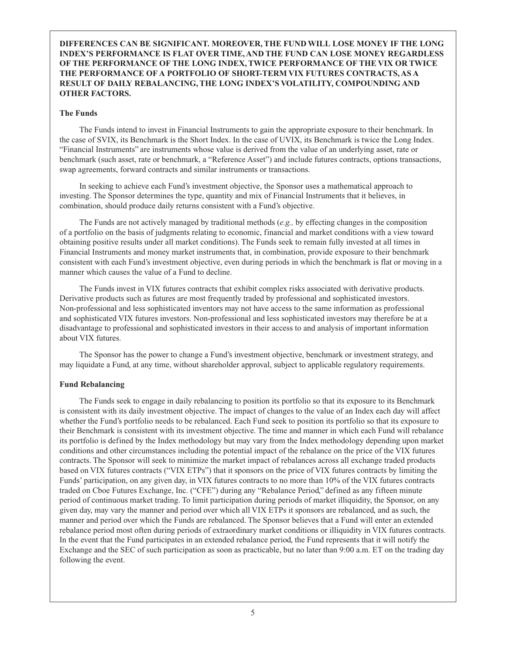# **DIFFERENCES CAN BE SIGNIFICANT. MOREOVER, THE FUND WILL LOSE MONEY IF THE LONG INDEX'S PERFORMANCE IS FLAT OVER TIME, AND THE FUND CAN LOSE MONEY REGARDLESS OF THE PERFORMANCE OF THE LONG INDEX, TWICE PERFORMANCE OF THE VIX OR TWICE THE PERFORMANCE OF A PORTFOLIO OF SHORT-TERM VIX FUTURES CONTRACTS, AS A RESULT OF DAILY REBALANCING, THE LONG INDEX'S VOLATILITY, COMPOUNDING AND OTHER FACTORS.**

# **The Funds**

The Funds intend to invest in Financial Instruments to gain the appropriate exposure to their benchmark. In the case of SVIX, its Benchmark is the Short Index. In the case of UVIX, its Benchmark is twice the Long Index. "Financial Instruments" are instruments whose value is derived from the value of an underlying asset, rate or benchmark (such asset, rate or benchmark, a "Reference Asset") and include futures contracts, options transactions, swap agreements, forward contracts and similar instruments or transactions.

In seeking to achieve each Fund's investment objective, the Sponsor uses a mathematical approach to investing. The Sponsor determines the type, quantity and mix of Financial Instruments that it believes, in combination, should produce daily returns consistent with a Fund's objective.

The Funds are not actively managed by traditional methods (*e.g.,* by effecting changes in the composition of a portfolio on the basis of judgments relating to economic, financial and market conditions with a view toward obtaining positive results under all market conditions). The Funds seek to remain fully invested at all times in Financial Instruments and money market instruments that, in combination, provide exposure to their benchmark consistent with each Fund's investment objective, even during periods in which the benchmark is flat or moving in a manner which causes the value of a Fund to decline.

The Funds invest in VIX futures contracts that exhibit complex risks associated with derivative products. Derivative products such as futures are most frequently traded by professional and sophisticated investors. Non-professional and less sophisticated inventors may not have access to the same information as professional and sophisticated VIX futures investors. Non-professional and less sophisticated investors may therefore be at a disadvantage to professional and sophisticated investors in their access to and analysis of important information about VIX futures.

The Sponsor has the power to change a Fund's investment objective, benchmark or investment strategy, and may liquidate a Fund, at any time, without shareholder approval, subject to applicable regulatory requirements.

### **Fund Rebalancing**

The Funds seek to engage in daily rebalancing to position its portfolio so that its exposure to its Benchmark is consistent with its daily investment objective. The impact of changes to the value of an Index each day will affect whether the Fund's portfolio needs to be rebalanced. Each Fund seek to position its portfolio so that its exposure to their Benchmark is consistent with its investment objective. The time and manner in which each Fund will rebalance its portfolio is defined by the Index methodology but may vary from the Index methodology depending upon market conditions and other circumstances including the potential impact of the rebalance on the price of the VIX futures contracts. The Sponsor will seek to minimize the market impact of rebalances across all exchange traded products based on VIX futures contracts ("VIX ETPs") that it sponsors on the price of VIX futures contracts by limiting the Funds' participation, on any given day, in VIX futures contracts to no more than 10% of the VIX futures contracts traded on Cboe Futures Exchange, Inc. ("CFE") during any "Rebalance Period," defined as any fifteen minute period of continuous market trading. To limit participation during periods of market illiquidity, the Sponsor, on any given day, may vary the manner and period over which all VIX ETPs it sponsors are rebalanced, and as such, the manner and period over which the Funds are rebalanced. The Sponsor believes that a Fund will enter an extended rebalance period most often during periods of extraordinary market conditions or illiquidity in VIX futures contracts. In the event that the Fund participates in an extended rebalance period, the Fund represents that it will notify the Exchange and the SEC of such participation as soon as practicable, but no later than 9:00 a.m. ET on the trading day following the event.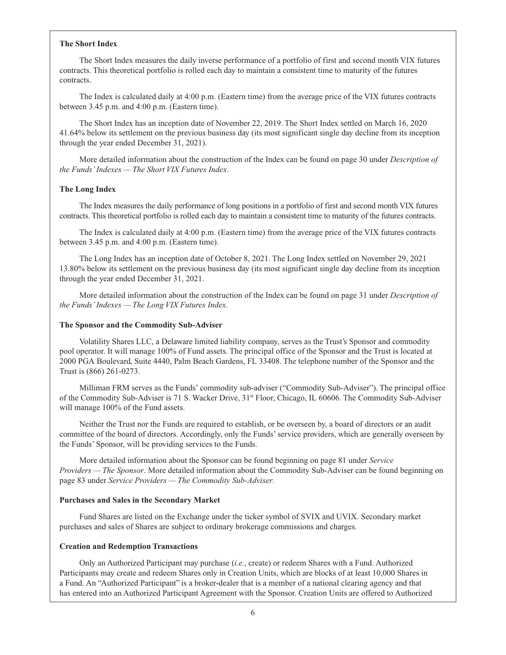### **The Short Index**

The Short Index measures the daily inverse performance of a portfolio of first and second month VIX futures contracts. This theoretical portfolio is rolled each day to maintain a consistent time to maturity of the futures contracts.

The Index is calculated daily at 4:00 p.m. (Eastern time) from the average price of the VIX futures contracts between 3.45 p.m. and 4:00 p.m. (Eastern time).

The Short Index has an inception date of November 22, 2019. The Short Index settled on March 16, 2020 41.64% below its settlement on the previous business day (its most significant single day decline from its inception through the year ended December 31, 2021).

More detailed information about the construction of the Index can be found on page 30 under *Description of the Funds' Indexes — The Short VIX Futures Index*.

### **The Long Index**

The Index measures the daily performance of long positions in a portfolio of first and second month VIX futures contracts. This theoretical portfolio is rolled each day to maintain a consistent time to maturity of the futures contracts.

The Index is calculated daily at 4:00 p.m. (Eastern time) from the average price of the VIX futures contracts between 3.45 p.m. and 4:00 p.m. (Eastern time).

The Long Index has an inception date of October 8, 2021. The Long Index settled on November 29, 2021 13.80% below its settlement on the previous business day (its most significant single day decline from its inception through the year ended December 31, 2021.

More detailed information about the construction of the Index can be found on page 31 under *Description of the Funds' Indexes — The Long VIX Futures Index*.

### **The Sponsor and the Commodity Sub-Adviser**

Volatility Shares LLC, a Delaware limited liability company, serves as the Trust's Sponsor and commodity pool operator. It will manage 100% of Fund assets. The principal office of the Sponsor and the Trust is located at 2000 PGA Boulevard, Suite 4440, Palm Beach Gardens, FL 33408. The telephone number of the Sponsor and the Trust is (866) 261-0273.

Milliman FRM serves as the Funds' commodity sub-adviser ("Commodity Sub-Adviser"). The principal office of the Commodity Sub-Adviser is 71 S. Wacker Drive, 31st Floor, Chicago, IL 60606. The Commodity Sub-Adviser will manage 100% of the Fund assets.

Neither the Trust nor the Funds are required to establish, or be overseen by, a board of directors or an audit committee of the board of directors. Accordingly, only the Funds' service providers, which are generally overseen by the Funds' Sponsor, will be providing services to the Funds.

More detailed information about the Sponsor can be found beginning on page 81 under *Service Providers — The Sponsor*. More detailed information about the Commodity Sub-Adviser can be found beginning on page 83 under *Service Providers — The Commodity Sub-Adviser*.

#### **Purchases and Sales in the Secondary Market**

Fund Shares are listed on the Exchange under the ticker symbol of SVIX and UVIX. Secondary market purchases and sales of Shares are subject to ordinary brokerage commissions and charges.

#### **Creation and Redemption Transactions**

Only an Authorized Participant may purchase (*i.e.*, create) or redeem Shares with a Fund. Authorized Participants may create and redeem Shares only in Creation Units, which are blocks of at least 10,000 Shares in a Fund. An "Authorized Participant" is a broker-dealer that is a member of a national clearing agency and that has entered into an Authorized Participant Agreement with the Sponsor. Creation Units are offered to Authorized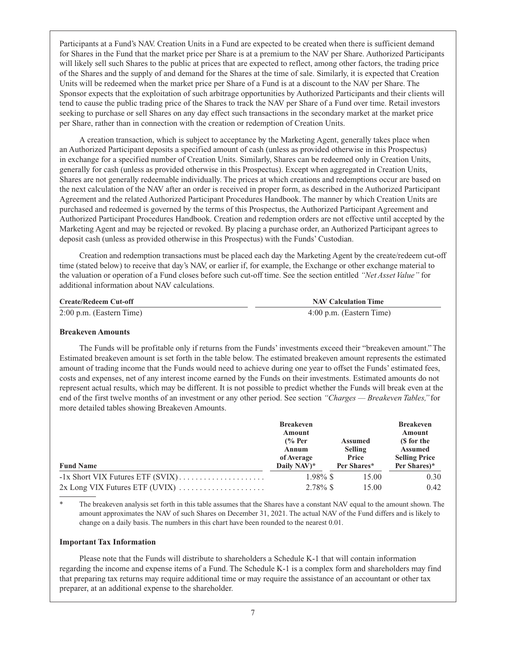Participants at a Fund's NAV. Creation Units in a Fund are expected to be created when there is sufficient demand for Shares in the Fund that the market price per Share is at a premium to the NAV per Share. Authorized Participants will likely sell such Shares to the public at prices that are expected to reflect, among other factors, the trading price of the Shares and the supply of and demand for the Shares at the time of sale. Similarly, it is expected that Creation Units will be redeemed when the market price per Share of a Fund is at a discount to the NAV per Share. The Sponsor expects that the exploitation of such arbitrage opportunities by Authorized Participants and their clients will tend to cause the public trading price of the Shares to track the NAV per Share of a Fund over time. Retail investors seeking to purchase or sell Shares on any day effect such transactions in the secondary market at the market price per Share, rather than in connection with the creation or redemption of Creation Units.

A creation transaction, which is subject to acceptance by the Marketing Agent, generally takes place when an Authorized Participant deposits a specified amount of cash (unless as provided otherwise in this Prospectus) in exchange for a specified number of Creation Units. Similarly, Shares can be redeemed only in Creation Units, generally for cash (unless as provided otherwise in this Prospectus). Except when aggregated in Creation Units, Shares are not generally redeemable individually. The prices at which creations and redemptions occur are based on the next calculation of the NAV after an order is received in proper form, as described in the Authorized Participant Agreement and the related Authorized Participant Procedures Handbook. The manner by which Creation Units are purchased and redeemed is governed by the terms of this Prospectus, the Authorized Participant Agreement and Authorized Participant Procedures Handbook. Creation and redemption orders are not effective until accepted by the Marketing Agent and may be rejected or revoked. By placing a purchase order, an Authorized Participant agrees to deposit cash (unless as provided otherwise in this Prospectus) with the Funds' Custodian.

Creation and redemption transactions must be placed each day the Marketing Agent by the create/redeem cut-off time (stated below) to receive that day's NAV, or earlier if, for example, the Exchange or other exchange material to the valuation or operation of a Fund closes before such cut-off time. See the section entitled *"Net Asset Value"* for additional information about NAV calculations.

| <b>Create/Redeem Cut-off</b> | <b>NAV Calculation Time</b> |  |  |
|------------------------------|-----------------------------|--|--|
| $2:00$ p.m. (Eastern Time)   | 4:00 p.m. (Eastern Time)    |  |  |

### **Breakeven Amounts**

The Funds will be profitable only if returns from the Funds' investments exceed their "breakeven amount." The Estimated breakeven amount is set forth in the table below. The estimated breakeven amount represents the estimated amount of trading income that the Funds would need to achieve during one year to offset the Funds' estimated fees, costs and expenses, net of any interest income earned by the Funds on their investments. Estimated amounts do not represent actual results, which may be different. It is not possible to predict whether the Funds will break even at the end of the first twelve months of an investment or any other period. See section *"Charges — Breakeven Tables,"* for more detailed tables showing Breakeven Amounts.

| <b>Fund Name</b>                                                 | <b>Breakeven</b><br>Amount<br>$\frac{6}{6}$ Per<br>Annum<br>of Average<br>Daily NAV)* | <b>Assumed</b><br>Selling<br>Price<br>Per Shares* | <b>Breakeven</b><br>Amount<br>(\$ for the<br><b>Assumed</b><br><b>Selling Price</b><br>Per Shares)* |
|------------------------------------------------------------------|---------------------------------------------------------------------------------------|---------------------------------------------------|-----------------------------------------------------------------------------------------------------|
|                                                                  | $1.98\%$ \$                                                                           | 15.00                                             | 0.30                                                                                                |
| $2x$ Long VIX Futures ETF (UVIX) $\dots \dots \dots \dots \dots$ | $2.78\%$ \$                                                                           | 15.00                                             | 0.42                                                                                                |

The breakeven analysis set forth in this table assumes that the Shares have a constant NAV equal to the amount shown. The amount approximates the NAV of such Shares on December 31, 2021. The actual NAV of the Fund differs and is likely to change on a daily basis. The numbers in this chart have been rounded to the nearest 0.01.

### **Important Tax Information**

Please note that the Funds will distribute to shareholders a Schedule K-1 that will contain information regarding the income and expense items of a Fund. The Schedule K-1 is a complex form and shareholders may find that preparing tax returns may require additional time or may require the assistance of an accountant or other tax preparer, at an additional expense to the shareholder.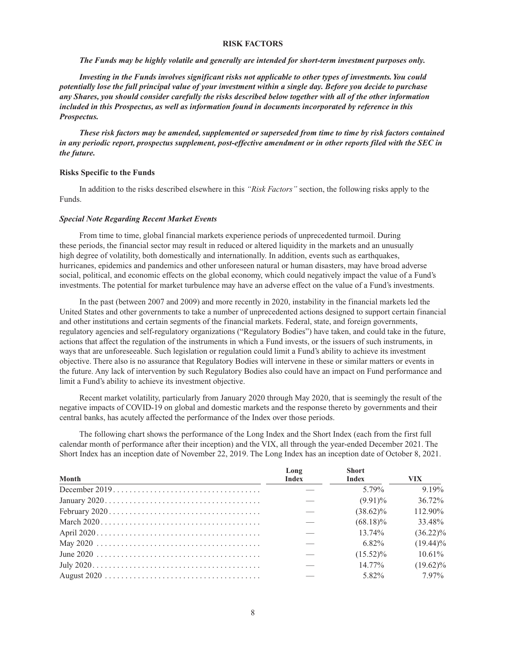### **RISK FACTORS**

*The Funds may be highly volatile and generally are intended for short-term investment purposes only.*

*Investing in the Funds involves significant risks not applicable to other types of investments. You could potentially lose the full principal value of your investment within a single day. Before you decide to purchase any Shares, you should consider carefully the risks described below together with all of the other information included in this Prospectus, as well as information found in documents incorporated by reference in this Prospectus.*

*These risk factors may be amended, supplemented or superseded from time to time by risk factors contained in any periodic report, prospectus supplement, post-effective amendment or in other reports filed with the SEC in the future.*

### **Risks Specific to the Funds**

In addition to the risks described elsewhere in this *"Risk Factors"* section, the following risks apply to the Funds.

### *Special Note Regarding Recent Market Events*

From time to time, global financial markets experience periods of unprecedented turmoil. During these periods, the financial sector may result in reduced or altered liquidity in the markets and an unusually high degree of volatility, both domestically and internationally. In addition, events such as earthquakes, hurricanes, epidemics and pandemics and other unforeseen natural or human disasters, may have broad adverse social, political, and economic effects on the global economy, which could negatively impact the value of a Fund's investments. The potential for market turbulence may have an adverse effect on the value of a Fund's investments.

In the past (between 2007 and 2009) and more recently in 2020, instability in the financial markets led the United States and other governments to take a number of unprecedented actions designed to support certain financial and other institutions and certain segments of the financial markets. Federal, state, and foreign governments, regulatory agencies and self-regulatory organizations ("Regulatory Bodies") have taken, and could take in the future, actions that affect the regulation of the instruments in which a Fund invests, or the issuers of such instruments, in ways that are unforeseeable. Such legislation or regulation could limit a Fund's ability to achieve its investment objective. There also is no assurance that Regulatory Bodies will intervene in these or similar matters or events in the future. Any lack of intervention by such Regulatory Bodies also could have an impact on Fund performance and limit a Fund's ability to achieve its investment objective.

Recent market volatility, particularly from January 2020 through May 2020, that is seemingly the result of the negative impacts of COVID-19 on global and domestic markets and the response thereto by governments and their central banks, has acutely affected the performance of the Index over those periods.

The following chart shows the performance of the Long Index and the Short Index (each from the first full calendar month of performance after their inception) and the VIX, all through the year-ended December 2021. The Short Index has an inception date of November 22, 2019. The Long Index has an inception date of October 8, 2021.

|                                                                                                        | Long         | <b>Short</b> | VIX-        |  |
|--------------------------------------------------------------------------------------------------------|--------------|--------------|-------------|--|
| <b>Month</b>                                                                                           | <b>Index</b> | Index        |             |  |
|                                                                                                        |              | 5.79%        | $9.19\%$    |  |
|                                                                                                        |              | $(9.91)\%$   | 36.72%      |  |
|                                                                                                        |              | $(38.62)\%$  | 112.90%     |  |
|                                                                                                        |              | $(68.18)\%$  | 33.48%      |  |
|                                                                                                        |              | $13.74\%$    | $(36.22)\%$ |  |
|                                                                                                        |              | $6.82\%$     | $(19.44)\%$ |  |
| June 2020 $\ldots \ldots \ldots \ldots \ldots \ldots \ldots \ldots \ldots \ldots \ldots \ldots \ldots$ |              | $(15.52)\%$  | $10.61\%$   |  |
|                                                                                                        |              | $14.77\%$    | $(19.62)\%$ |  |
|                                                                                                        |              | 5.82%        | 7.97%       |  |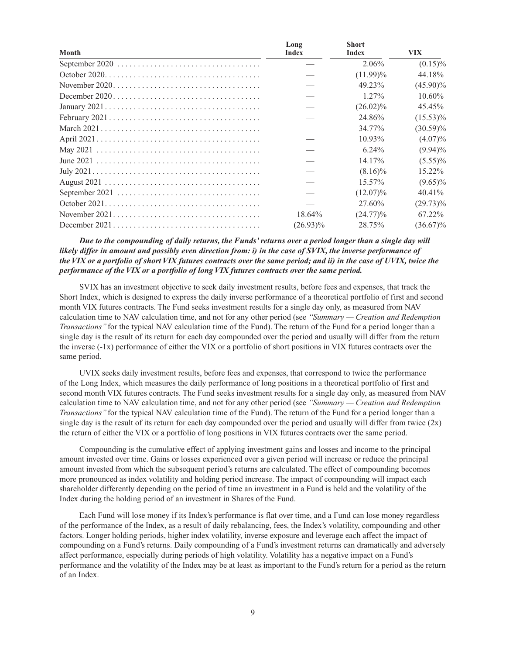|              | Long         | <b>Short</b> | <b>VIX</b>  |  |
|--------------|--------------|--------------|-------------|--|
| <b>Month</b> | <b>Index</b> | <b>Index</b> |             |  |
|              |              | $2.06\%$     | $(0.15)\%$  |  |
|              |              | $(11.99)\%$  | 44.18%      |  |
|              |              | 49.23%       | $(45.90)\%$ |  |
|              |              | $1.27\%$     | $10.60\%$   |  |
|              |              | $(26.02)\%$  | 45.45%      |  |
|              |              | 24.86%       | $(15.53)\%$ |  |
|              |              | 34.77%       | $(30.59)\%$ |  |
|              |              | $10.93\%$    | $(4.07)\%$  |  |
|              |              | $6.24\%$     | $(9.94)\%$  |  |
|              |              | 14.17%       | $(5.55)\%$  |  |
|              |              | $(8.16)\%$   | 15.22%      |  |
|              |              | 15.57%       | $(9.65)\%$  |  |
|              |              | $(12.07)\%$  | 40.41%      |  |
|              |              | 27.60%       | $(29.73)\%$ |  |
|              | 18.64%       | $(24.77)\%$  | 67.22%      |  |
|              | $(26.93)\%$  | 28.75%       | $(36.67)\%$ |  |

*Due to the compounding of daily returns, the Funds' returns over a period longer than a single day will likely differ in amount and possibly even direction from: i) in the case of SVIX, the inverse performance of the VIX or a portfolio of short VIX futures contracts over the same period; and ii) in the case of UVIX, twice the performance of the VIX or a portfolio of long VIX futures contracts over the same period.*

SVIX has an investment objective to seek daily investment results, before fees and expenses, that track the Short Index, which is designed to express the daily inverse performance of a theoretical portfolio of first and second month VIX futures contracts. The Fund seeks investment results for a single day only, as measured from NAV calculation time to NAV calculation time, and not for any other period (see *"Summary — Creation and Redemption Transactions"* for the typical NAV calculation time of the Fund). The return of the Fund for a period longer than a single day is the result of its return for each day compounded over the period and usually will differ from the return the inverse (-1x) performance of either the VIX or a portfolio of short positions in VIX futures contracts over the same period.

UVIX seeks daily investment results, before fees and expenses, that correspond to twice the performance of the Long Index, which measures the daily performance of long positions in a theoretical portfolio of first and second month VIX futures contracts. The Fund seeks investment results for a single day only, as measured from NAV calculation time to NAV calculation time, and not for any other period (see *"Summary — Creation and Redemption Transactions"* for the typical NAV calculation time of the Fund). The return of the Fund for a period longer than a single day is the result of its return for each day compounded over the period and usually will differ from twice (2x) the return of either the VIX or a portfolio of long positions in VIX futures contracts over the same period.

Compounding is the cumulative effect of applying investment gains and losses and income to the principal amount invested over time. Gains or losses experienced over a given period will increase or reduce the principal amount invested from which the subsequent period's returns are calculated. The effect of compounding becomes more pronounced as index volatility and holding period increase. The impact of compounding will impact each shareholder differently depending on the period of time an investment in a Fund is held and the volatility of the Index during the holding period of an investment in Shares of the Fund.

Each Fund will lose money if its Index's performance is flat over time, and a Fund can lose money regardless of the performance of the Index, as a result of daily rebalancing, fees, the Index's volatility, compounding and other factors. Longer holding periods, higher index volatility, inverse exposure and leverage each affect the impact of compounding on a Fund's returns. Daily compounding of a Fund's investment returns can dramatically and adversely affect performance, especially during periods of high volatility. Volatility has a negative impact on a Fund's performance and the volatility of the Index may be at least as important to the Fund's return for a period as the return of an Index.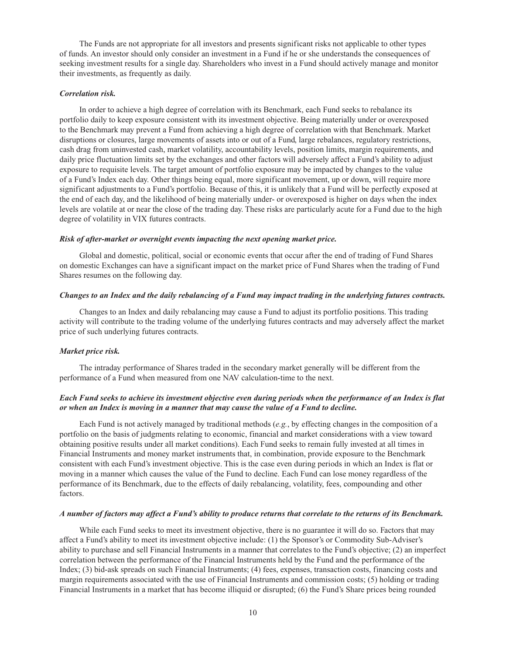The Funds are not appropriate for all investors and presents significant risks not applicable to other types of funds. An investor should only consider an investment in a Fund if he or she understands the consequences of seeking investment results for a single day. Shareholders who invest in a Fund should actively manage and monitor their investments, as frequently as daily.

#### *Correlation risk.*

In order to achieve a high degree of correlation with its Benchmark, each Fund seeks to rebalance its portfolio daily to keep exposure consistent with its investment objective. Being materially under or overexposed to the Benchmark may prevent a Fund from achieving a high degree of correlation with that Benchmark. Market disruptions or closures, large movements of assets into or out of a Fund, large rebalances, regulatory restrictions, cash drag from uninvested cash, market volatility, accountability levels, position limits, margin requirements, and daily price fluctuation limits set by the exchanges and other factors will adversely affect a Fund's ability to adjust exposure to requisite levels. The target amount of portfolio exposure may be impacted by changes to the value of a Fund's Index each day. Other things being equal, more significant movement, up or down, will require more significant adjustments to a Fund's portfolio. Because of this, it is unlikely that a Fund will be perfectly exposed at the end of each day, and the likelihood of being materially under- or overexposed is higher on days when the index levels are volatile at or near the close of the trading day. These risks are particularly acute for a Fund due to the high degree of volatility in VIX futures contracts.

#### *Risk of after-market or overnight events impacting the next opening market price.*

Global and domestic, political, social or economic events that occur after the end of trading of Fund Shares on domestic Exchanges can have a significant impact on the market price of Fund Shares when the trading of Fund Shares resumes on the following day.

## *Changes to an Index and the daily rebalancing of a Fund may impact trading in the underlying futures contracts.*

Changes to an Index and daily rebalancing may cause a Fund to adjust its portfolio positions. This trading activity will contribute to the trading volume of the underlying futures contracts and may adversely affect the market price of such underlying futures contracts.

#### *Market price risk.*

The intraday performance of Shares traded in the secondary market generally will be different from the performance of a Fund when measured from one NAV calculation-time to the next.

# *Each Fund seeks to achieve its investment objective even during periods when the performance of an Index is flat or when an Index is moving in a manner that may cause the value of a Fund to decline.*

Each Fund is not actively managed by traditional methods (*e.g.*, by effecting changes in the composition of a portfolio on the basis of judgments relating to economic, financial and market considerations with a view toward obtaining positive results under all market conditions). Each Fund seeks to remain fully invested at all times in Financial Instruments and money market instruments that, in combination, provide exposure to the Benchmark consistent with each Fund's investment objective. This is the case even during periods in which an Index is flat or moving in a manner which causes the value of the Fund to decline. Each Fund can lose money regardless of the performance of its Benchmark, due to the effects of daily rebalancing, volatility, fees, compounding and other factors.

# *A number of factors may affect a Fund's ability to produce returns that correlate to the returns of its Benchmark.*

While each Fund seeks to meet its investment objective, there is no guarantee it will do so. Factors that may affect a Fund's ability to meet its investment objective include: (1) the Sponsor's or Commodity Sub-Adviser's ability to purchase and sell Financial Instruments in a manner that correlates to the Fund's objective; (2) an imperfect correlation between the performance of the Financial Instruments held by the Fund and the performance of the Index; (3) bid-ask spreads on such Financial Instruments; (4) fees, expenses, transaction costs, financing costs and margin requirements associated with the use of Financial Instruments and commission costs; (5) holding or trading Financial Instruments in a market that has become illiquid or disrupted; (6) the Fund's Share prices being rounded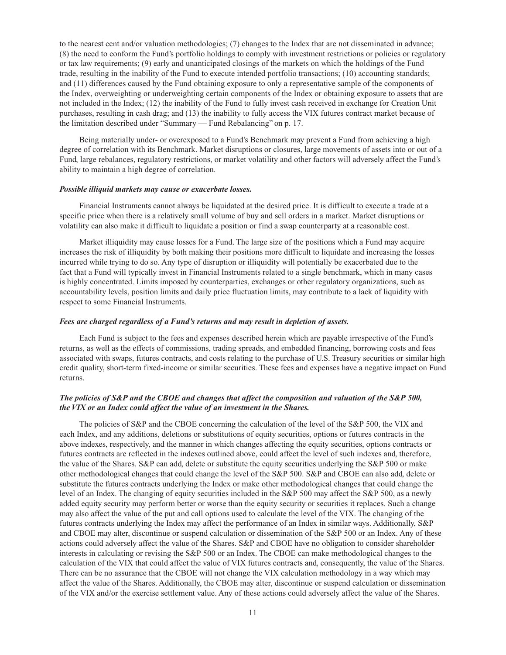to the nearest cent and/or valuation methodologies; (7) changes to the Index that are not disseminated in advance; (8) the need to conform the Fund's portfolio holdings to comply with investment restrictions or policies or regulatory or tax law requirements; (9) early and unanticipated closings of the markets on which the holdings of the Fund trade, resulting in the inability of the Fund to execute intended portfolio transactions; (10) accounting standards; and (11) differences caused by the Fund obtaining exposure to only a representative sample of the components of the Index, overweighting or underweighting certain components of the Index or obtaining exposure to assets that are not included in the Index; (12) the inability of the Fund to fully invest cash received in exchange for Creation Unit purchases, resulting in cash drag; and (13) the inability to fully access the VIX futures contract market because of the limitation described under "Summary — Fund Rebalancing" on p. 17.

Being materially under- or overexposed to a Fund's Benchmark may prevent a Fund from achieving a high degree of correlation with its Benchmark. Market disruptions or closures, large movements of assets into or out of a Fund, large rebalances, regulatory restrictions, or market volatility and other factors will adversely affect the Fund's ability to maintain a high degree of correlation.

### *Possible illiquid markets may cause or exacerbate losses.*

Financial Instruments cannot always be liquidated at the desired price. It is difficult to execute a trade at a specific price when there is a relatively small volume of buy and sell orders in a market. Market disruptions or volatility can also make it difficult to liquidate a position or find a swap counterparty at a reasonable cost.

Market illiquidity may cause losses for a Fund. The large size of the positions which a Fund may acquire increases the risk of illiquidity by both making their positions more difficult to liquidate and increasing the losses incurred while trying to do so. Any type of disruption or illiquidity will potentially be exacerbated due to the fact that a Fund will typically invest in Financial Instruments related to a single benchmark, which in many cases is highly concentrated. Limits imposed by counterparties, exchanges or other regulatory organizations, such as accountability levels, position limits and daily price fluctuation limits, may contribute to a lack of liquidity with respect to some Financial Instruments.

### *Fees are charged regardless of a Fund's returns and may result in depletion of assets.*

Each Fund is subject to the fees and expenses described herein which are payable irrespective of the Fund's returns, as well as the effects of commissions, trading spreads, and embedded financing, borrowing costs and fees associated with swaps, futures contracts, and costs relating to the purchase of U.S. Treasury securities or similar high credit quality, short-term fixed-income or similar securities. These fees and expenses have a negative impact on Fund returns.

# *The policies of S&P and the CBOE and changes that affect the composition and valuation of the S&P 500, the VIX or an Index could affect the value of an investment in the Shares.*

The policies of S&P and the CBOE concerning the calculation of the level of the S&P 500, the VIX and each Index, and any additions, deletions or substitutions of equity securities, options or futures contracts in the above indexes, respectively, and the manner in which changes affecting the equity securities, options contracts or futures contracts are reflected in the indexes outlined above, could affect the level of such indexes and, therefore, the value of the Shares. S&P can add, delete or substitute the equity securities underlying the S&P 500 or make other methodological changes that could change the level of the S&P 500. S&P and CBOE can also add, delete or substitute the futures contracts underlying the Index or make other methodological changes that could change the level of an Index. The changing of equity securities included in the S&P 500 may affect the S&P 500, as a newly added equity security may perform better or worse than the equity security or securities it replaces. Such a change may also affect the value of the put and call options used to calculate the level of the VIX. The changing of the futures contracts underlying the Index may affect the performance of an Index in similar ways. Additionally, S&P and CBOE may alter, discontinue or suspend calculation or dissemination of the S&P 500 or an Index. Any of these actions could adversely affect the value of the Shares. S&P and CBOE have no obligation to consider shareholder interests in calculating or revising the S&P 500 or an Index. The CBOE can make methodological changes to the calculation of the VIX that could affect the value of VIX futures contracts and, consequently, the value of the Shares. There can be no assurance that the CBOE will not change the VIX calculation methodology in a way which may affect the value of the Shares. Additionally, the CBOE may alter, discontinue or suspend calculation or dissemination of the VIX and/or the exercise settlement value. Any of these actions could adversely affect the value of the Shares.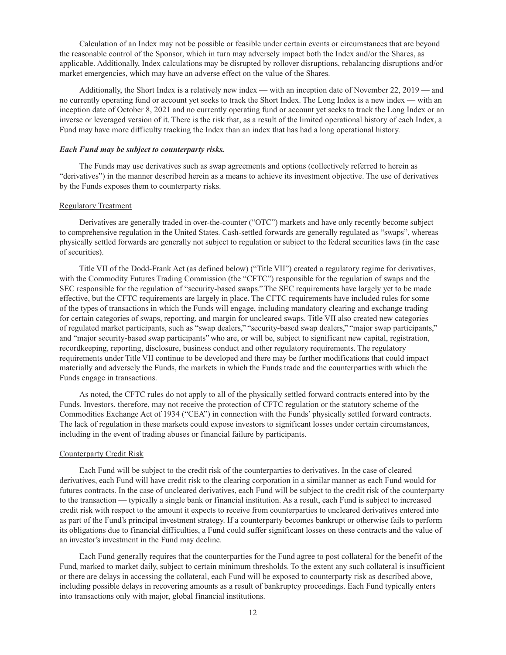Calculation of an Index may not be possible or feasible under certain events or circumstances that are beyond the reasonable control of the Sponsor, which in turn may adversely impact both the Index and/or the Shares, as applicable. Additionally, Index calculations may be disrupted by rollover disruptions, rebalancing disruptions and/or market emergencies, which may have an adverse effect on the value of the Shares.

Additionally, the Short Index is a relatively new index — with an inception date of November 22, 2019 — and no currently operating fund or account yet seeks to track the Short Index. The Long Index is a new index — with an inception date of October 8, 2021 and no currently operating fund or account yet seeks to track the Long Index or an inverse or leveraged version of it. There is the risk that, as a result of the limited operational history of each Index, a Fund may have more difficulty tracking the Index than an index that has had a long operational history.

### *Each Fund may be subject to counterparty risks.*

The Funds may use derivatives such as swap agreements and options (collectively referred to herein as "derivatives") in the manner described herein as a means to achieve its investment objective. The use of derivatives by the Funds exposes them to counterparty risks.

# Regulatory Treatment

Derivatives are generally traded in over-the-counter ("OTC") markets and have only recently become subject to comprehensive regulation in the United States. Cash-settled forwards are generally regulated as "swaps", whereas physically settled forwards are generally not subject to regulation or subject to the federal securities laws (in the case of securities).

Title VII of the Dodd-Frank Act (as defined below) ("Title VII") created a regulatory regime for derivatives, with the Commodity Futures Trading Commission (the "CFTC") responsible for the regulation of swaps and the SEC responsible for the regulation of "security-based swaps." The SEC requirements have largely yet to be made effective, but the CFTC requirements are largely in place. The CFTC requirements have included rules for some of the types of transactions in which the Funds will engage, including mandatory clearing and exchange trading for certain categories of swaps, reporting, and margin for uncleared swaps. Title VII also created new categories of regulated market participants, such as "swap dealers," "security-based swap dealers," "major swap participants," and "major security-based swap participants" who are, or will be, subject to significant new capital, registration, recordkeeping, reporting, disclosure, business conduct and other regulatory requirements. The regulatory requirements under Title VII continue to be developed and there may be further modifications that could impact materially and adversely the Funds, the markets in which the Funds trade and the counterparties with which the Funds engage in transactions.

As noted, the CFTC rules do not apply to all of the physically settled forward contracts entered into by the Funds. Investors, therefore, may not receive the protection of CFTC regulation or the statutory scheme of the Commodities Exchange Act of 1934 ("CEA") in connection with the Funds' physically settled forward contracts. The lack of regulation in these markets could expose investors to significant losses under certain circumstances, including in the event of trading abuses or financial failure by participants.

#### Counterparty Credit Risk

Each Fund will be subject to the credit risk of the counterparties to derivatives. In the case of cleared derivatives, each Fund will have credit risk to the clearing corporation in a similar manner as each Fund would for futures contracts. In the case of uncleared derivatives, each Fund will be subject to the credit risk of the counterparty to the transaction — typically a single bank or financial institution. As a result, each Fund is subject to increased credit risk with respect to the amount it expects to receive from counterparties to uncleared derivatives entered into as part of the Fund's principal investment strategy. If a counterparty becomes bankrupt or otherwise fails to perform its obligations due to financial difficulties, a Fund could suffer significant losses on these contracts and the value of an investor's investment in the Fund may decline.

Each Fund generally requires that the counterparties for the Fund agree to post collateral for the benefit of the Fund, marked to market daily, subject to certain minimum thresholds. To the extent any such collateral is insufficient or there are delays in accessing the collateral, each Fund will be exposed to counterparty risk as described above, including possible delays in recovering amounts as a result of bankruptcy proceedings. Each Fund typically enters into transactions only with major, global financial institutions.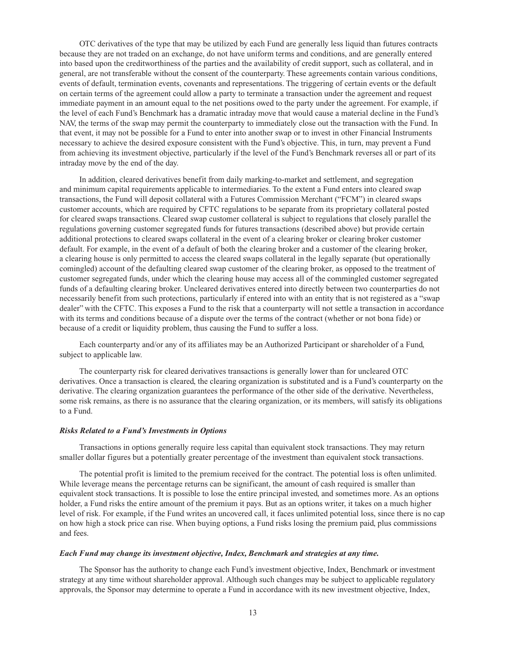OTC derivatives of the type that may be utilized by each Fund are generally less liquid than futures contracts because they are not traded on an exchange, do not have uniform terms and conditions, and are generally entered into based upon the creditworthiness of the parties and the availability of credit support, such as collateral, and in general, are not transferable without the consent of the counterparty. These agreements contain various conditions, events of default, termination events, covenants and representations. The triggering of certain events or the default on certain terms of the agreement could allow a party to terminate a transaction under the agreement and request immediate payment in an amount equal to the net positions owed to the party under the agreement. For example, if the level of each Fund's Benchmark has a dramatic intraday move that would cause a material decline in the Fund's NAV, the terms of the swap may permit the counterparty to immediately close out the transaction with the Fund. In that event, it may not be possible for a Fund to enter into another swap or to invest in other Financial Instruments necessary to achieve the desired exposure consistent with the Fund's objective. This, in turn, may prevent a Fund from achieving its investment objective, particularly if the level of the Fund's Benchmark reverses all or part of its intraday move by the end of the day.

In addition, cleared derivatives benefit from daily marking-to-market and settlement, and segregation and minimum capital requirements applicable to intermediaries. To the extent a Fund enters into cleared swap transactions, the Fund will deposit collateral with a Futures Commission Merchant ("FCM") in cleared swaps customer accounts, which are required by CFTC regulations to be separate from its proprietary collateral posted for cleared swaps transactions. Cleared swap customer collateral is subject to regulations that closely parallel the regulations governing customer segregated funds for futures transactions (described above) but provide certain additional protections to cleared swaps collateral in the event of a clearing broker or clearing broker customer default. For example, in the event of a default of both the clearing broker and a customer of the clearing broker, a clearing house is only permitted to access the cleared swaps collateral in the legally separate (but operationally comingled) account of the defaulting cleared swap customer of the clearing broker, as opposed to the treatment of customer segregated funds, under which the clearing house may access all of the commingled customer segregated funds of a defaulting clearing broker. Uncleared derivatives entered into directly between two counterparties do not necessarily benefit from such protections, particularly if entered into with an entity that is not registered as a "swap dealer" with the CFTC. This exposes a Fund to the risk that a counterparty will not settle a transaction in accordance with its terms and conditions because of a dispute over the terms of the contract (whether or not bona fide) or because of a credit or liquidity problem, thus causing the Fund to suffer a loss.

Each counterparty and/or any of its affiliates may be an Authorized Participant or shareholder of a Fund, subject to applicable law.

The counterparty risk for cleared derivatives transactions is generally lower than for uncleared OTC derivatives. Once a transaction is cleared, the clearing organization is substituted and is a Fund's counterparty on the derivative. The clearing organization guarantees the performance of the other side of the derivative. Nevertheless, some risk remains, as there is no assurance that the clearing organization, or its members, will satisfy its obligations to a Fund.

#### *Risks Related to a Fund's Investments in Options*

Transactions in options generally require less capital than equivalent stock transactions. They may return smaller dollar figures but a potentially greater percentage of the investment than equivalent stock transactions.

The potential profit is limited to the premium received for the contract. The potential loss is often unlimited. While leverage means the percentage returns can be significant, the amount of cash required is smaller than equivalent stock transactions. It is possible to lose the entire principal invested, and sometimes more. As an options holder, a Fund risks the entire amount of the premium it pays. But as an options writer, it takes on a much higher level of risk. For example, if the Fund writes an uncovered call, it faces unlimited potential loss, since there is no cap on how high a stock price can rise. When buying options, a Fund risks losing the premium paid, plus commissions and fees.

#### *Each Fund may change its investment objective, Index, Benchmark and strategies at any time.*

The Sponsor has the authority to change each Fund's investment objective, Index, Benchmark or investment strategy at any time without shareholder approval. Although such changes may be subject to applicable regulatory approvals, the Sponsor may determine to operate a Fund in accordance with its new investment objective, Index,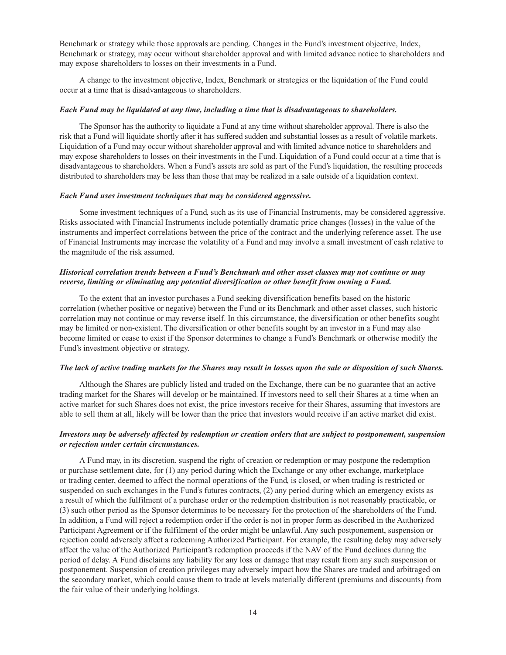Benchmark or strategy while those approvals are pending. Changes in the Fund's investment objective, Index, Benchmark or strategy, may occur without shareholder approval and with limited advance notice to shareholders and may expose shareholders to losses on their investments in a Fund.

A change to the investment objective, Index, Benchmark or strategies or the liquidation of the Fund could occur at a time that is disadvantageous to shareholders.

#### *Each Fund may be liquidated at any time, including a time that is disadvantageous to shareholders.*

The Sponsor has the authority to liquidate a Fund at any time without shareholder approval. There is also the risk that a Fund will liquidate shortly after it has suffered sudden and substantial losses as a result of volatile markets. Liquidation of a Fund may occur without shareholder approval and with limited advance notice to shareholders and may expose shareholders to losses on their investments in the Fund. Liquidation of a Fund could occur at a time that is disadvantageous to shareholders. When a Fund's assets are sold as part of the Fund's liquidation, the resulting proceeds distributed to shareholders may be less than those that may be realized in a sale outside of a liquidation context.

### *Each Fund uses investment techniques that may be considered aggressive.*

Some investment techniques of a Fund, such as its use of Financial Instruments, may be considered aggressive. Risks associated with Financial Instruments include potentially dramatic price changes (losses) in the value of the instruments and imperfect correlations between the price of the contract and the underlying reference asset. The use of Financial Instruments may increase the volatility of a Fund and may involve a small investment of cash relative to the magnitude of the risk assumed.

# *Historical correlation trends between a Fund's Benchmark and other asset classes may not continue or may reverse, limiting or eliminating any potential diversification or other benefit from owning a Fund.*

To the extent that an investor purchases a Fund seeking diversification benefits based on the historic correlation (whether positive or negative) between the Fund or its Benchmark and other asset classes, such historic correlation may not continue or may reverse itself. In this circumstance, the diversification or other benefits sought may be limited or non-existent. The diversification or other benefits sought by an investor in a Fund may also become limited or cease to exist if the Sponsor determines to change a Fund's Benchmark or otherwise modify the Fund's investment objective or strategy.

### *The lack of active trading markets for the Shares may result in losses upon the sale or disposition of such Shares.*

Although the Shares are publicly listed and traded on the Exchange, there can be no guarantee that an active trading market for the Shares will develop or be maintained. If investors need to sell their Shares at a time when an active market for such Shares does not exist, the price investors receive for their Shares, assuming that investors are able to sell them at all, likely will be lower than the price that investors would receive if an active market did exist.

# *Investors may be adversely affected by redemption or creation orders that are subject to postponement, suspension or rejection under certain circumstances.*

A Fund may, in its discretion, suspend the right of creation or redemption or may postpone the redemption or purchase settlement date, for (1) any period during which the Exchange or any other exchange, marketplace or trading center, deemed to affect the normal operations of the Fund, is closed, or when trading is restricted or suspended on such exchanges in the Fund's futures contracts, (2) any period during which an emergency exists as a result of which the fulfilment of a purchase order or the redemption distribution is not reasonably practicable, or (3) such other period as the Sponsor determines to be necessary for the protection of the shareholders of the Fund. In addition, a Fund will reject a redemption order if the order is not in proper form as described in the Authorized Participant Agreement or if the fulfilment of the order might be unlawful. Any such postponement, suspension or rejection could adversely affect a redeeming Authorized Participant. For example, the resulting delay may adversely affect the value of the Authorized Participant's redemption proceeds if the NAV of the Fund declines during the period of delay. A Fund disclaims any liability for any loss or damage that may result from any such suspension or postponement. Suspension of creation privileges may adversely impact how the Shares are traded and arbitraged on the secondary market, which could cause them to trade at levels materially different (premiums and discounts) from the fair value of their underlying holdings.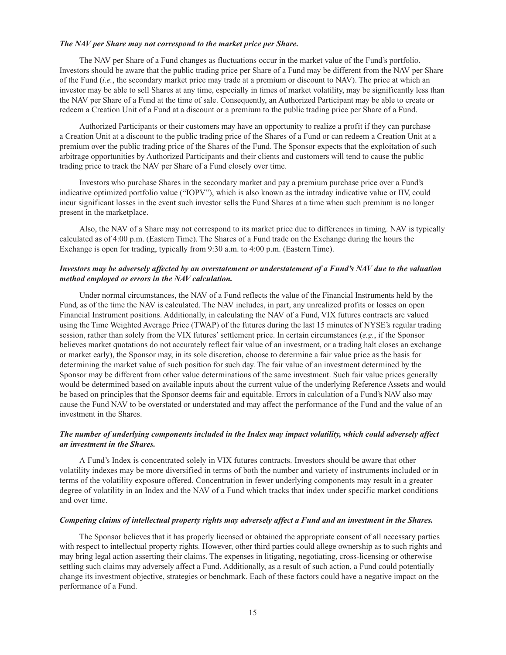### *The NAV per Share may not correspond to the market price per Share.*

The NAV per Share of a Fund changes as fluctuations occur in the market value of the Fund's portfolio. Investors should be aware that the public trading price per Share of a Fund may be different from the NAV per Share of the Fund (*i.e.*, the secondary market price may trade at a premium or discount to NAV). The price at which an investor may be able to sell Shares at any time, especially in times of market volatility, may be significantly less than the NAV per Share of a Fund at the time of sale. Consequently, an Authorized Participant may be able to create or redeem a Creation Unit of a Fund at a discount or a premium to the public trading price per Share of a Fund.

Authorized Participants or their customers may have an opportunity to realize a profit if they can purchase a Creation Unit at a discount to the public trading price of the Shares of a Fund or can redeem a Creation Unit at a premium over the public trading price of the Shares of the Fund. The Sponsor expects that the exploitation of such arbitrage opportunities by Authorized Participants and their clients and customers will tend to cause the public trading price to track the NAV per Share of a Fund closely over time.

Investors who purchase Shares in the secondary market and pay a premium purchase price over a Fund's indicative optimized portfolio value ("IOPV"), which is also known as the intraday indicative value or IIV, could incur significant losses in the event such investor sells the Fund Shares at a time when such premium is no longer present in the marketplace.

Also, the NAV of a Share may not correspond to its market price due to differences in timing. NAV is typically calculated as of 4:00 p.m. (Eastern Time). The Shares of a Fund trade on the Exchange during the hours the Exchange is open for trading, typically from 9:30 a.m. to 4:00 p.m. (Eastern Time).

# *Investors may be adversely affected by an overstatement or understatement of a Fund's NAV due to the valuation method employed or errors in the NAV calculation.*

Under normal circumstances, the NAV of a Fund reflects the value of the Financial Instruments held by the Fund, as of the time the NAV is calculated. The NAV includes, in part, any unrealized profits or losses on open Financial Instrument positions. Additionally, in calculating the NAV of a Fund, VIX futures contracts are valued using the Time Weighted Average Price (TWAP) of the futures during the last 15 minutes of NYSE's regular trading session, rather than solely from the VIX futures' settlement price. In certain circumstances (*e.g.*, if the Sponsor believes market quotations do not accurately reflect fair value of an investment, or a trading halt closes an exchange or market early), the Sponsor may, in its sole discretion, choose to determine a fair value price as the basis for determining the market value of such position for such day. The fair value of an investment determined by the Sponsor may be different from other value determinations of the same investment. Such fair value prices generally would be determined based on available inputs about the current value of the underlying Reference Assets and would be based on principles that the Sponsor deems fair and equitable. Errors in calculation of a Fund's NAV also may cause the Fund NAV to be overstated or understated and may affect the performance of the Fund and the value of an investment in the Shares.

# *The number of underlying components included in the Index may impact volatility, which could adversely affect an investment in the Shares.*

A Fund's Index is concentrated solely in VIX futures contracts. Investors should be aware that other volatility indexes may be more diversified in terms of both the number and variety of instruments included or in terms of the volatility exposure offered. Concentration in fewer underlying components may result in a greater degree of volatility in an Index and the NAV of a Fund which tracks that index under specific market conditions and over time.

## *Competing claims of intellectual property rights may adversely affect a Fund and an investment in the Shares.*

The Sponsor believes that it has properly licensed or obtained the appropriate consent of all necessary parties with respect to intellectual property rights. However, other third parties could allege ownership as to such rights and may bring legal action asserting their claims. The expenses in litigating, negotiating, cross-licensing or otherwise settling such claims may adversely affect a Fund. Additionally, as a result of such action, a Fund could potentially change its investment objective, strategies or benchmark. Each of these factors could have a negative impact on the performance of a Fund.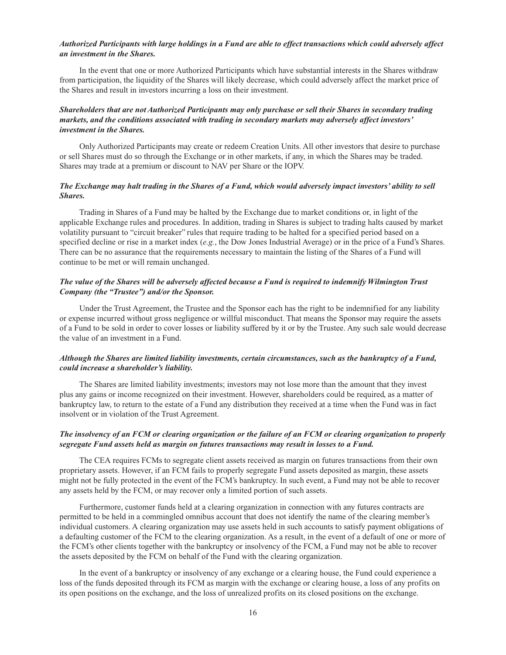## *Authorized Participants with large holdings in a Fund are able to effect transactions which could adversely affect an investment in the Shares.*

In the event that one or more Authorized Participants which have substantial interests in the Shares withdraw from participation, the liquidity of the Shares will likely decrease, which could adversely affect the market price of the Shares and result in investors incurring a loss on their investment.

# *Shareholders that are not Authorized Participants may only purchase or sell their Shares in secondary trading markets, and the conditions associated with trading in secondary markets may adversely affect investors' investment in the Shares.*

Only Authorized Participants may create or redeem Creation Units. All other investors that desire to purchase or sell Shares must do so through the Exchange or in other markets, if any, in which the Shares may be traded. Shares may trade at a premium or discount to NAV per Share or the IOPV.

# *The Exchange may halt trading in the Shares of a Fund, which would adversely impact investors' ability to sell Shares.*

Trading in Shares of a Fund may be halted by the Exchange due to market conditions or, in light of the applicable Exchange rules and procedures. In addition, trading in Shares is subject to trading halts caused by market volatility pursuant to "circuit breaker" rules that require trading to be halted for a specified period based on a specified decline or rise in a market index (*e.g.*, the Dow Jones Industrial Average) or in the price of a Fund's Shares. There can be no assurance that the requirements necessary to maintain the listing of the Shares of a Fund will continue to be met or will remain unchanged.

# *The value of the Shares will be adversely affected because a Fund is required to indemnify Wilmington Trust Company (the "Trustee") and/or the Sponsor.*

Under the Trust Agreement, the Trustee and the Sponsor each has the right to be indemnified for any liability or expense incurred without gross negligence or willful misconduct. That means the Sponsor may require the assets of a Fund to be sold in order to cover losses or liability suffered by it or by the Trustee. Any such sale would decrease the value of an investment in a Fund.

# *Although the Shares are limited liability investments, certain circumstances, such as the bankruptcy of a Fund, could increase a shareholder's liability.*

The Shares are limited liability investments; investors may not lose more than the amount that they invest plus any gains or income recognized on their investment. However, shareholders could be required, as a matter of bankruptcy law, to return to the estate of a Fund any distribution they received at a time when the Fund was in fact insolvent or in violation of the Trust Agreement.

# *The insolvency of an FCM or clearing organization or the failure of an FCM or clearing organization to properly segregate Fund assets held as margin on futures transactions may result in losses to a Fund.*

The CEA requires FCMs to segregate client assets received as margin on futures transactions from their own proprietary assets. However, if an FCM fails to properly segregate Fund assets deposited as margin, these assets might not be fully protected in the event of the FCM's bankruptcy. In such event, a Fund may not be able to recover any assets held by the FCM, or may recover only a limited portion of such assets.

Furthermore, customer funds held at a clearing organization in connection with any futures contracts are permitted to be held in a commingled omnibus account that does not identify the name of the clearing member's individual customers. A clearing organization may use assets held in such accounts to satisfy payment obligations of a defaulting customer of the FCM to the clearing organization. As a result, in the event of a default of one or more of the FCM's other clients together with the bankruptcy or insolvency of the FCM, a Fund may not be able to recover the assets deposited by the FCM on behalf of the Fund with the clearing organization.

In the event of a bankruptcy or insolvency of any exchange or a clearing house, the Fund could experience a loss of the funds deposited through its FCM as margin with the exchange or clearing house, a loss of any profits on its open positions on the exchange, and the loss of unrealized profits on its closed positions on the exchange.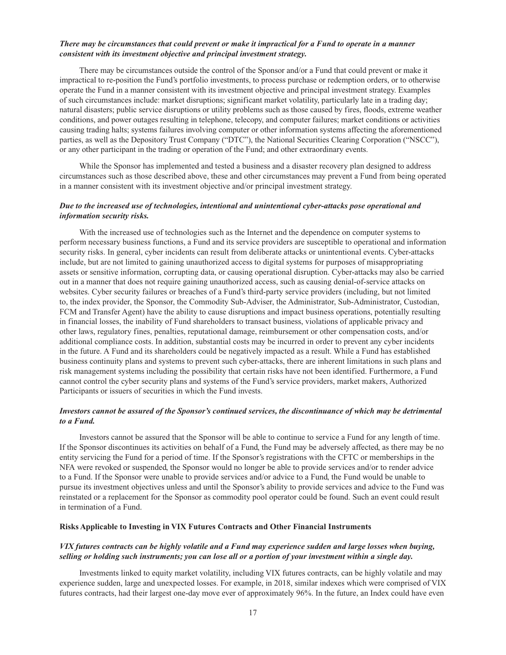### *There may be circumstances that could prevent or make it impractical for a Fund to operate in a manner consistent with its investment objective and principal investment strategy.*

There may be circumstances outside the control of the Sponsor and/or a Fund that could prevent or make it impractical to re-position the Fund's portfolio investments, to process purchase or redemption orders, or to otherwise operate the Fund in a manner consistent with its investment objective and principal investment strategy. Examples of such circumstances include: market disruptions; significant market volatility, particularly late in a trading day; natural disasters; public service disruptions or utility problems such as those caused by fires, floods, extreme weather conditions, and power outages resulting in telephone, telecopy, and computer failures; market conditions or activities causing trading halts; systems failures involving computer or other information systems affecting the aforementioned parties, as well as the Depository Trust Company ("DTC"), the National Securities Clearing Corporation ("NSCC"), or any other participant in the trading or operation of the Fund; and other extraordinary events.

While the Sponsor has implemented and tested a business and a disaster recovery plan designed to address circumstances such as those described above, these and other circumstances may prevent a Fund from being operated in a manner consistent with its investment objective and/or principal investment strategy.

# *Due to the increased use of technologies, intentional and unintentional cyber-attacks pose operational and information security risks.*

With the increased use of technologies such as the Internet and the dependence on computer systems to perform necessary business functions, a Fund and its service providers are susceptible to operational and information security risks. In general, cyber incidents can result from deliberate attacks or unintentional events. Cyber-attacks include, but are not limited to gaining unauthorized access to digital systems for purposes of misappropriating assets or sensitive information, corrupting data, or causing operational disruption. Cyber-attacks may also be carried out in a manner that does not require gaining unauthorized access, such as causing denial-of-service attacks on websites. Cyber security failures or breaches of a Fund's third-party service providers (including, but not limited to, the index provider, the Sponsor, the Commodity Sub-Adviser, the Administrator, Sub-Administrator, Custodian, FCM and Transfer Agent) have the ability to cause disruptions and impact business operations, potentially resulting in financial losses, the inability of Fund shareholders to transact business, violations of applicable privacy and other laws, regulatory fines, penalties, reputational damage, reimbursement or other compensation costs, and/or additional compliance costs. In addition, substantial costs may be incurred in order to prevent any cyber incidents in the future. A Fund and its shareholders could be negatively impacted as a result. While a Fund has established business continuity plans and systems to prevent such cyber-attacks, there are inherent limitations in such plans and risk management systems including the possibility that certain risks have not been identified. Furthermore, a Fund cannot control the cyber security plans and systems of the Fund's service providers, market makers, Authorized Participants or issuers of securities in which the Fund invests.

# *Investors cannot be assured of the Sponsor's continued services, the discontinuance of which may be detrimental to a Fund.*

Investors cannot be assured that the Sponsor will be able to continue to service a Fund for any length of time. If the Sponsor discontinues its activities on behalf of a Fund, the Fund may be adversely affected, as there may be no entity servicing the Fund for a period of time. If the Sponsor's registrations with the CFTC or memberships in the NFA were revoked or suspended, the Sponsor would no longer be able to provide services and/or to render advice to a Fund. If the Sponsor were unable to provide services and/or advice to a Fund, the Fund would be unable to pursue its investment objectives unless and until the Sponsor's ability to provide services and advice to the Fund was reinstated or a replacement for the Sponsor as commodity pool operator could be found. Such an event could result in termination of a Fund.

### **Risks Applicable to Investing in VIX Futures Contracts and Other Financial Instruments**

## *VIX futures contracts can be highly volatile and a Fund may experience sudden and large losses when buying, selling or holding such instruments; you can lose all or a portion of your investment within a single day.*

Investments linked to equity market volatility, including VIX futures contracts, can be highly volatile and may experience sudden, large and unexpected losses. For example, in 2018, similar indexes which were comprised of VIX futures contracts, had their largest one-day move ever of approximately 96%. In the future, an Index could have even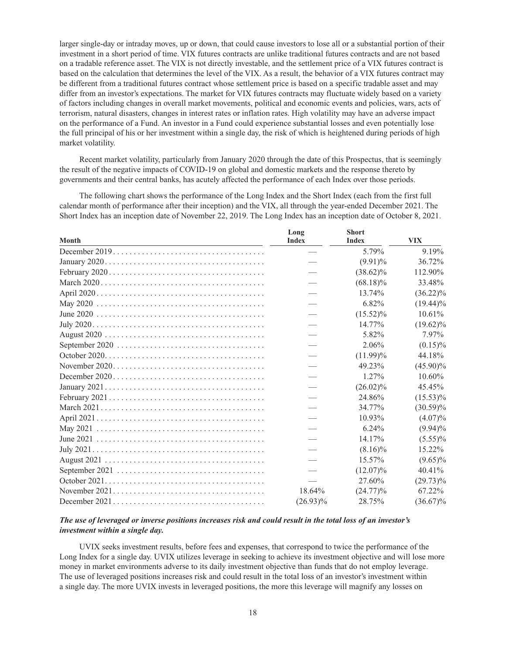larger single-day or intraday moves, up or down, that could cause investors to lose all or a substantial portion of their investment in a short period of time. VIX futures contracts are unlike traditional futures contracts and are not based on a tradable reference asset. The VIX is not directly investable, and the settlement price of a VIX futures contract is based on the calculation that determines the level of the VIX. As a result, the behavior of a VIX futures contract may be different from a traditional futures contract whose settlement price is based on a specific tradable asset and may differ from an investor's expectations. The market for VIX futures contracts may fluctuate widely based on a variety of factors including changes in overall market movements, political and economic events and policies, wars, acts of terrorism, natural disasters, changes in interest rates or inflation rates. High volatility may have an adverse impact on the performance of a Fund. An investor in a Fund could experience substantial losses and even potentially lose the full principal of his or her investment within a single day, the risk of which is heightened during periods of high market volatility.

Recent market volatility, particularly from January 2020 through the date of this Prospectus, that is seemingly the result of the negative impacts of COVID-19 on global and domestic markets and the response thereto by governments and their central banks, has acutely affected the performance of each Index over those periods.

The following chart shows the performance of the Long Index and the Short Index (each from the first full calendar month of performance after their inception) and the VIX, all through the year-ended December 2021. The Short Index has an inception date of November 22, 2019. The Long Index has an inception date of October 8, 2021.

|                                                                                                      | Long         | <b>Short</b> |             |
|------------------------------------------------------------------------------------------------------|--------------|--------------|-------------|
| <b>Month</b>                                                                                         | <b>Index</b> | <b>Index</b> | <b>VIX</b>  |
|                                                                                                      |              | 5.79%        | 9.19%       |
|                                                                                                      |              | $(9.91)\%$   | 36.72%      |
|                                                                                                      |              | $(38.62)\%$  | 112.90%     |
|                                                                                                      |              | $(68.18)\%$  | 33.48%      |
|                                                                                                      |              | 13.74%       | $(36.22)\%$ |
|                                                                                                      |              | 6.82%        | $(19.44)\%$ |
|                                                                                                      |              | $(15.52)\%$  | 10.61%      |
|                                                                                                      |              | 14.77%       | $(19.62)\%$ |
|                                                                                                      |              | 5.82%        | 7.97%       |
| September 2020 $\ldots \ldots \ldots \ldots \ldots \ldots \ldots \ldots \ldots \ldots \ldots \ldots$ |              | 2.06%        | $(0.15)\%$  |
|                                                                                                      |              | $(11.99)\%$  | 44.18%      |
|                                                                                                      |              | 49.23%       | $(45.90)\%$ |
|                                                                                                      |              | $1.27\%$     | 10.60%      |
|                                                                                                      |              | $(26.02)\%$  | 45.45%      |
|                                                                                                      |              | 24.86%       | $(15.53)\%$ |
|                                                                                                      |              | 34.77%       | $(30.59)\%$ |
|                                                                                                      |              | 10.93%       | $(4.07)\%$  |
|                                                                                                      |              | 6.24%        | $(9.94)\%$  |
|                                                                                                      |              | 14.17%       | $(5.55)\%$  |
|                                                                                                      |              | $(8.16)\%$   | 15.22%      |
|                                                                                                      |              | 15.57%       | $(9.65)\%$  |
|                                                                                                      |              | $(12.07)\%$  | 40.41%      |
|                                                                                                      |              | 27.60%       | $(29.73)\%$ |
|                                                                                                      | 18.64%       | $(24.77)\%$  | 67.22%      |
|                                                                                                      | $(26.93)\%$  | 28.75%       | $(36.67)\%$ |

### *The use of leveraged or inverse positions increases risk and could result in the total loss of an investor's investment within a single day.*

UVIX seeks investment results, before fees and expenses, that correspond to twice the performance of the Long Index for a single day. UVIX utilizes leverage in seeking to achieve its investment objective and will lose more money in market environments adverse to its daily investment objective than funds that do not employ leverage. The use of leveraged positions increases risk and could result in the total loss of an investor's investment within a single day. The more UVIX invests in leveraged positions, the more this leverage will magnify any losses on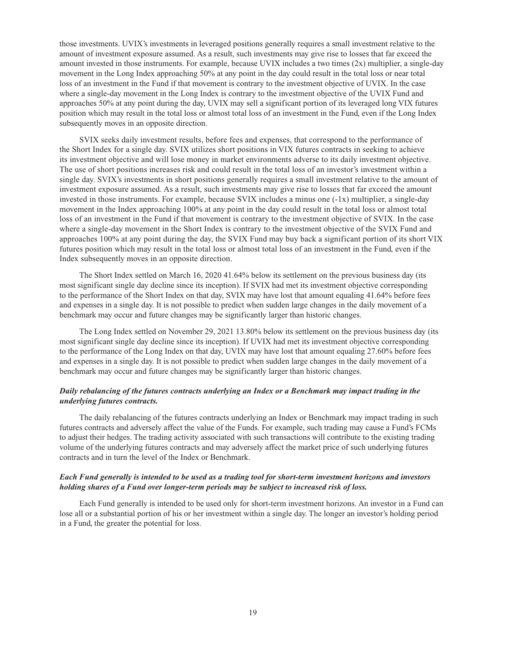those investments. UVIX's investments in leveraged positions generally requires a small investment relative to the amount of investment exposure assumed. As a result, such investments may give rise to losses that far exceed the amount invested in those instruments. For example, because UVIX includes a two times (2x) multiplier, a single-day movement in the Long Index approaching 50% at any point in the day could result in the total loss or near total loss of an investment in the Fund if that movement is contrary to the investment objective of UVIX. In the case where a single-day movement in the Long Index is contrary to the investment objective of the UVIX Fund and approaches 50% at any point during the day, UVIX may sell a significant portion of its leveraged long VIX futures position which may result in the total loss or almost total loss of an investment in the Fund, even if the Long Index subsequently moves in an opposite direction.

SVIX seeks daily investment results, before fees and expenses, that correspond to the performance of the Short Index for a single day. SVIX utilizes short positions in VIX futures contracts in seeking to achieve its investment objective and will lose money in market environments adverse to its daily investment objective. The use of short positions increases risk and could result in the total loss of an investor's investment within a single day. SVIX's investments in short positions generally requires a small investment relative to the amount of investment exposure assumed. As a result, such investments may give rise to losses that far exceed the amount invested in those instruments. For example, because SVIX includes a minus one (-1x) multiplier, a single-day movement in the Index approaching 100% at any point in the day could result in the total loss or almost total loss of an investment in the Fund if that movement is contrary to the investment objective of SVIX. In the case where a single-day movement in the Short Index is contrary to the investment objective of the SVIX Fund and approaches 100% at any point during the day, the SVIX Fund may buy back a significant portion of its short VIX futures position which may result in the total loss or almost total loss of an investment in the Fund, even if the Index subsequently moves in an opposite direction.

The Short Index settled on March 16, 2020 41.64% below its settlement on the previous business day (its most significant single day decline since its inception). If SVIX had met its investment objective corresponding to the performance of the Short Index on that day, SVIX may have lost that amount equaling 41.64% before fees and expenses in a single day. It is not possible to predict when sudden large changes in the daily movement of a benchmark may occur and future changes may be significantly larger than historic changes.

The Long Index settled on November 29, 2021 13.80% below its settlement on the previous business day (its most significant single day decline since its inception). If UVIX had met its investment objective corresponding to the performance of the Long Index on that day, UVIX may have lost that amount equaling 27.60% before fees and expenses in a single day. It is not possible to predict when sudden large changes in the daily movement of a benchmark may occur and future changes may be significantly larger than historic changes.

# *Daily rebalancing of the futures contracts underlying an Index or a Benchmark may impact trading in the underlying futures contracts.*

The daily rebalancing of the futures contracts underlying an Index or Benchmark may impact trading in such futures contracts and adversely affect the value of the Funds. For example, such trading may cause a Fund's FCMs to adjust their hedges. The trading activity associated with such transactions will contribute to the existing trading volume of the underlying futures contracts and may adversely affect the market price of such underlying futures contracts and in turn the level of the Index or Benchmark.

# *Each Fund generally is intended to be used as a trading tool for short-term investment horizons and investors holding shares of a Fund over longer-term periods may be subject to increased risk of loss.*

Each Fund generally is intended to be used only for short-term investment horizons. An investor in a Fund can lose all or a substantial portion of his or her investment within a single day. The longer an investor's holding period in a Fund, the greater the potential for loss.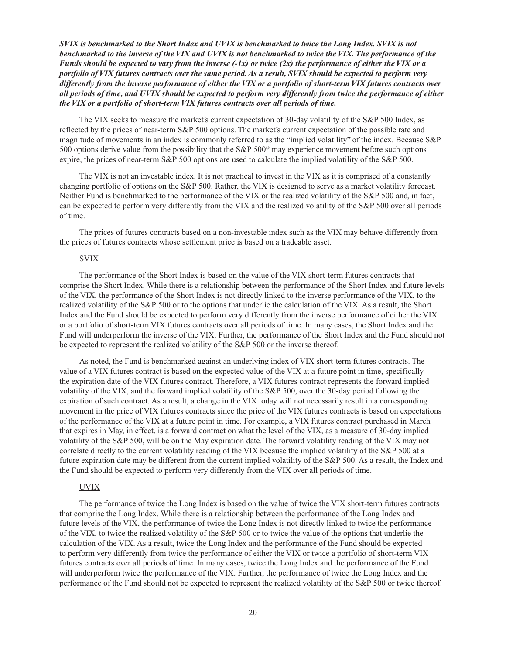*SVIX is benchmarked to the Short Index and UVIX is benchmarked to twice the Long Index. SVIX is not benchmarked to the inverse of the VIX and UVIX is not benchmarked to twice the VIX. The performance of the Funds should be expected to vary from the inverse (-1x) or twice (2x) the performance of either the VIX or a portfolio of VIX futures contracts over the same period. As a result, SVIX should be expected to perform very differently from the inverse performance of either the VIX or a portfolio of short-term VIX futures contracts over all periods of time, and UVIX should be expected to perform very differently from twice the performance of either the VIX or a portfolio of short-term VIX futures contracts over all periods of time.*

The VIX seeks to measure the market's current expectation of 30-day volatility of the S&P 500 Index, as reflected by the prices of near-term S&P 500 options. The market's current expectation of the possible rate and magnitude of movements in an index is commonly referred to as the "implied volatility" of the index. Because S&P 500 options derive value from the possibility that the S&P 500® may experience movement before such options expire, the prices of near-term S&P 500 options are used to calculate the implied volatility of the S&P 500.

The VIX is not an investable index. It is not practical to invest in the VIX as it is comprised of a constantly changing portfolio of options on the S&P 500. Rather, the VIX is designed to serve as a market volatility forecast. Neither Fund is benchmarked to the performance of the VIX or the realized volatility of the S&P 500 and, in fact, can be expected to perform very differently from the VIX and the realized volatility of the S&P 500 over all periods of time.

The prices of futures contracts based on a non-investable index such as the VIX may behave differently from the prices of futures contracts whose settlement price is based on a tradeable asset.

### SVIX

The performance of the Short Index is based on the value of the VIX short-term futures contracts that comprise the Short Index. While there is a relationship between the performance of the Short Index and future levels of the VIX, the performance of the Short Index is not directly linked to the inverse performance of the VIX, to the realized volatility of the S&P 500 or to the options that underlie the calculation of the VIX. As a result, the Short Index and the Fund should be expected to perform very differently from the inverse performance of either the VIX or a portfolio of short-term VIX futures contracts over all periods of time. In many cases, the Short Index and the Fund will underperform the inverse of the VIX. Further, the performance of the Short Index and the Fund should not be expected to represent the realized volatility of the S&P 500 or the inverse thereof.

As noted, the Fund is benchmarked against an underlying index of VIX short-term futures contracts. The value of a VIX futures contract is based on the expected value of the VIX at a future point in time, specifically the expiration date of the VIX futures contract. Therefore, a VIX futures contract represents the forward implied volatility of the VIX, and the forward implied volatility of the S&P 500, over the 30-day period following the expiration of such contract. As a result, a change in the VIX today will not necessarily result in a corresponding movement in the price of VIX futures contracts since the price of the VIX futures contracts is based on expectations of the performance of the VIX at a future point in time. For example, a VIX futures contract purchased in March that expires in May, in effect, is a forward contract on what the level of the VIX, as a measure of 30-day implied volatility of the S&P 500, will be on the May expiration date. The forward volatility reading of the VIX may not correlate directly to the current volatility reading of the VIX because the implied volatility of the S&P 500 at a future expiration date may be different from the current implied volatility of the S&P 500. As a result, the Index and the Fund should be expected to perform very differently from the VIX over all periods of time.

### UVIX

The performance of twice the Long Index is based on the value of twice the VIX short-term futures contracts that comprise the Long Index. While there is a relationship between the performance of the Long Index and future levels of the VIX, the performance of twice the Long Index is not directly linked to twice the performance of the VIX, to twice the realized volatility of the S&P 500 or to twice the value of the options that underlie the calculation of the VIX. As a result, twice the Long Index and the performance of the Fund should be expected to perform very differently from twice the performance of either the VIX or twice a portfolio of short-term VIX futures contracts over all periods of time. In many cases, twice the Long Index and the performance of the Fund will underperform twice the performance of the VIX. Further, the performance of twice the Long Index and the performance of the Fund should not be expected to represent the realized volatility of the S&P 500 or twice thereof.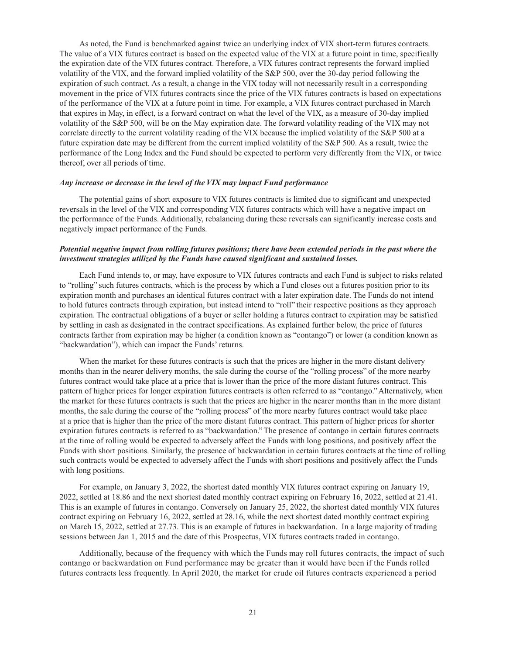As noted, the Fund is benchmarked against twice an underlying index of VIX short-term futures contracts. The value of a VIX futures contract is based on the expected value of the VIX at a future point in time, specifically the expiration date of the VIX futures contract. Therefore, a VIX futures contract represents the forward implied volatility of the VIX, and the forward implied volatility of the S&P 500, over the 30-day period following the expiration of such contract. As a result, a change in the VIX today will not necessarily result in a corresponding movement in the price of VIX futures contracts since the price of the VIX futures contracts is based on expectations of the performance of the VIX at a future point in time. For example, a VIX futures contract purchased in March that expires in May, in effect, is a forward contract on what the level of the VIX, as a measure of 30-day implied volatility of the S&P 500, will be on the May expiration date. The forward volatility reading of the VIX may not correlate directly to the current volatility reading of the VIX because the implied volatility of the S&P 500 at a future expiration date may be different from the current implied volatility of the S&P 500. As a result, twice the performance of the Long Index and the Fund should be expected to perform very differently from the VIX, or twice thereof, over all periods of time.

#### *Any increase or decrease in the level of the VIX may impact Fund performance*

The potential gains of short exposure to VIX futures contracts is limited due to significant and unexpected reversals in the level of the VIX and corresponding VIX futures contracts which will have a negative impact on the performance of the Funds. Additionally, rebalancing during these reversals can significantly increase costs and negatively impact performance of the Funds.

## *Potential negative impact from rolling futures positions; there have been extended periods in the past where the investment strategies utilized by the Funds have caused significant and sustained losses.*

Each Fund intends to, or may, have exposure to VIX futures contracts and each Fund is subject to risks related to "rolling" such futures contracts, which is the process by which a Fund closes out a futures position prior to its expiration month and purchases an identical futures contract with a later expiration date. The Funds do not intend to hold futures contracts through expiration, but instead intend to "roll" their respective positions as they approach expiration. The contractual obligations of a buyer or seller holding a futures contract to expiration may be satisfied by settling in cash as designated in the contract specifications. As explained further below, the price of futures contracts farther from expiration may be higher (a condition known as "contango") or lower (a condition known as "backwardation"), which can impact the Funds' returns.

When the market for these futures contracts is such that the prices are higher in the more distant delivery months than in the nearer delivery months, the sale during the course of the "rolling process" of the more nearby futures contract would take place at a price that is lower than the price of the more distant futures contract. This pattern of higher prices for longer expiration futures contracts is often referred to as "contango." Alternatively, when the market for these futures contracts is such that the prices are higher in the nearer months than in the more distant months, the sale during the course of the "rolling process" of the more nearby futures contract would take place at a price that is higher than the price of the more distant futures contract. This pattern of higher prices for shorter expiration futures contracts is referred to as "backwardation." The presence of contango in certain futures contracts at the time of rolling would be expected to adversely affect the Funds with long positions, and positively affect the Funds with short positions. Similarly, the presence of backwardation in certain futures contracts at the time of rolling such contracts would be expected to adversely affect the Funds with short positions and positively affect the Funds with long positions.

For example, on January 3, 2022, the shortest dated monthly VIX futures contract expiring on January 19, 2022, settled at 18.86 and the next shortest dated monthly contract expiring on February 16, 2022, settled at 21.41. This is an example of futures in contango. Conversely on January 25, 2022, the shortest dated monthly VIX futures contract expiring on February 16, 2022, settled at 28.16, while the next shortest dated monthly contract expiring on March 15, 2022, settled at 27.73. This is an example of futures in backwardation. In a large majority of trading sessions between Jan 1, 2015 and the date of this Prospectus, VIX futures contracts traded in contango.

Additionally, because of the frequency with which the Funds may roll futures contracts, the impact of such contango or backwardation on Fund performance may be greater than it would have been if the Funds rolled futures contracts less frequently. In April 2020, the market for crude oil futures contracts experienced a period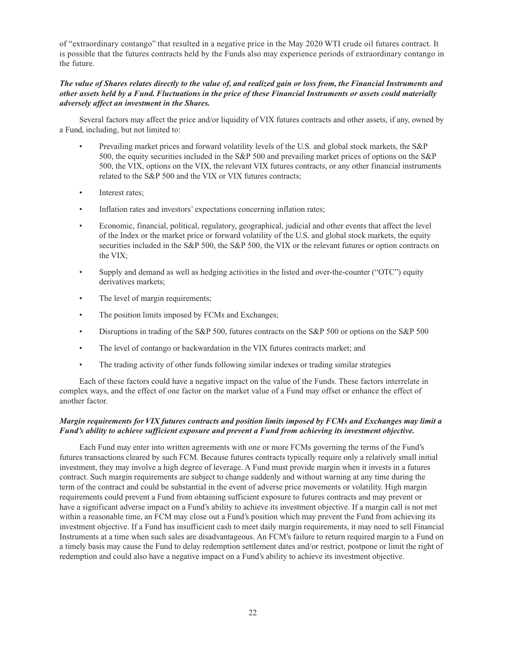of "extraordinary contango" that resulted in a negative price in the May 2020 WTI crude oil futures contract. It is possible that the futures contracts held by the Funds also may experience periods of extraordinary contango in the future.

# *The value of Shares relates directly to the value of, and realized gain or loss from, the Financial Instruments and other assets held by a Fund. Fluctuations in the price of these Financial Instruments or assets could materially adversely affect an investment in the Shares.*

Several factors may affect the price and/or liquidity of VIX futures contracts and other assets, if any, owned by a Fund, including, but not limited to:

- Prevailing market prices and forward volatility levels of the U.S. and global stock markets, the S&P 500, the equity securities included in the S&P 500 and prevailing market prices of options on the S&P 500, the VIX, options on the VIX, the relevant VIX futures contracts, or any other financial instruments related to the S&P 500 and the VIX or VIX futures contracts;
- Interest rates:
- Inflation rates and investors' expectations concerning inflation rates;
- Economic, financial, political, regulatory, geographical, judicial and other events that affect the level of the Index or the market price or forward volatility of the U.S. and global stock markets, the equity securities included in the S&P 500, the S&P 500, the VIX or the relevant futures or option contracts on the VIX;
- Supply and demand as well as hedging activities in the listed and over-the-counter ("OTC") equity derivatives markets;
- The level of margin requirements;
- The position limits imposed by FCMs and Exchanges;
- Disruptions in trading of the S&P 500, futures contracts on the S&P 500 or options on the S&P 500
- The level of contango or backwardation in the VIX futures contracts market; and
- The trading activity of other funds following similar indexes or trading similar strategies

Each of these factors could have a negative impact on the value of the Funds. These factors interrelate in complex ways, and the effect of one factor on the market value of a Fund may offset or enhance the effect of another factor.

# *Margin requirements for VIX futures contracts and position limits imposed by FCMs and Exchanges may limit a Fund's ability to achieve sufficient exposure and prevent a Fund from achieving its investment objective.*

Each Fund may enter into written agreements with one or more FCMs governing the terms of the Fund's futures transactions cleared by such FCM. Because futures contracts typically require only a relatively small initial investment, they may involve a high degree of leverage. A Fund must provide margin when it invests in a futures contract. Such margin requirements are subject to change suddenly and without warning at any time during the term of the contract and could be substantial in the event of adverse price movements or volatility. High margin requirements could prevent a Fund from obtaining sufficient exposure to futures contracts and may prevent or have a significant adverse impact on a Fund's ability to achieve its investment objective. If a margin call is not met within a reasonable time, an FCM may close out a Fund's position which may prevent the Fund from achieving its investment objective. If a Fund has insufficient cash to meet daily margin requirements, it may need to sell Financial Instruments at a time when such sales are disadvantageous. An FCM's failure to return required margin to a Fund on a timely basis may cause the Fund to delay redemption settlement dates and/or restrict, postpone or limit the right of redemption and could also have a negative impact on a Fund's ability to achieve its investment objective.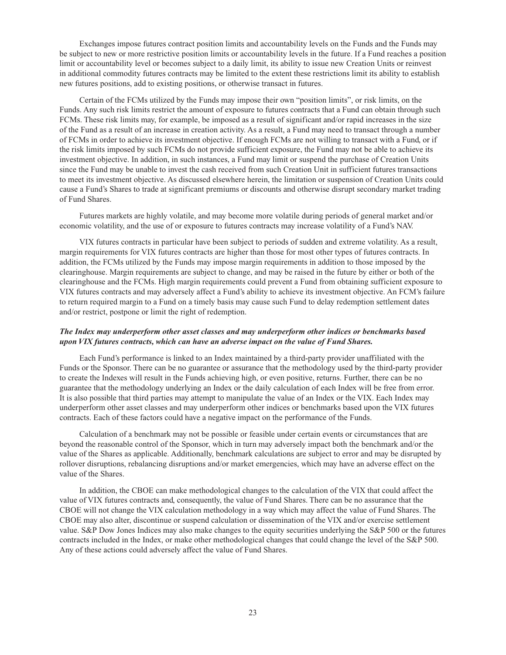Exchanges impose futures contract position limits and accountability levels on the Funds and the Funds may be subject to new or more restrictive position limits or accountability levels in the future. If a Fund reaches a position limit or accountability level or becomes subject to a daily limit, its ability to issue new Creation Units or reinvest in additional commodity futures contracts may be limited to the extent these restrictions limit its ability to establish new futures positions, add to existing positions, or otherwise transact in futures.

Certain of the FCMs utilized by the Funds may impose their own "position limits", or risk limits, on the Funds. Any such risk limits restrict the amount of exposure to futures contracts that a Fund can obtain through such FCMs. These risk limits may, for example, be imposed as a result of significant and/or rapid increases in the size of the Fund as a result of an increase in creation activity. As a result, a Fund may need to transact through a number of FCMs in order to achieve its investment objective. If enough FCMs are not willing to transact with a Fund, or if the risk limits imposed by such FCMs do not provide sufficient exposure, the Fund may not be able to achieve its investment objective. In addition, in such instances, a Fund may limit or suspend the purchase of Creation Units since the Fund may be unable to invest the cash received from such Creation Unit in sufficient futures transactions to meet its investment objective. As discussed elsewhere herein, the limitation or suspension of Creation Units could cause a Fund's Shares to trade at significant premiums or discounts and otherwise disrupt secondary market trading of Fund Shares.

Futures markets are highly volatile, and may become more volatile during periods of general market and/or economic volatility, and the use of or exposure to futures contracts may increase volatility of a Fund's NAV.

VIX futures contracts in particular have been subject to periods of sudden and extreme volatility. As a result, margin requirements for VIX futures contracts are higher than those for most other types of futures contracts. In addition, the FCMs utilized by the Funds may impose margin requirements in addition to those imposed by the clearinghouse. Margin requirements are subject to change, and may be raised in the future by either or both of the clearinghouse and the FCMs. High margin requirements could prevent a Fund from obtaining sufficient exposure to VIX futures contracts and may adversely affect a Fund's ability to achieve its investment objective. An FCM's failure to return required margin to a Fund on a timely basis may cause such Fund to delay redemption settlement dates and/or restrict, postpone or limit the right of redemption.

## *The Index may underperform other asset classes and may underperform other indices or benchmarks based upon VIX futures contracts, which can have an adverse impact on the value of Fund Shares.*

Each Fund's performance is linked to an Index maintained by a third-party provider unaffiliated with the Funds or the Sponsor. There can be no guarantee or assurance that the methodology used by the third-party provider to create the Indexes will result in the Funds achieving high, or even positive, returns. Further, there can be no guarantee that the methodology underlying an Index or the daily calculation of each Index will be free from error. It is also possible that third parties may attempt to manipulate the value of an Index or the VIX. Each Index may underperform other asset classes and may underperform other indices or benchmarks based upon the VIX futures contracts. Each of these factors could have a negative impact on the performance of the Funds.

Calculation of a benchmark may not be possible or feasible under certain events or circumstances that are beyond the reasonable control of the Sponsor, which in turn may adversely impact both the benchmark and/or the value of the Shares as applicable. Additionally, benchmark calculations are subject to error and may be disrupted by rollover disruptions, rebalancing disruptions and/or market emergencies, which may have an adverse effect on the value of the Shares.

In addition, the CBOE can make methodological changes to the calculation of the VIX that could affect the value of VIX futures contracts and, consequently, the value of Fund Shares. There can be no assurance that the CBOE will not change the VIX calculation methodology in a way which may affect the value of Fund Shares. The CBOE may also alter, discontinue or suspend calculation or dissemination of the VIX and/or exercise settlement value. S&P Dow Jones Indices may also make changes to the equity securities underlying the S&P 500 or the futures contracts included in the Index, or make other methodological changes that could change the level of the S&P 500. Any of these actions could adversely affect the value of Fund Shares.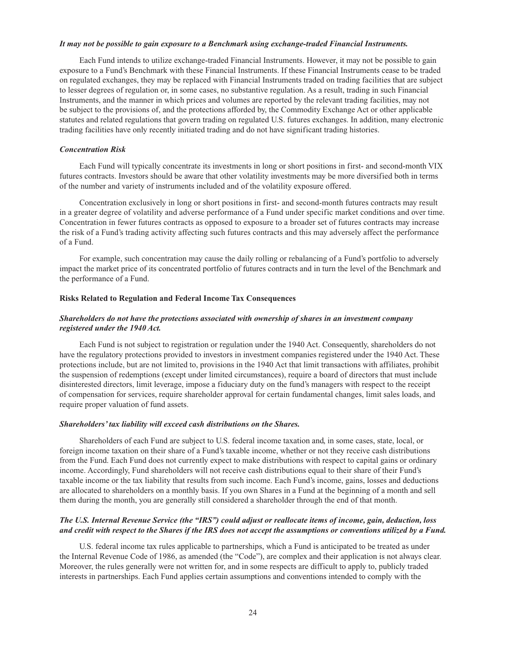### *It may not be possible to gain exposure to a Benchmark using exchange-traded Financial Instruments.*

Each Fund intends to utilize exchange-traded Financial Instruments. However, it may not be possible to gain exposure to a Fund's Benchmark with these Financial Instruments. If these Financial Instruments cease to be traded on regulated exchanges, they may be replaced with Financial Instruments traded on trading facilities that are subject to lesser degrees of regulation or, in some cases, no substantive regulation. As a result, trading in such Financial Instruments, and the manner in which prices and volumes are reported by the relevant trading facilities, may not be subject to the provisions of, and the protections afforded by, the Commodity Exchange Act or other applicable statutes and related regulations that govern trading on regulated U.S. futures exchanges. In addition, many electronic trading facilities have only recently initiated trading and do not have significant trading histories.

### *Concentration Risk*

Each Fund will typically concentrate its investments in long or short positions in first- and second-month VIX futures contracts. Investors should be aware that other volatility investments may be more diversified both in terms of the number and variety of instruments included and of the volatility exposure offered.

Concentration exclusively in long or short positions in first- and second-month futures contracts may result in a greater degree of volatility and adverse performance of a Fund under specific market conditions and over time. Concentration in fewer futures contracts as opposed to exposure to a broader set of futures contracts may increase the risk of a Fund's trading activity affecting such futures contracts and this may adversely affect the performance of a Fund.

For example, such concentration may cause the daily rolling or rebalancing of a Fund's portfolio to adversely impact the market price of its concentrated portfolio of futures contracts and in turn the level of the Benchmark and the performance of a Fund.

#### **Risks Related to Regulation and Federal Income Tax Consequences**

## *Shareholders do not have the protections associated with ownership of shares in an investment company registered under the 1940 Act.*

Each Fund is not subject to registration or regulation under the 1940 Act. Consequently, shareholders do not have the regulatory protections provided to investors in investment companies registered under the 1940 Act. These protections include, but are not limited to, provisions in the 1940 Act that limit transactions with affiliates, prohibit the suspension of redemptions (except under limited circumstances), require a board of directors that must include disinterested directors, limit leverage, impose a fiduciary duty on the fund's managers with respect to the receipt of compensation for services, require shareholder approval for certain fundamental changes, limit sales loads, and require proper valuation of fund assets.

#### *Shareholders' tax liability will exceed cash distributions on the Shares.*

Shareholders of each Fund are subject to U.S. federal income taxation and, in some cases, state, local, or foreign income taxation on their share of a Fund's taxable income, whether or not they receive cash distributions from the Fund. Each Fund does not currently expect to make distributions with respect to capital gains or ordinary income. Accordingly, Fund shareholders will not receive cash distributions equal to their share of their Fund's taxable income or the tax liability that results from such income. Each Fund's income, gains, losses and deductions are allocated to shareholders on a monthly basis. If you own Shares in a Fund at the beginning of a month and sell them during the month, you are generally still considered a shareholder through the end of that month.

# *The U.S. Internal Revenue Service (the "IRS") could adjust or reallocate items of income, gain, deduction, loss and credit with respect to the Shares if the IRS does not accept the assumptions or conventions utilized by a Fund.*

U.S. federal income tax rules applicable to partnerships, which a Fund is anticipated to be treated as under the Internal Revenue Code of 1986, as amended (the "Code"), are complex and their application is not always clear. Moreover, the rules generally were not written for, and in some respects are difficult to apply to, publicly traded interests in partnerships. Each Fund applies certain assumptions and conventions intended to comply with the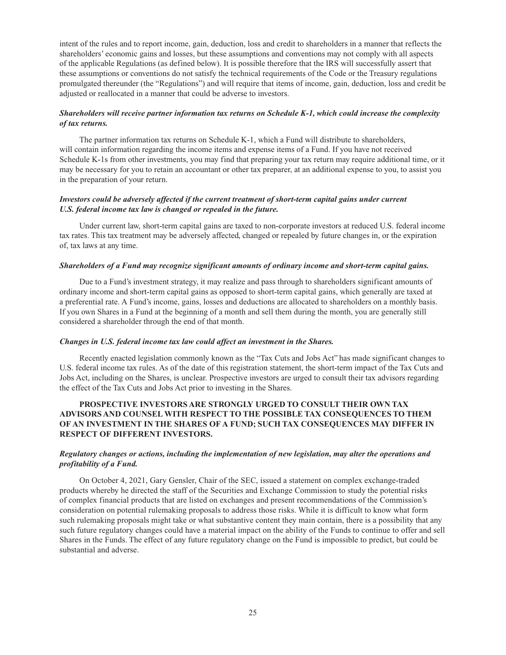intent of the rules and to report income, gain, deduction, loss and credit to shareholders in a manner that reflects the shareholders' economic gains and losses, but these assumptions and conventions may not comply with all aspects of the applicable Regulations (as defined below). It is possible therefore that the IRS will successfully assert that these assumptions or conventions do not satisfy the technical requirements of the Code or the Treasury regulations promulgated thereunder (the "Regulations") and will require that items of income, gain, deduction, loss and credit be adjusted or reallocated in a manner that could be adverse to investors.

# *Shareholders will receive partner information tax returns on Schedule K-1, which could increase the complexity of tax returns.*

The partner information tax returns on Schedule K-1, which a Fund will distribute to shareholders, will contain information regarding the income items and expense items of a Fund. If you have not received Schedule K-1s from other investments, you may find that preparing your tax return may require additional time, or it may be necessary for you to retain an accountant or other tax preparer, at an additional expense to you, to assist you in the preparation of your return.

# *Investors could be adversely affected if the current treatment of short-term capital gains under current U.S. federal income tax law is changed or repealed in the future.*

Under current law, short-term capital gains are taxed to non-corporate investors at reduced U.S. federal income tax rates. This tax treatment may be adversely affected, changed or repealed by future changes in, or the expiration of, tax laws at any time.

### *Shareholders of a Fund may recognize significant amounts of ordinary income and short-term capital gains.*

Due to a Fund's investment strategy, it may realize and pass through to shareholders significant amounts of ordinary income and short-term capital gains as opposed to short-term capital gains, which generally are taxed at a preferential rate. A Fund's income, gains, losses and deductions are allocated to shareholders on a monthly basis. If you own Shares in a Fund at the beginning of a month and sell them during the month, you are generally still considered a shareholder through the end of that month.

# *Changes in U.S. federal income tax law could affect an investment in the Shares.*

Recently enacted legislation commonly known as the "Tax Cuts and Jobs Act" has made significant changes to U.S. federal income tax rules. As of the date of this registration statement, the short-term impact of the Tax Cuts and Jobs Act, including on the Shares, is unclear. Prospective investors are urged to consult their tax advisors regarding the effect of the Tax Cuts and Jobs Act prior to investing in the Shares.

# **PROSPECTIVE INVESTORS ARE STRONGLY URGED TO CONSULT THEIR OWN TAX ADVISORS AND COUNSEL WITH RESPECT TO THE POSSIBLE TAX CONSEQUENCES TO THEM OF AN INVESTMENT IN THE SHARES OF A FUND; SUCH TAX CONSEQUENCES MAY DIFFER IN RESPECT OF DIFFERENT INVESTORS.**

## *Regulatory changes or actions, including the implementation of new legislation, may alter the operations and profitability of a Fund.*

On October 4, 2021, Gary Gensler, Chair of the SEC, issued a statement on complex exchange-traded products whereby he directed the staff of the Securities and Exchange Commission to study the potential risks of complex financial products that are listed on exchanges and present recommendations of the Commission's consideration on potential rulemaking proposals to address those risks. While it is difficult to know what form such rulemaking proposals might take or what substantive content they main contain, there is a possibility that any such future regulatory changes could have a material impact on the ability of the Funds to continue to offer and sell Shares in the Funds. The effect of any future regulatory change on the Fund is impossible to predict, but could be substantial and adverse.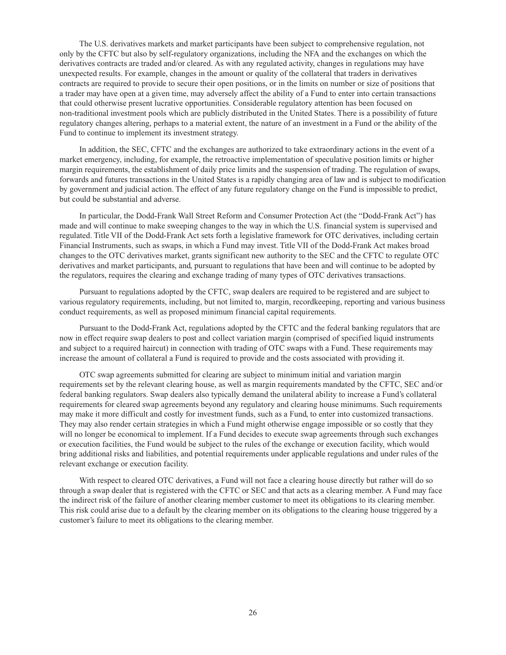The U.S. derivatives markets and market participants have been subject to comprehensive regulation, not only by the CFTC but also by self-regulatory organizations, including the NFA and the exchanges on which the derivatives contracts are traded and/or cleared. As with any regulated activity, changes in regulations may have unexpected results. For example, changes in the amount or quality of the collateral that traders in derivatives contracts are required to provide to secure their open positions, or in the limits on number or size of positions that a trader may have open at a given time, may adversely affect the ability of a Fund to enter into certain transactions that could otherwise present lucrative opportunities. Considerable regulatory attention has been focused on non-traditional investment pools which are publicly distributed in the United States. There is a possibility of future regulatory changes altering, perhaps to a material extent, the nature of an investment in a Fund or the ability of the Fund to continue to implement its investment strategy.

In addition, the SEC, CFTC and the exchanges are authorized to take extraordinary actions in the event of a market emergency, including, for example, the retroactive implementation of speculative position limits or higher margin requirements, the establishment of daily price limits and the suspension of trading. The regulation of swaps, forwards and futures transactions in the United States is a rapidly changing area of law and is subject to modification by government and judicial action. The effect of any future regulatory change on the Fund is impossible to predict, but could be substantial and adverse.

In particular, the Dodd-Frank Wall Street Reform and Consumer Protection Act (the "Dodd-Frank Act") has made and will continue to make sweeping changes to the way in which the U.S. financial system is supervised and regulated. Title VII of the Dodd-Frank Act sets forth a legislative framework for OTC derivatives, including certain Financial Instruments, such as swaps, in which a Fund may invest. Title VII of the Dodd-Frank Act makes broad changes to the OTC derivatives market, grants significant new authority to the SEC and the CFTC to regulate OTC derivatives and market participants, and, pursuant to regulations that have been and will continue to be adopted by the regulators, requires the clearing and exchange trading of many types of OTC derivatives transactions.

Pursuant to regulations adopted by the CFTC, swap dealers are required to be registered and are subject to various regulatory requirements, including, but not limited to, margin, recordkeeping, reporting and various business conduct requirements, as well as proposed minimum financial capital requirements.

Pursuant to the Dodd-Frank Act, regulations adopted by the CFTC and the federal banking regulators that are now in effect require swap dealers to post and collect variation margin (comprised of specified liquid instruments and subject to a required haircut) in connection with trading of OTC swaps with a Fund. These requirements may increase the amount of collateral a Fund is required to provide and the costs associated with providing it.

OTC swap agreements submitted for clearing are subject to minimum initial and variation margin requirements set by the relevant clearing house, as well as margin requirements mandated by the CFTC, SEC and/or federal banking regulators. Swap dealers also typically demand the unilateral ability to increase a Fund's collateral requirements for cleared swap agreements beyond any regulatory and clearing house minimums. Such requirements may make it more difficult and costly for investment funds, such as a Fund, to enter into customized transactions. They may also render certain strategies in which a Fund might otherwise engage impossible or so costly that they will no longer be economical to implement. If a Fund decides to execute swap agreements through such exchanges or execution facilities, the Fund would be subject to the rules of the exchange or execution facility, which would bring additional risks and liabilities, and potential requirements under applicable regulations and under rules of the relevant exchange or execution facility.

With respect to cleared OTC derivatives, a Fund will not face a clearing house directly but rather will do so through a swap dealer that is registered with the CFTC or SEC and that acts as a clearing member. A Fund may face the indirect risk of the failure of another clearing member customer to meet its obligations to its clearing member. This risk could arise due to a default by the clearing member on its obligations to the clearing house triggered by a customer's failure to meet its obligations to the clearing member.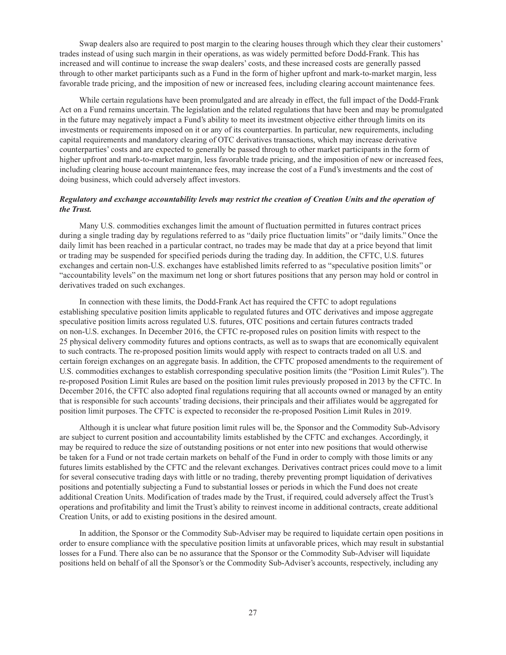Swap dealers also are required to post margin to the clearing houses through which they clear their customers' trades instead of using such margin in their operations, as was widely permitted before Dodd-Frank. This has increased and will continue to increase the swap dealers' costs, and these increased costs are generally passed through to other market participants such as a Fund in the form of higher upfront and mark-to-market margin, less favorable trade pricing, and the imposition of new or increased fees, including clearing account maintenance fees.

While certain regulations have been promulgated and are already in effect, the full impact of the Dodd-Frank Act on a Fund remains uncertain. The legislation and the related regulations that have been and may be promulgated in the future may negatively impact a Fund's ability to meet its investment objective either through limits on its investments or requirements imposed on it or any of its counterparties. In particular, new requirements, including capital requirements and mandatory clearing of OTC derivatives transactions, which may increase derivative counterparties' costs and are expected to generally be passed through to other market participants in the form of higher upfront and mark-to-market margin, less favorable trade pricing, and the imposition of new or increased fees, including clearing house account maintenance fees, may increase the cost of a Fund's investments and the cost of doing business, which could adversely affect investors.

# *Regulatory and exchange accountability levels may restrict the creation of Creation Units and the operation of the Trust.*

Many U.S. commodities exchanges limit the amount of fluctuation permitted in futures contract prices during a single trading day by regulations referred to as "daily price fluctuation limits" or "daily limits." Once the daily limit has been reached in a particular contract, no trades may be made that day at a price beyond that limit or trading may be suspended for specified periods during the trading day. In addition, the CFTC, U.S. futures exchanges and certain non-U.S. exchanges have established limits referred to as "speculative position limits" or "accountability levels" on the maximum net long or short futures positions that any person may hold or control in derivatives traded on such exchanges.

In connection with these limits, the Dodd-Frank Act has required the CFTC to adopt regulations establishing speculative position limits applicable to regulated futures and OTC derivatives and impose aggregate speculative position limits across regulated U.S. futures, OTC positions and certain futures contracts traded on non-U.S. exchanges. In December 2016, the CFTC re-proposed rules on position limits with respect to the 25 physical delivery commodity futures and options contracts, as well as to swaps that are economically equivalent to such contracts. The re-proposed position limits would apply with respect to contracts traded on all U.S. and certain foreign exchanges on an aggregate basis. In addition, the CFTC proposed amendments to the requirement of U.S. commodities exchanges to establish corresponding speculative position limits (the "Position Limit Rules"). The re-proposed Position Limit Rules are based on the position limit rules previously proposed in 2013 by the CFTC. In December 2016, the CFTC also adopted final regulations requiring that all accounts owned or managed by an entity that is responsible for such accounts' trading decisions, their principals and their affiliates would be aggregated for position limit purposes. The CFTC is expected to reconsider the re-proposed Position Limit Rules in 2019.

Although it is unclear what future position limit rules will be, the Sponsor and the Commodity Sub-Advisory are subject to current position and accountability limits established by the CFTC and exchanges. Accordingly, it may be required to reduce the size of outstanding positions or not enter into new positions that would otherwise be taken for a Fund or not trade certain markets on behalf of the Fund in order to comply with those limits or any futures limits established by the CFTC and the relevant exchanges. Derivatives contract prices could move to a limit for several consecutive trading days with little or no trading, thereby preventing prompt liquidation of derivatives positions and potentially subjecting a Fund to substantial losses or periods in which the Fund does not create additional Creation Units. Modification of trades made by the Trust, if required, could adversely affect the Trust's operations and profitability and limit the Trust's ability to reinvest income in additional contracts, create additional Creation Units, or add to existing positions in the desired amount.

In addition, the Sponsor or the Commodity Sub-Adviser may be required to liquidate certain open positions in order to ensure compliance with the speculative position limits at unfavorable prices, which may result in substantial losses for a Fund. There also can be no assurance that the Sponsor or the Commodity Sub-Adviser will liquidate positions held on behalf of all the Sponsor's or the Commodity Sub-Adviser's accounts, respectively, including any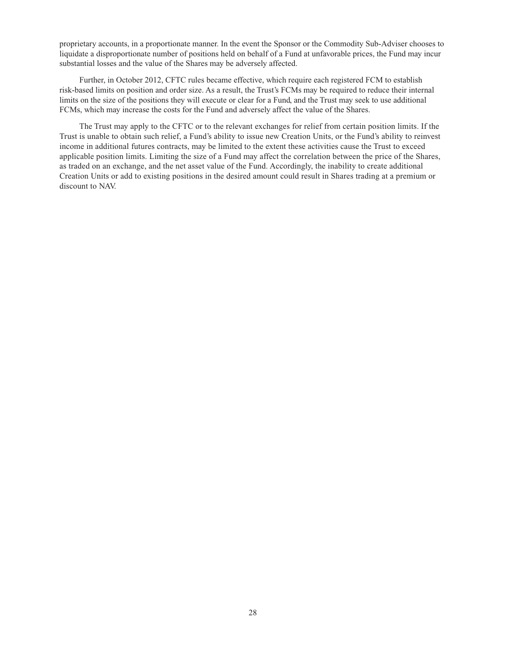proprietary accounts, in a proportionate manner. In the event the Sponsor or the Commodity Sub-Adviser chooses to liquidate a disproportionate number of positions held on behalf of a Fund at unfavorable prices, the Fund may incur substantial losses and the value of the Shares may be adversely affected.

Further, in October 2012, CFTC rules became effective, which require each registered FCM to establish risk-based limits on position and order size. As a result, the Trust's FCMs may be required to reduce their internal limits on the size of the positions they will execute or clear for a Fund, and the Trust may seek to use additional FCMs, which may increase the costs for the Fund and adversely affect the value of the Shares.

The Trust may apply to the CFTC or to the relevant exchanges for relief from certain position limits. If the Trust is unable to obtain such relief, a Fund's ability to issue new Creation Units, or the Fund's ability to reinvest income in additional futures contracts, may be limited to the extent these activities cause the Trust to exceed applicable position limits. Limiting the size of a Fund may affect the correlation between the price of the Shares, as traded on an exchange, and the net asset value of the Fund. Accordingly, the inability to create additional Creation Units or add to existing positions in the desired amount could result in Shares trading at a premium or discount to NAV.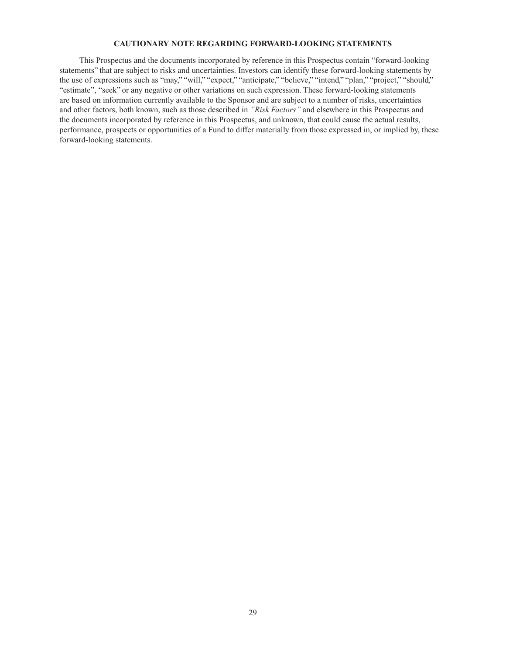#### **CAUTIONARY NOTE REGARDING FORWARD-LOOKING STATEMENTS**

This Prospectus and the documents incorporated by reference in this Prospectus contain "forward-looking statements" that are subject to risks and uncertainties. Investors can identify these forward-looking statements by the use of expressions such as "may," "will," "expect," "anticipate," "believe," "intend," "plan," "project," "should," "estimate", "seek" or any negative or other variations on such expression. These forward-looking statements are based on information currently available to the Sponsor and are subject to a number of risks, uncertainties and other factors, both known, such as those described in *"Risk Factors"* and elsewhere in this Prospectus and the documents incorporated by reference in this Prospectus, and unknown, that could cause the actual results, performance, prospects or opportunities of a Fund to differ materially from those expressed in, or implied by, these forward-looking statements.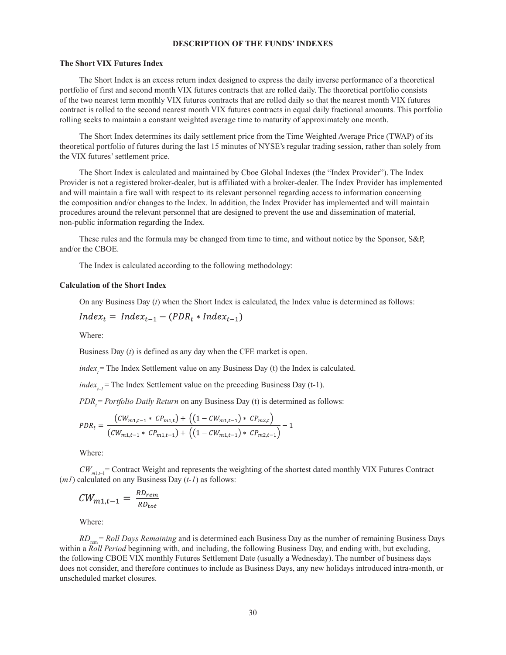#### **DESCRIPTION OF THE FUNDS' INDEXES**

### **The Short VIX Futures Index**

The Short Index is an excess return index designed to express the daily inverse performance of a theoretical portfolio of first and second month VIX futures contracts that are rolled daily. The theoretical portfolio consists of the two nearest term monthly VIX futures contracts that are rolled daily so that the nearest month VIX futures contract is rolled to the second nearest month VIX futures contracts in equal daily fractional amounts. This portfolio rolling seeks to maintain a constant weighted average time to maturity of approximately one month.

The Short Index determines its daily settlement price from the Time Weighted Average Price (TWAP) of its theoretical portfolio of futures during the last 15 minutes of NYSE's regular trading session, rather than solely from the VIX futures' settlement price.

The Short Index is calculated and maintained by Cboe Global Indexes (the "Index Provider"). The Index Provider is not a registered broker-dealer, but is affiliated with a broker-dealer. The Index Provider has implemented and will maintain a fire wall with respect to its relevant personnel regarding access to information concerning the composition and/or changes to the Index. In addition, the Index Provider has implemented and will maintain procedures around the relevant personnel that are designed to prevent the use and dissemination of material, non-public information regarding the Index.

These rules and the formula may be changed from time to time, and without notice by the Sponsor, S&P, and/or the CBOE.

The Index is calculated according to the following methodology:

#### **Calculation of the Short Index**

On any Business Day (*t*) when the Short Index is calculated, the Index value is determined as follows:

$$
Index_t = Index_{t-1} - (PDR_t * Index_{t-1})
$$

Where:

Business Day (*t*) is defined as any day when the CFE market is open.

 $index_{t}$  = The Index Settlement value on any Business Day (t) the Index is calculated.

*index*<sub>1</sub> = The Index Settlement value on the preceding Business Day (t-1).

*PDR*<sub>*i</sub>* = *Portfolio Daily Return* on any Business Day (t) is determined as follows:</sub>

$$
PDR_t = \frac{(CW_{m1,t-1} * CP_{m1,t}) + ((1 - CW_{m1,t-1}) * CP_{m2,t})}{(CW_{m1,t-1} * CP_{m1,t-1}) + ((1 - CW_{m1,t-1}) * CP_{m2,t-1})} - 1
$$

Where:

*CWm*1,*t*–1= Contract Weight and represents the weighting of the shortest dated monthly VIX Futures Contract (*m1*) calculated on any Business Day (*t-1*) as follows:

$$
CW_{m1,t-1} = \frac{RD_{rem}}{RD_{tot}}
$$

Where:

*RD<sub>rem</sub>* = *Roll Days Remaining* and is determined each Business Day as the number of remaining Business Days within a *Roll Period* beginning with, and including, the following Business Day, and ending with, but excluding, the following CBOE VIX monthly Futures Settlement Date (usually a Wednesday). The number of business days does not consider, and therefore continues to include as Business Days, any new holidays introduced intra-month, or unscheduled market closures.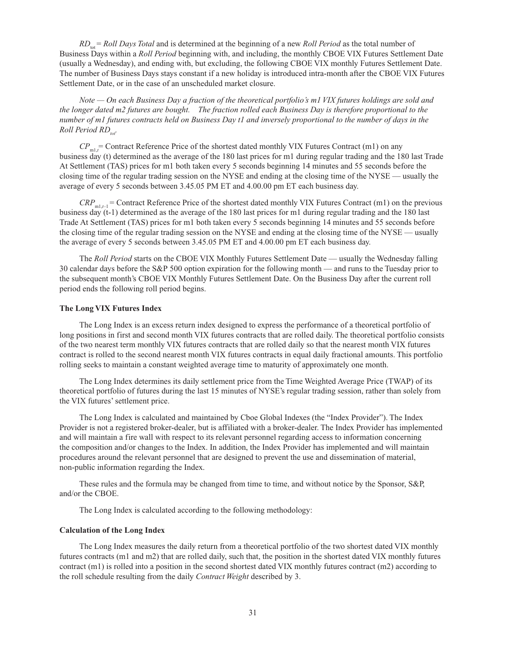$RD_{tot}$  = *Roll Days Total* and is determined at the beginning of a new *Roll Period* as the total number of Business Days within a *Roll Period* beginning with, and including, the monthly CBOE VIX Futures Settlement Date (usually a Wednesday), and ending with, but excluding, the following CBOE VIX monthly Futures Settlement Date. The number of Business Days stays constant if a new holiday is introduced intra-month after the CBOE VIX Futures Settlement Date, or in the case of an unscheduled market closure.

*Note — On each Business Day a fraction of the theoretical portfolio's m1 VIX futures holdings are sold and the longer dated m2 futures are bought. The fraction rolled each Business Day is therefore proportional to the number of m1 futures contracts held on Business Day t1 and inversely proportional to the number of days in the Roll Period RD*<sub>tot</sub>.

*CP*m1,*<sup>t</sup>* = Contract Reference Price of the shortest dated monthly VIX Futures Contract (m1) on any business day (t) determined as the average of the 180 last prices for m1 during regular trading and the 180 last Trade At Settlement (TAS) prices for m1 both taken every 5 seconds beginning 14 minutes and 55 seconds before the closing time of the regular trading session on the NYSE and ending at the closing time of the NYSE — usually the average of every 5 seconds between 3.45.05 PM ET and 4.00.00 pm ET each business day.

 $CRP_{m_1,t}$  = Contract Reference Price of the shortest dated monthly VIX Futures Contract (m1) on the previous business day (t-1) determined as the average of the 180 last prices for m1 during regular trading and the 180 last Trade At Settlement (TAS) prices for m1 both taken every 5 seconds beginning 14 minutes and 55 seconds before the closing time of the regular trading session on the NYSE and ending at the closing time of the NYSE — usually the average of every 5 seconds between 3.45.05 PM ET and 4.00.00 pm ET each business day.

The *Roll Period* starts on the CBOE VIX Monthly Futures Settlement Date — usually the Wednesday falling 30 calendar days before the S&P 500 option expiration for the following month — and runs to the Tuesday prior to the subsequent month's CBOE VIX Monthly Futures Settlement Date. On the Business Day after the current roll period ends the following roll period begins.

## **The Long VIX Futures Index**

The Long Index is an excess return index designed to express the performance of a theoretical portfolio of long positions in first and second month VIX futures contracts that are rolled daily. The theoretical portfolio consists of the two nearest term monthly VIX futures contracts that are rolled daily so that the nearest month VIX futures contract is rolled to the second nearest month VIX futures contracts in equal daily fractional amounts. This portfolio rolling seeks to maintain a constant weighted average time to maturity of approximately one month.

The Long Index determines its daily settlement price from the Time Weighted Average Price (TWAP) of its theoretical portfolio of futures during the last 15 minutes of NYSE's regular trading session, rather than solely from the VIX futures' settlement price.

The Long Index is calculated and maintained by Cboe Global Indexes (the "Index Provider"). The Index Provider is not a registered broker-dealer, but is affiliated with a broker-dealer. The Index Provider has implemented and will maintain a fire wall with respect to its relevant personnel regarding access to information concerning the composition and/or changes to the Index. In addition, the Index Provider has implemented and will maintain procedures around the relevant personnel that are designed to prevent the use and dissemination of material, non-public information regarding the Index.

These rules and the formula may be changed from time to time, and without notice by the Sponsor, S&P, and/or the CBOE.

The Long Index is calculated according to the following methodology:

#### **Calculation of the Long Index**

The Long Index measures the daily return from a theoretical portfolio of the two shortest dated VIX monthly futures contracts (m1 and m2) that are rolled daily, such that, the position in the shortest dated VIX monthly futures contract (m1) is rolled into a position in the second shortest dated VIX monthly futures contract (m2) according to the roll schedule resulting from the daily *Contract Weight* described by 3.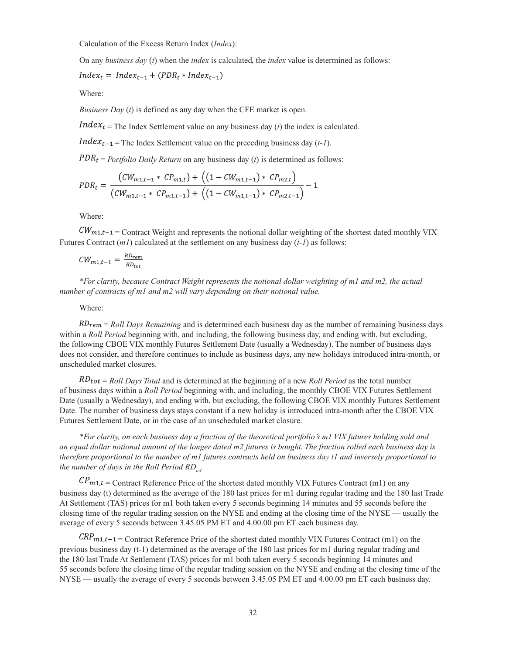Calculation of the Excess Return Index (*Index*):

On any *business day* (*t*) when the *index* is calculated, the *index* value is determined as follows:

$$
Index_t = Index_{t-1} + (PDR_t * Index_{t-1})
$$

Where:

*Business Day* (*t*) is defined as any day when the CFE market is open.

*Index*<sub>t</sub> = The Index Settlement value on any business day (*t*) the index is calculated.

 $Index_{t-1}$  = The Index Settlement value on the preceding business day (*t-1*).

 $PDR_t = Portfolio Daily Return$  on any business day (*t*) is determined as follows:

$$
PDR_t = \frac{(CW_{m1,t-1} * CP_{m1,t}) + ((1 - CW_{m1,t-1}) * CP_{m2,t})}{(CW_{m1,t-1} * CP_{m1,t-1}) + ((1 - CW_{m1,t-1}) * CP_{m2,t-1})} - 1
$$

Where:

 $CW_{m1,t-1}$  = Contract Weight and represents the notional dollar weighting of the shortest dated monthly VIX Futures Contract (*m1*) calculated at the settlement on any business day (*t-1*) as follows:

$$
CW_{m1,t-1} = \frac{RD_{rem}}{RD_{tot}}
$$

*\*For clarity, because Contract Weight represents the notional dollar weighting of m1 and m2, the actual number of contracts of m1 and m2 will vary depending on their notional value.*

Where:

 = *Roll Days Remaining* and is determined each business day as the number of remaining business days within a *Roll Period* beginning with, and including, the following business day, and ending with, but excluding, the following CBOE VIX monthly Futures Settlement Date (usually a Wednesday). The number of business days does not consider, and therefore continues to include as business days, any new holidays introduced intra-month, or unscheduled market closures.

 $RD_{tot} = Roll$  *Days Total* and is determined at the beginning of a new *Roll Period* as the total number of business days within a *Roll Period* beginning with, and including, the monthly CBOE VIX Futures Settlement Date (usually a Wednesday), and ending with, but excluding, the following CBOE VIX monthly Futures Settlement Date. The number of business days stays constant if a new holiday is introduced intra-month after the CBOE VIX Futures Settlement Date, or in the case of an unscheduled market closure.

*\*For clarity, on each business day a fraction of the theoretical portfolio's m1 VIX futures holding sold and an equal dollar notional amount of the longer dated m2 futures is bought. The fraction rolled each business day is therefore proportional to the number of m1 futures contracts held on business day t1 and inversely proportional to the number of days in the Roll Period RD*.

 $CP_{m1,t}$  = Contract Reference Price of the shortest dated monthly VIX Futures Contract (m1) on any business day (t) determined as the average of the 180 last prices for m1 during regular trading and the 180 last Trade At Settlement (TAS) prices for m1 both taken every 5 seconds beginning 14 minutes and 55 seconds before the closing time of the regular trading session on the NYSE and ending at the closing time of the NYSE — usually the average of every 5 seconds between 3.45.05 PM ET and 4.00.00 pm ET each business day.

 $CRP_{m1,t-1}$  = Contract Reference Price of the shortest dated monthly VIX Futures Contract (m1) on the previous business day (t-1) determined as the average of the 180 last prices for m1 during regular trading and the 180 last Trade At Settlement (TAS) prices for m1 both taken every 5 seconds beginning 14 minutes and 55 seconds before the closing time of the regular trading session on the NYSE and ending at the closing time of the NYSE — usually the average of every 5 seconds between 3.45.05 PM ET and 4.00.00 pm ET each business day.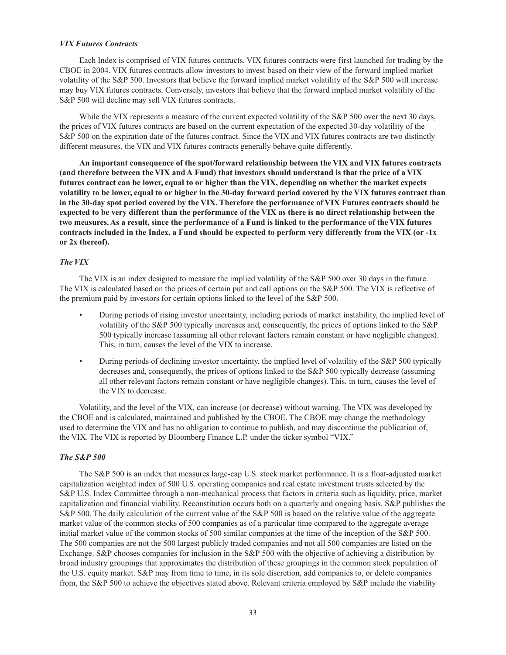#### *VIX Futures Contracts*

Each Index is comprised of VIX futures contracts. VIX futures contracts were first launched for trading by the CBOE in 2004. VIX futures contracts allow investors to invest based on their view of the forward implied market volatility of the S&P 500. Investors that believe the forward implied market volatility of the S&P 500 will increase may buy VIX futures contracts. Conversely, investors that believe that the forward implied market volatility of the S&P 500 will decline may sell VIX futures contracts.

While the VIX represents a measure of the current expected volatility of the S&P 500 over the next 30 days, the prices of VIX futures contracts are based on the current expectation of the expected 30-day volatility of the S&P 500 on the expiration date of the futures contract. Since the VIX and VIX futures contracts are two distinctly different measures, the VIX and VIX futures contracts generally behave quite differently.

**An important consequence of the spot/forward relationship between the VIX and VIX futures contracts (and therefore between the VIX and A Fund) that investors should understand is that the price of a VIX futures contract can be lower, equal to or higher than the VIX, depending on whether the market expects volatility to be lower, equal to or higher in the 30-day forward period covered by the VIX futures contract than in the 30-day spot period covered by the VIX. Therefore the performance of VIX Futures contracts should be expected to be very different than the performance of the VIX as there is no direct relationship between the two measures. As a result, since the performance of a Fund is linked to the performance of the VIX futures contracts included in the Index, a Fund should be expected to perform very differently from the VIX (or -1x or 2x thereof).**

#### *The VIX*

The VIX is an index designed to measure the implied volatility of the S&P 500 over 30 days in the future. The VIX is calculated based on the prices of certain put and call options on the S&P 500. The VIX is reflective of the premium paid by investors for certain options linked to the level of the S&P 500.

- During periods of rising investor uncertainty, including periods of market instability, the implied level of volatility of the S&P 500 typically increases and, consequently, the prices of options linked to the S&P 500 typically increase (assuming all other relevant factors remain constant or have negligible changes). This, in turn, causes the level of the VIX to increase.
- During periods of declining investor uncertainty, the implied level of volatility of the S&P 500 typically decreases and, consequently, the prices of options linked to the S&P 500 typically decrease (assuming all other relevant factors remain constant or have negligible changes). This, in turn, causes the level of the VIX to decrease.

Volatility, and the level of the VIX, can increase (or decrease) without warning. The VIX was developed by the CBOE and is calculated, maintained and published by the CBOE. The CBOE may change the methodology used to determine the VIX and has no obligation to continue to publish, and may discontinue the publication of, the VIX. The VIX is reported by Bloomberg Finance L.P. under the ticker symbol "VIX."

## *The S&P 500*

The S&P 500 is an index that measures large-cap U.S. stock market performance. It is a float-adjusted market capitalization weighted index of 500 U.S. operating companies and real estate investment trusts selected by the S&P U.S. Index Committee through a non-mechanical process that factors in criteria such as liquidity, price, market capitalization and financial viability. Reconstitution occurs both on a quarterly and ongoing basis. S&P publishes the S&P 500. The daily calculation of the current value of the S&P 500 is based on the relative value of the aggregate market value of the common stocks of 500 companies as of a particular time compared to the aggregate average initial market value of the common stocks of 500 similar companies at the time of the inception of the S&P 500. The 500 companies are not the 500 largest publicly traded companies and not all 500 companies are listed on the Exchange. S&P chooses companies for inclusion in the S&P 500 with the objective of achieving a distribution by broad industry groupings that approximates the distribution of these groupings in the common stock population of the U.S. equity market. S&P may from time to time, in its sole discretion, add companies to, or delete companies from, the S&P 500 to achieve the objectives stated above. Relevant criteria employed by S&P include the viability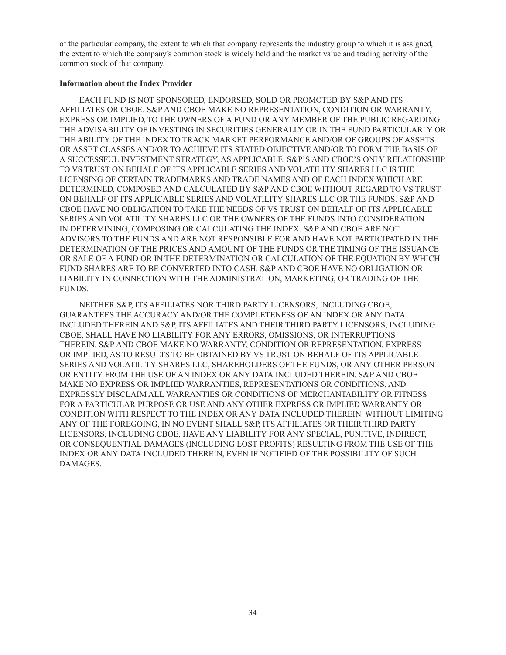of the particular company, the extent to which that company represents the industry group to which it is assigned, the extent to which the company's common stock is widely held and the market value and trading activity of the common stock of that company.

## **Information about the Index Provider**

EACH FUND IS NOT SPONSORED, ENDORSED, SOLD OR PROMOTED BY S&P AND ITS AFFILIATES OR CBOE. S&P AND CBOE MAKE NO REPRESENTATION, CONDITION OR WARRANTY, EXPRESS OR IMPLIED, TO THE OWNERS OF A FUND OR ANY MEMBER OF THE PUBLIC REGARDING THE ADVISABILITY OF INVESTING IN SECURITIES GENERALLY OR IN THE FUND PARTICULARLY OR THE ABILITY OF THE INDEX TO TRACK MARKET PERFORMANCE AND/OR OF GROUPS OF ASSETS OR ASSET CLASSES AND/OR TO ACHIEVE ITS STATED OBJECTIVE AND/OR TO FORM THE BASIS OF A SUCCESSFUL INVESTMENT STRATEGY, AS APPLICABLE. S&P'S AND CBOE'S ONLY RELATIONSHIP TO VS TRUST ON BEHALF OF ITS APPLICABLE SERIES AND VOLATILITY SHARES LLC IS THE LICENSING OF CERTAIN TRADEMARKS AND TRADE NAMES AND OF EACH INDEX WHICH ARE DETERMINED, COMPOSED AND CALCULATED BY S&P AND CBOE WITHOUT REGARD TO VS TRUST ON BEHALF OF ITS APPLICABLE SERIES AND VOLATILITY SHARES LLC OR THE FUNDS. S&P AND CBOE HAVE NO OBLIGATION TO TAKE THE NEEDS OF VS TRUST ON BEHALF OF ITS APPLICABLE SERIES AND VOLATILITY SHARES LLC OR THE OWNERS OF THE FUNDS INTO CONSIDERATION IN DETERMINING, COMPOSING OR CALCULATING THE INDEX. S&P AND CBOE ARE NOT ADVISORS TO THE FUNDS AND ARE NOT RESPONSIBLE FOR AND HAVE NOT PARTICIPATED IN THE DETERMINATION OF THE PRICES AND AMOUNT OF THE FUNDS OR THE TIMING OF THE ISSUANCE OR SALE OF A FUND OR IN THE DETERMINATION OR CALCULATION OF THE EQUATION BY WHICH FUND SHARES ARE TO BE CONVERTED INTO CASH. S&P AND CBOE HAVE NO OBLIGATION OR LIABILITY IN CONNECTION WITH THE ADMINISTRATION, MARKETING, OR TRADING OF THE FUNDS.

NEITHER S&P, ITS AFFILIATES NOR THIRD PARTY LICENSORS, INCLUDING CBOE, GUARANTEES THE ACCURACY AND/OR THE COMPLETENESS OF AN INDEX OR ANY DATA INCLUDED THEREIN AND S&P, ITS AFFILIATES AND THEIR THIRD PARTY LICENSORS, INCLUDING CBOE, SHALL HAVE NO LIABILITY FOR ANY ERRORS, OMISSIONS, OR INTERRUPTIONS THEREIN. S&P AND CBOE MAKE NO WARRANTY, CONDITION OR REPRESENTATION, EXPRESS OR IMPLIED, AS TO RESULTS TO BE OBTAINED BY VS TRUST ON BEHALF OF ITS APPLICABLE SERIES AND VOLATILITY SHARES LLC, SHAREHOLDERS OF THE FUNDS, OR ANY OTHER PERSON OR ENTITY FROM THE USE OF AN INDEX OR ANY DATA INCLUDED THEREIN. S&P AND CBOE MAKE NO EXPRESS OR IMPLIED WARRANTIES, REPRESENTATIONS OR CONDITIONS, AND EXPRESSLY DISCLAIM ALL WARRANTIES OR CONDITIONS OF MERCHANTABILITY OR FITNESS FOR A PARTICULAR PURPOSE OR USE AND ANY OTHER EXPRESS OR IMPLIED WARRANTY OR CONDITION WITH RESPECT TO THE INDEX OR ANY DATA INCLUDED THEREIN. WITHOUT LIMITING ANY OF THE FOREGOING, IN NO EVENT SHALL S&P, ITS AFFILIATES OR THEIR THIRD PARTY LICENSORS, INCLUDING CBOE, HAVE ANY LIABILITY FOR ANY SPECIAL, PUNITIVE, INDIRECT, OR CONSEQUENTIAL DAMAGES (INCLUDING LOST PROFITS) RESULTING FROM THE USE OF THE INDEX OR ANY DATA INCLUDED THEREIN, EVEN IF NOTIFIED OF THE POSSIBILITY OF SUCH DAMAGES.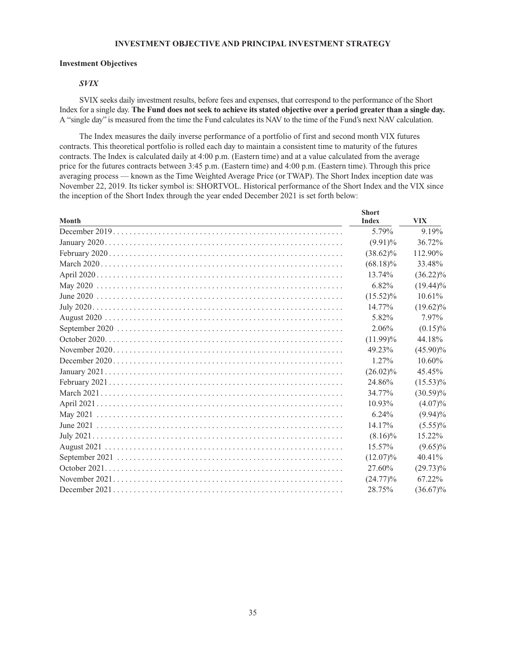### **Investment Objectives**

## *SVIX*

SVIX seeks daily investment results, before fees and expenses, that correspond to the performance of the Short Index for a single day. **The Fund does not seek to achieve its stated objective over a period greater than a single day.**  A "single day" is measured from the time the Fund calculates its NAV to the time of the Fund's next NAV calculation.

The Index measures the daily inverse performance of a portfolio of first and second month VIX futures contracts. This theoretical portfolio is rolled each day to maintain a consistent time to maturity of the futures contracts. The Index is calculated daily at 4:00 p.m. (Eastern time) and at a value calculated from the average price for the futures contracts between 3:45 p.m. (Eastern time) and 4:00 p.m. (Eastern time). Through this price averaging process — known as the Time Weighted Average Price (or TWAP). The Short Index inception date was November 22, 2019. Its ticker symbol is: SHORTVOL. Historical performance of the Short Index and the VIX since the inception of the Short Index through the year ended December 2021 is set forth below:

| Month | <b>Short</b><br><b>Index</b> | <b>VIX</b>  |
|-------|------------------------------|-------------|
|       | 5.79%                        | 9.19%       |
|       | $(9.91)\%$                   | 36.72%      |
|       | $(38.62)\%$                  | 112.90%     |
|       | $(68.18)\%$                  | 33.48%      |
|       | 13.74%                       | $(36.22)\%$ |
|       | 6.82%                        | $(19.44)\%$ |
|       | $(15.52)\%$                  | $10.61\%$   |
|       | 14.77%                       | $(19.62)\%$ |
|       | 5.82%                        | 7.97%       |
|       | 2.06%                        | $(0.15)\%$  |
|       | $(11.99)\%$                  | 44.18%      |
|       | 49.23%                       | $(45.90)\%$ |
|       | 1.27%                        | 10.60%      |
|       | $(26.02)\%$                  | 45.45%      |
|       | 24.86%                       | $(15.53)\%$ |
|       | 34.77%                       | $(30.59)\%$ |
|       | $10.93\%$                    | $(4.07)\%$  |
|       | 6.24%                        | $(9.94)\%$  |
|       | 14.17%                       | $(5.55)\%$  |
|       | $(8.16)\%$                   | $15.22\%$   |
|       | 15.57%                       | $(9.65)\%$  |
|       | $(12.07)\%$                  | $40.41\%$   |
|       | 27.60%                       | $(29.73)\%$ |
|       | $(24.77)\%$                  | 67.22%      |
|       | 28.75%                       | $(36.67)\%$ |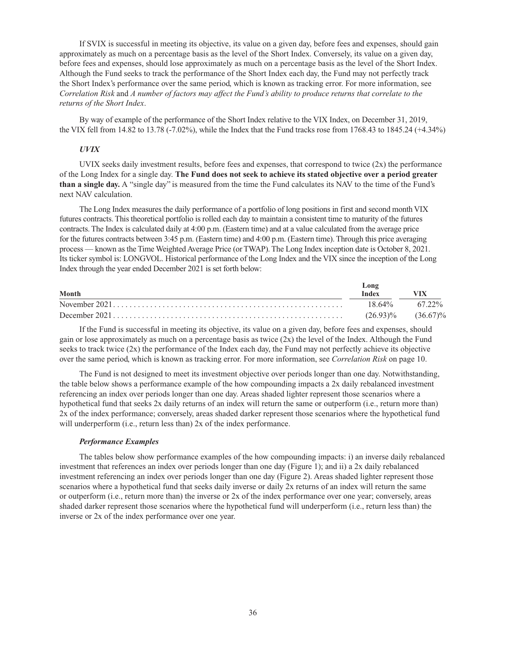If SVIX is successful in meeting its objective, its value on a given day, before fees and expenses, should gain approximately as much on a percentage basis as the level of the Short Index. Conversely, its value on a given day, before fees and expenses, should lose approximately as much on a percentage basis as the level of the Short Index. Although the Fund seeks to track the performance of the Short Index each day, the Fund may not perfectly track the Short Index's performance over the same period, which is known as tracking error. For more information, see *Correlation Risk* and *A number of factors may affect the Fund's ability to produce returns that correlate to the returns of the Short Index*.

By way of example of the performance of the Short Index relative to the VIX Index, on December 31, 2019, the VIX fell from 14.82 to 13.78 (-7.02%), while the Index that the Fund tracks rose from 1768.43 to 1845.24 (+4.34%)

## *UVIX*

UVIX seeks daily investment results, before fees and expenses, that correspond to twice  $(2x)$  the performance of the Long Index for a single day. **The Fund does not seek to achieve its stated objective over a period greater than a single day.** A "single day" is measured from the time the Fund calculates its NAV to the time of the Fund's next NAV calculation.

The Long Index measures the daily performance of a portfolio of long positions in first and second month VIX futures contracts. This theoretical portfolio is rolled each day to maintain a consistent time to maturity of the futures contracts. The Index is calculated daily at 4:00 p.m. (Eastern time) and at a value calculated from the average price for the futures contracts between 3:45 p.m. (Eastern time) and 4:00 p.m. (Eastern time). Through this price averaging process — known as the Time Weighted Average Price (or TWAP). The Long Index inception date is October 8, 2021. Its ticker symbol is: LONGVOL. Historical performance of the Long Index and the VIX since the inception of the Long Index through the year ended December 2021 is set forth below:

|              | Long   |                         |  |
|--------------|--------|-------------------------|--|
| <b>Month</b> | Index  | VIX                     |  |
|              | 18.64% | 67.22%                  |  |
|              |        | $(26.93)\%$ $(36.67)\%$ |  |

If the Fund is successful in meeting its objective, its value on a given day, before fees and expenses, should gain or lose approximately as much on a percentage basis as twice  $(2x)$  the level of the Index. Although the Fund seeks to track twice (2x) the performance of the Index each day, the Fund may not perfectly achieve its objective over the same period, which is known as tracking error. For more information, see *Correlation Risk* on page 10.

The Fund is not designed to meet its investment objective over periods longer than one day. Notwithstanding, the table below shows a performance example of the how compounding impacts a 2x daily rebalanced investment referencing an index over periods longer than one day. Areas shaded lighter represent those scenarios where a hypothetical fund that seeks 2x daily returns of an index will return the same or outperform (i.e., return more than) 2x of the index performance; conversely, areas shaded darker represent those scenarios where the hypothetical fund will underperform (i.e., return less than) 2x of the index performance.

#### *Performance Examples*

The tables below show performance examples of the how compounding impacts: i) an inverse daily rebalanced investment that references an index over periods longer than one day (Figure 1); and ii) a 2x daily rebalanced investment referencing an index over periods longer than one day (Figure 2). Areas shaded lighter represent those scenarios where a hypothetical fund that seeks daily inverse or daily 2x returns of an index will return the same or outperform (i.e., return more than) the inverse or 2x of the index performance over one year; conversely, areas shaded darker represent those scenarios where the hypothetical fund will underperform (i.e., return less than) the inverse or 2x of the index performance over one year.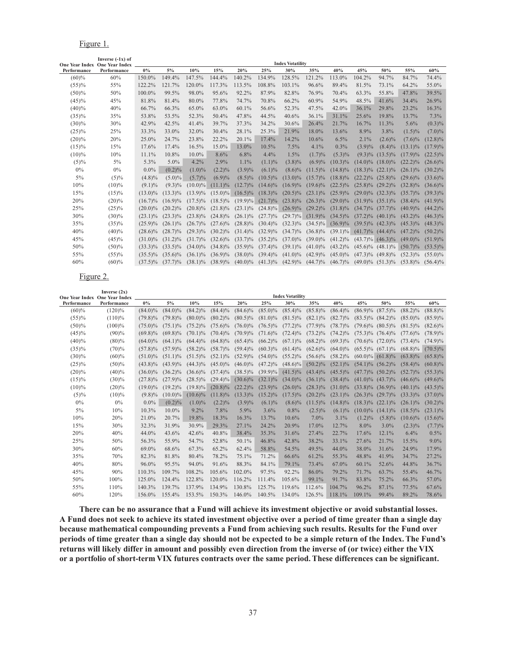### Figure 1.

|                                      | Inverse $(-1x)$ of                   |            |            |            |            |            |            | <b>Index Votatility</b> |            |            |            |            |            |            |
|--------------------------------------|--------------------------------------|------------|------------|------------|------------|------------|------------|-------------------------|------------|------------|------------|------------|------------|------------|
| <b>One Year Index</b><br>Performance | <b>One Year Index</b><br>Performance | $0\%$      | 5%         | 10%        | 15%        | 20%        | 25%        | 30%                     | 35%        | 40%        | 45%        | 50%        | 55%        | 60%        |
| (60)%                                | 60%                                  | 150.0%     | 149.4%     | 147.5%     | 144.4%     | 140.2%     | 134.9%     | 128.5%                  | 121.2%     | 113.0%     | 104.2%     | 94.7%      | 84.7%      | 74.4%      |
| (55)%                                | 55%                                  | 122.2%     | 121.7%     | 120.0%     | 117.3%     | 113.5%     | 108.8%     | 103.1%                  | 96.6%      | 89.4%      | 81.5%      | 73.1%      | 64.2%      | 55.0%      |
| (50)%                                | 50%                                  | 100.0%     | 99.5%      | 98.0%      | 95.6%      | 92.2%      | 87.9%      | 82.8%                   | 76.9%      | 70.4%      | 63.3%      | 55.8%      | 47.8%      | 39.5%      |
| (45)%                                | 45%                                  | 81.8%      | 81.4%      | 80.0%      | 77.8%      | 74.7%      | 70.8%      | 66.2%                   | 60.9%      | 54.9%      | 48.5%      | 41.6%      | 34.4%      | 26.9%      |
| (40)%                                | 40%                                  | 66.7%      | 66.3%      | 65.0%      | 63.0%      | 60.1%      | 56.6%      | 52.3%                   | 47.5%      | 42.0%      | 36.1%      | 29.8%      | 23.2%      | 16.3%      |
| (35)%                                | 35%                                  | 53.8%      | 53.5%      | 52.3%      | 50.4%      | 47.8%      | 44.5%      | 40.6%                   | 36.1%      | 31.1%      | 25.6%      | 19.8%      | 13.7%      | 7.3%       |
| $(30)\%$                             | 30%                                  | 42.9%      | 42.5%      | 41.4%      | 39.7%      | 37.3%      | 34.2%      | 30.6%                   | 26.4%      | 21.7%      | 16.7%      | 11.3%      | 5.6%       | $(0.3)\%$  |
| (25)%                                | 25%                                  | 33.3%      | 33.0%      | 32.0%      | 30.4%      | 28.1%      | 25.3%      | 21.9%                   | 18.0%      | 13.6%      | 8.9%       | 3.8%       | $(1.5)\%$  | $(7.0)\%$  |
| $(20)\%$                             | 20%                                  | 25.0%      | 24.7%      | 23.8%      | 22.2%      | 20.1%      | 17.4%      | 14.2%                   | 10.6%      | 6.5%       | 2.1%       | $(2.6)\%$  | $(7.6)\%$  | $(12.8)\%$ |
| (15)%                                | 15%                                  | 17.6%      | 17.4%      | 16.5%      | 15.0%      | 13.0%      | 10.5%      | 7.5%                    | 4.1%       | 0.3%       | (3.9)%     | $(8.4)\%$  | $(13.1)\%$ | (17.9)%    |
| $(10)\%$                             | 10%                                  | 11.1%      | 10.8%      | 10.0%      | 8.6%       | 6.8%       | 4.4%       | 1.5%                    | (1.7)%     | $(5.3)\%$  | $(9.3)\%$  | $(13.5)\%$ | (17.9)%    | $(22.5)\%$ |
| (5)%                                 | $5\%$                                | 5.3%       | $5.0\%$    | 4.2%       | 2.9%       | 1.1%       | $(1.1)\%$  | $(3.8)\%$               | (6.9)%     | $(10.3)\%$ | $(14.0)\%$ | $(18.0)\%$ | $(22.2)\%$ | $(26.6)\%$ |
| 0%                                   | $0\%$                                | $0.0\%$    | (0.2)%     | $(1.0)\%$  | $(2.2)\%$  | (3.9)%     | $(6.1)\%$  | $(8.6)\%$               | $(11.5)\%$ | $(14.8)\%$ | $(18.3)\%$ | $(22.1)\%$ | $(26.1)\%$ | $(30.2)\%$ |
| $5\%$                                | (5)%                                 | $(4.8)\%$  | $(5.0)\%$  | $(5.7)\%$  | (6.9)%     | $(8.5)\%$  | $(10.5)\%$ | $(13.0)\%$              | $(15.7)\%$ | (18.8)%    | $(22.2)\%$ | $(25.8)\%$ | $(29.6)\%$ | $(33.6)\%$ |
| 10%                                  | $(10)\%$                             | $(9.1)\%$  | $(9.3)\%$  | $(10.0)\%$ | $(11.1)\%$ | $(12.7)\%$ | $(14.6)\%$ | $(16.9)\%$              | $(19.6)\%$ | $(22.5)\%$ | $(25.8)\%$ | $(29.2)\%$ | $(32.8)\%$ | $(36.6)\%$ |
| 15%                                  | $(15)\%$                             | $(13.0)\%$ | $(13.3)\%$ | $(13.9)\%$ | $(15.0)\%$ | $(16.5)\%$ | $(18.3)\%$ | $(20.5)\%$              | $(23.1)\%$ | (25.9)%    | $(29.0)\%$ | $(32.3)\%$ | $(35.7)\%$ | $(39.3)\%$ |
| 20%                                  | $(20)\%$                             | $(16.7)\%$ | $(16.9)\%$ | $(17.5)\%$ | $(18.5)\%$ | $(19.9)\%$ | $(21.7)\%$ | $(23.8)\%$              | $(26.3)\%$ | $(29.0)\%$ | (31.9)%    | $(35.1)\%$ | $(38.4)\%$ | $(41.9)\%$ |
| 25%                                  | (25)%                                | $(20.0)\%$ | $(20.2)\%$ | $(20.8)\%$ | $(21.8)\%$ | $(23.1)\%$ | $(24.8)\%$ | $(26.9)\%$              | $(29.2)\%$ | $(31.8)\%$ | $(34.7)\%$ | $(37.7)\%$ | (40.9)%    | $(44.2)\%$ |
| 30%                                  | (30)%                                | $(23.1)\%$ | $(23.3)\%$ | $(23.8)\%$ | $(24.8)\%$ | $(26.1)\%$ | $(27.7)\%$ | $(29.7)\%$              | $(31.9)\%$ | $(34.5)\%$ | $(37.2)\%$ | $(40.1)\%$ | $(43.2)\%$ | $(46.3)\%$ |
| 35%                                  | (35)%                                | $(25.9)\%$ | $(26.1)\%$ | $(26.7)\%$ | $(27.6)\%$ | $(28.8)\%$ | $(30.4)\%$ | $(32.3)\%$              | $(34.5)\%$ | $(36.9)\%$ | $(39.5)\%$ | $(42.3)\%$ | $(45.3)\%$ | $(48.3)\%$ |
| 40%                                  | (40)%                                | $(28.6)\%$ | $(28.7)\%$ | $(29.3)\%$ | (30.2)%    | $(31.4)\%$ | $(32.9)\%$ | $(34.7)\%$              | $(36.8)\%$ | $(39.1)\%$ | $(41.7)\%$ | $(44.4)\%$ | $(47.2)\%$ | $(50.2)\%$ |
| 45%                                  | (45)%                                | $(31.0)\%$ | $(31.2)\%$ | $(31.7)\%$ | $(32.6)\%$ | $(33.7)\%$ | $(35.2)\%$ | $(37.0)\%$              | $(39.0)\%$ | $(41.2)\%$ | $(43.7)\%$ | $(46.3)\%$ | $(49.0)\%$ | $(51.9)\%$ |
| 50%                                  | (50)%                                | $(33.3)\%$ | $(33.5)\%$ | $(34.0)\%$ | $(34.8)\%$ | $(35.9)\%$ | $(37.4)\%$ | $(39.1)\%$              | $(41.0)\%$ | $(43.2)\%$ | $(45.6)\%$ | $(48.1)\%$ | $(50.7)\%$ | $(53.5)\%$ |
| 55%                                  | (55)%                                | $(35.5)\%$ | $(35.6)\%$ | $(36.1)\%$ | $(36.9)\%$ | $(38.0)\%$ | $(39.4)\%$ | $(41.0)\%$              | $(42.9)\%$ | $(45.0)\%$ | $(47.3)\%$ | $(49.8)\%$ | $(52.3)\%$ | $(55.0)\%$ |
| 60%                                  | (60)%                                | $(37.5)\%$ | $(37.7)\%$ | $(38.1)\%$ | $(38.9)\%$ | $(40.0)\%$ | $(41.3)\%$ | $(42.9)\%$              | $(44.7)\%$ | $(46.7)\%$ | $(49.0)\%$ | $(51.3)\%$ | $(53.8)\%$ | $(56.4)\%$ |

#### Figure 2.

|             | Inverse $(2x)$<br><b>One Year Index One Year Index</b> |            |            |            |            |            |            | <b>Index Votatility</b> |            |            |            |            |            |            |
|-------------|--------------------------------------------------------|------------|------------|------------|------------|------------|------------|-------------------------|------------|------------|------------|------------|------------|------------|
| Performance | Performance                                            | $0\%$      | $5\%$      | 10%        | 15%        | 20%        | 25%        | 30%                     | 35%        | 40%        | 45%        | 50%        | 55%        | 60%        |
| (60)%       | $(120)\%$                                              | $(84.0)\%$ | $(84.0)\%$ | $(84.2)\%$ | $(84.4)\%$ | $(84.6)\%$ | $(85.0)\%$ | $(85.4)\%$              | $(85.8)\%$ | $(86.4)\%$ | $(86.9)\%$ | $(87.5)\%$ | $(88.2)\%$ | $(88.8)\%$ |
| (55)%       | $(110)\%$                                              | $(79.8)\%$ | $(79.8)\%$ | $(80.0)\%$ | $(80.2)\%$ | $(80.5)\%$ | $(81.0)\%$ | $(81.5)\%$              | $(82.1)\%$ | $(82.7)\%$ | $(83.5)\%$ | $(84.2)\%$ | $(85.0)\%$ | $(85.9)\%$ |
| (50)%       | $(100)\%$                                              | $(75.0)\%$ | $(75.1)\%$ | $(75.2)\%$ | $(75.6)\%$ | $(76.0)\%$ | $(76.5)\%$ | $(77.2)\%$              | (77.9)%    | $(78.7)\%$ | $(79.6)\%$ | $(80.5)\%$ | $(81.5)\%$ | $(82.6)\%$ |
| (45)%       | (90)%                                                  | $(69.8)\%$ | $(69.8)\%$ | $(70.1)\%$ | $(70.4)\%$ | $(70.9)\%$ | $(71.6)\%$ | $(72.4)\%$              | $(73.2)\%$ | $(74.2)\%$ | $(75.3)\%$ | $(76.4)\%$ | $(77.6)\%$ | $(78.9)\%$ |
| (40)%       | (80)%                                                  | $(64.0)\%$ | $(64.1)\%$ | $(64.4)\%$ | $(64.8)\%$ | $(65.4)\%$ | $(66.2)\%$ | $(67.1)\%$              | $(68.2)\%$ | $(69.3)\%$ | $(70.6)\%$ | $(72.0)\%$ | $(73.4)\%$ | $(74.9)\%$ |
| (35)%       | (70)%                                                  | $(57.8)\%$ | $(57.9)\%$ | $(58.2)\%$ | $(58.7)\%$ | $(59.4)\%$ | $(60.3)\%$ | $(61.4)\%$              | $(62.6)\%$ | $(64.0)\%$ | $(65.5)\%$ | $(67.1)\%$ | $(68.8)\%$ | $(70.5)\%$ |
| $(30)\%$    | (60)%                                                  | $(51.0)\%$ | $(51.1)\%$ | $(51.5)\%$ | $(52.1)\%$ | $(52.9)\%$ | $(54.0)\%$ | $(55.2)\%$              | $(56.6)\%$ | $(58.2)\%$ | $(60.0)\%$ | $(61.8)\%$ | $(63.8)\%$ | $(65.8)\%$ |
| $(25)\%$    | (50)%                                                  | $(43.8)\%$ | $(43.9)\%$ | $(44.3)\%$ | $(45.0)\%$ | $(46.0)\%$ | $(47.2)\%$ | $(48.6)\%$              | $(50.2)\%$ | $(52.1)\%$ | $(54.1)\%$ | $(56.2)\%$ | $(58.4)\%$ | $(60.8)\%$ |
| $(20)\%$    | (40)%                                                  | $(36.0)\%$ | $(36.2)\%$ | $(36.6)\%$ | $(37.4)\%$ | $(38.5)\%$ | $(39.9)\%$ | $(41.5)\%$              | $(43.4)\%$ | $(45.5)\%$ | $(47.7)\%$ | $(50.2)\%$ | $(52.7)\%$ | $(55.3)\%$ |
| (15)%       | (30)%                                                  | $(27.8)\%$ | $(27.9)\%$ | $(28.5)\%$ | $(29.4)\%$ | $(30.6)\%$ | $(32.1)\%$ | $(34.0)\%$              | $(36.1)\%$ | $(38.4)\%$ | $(41.0)\%$ | $(43.7)\%$ | $(46.6)\%$ | $(49.6)\%$ |
| $(10)\%$    | $(20)\%$                                               | $(19.0)\%$ | $(19.2)\%$ | $(19.8)\%$ | $(20.8)\%$ | $(22.2)\%$ | (23.9)%    | $(26.0)\%$              | $(28.3)\%$ | $(31.0)\%$ | $(33.8)\%$ | $(36.9)\%$ | $(40.1)\%$ | $(43.5)\%$ |
| (5)%        | $(10)\%$                                               | $(9.8)\%$  | $(10.0)\%$ | $(10.6)\%$ | $(11.8)\%$ | $(13.3)\%$ | $(15.2)\%$ | $(17.5)\%$              | $(20.2)\%$ | $(23.1)\%$ | $(26.3)\%$ | $(29.7)\%$ | $(33.3)\%$ | $(37.0)\%$ |
| 0%          | 0%                                                     | $0.0\%$    | (0.2)%     | $(1.0)\%$  | $(2.2)\%$  | (3.9)%     | $(6.1)\%$  | $(8.6)\%$               | $(11.5)\%$ | $(14.8)\%$ | $(18.3)\%$ | $(22.1)\%$ | $(26.1)\%$ | $(30.2)\%$ |
| $5\%$       | 10%                                                    | 10.3%      | 10.0%      | 9.2%       | 7.8%       | 5.9%       | 3.6%       | 0.8%                    | $(2.5)\%$  | $(6.1)\%$  | $(10.0)\%$ | $(14.1)\%$ | $(18.5)\%$ | $(23.1)\%$ |
| 10%         | 20%                                                    | 21.0%      | 20.7%      | 19.8%      | 18.3%      | 16.3%      | 13.7%      | 10.6%                   | 7.0%       | 3.1%       | $(1.2)\%$  | $(5.8)\%$  | $(10.6)\%$ | $(15.6)\%$ |
| 15%         | 30%                                                    | 32.3%      | 31.9%      | 30.9%      | 29.3%      | 27.1%      | 24.2%      | 20.9%                   | 17.0%      | 12.7%      | $8.0\%$    | $3.0\%$    | $(2.3)\%$  | (7.7)%     |
| 20%         | 40%                                                    | 44.0%      | 43.6%      | 42.6%      | 40.8%      | 38.4%      | 35.3%      | 31.6%                   | 27.4%      | 22.7%      | 17.6%      | 12.1%      | 6.4%       | 0.5%       |
| 25%         | 50%                                                    | 56.3%      | 55.9%      | 54.7%      | 52.8%      | 50.1%      | 46.8%      | 42.8%                   | 38.2%      | 33.1%      | 27.6%      | 21.7%      | 15.5%      | $9.0\%$    |
| 30%         | 60%                                                    | 69.0%      | 68.6%      | 67.3%      | 65.2%      | 62.4%      | 58.8%      | 54.5%                   | 49.5%      | 44.0%      | 38.0%      | 31.6%      | 24.9%      | 17.9%      |
| 35%         | 70%                                                    | 82.3%      | 81.8%      | 80.4%      | 78.2%      | 75.1%      | 71.2%      | 66.6%                   | 61.2%      | 55.3%      | 48.8%      | 41.9%      | 34.7%      | 27.2%      |
| 40%         | 80%                                                    | 96.0%      | 95.5%      | 94.0%      | 91.6%      | 88.3%      | 84.1%      | 79.1%                   | 73.4%      | 67.0%      | 60.1%      | 52.6%      | 44.8%      | 36.7%      |
| 45%         | 90%                                                    | 110.3%     | 109.7%     | 108.2%     | 105.6%     | 102.0%     | 97.5%      | 92.2%                   | 86.0%      | 79.2%      | 71.7%      | 63.7%      | 55.4%      | 46.7%      |
| 50%         | 100%                                                   | 125.0%     | 124.4%     | 122.8%     | 120.0%     | 116.2%     | 111.4%     | 105.6%                  | 99.1%      | 91.7%      | 83.8%      | 75.2%      | 66.3%      | 57.0%      |
| 55%         | 110%                                                   | 140.3%     | 139.7%     | 137.9%     | 134.9%     | 130.8%     | 125.7%     | 119.6%                  | 112.6%     | 104.7%     | 96.2%      | 87.1%      | 77.5%      | 67.6%      |
| 60%         | 120%                                                   | 156.0%     | 155.4%     | 153.5%     | 150.3%     | 146.0%     | 140.5%     | 134.0%                  | 126.5%     | 118.1%     | 109.1%     | 99.4%      | 89.2%      | 78.6%      |

**There can be no assurance that a Fund will achieve its investment objective or avoid substantial losses. A Fund does not seek to achieve its stated investment objective over a period of time greater than a single day because mathematical compounding prevents a Fund from achieving such results. Results for the Fund over periods of time greater than a single day should not be expected to be a simple return of the Index. The Fund's returns will likely differ in amount and possibly even direction from the inverse of (or twice) either the VIX or a portfolio of short-term VIX futures contracts over the same period. These differences can be significant.**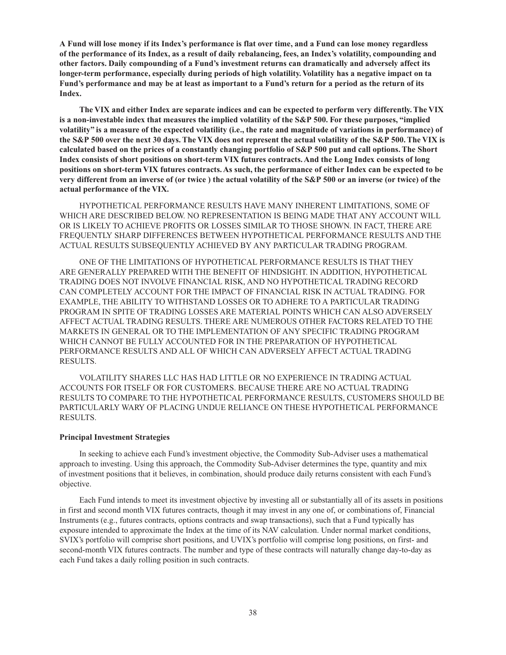**A Fund will lose money if its Index's performance is flat over time, and a Fund can lose money regardless of the performance of its Index, as a result of daily rebalancing, fees, an Index's volatility, compounding and other factors. Daily compounding of a Fund's investment returns can dramatically and adversely affect its longer-term performance, especially during periods of high volatility. Volatility has a negative impact on ta Fund's performance and may be at least as important to a Fund's return for a period as the return of its Index.**

**The VIX and either Index are separate indices and can be expected to perform very differently. The VIX is a non-investable index that measures the implied volatility of the S&P 500. For these purposes, "implied volatility" is a measure of the expected volatility (i.e., the rate and magnitude of variations in performance) of the S&P 500 over the next 30 days. The VIX does not represent the actual volatility of the S&P 500. The VIX is calculated based on the prices of a constantly changing portfolio of S&P 500 put and call options. The Short Index consists of short positions on short-term VIX futures contracts. And the Long Index consists of long positions on short-term VIX futures contracts. As such, the performance of either Index can be expected to be very different from an inverse of (or twice ) the actual volatility of the S&P 500 or an inverse (or twice) of the actual performance of the VIX.**

HYPOTHETICAL PERFORMANCE RESULTS HAVE MANY INHERENT LIMITATIONS, SOME OF WHICH ARE DESCRIBED BELOW. NO REPRESENTATION IS BEING MADE THAT ANY ACCOUNT WILL OR IS LIKELY TO ACHIEVE PROFITS OR LOSSES SIMILAR TO THOSE SHOWN. IN FACT, THERE ARE FREQUENTLY SHARP DIFFERENCES BETWEEN HYPOTHETICAL PERFORMANCE RESULTS AND THE ACTUAL RESULTS SUBSEQUENTLY ACHIEVED BY ANY PARTICULAR TRADING PROGRAM.

ONE OF THE LIMITATIONS OF HYPOTHETICAL PERFORMANCE RESULTS IS THAT THEY ARE GENERALLY PREPARED WITH THE BENEFIT OF HINDSIGHT. IN ADDITION, HYPOTHETICAL TRADING DOES NOT INVOLVE FINANCIAL RISK, AND NO HYPOTHETICAL TRADING RECORD CAN COMPLETELY ACCOUNT FOR THE IMPACT OF FINANCIAL RISK IN ACTUAL TRADING. FOR EXAMPLE, THE ABILITY TO WITHSTAND LOSSES OR TO ADHERE TO A PARTICULAR TRADING PROGRAM IN SPITE OF TRADING LOSSES ARE MATERIAL POINTS WHICH CAN ALSO ADVERSELY AFFECT ACTUAL TRADING RESULTS. THERE ARE NUMEROUS OTHER FACTORS RELATED TO THE MARKETS IN GENERAL OR TO THE IMPLEMENTATION OF ANY SPECIFIC TRADING PROGRAM WHICH CANNOT BE FULLY ACCOUNTED FOR IN THE PREPARATION OF HYPOTHETICAL PERFORMANCE RESULTS AND ALL OF WHICH CAN ADVERSELY AFFECT ACTUAL TRADING RESULTS.

VOLATILITY SHARES LLC HAS HAD LITTLE OR NO EXPERIENCE IN TRADING ACTUAL ACCOUNTS FOR ITSELF OR FOR CUSTOMERS. BECAUSE THERE ARE NO ACTUAL TRADING RESULTS TO COMPARE TO THE HYPOTHETICAL PERFORMANCE RESULTS, CUSTOMERS SHOULD BE PARTICULARLY WARY OF PLACING UNDUE RELIANCE ON THESE HYPOTHETICAL PERFORMANCE RESULTS.

#### **Principal Investment Strategies**

In seeking to achieve each Fund's investment objective, the Commodity Sub-Adviser uses a mathematical approach to investing. Using this approach, the Commodity Sub-Adviser determines the type, quantity and mix of investment positions that it believes, in combination, should produce daily returns consistent with each Fund's objective.

Each Fund intends to meet its investment objective by investing all or substantially all of its assets in positions in first and second month VIX futures contracts, though it may invest in any one of, or combinations of, Financial Instruments (e.g., futures contracts, options contracts and swap transactions), such that a Fund typically has exposure intended to approximate the Index at the time of its NAV calculation. Under normal market conditions, SVIX's portfolio will comprise short positions, and UVIX's portfolio will comprise long positions, on first- and second-month VIX futures contracts. The number and type of these contracts will naturally change day-to-day as each Fund takes a daily rolling position in such contracts.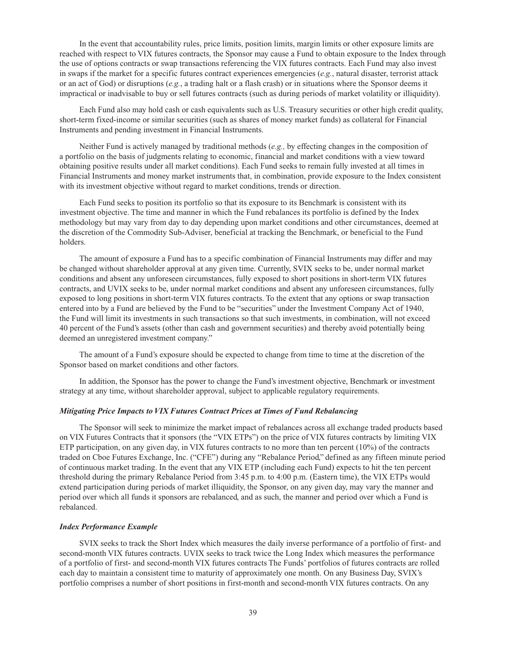In the event that accountability rules, price limits, position limits, margin limits or other exposure limits are reached with respect to VIX futures contracts, the Sponsor may cause a Fund to obtain exposure to the Index through the use of options contracts or swap transactions referencing the VIX futures contracts. Each Fund may also invest in swaps if the market for a specific futures contract experiences emergencies (*e.g.*, natural disaster, terrorist attack or an act of God) or disruptions (*e.g.*, a trading halt or a flash crash) or in situations where the Sponsor deems it impractical or inadvisable to buy or sell futures contracts (such as during periods of market volatility or illiquidity).

Each Fund also may hold cash or cash equivalents such as U.S. Treasury securities or other high credit quality, short-term fixed-income or similar securities (such as shares of money market funds) as collateral for Financial Instruments and pending investment in Financial Instruments.

Neither Fund is actively managed by traditional methods (*e.g.,* by effecting changes in the composition of a portfolio on the basis of judgments relating to economic, financial and market conditions with a view toward obtaining positive results under all market conditions). Each Fund seeks to remain fully invested at all times in Financial Instruments and money market instruments that, in combination, provide exposure to the Index consistent with its investment objective without regard to market conditions, trends or direction.

Each Fund seeks to position its portfolio so that its exposure to its Benchmark is consistent with its investment objective. The time and manner in which the Fund rebalances its portfolio is defined by the Index methodology but may vary from day to day depending upon market conditions and other circumstances, deemed at the discretion of the Commodity Sub-Adviser, beneficial at tracking the Benchmark, or beneficial to the Fund holders.

The amount of exposure a Fund has to a specific combination of Financial Instruments may differ and may be changed without shareholder approval at any given time. Currently, SVIX seeks to be, under normal market conditions and absent any unforeseen circumstances, fully exposed to short positions in short-term VIX futures contracts, and UVIX seeks to be, under normal market conditions and absent any unforeseen circumstances, fully exposed to long positions in short-term VIX futures contracts. To the extent that any options or swap transaction entered into by a Fund are believed by the Fund to be "securities" under the Investment Company Act of 1940, the Fund will limit its investments in such transactions so that such investments, in combination, will not exceed 40 percent of the Fund's assets (other than cash and government securities) and thereby avoid potentially being deemed an unregistered investment company."

The amount of a Fund's exposure should be expected to change from time to time at the discretion of the Sponsor based on market conditions and other factors.

In addition, the Sponsor has the power to change the Fund's investment objective, Benchmark or investment strategy at any time, without shareholder approval, subject to applicable regulatory requirements.

### *Mitigating Price Impacts to VIX Futures Contract Prices at Times of Fund Rebalancing*

The Sponsor will seek to minimize the market impact of rebalances across all exchange traded products based on VIX Futures Contracts that it sponsors (the "VIX ETPs") on the price of VIX futures contracts by limiting VIX ETP participation, on any given day, in VIX futures contracts to no more than ten percent (10%) of the contracts traded on Cboe Futures Exchange, Inc. ("CFE") during any "Rebalance Period," defined as any fifteen minute period of continuous market trading. In the event that any VIX ETP (including each Fund) expects to hit the ten percent threshold during the primary Rebalance Period from 3:45 p.m. to 4:00 p.m. (Eastern time), the VIX ETPs would extend participation during periods of market illiquidity, the Sponsor, on any given day, may vary the manner and period over which all funds it sponsors are rebalanced, and as such, the manner and period over which a Fund is rebalanced.

#### *Index Performance Example*

SVIX seeks to track the Short Index which measures the daily inverse performance of a portfolio of first- and second-month VIX futures contracts. UVIX seeks to track twice the Long Index which measures the performance of a portfolio of first- and second-month VIX futures contracts The Funds' portfolios of futures contracts are rolled each day to maintain a consistent time to maturity of approximately one month. On any Business Day, SVIX's portfolio comprises a number of short positions in first-month and second-month VIX futures contracts. On any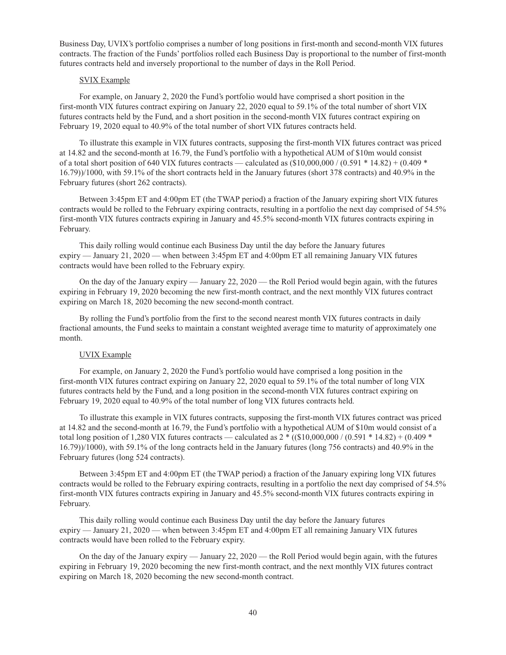Business Day, UVIX's portfolio comprises a number of long positions in first-month and second-month VIX futures contracts. The fraction of the Funds' portfolios rolled each Business Day is proportional to the number of first-month futures contracts held and inversely proportional to the number of days in the Roll Period.

### SVIX Example

For example, on January 2, 2020 the Fund's portfolio would have comprised a short position in the first-month VIX futures contract expiring on January 22, 2020 equal to 59.1% of the total number of short VIX futures contracts held by the Fund, and a short position in the second-month VIX futures contract expiring on February 19, 2020 equal to 40.9% of the total number of short VIX futures contracts held.

To illustrate this example in VIX futures contracts, supposing the first-month VIX futures contract was priced at 14.82 and the second-month at 16.79, the Fund's portfolio with a hypothetical AUM of \$10m would consist of a total short position of 640 VIX futures contracts — calculated as  $(\$10,000,000 / (0.591 * 14.82) + (0.409 *$ 16.79))/1000, with 59.1% of the short contracts held in the January futures (short 378 contracts) and 40.9% in the February futures (short 262 contracts).

Between 3:45pm ET and 4:00pm ET (the TWAP period) a fraction of the January expiring short VIX futures contracts would be rolled to the February expiring contracts, resulting in a portfolio the next day comprised of 54.5% first-month VIX futures contracts expiring in January and 45.5% second-month VIX futures contracts expiring in February.

This daily rolling would continue each Business Day until the day before the January futures expiry — January 21, 2020 — when between 3:45pm ET and 4:00pm ET all remaining January VIX futures contracts would have been rolled to the February expiry.

On the day of the January expiry — January 22, 2020 — the Roll Period would begin again, with the futures expiring in February 19, 2020 becoming the new first-month contract, and the next monthly VIX futures contract expiring on March 18, 2020 becoming the new second-month contract.

By rolling the Fund's portfolio from the first to the second nearest month VIX futures contracts in daily fractional amounts, the Fund seeks to maintain a constant weighted average time to maturity of approximately one month.

#### UVIX Example

For example, on January 2, 2020 the Fund's portfolio would have comprised a long position in the first-month VIX futures contract expiring on January 22, 2020 equal to 59.1% of the total number of long VIX futures contracts held by the Fund, and a long position in the second-month VIX futures contract expiring on February 19, 2020 equal to 40.9% of the total number of long VIX futures contracts held.

To illustrate this example in VIX futures contracts, supposing the first-month VIX futures contract was priced at 14.82 and the second-month at 16.79, the Fund's portfolio with a hypothetical AUM of \$10m would consist of a total long position of 1,280 VIX futures contracts — calculated as  $2 * ((\$10,000,000 / (0.591 * 14.82) + (0.409 *$ 16.79))/1000), with 59.1% of the long contracts held in the January futures (long 756 contracts) and 40.9% in the February futures (long 524 contracts).

Between 3:45pm ET and 4:00pm ET (the TWAP period) a fraction of the January expiring long VIX futures contracts would be rolled to the February expiring contracts, resulting in a portfolio the next day comprised of 54.5% first-month VIX futures contracts expiring in January and 45.5% second-month VIX futures contracts expiring in February.

This daily rolling would continue each Business Day until the day before the January futures expiry — January 21, 2020 — when between 3:45pm ET and 4:00pm ET all remaining January VIX futures contracts would have been rolled to the February expiry.

On the day of the January expiry — January 22, 2020 — the Roll Period would begin again, with the futures expiring in February 19, 2020 becoming the new first-month contract, and the next monthly VIX futures contract expiring on March 18, 2020 becoming the new second-month contract.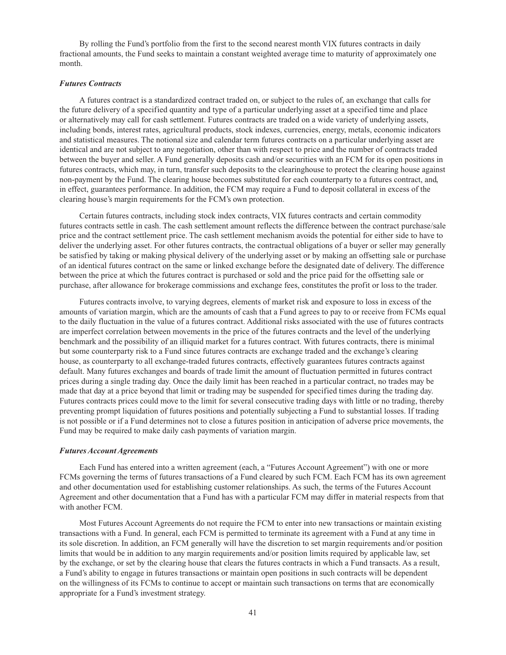By rolling the Fund's portfolio from the first to the second nearest month VIX futures contracts in daily fractional amounts, the Fund seeks to maintain a constant weighted average time to maturity of approximately one month.

#### *Futures Contracts*

A futures contract is a standardized contract traded on, or subject to the rules of, an exchange that calls for the future delivery of a specified quantity and type of a particular underlying asset at a specified time and place or alternatively may call for cash settlement. Futures contracts are traded on a wide variety of underlying assets, including bonds, interest rates, agricultural products, stock indexes, currencies, energy, metals, economic indicators and statistical measures. The notional size and calendar term futures contracts on a particular underlying asset are identical and are not subject to any negotiation, other than with respect to price and the number of contracts traded between the buyer and seller. A Fund generally deposits cash and/or securities with an FCM for its open positions in futures contracts, which may, in turn, transfer such deposits to the clearinghouse to protect the clearing house against non-payment by the Fund. The clearing house becomes substituted for each counterparty to a futures contract, and, in effect, guarantees performance. In addition, the FCM may require a Fund to deposit collateral in excess of the clearing house's margin requirements for the FCM's own protection.

Certain futures contracts, including stock index contracts, VIX futures contracts and certain commodity futures contracts settle in cash. The cash settlement amount reflects the difference between the contract purchase/sale price and the contract settlement price. The cash settlement mechanism avoids the potential for either side to have to deliver the underlying asset. For other futures contracts, the contractual obligations of a buyer or seller may generally be satisfied by taking or making physical delivery of the underlying asset or by making an offsetting sale or purchase of an identical futures contract on the same or linked exchange before the designated date of delivery. The difference between the price at which the futures contract is purchased or sold and the price paid for the offsetting sale or purchase, after allowance for brokerage commissions and exchange fees, constitutes the profit or loss to the trader.

Futures contracts involve, to varying degrees, elements of market risk and exposure to loss in excess of the amounts of variation margin, which are the amounts of cash that a Fund agrees to pay to or receive from FCMs equal to the daily fluctuation in the value of a futures contract. Additional risks associated with the use of futures contracts are imperfect correlation between movements in the price of the futures contracts and the level of the underlying benchmark and the possibility of an illiquid market for a futures contract. With futures contracts, there is minimal but some counterparty risk to a Fund since futures contracts are exchange traded and the exchange's clearing house, as counterparty to all exchange-traded futures contracts, effectively guarantees futures contracts against default. Many futures exchanges and boards of trade limit the amount of fluctuation permitted in futures contract prices during a single trading day. Once the daily limit has been reached in a particular contract, no trades may be made that day at a price beyond that limit or trading may be suspended for specified times during the trading day. Futures contracts prices could move to the limit for several consecutive trading days with little or no trading, thereby preventing prompt liquidation of futures positions and potentially subjecting a Fund to substantial losses. If trading is not possible or if a Fund determines not to close a futures position in anticipation of adverse price movements, the Fund may be required to make daily cash payments of variation margin.

#### *Futures Account Agreements*

Each Fund has entered into a written agreement (each, a "Futures Account Agreement") with one or more FCMs governing the terms of futures transactions of a Fund cleared by such FCM. Each FCM has its own agreement and other documentation used for establishing customer relationships. As such, the terms of the Futures Account Agreement and other documentation that a Fund has with a particular FCM may differ in material respects from that with another FCM.

Most Futures Account Agreements do not require the FCM to enter into new transactions or maintain existing transactions with a Fund. In general, each FCM is permitted to terminate its agreement with a Fund at any time in its sole discretion. In addition, an FCM generally will have the discretion to set margin requirements and/or position limits that would be in addition to any margin requirements and/or position limits required by applicable law, set by the exchange, or set by the clearing house that clears the futures contracts in which a Fund transacts. As a result, a Fund's ability to engage in futures transactions or maintain open positions in such contracts will be dependent on the willingness of its FCMs to continue to accept or maintain such transactions on terms that are economically appropriate for a Fund's investment strategy.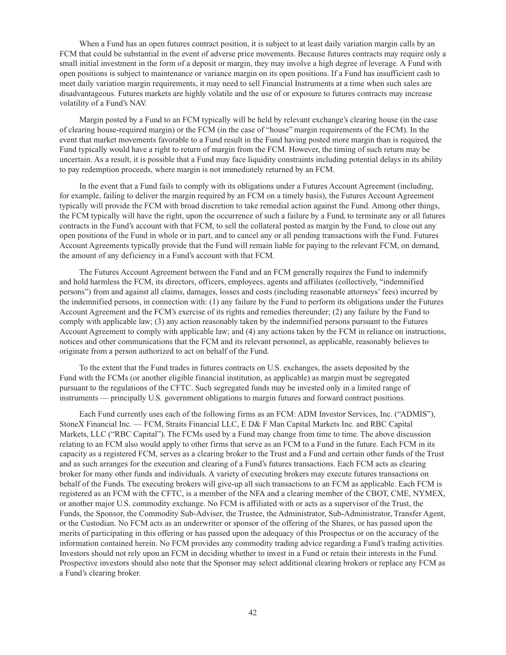When a Fund has an open futures contract position, it is subject to at least daily variation margin calls by an FCM that could be substantial in the event of adverse price movements. Because futures contracts may require only a small initial investment in the form of a deposit or margin, they may involve a high degree of leverage. A Fund with open positions is subject to maintenance or variance margin on its open positions. If a Fund has insufficient cash to meet daily variation margin requirements, it may need to sell Financial Instruments at a time when such sales are disadvantageous. Futures markets are highly volatile and the use of or exposure to futures contracts may increase volatility of a Fund's NAV.

Margin posted by a Fund to an FCM typically will be held by relevant exchange's clearing house (in the case of clearing house-required margin) or the FCM (in the case of "house" margin requirements of the FCM). In the event that market movements favorable to a Fund result in the Fund having posted more margin than is required, the Fund typically would have a right to return of margin from the FCM. However, the timing of such return may be uncertain. As a result, it is possible that a Fund may face liquidity constraints including potential delays in its ability to pay redemption proceeds, where margin is not immediately returned by an FCM.

In the event that a Fund fails to comply with its obligations under a Futures Account Agreement (including, for example, failing to deliver the margin required by an FCM on a timely basis), the Futures Account Agreement typically will provide the FCM with broad discretion to take remedial action against the Fund. Among other things, the FCM typically will have the right, upon the occurrence of such a failure by a Fund, to terminate any or all futures contracts in the Fund's account with that FCM, to sell the collateral posted as margin by the Fund, to close out any open positions of the Fund in whole or in part, and to cancel any or all pending transactions with the Fund. Futures Account Agreements typically provide that the Fund will remain liable for paying to the relevant FCM, on demand, the amount of any deficiency in a Fund's account with that FCM.

The Futures Account Agreement between the Fund and an FCM generally requires the Fund to indemnify and hold harmless the FCM, its directors, officers, employees, agents and affiliates (collectively, "indemnified persons") from and against all claims, damages, losses and costs (including reasonable attorneys' fees) incurred by the indemnified persons, in connection with: (1) any failure by the Fund to perform its obligations under the Futures Account Agreement and the FCM's exercise of its rights and remedies thereunder; (2) any failure by the Fund to comply with applicable law; (3) any action reasonably taken by the indemnified persons pursuant to the Futures Account Agreement to comply with applicable law; and (4) any actions taken by the FCM in reliance on instructions, notices and other communications that the FCM and its relevant personnel, as applicable, reasonably believes to originate from a person authorized to act on behalf of the Fund.

To the extent that the Fund trades in futures contracts on U.S. exchanges, the assets deposited by the Fund with the FCMs (or another eligible financial institution, as applicable) as margin must be segregated pursuant to the regulations of the CFTC. Such segregated funds may be invested only in a limited range of instruments — principally U.S. government obligations to margin futures and forward contract positions.

Each Fund currently uses each of the following firms as an FCM: ADM Investor Services, Inc. ("ADMIS"), StoneX Financial Inc. — FCM, Straits Financial LLC, E D& F Man Capital Markets Inc. and RBC Capital Markets, LLC ("RBC Capital"). The FCMs used by a Fund may change from time to time. The above discussion relating to an FCM also would apply to other firms that serve as an FCM to a Fund in the future. Each FCM in its capacity as a registered FCM, serves as a clearing broker to the Trust and a Fund and certain other funds of the Trust and as such arranges for the execution and clearing of a Fund's futures transactions. Each FCM acts as clearing broker for many other funds and individuals. A variety of executing brokers may execute futures transactions on behalf of the Funds. The executing brokers will give-up all such transactions to an FCM as applicable. Each FCM is registered as an FCM with the CFTC, is a member of the NFA and a clearing member of the CBOT, CME, NYMEX, or another major U.S. commodity exchange. No FCM is affiliated with or acts as a supervisor of the Trust, the Funds, the Sponsor, the Commodity Sub-Adviser, the Trustee, the Administrator, Sub-Administrator, Transfer Agent, or the Custodian. No FCM acts as an underwriter or sponsor of the offering of the Shares, or has passed upon the merits of participating in this offering or has passed upon the adequacy of this Prospectus or on the accuracy of the information contained herein. No FCM provides any commodity trading advice regarding a Fund's trading activities. Investors should not rely upon an FCM in deciding whether to invest in a Fund or retain their interests in the Fund. Prospective investors should also note that the Sponsor may select additional clearing brokers or replace any FCM as a Fund's clearing broker.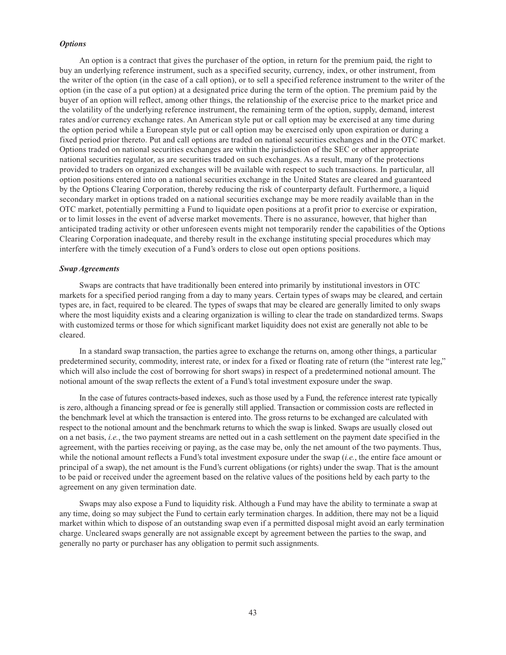#### *Options*

An option is a contract that gives the purchaser of the option, in return for the premium paid, the right to buy an underlying reference instrument, such as a specified security, currency, index, or other instrument, from the writer of the option (in the case of a call option), or to sell a specified reference instrument to the writer of the option (in the case of a put option) at a designated price during the term of the option. The premium paid by the buyer of an option will reflect, among other things, the relationship of the exercise price to the market price and the volatility of the underlying reference instrument, the remaining term of the option, supply, demand, interest rates and/or currency exchange rates. An American style put or call option may be exercised at any time during the option period while a European style put or call option may be exercised only upon expiration or during a fixed period prior thereto. Put and call options are traded on national securities exchanges and in the OTC market. Options traded on national securities exchanges are within the jurisdiction of the SEC or other appropriate national securities regulator, as are securities traded on such exchanges. As a result, many of the protections provided to traders on organized exchanges will be available with respect to such transactions. In particular, all option positions entered into on a national securities exchange in the United States are cleared and guaranteed by the Options Clearing Corporation, thereby reducing the risk of counterparty default. Furthermore, a liquid secondary market in options traded on a national securities exchange may be more readily available than in the OTC market, potentially permitting a Fund to liquidate open positions at a profit prior to exercise or expiration, or to limit losses in the event of adverse market movements. There is no assurance, however, that higher than anticipated trading activity or other unforeseen events might not temporarily render the capabilities of the Options Clearing Corporation inadequate, and thereby result in the exchange instituting special procedures which may interfere with the timely execution of a Fund's orders to close out open options positions.

#### *Swap Agreements*

Swaps are contracts that have traditionally been entered into primarily by institutional investors in OTC markets for a specified period ranging from a day to many years. Certain types of swaps may be cleared, and certain types are, in fact, required to be cleared. The types of swaps that may be cleared are generally limited to only swaps where the most liquidity exists and a clearing organization is willing to clear the trade on standardized terms. Swaps with customized terms or those for which significant market liquidity does not exist are generally not able to be cleared.

In a standard swap transaction, the parties agree to exchange the returns on, among other things, a particular predetermined security, commodity, interest rate, or index for a fixed or floating rate of return (the "interest rate leg," which will also include the cost of borrowing for short swaps) in respect of a predetermined notional amount. The notional amount of the swap reflects the extent of a Fund's total investment exposure under the swap.

In the case of futures contracts-based indexes, such as those used by a Fund, the reference interest rate typically is zero, although a financing spread or fee is generally still applied. Transaction or commission costs are reflected in the benchmark level at which the transaction is entered into. The gross returns to be exchanged are calculated with respect to the notional amount and the benchmark returns to which the swap is linked. Swaps are usually closed out on a net basis, *i.e.*, the two payment streams are netted out in a cash settlement on the payment date specified in the agreement, with the parties receiving or paying, as the case may be, only the net amount of the two payments. Thus, while the notional amount reflects a Fund's total investment exposure under the swap (*i.e.*, the entire face amount or principal of a swap), the net amount is the Fund's current obligations (or rights) under the swap. That is the amount to be paid or received under the agreement based on the relative values of the positions held by each party to the agreement on any given termination date.

Swaps may also expose a Fund to liquidity risk. Although a Fund may have the ability to terminate a swap at any time, doing so may subject the Fund to certain early termination charges. In addition, there may not be a liquid market within which to dispose of an outstanding swap even if a permitted disposal might avoid an early termination charge. Uncleared swaps generally are not assignable except by agreement between the parties to the swap, and generally no party or purchaser has any obligation to permit such assignments.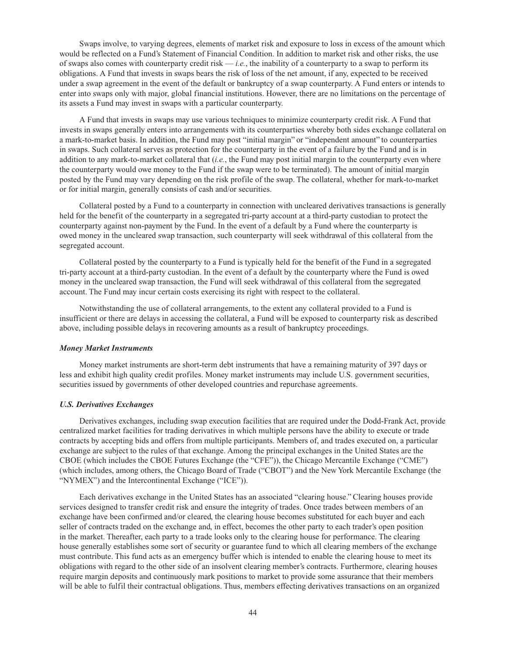Swaps involve, to varying degrees, elements of market risk and exposure to loss in excess of the amount which would be reflected on a Fund's Statement of Financial Condition. In addition to market risk and other risks, the use of swaps also comes with counterparty credit risk — *i.e.*, the inability of a counterparty to a swap to perform its obligations. A Fund that invests in swaps bears the risk of loss of the net amount, if any, expected to be received under a swap agreement in the event of the default or bankruptcy of a swap counterparty. A Fund enters or intends to enter into swaps only with major, global financial institutions. However, there are no limitations on the percentage of its assets a Fund may invest in swaps with a particular counterparty.

A Fund that invests in swaps may use various techniques to minimize counterparty credit risk. A Fund that invests in swaps generally enters into arrangements with its counterparties whereby both sides exchange collateral on a mark-to-market basis. In addition, the Fund may post "initial margin" or "independent amount" to counterparties in swaps. Such collateral serves as protection for the counterparty in the event of a failure by the Fund and is in addition to any mark-to-market collateral that (*i.e.*, the Fund may post initial margin to the counterparty even where the counterparty would owe money to the Fund if the swap were to be terminated). The amount of initial margin posted by the Fund may vary depending on the risk profile of the swap. The collateral, whether for mark-to-market or for initial margin, generally consists of cash and/or securities.

Collateral posted by a Fund to a counterparty in connection with uncleared derivatives transactions is generally held for the benefit of the counterparty in a segregated tri-party account at a third-party custodian to protect the counterparty against non-payment by the Fund. In the event of a default by a Fund where the counterparty is owed money in the uncleared swap transaction, such counterparty will seek withdrawal of this collateral from the segregated account.

Collateral posted by the counterparty to a Fund is typically held for the benefit of the Fund in a segregated tri-party account at a third-party custodian. In the event of a default by the counterparty where the Fund is owed money in the uncleared swap transaction, the Fund will seek withdrawal of this collateral from the segregated account. The Fund may incur certain costs exercising its right with respect to the collateral.

Notwithstanding the use of collateral arrangements, to the extent any collateral provided to a Fund is insufficient or there are delays in accessing the collateral, a Fund will be exposed to counterparty risk as described above, including possible delays in recovering amounts as a result of bankruptcy proceedings.

#### *Money Market Instruments*

Money market instruments are short-term debt instruments that have a remaining maturity of 397 days or less and exhibit high quality credit profiles. Money market instruments may include U.S. government securities, securities issued by governments of other developed countries and repurchase agreements.

#### *U.S. Derivatives Exchanges*

Derivatives exchanges, including swap execution facilities that are required under the Dodd-Frank Act, provide centralized market facilities for trading derivatives in which multiple persons have the ability to execute or trade contracts by accepting bids and offers from multiple participants. Members of, and trades executed on, a particular exchange are subject to the rules of that exchange. Among the principal exchanges in the United States are the CBOE (which includes the CBOE Futures Exchange (the "CFE")), the Chicago Mercantile Exchange ("CME") (which includes, among others, the Chicago Board of Trade ("CBOT") and the New York Mercantile Exchange (the "NYMEX") and the Intercontinental Exchange ("ICE")).

Each derivatives exchange in the United States has an associated "clearing house." Clearing houses provide services designed to transfer credit risk and ensure the integrity of trades. Once trades between members of an exchange have been confirmed and/or cleared, the clearing house becomes substituted for each buyer and each seller of contracts traded on the exchange and, in effect, becomes the other party to each trader's open position in the market. Thereafter, each party to a trade looks only to the clearing house for performance. The clearing house generally establishes some sort of security or guarantee fund to which all clearing members of the exchange must contribute. This fund acts as an emergency buffer which is intended to enable the clearing house to meet its obligations with regard to the other side of an insolvent clearing member's contracts. Furthermore, clearing houses require margin deposits and continuously mark positions to market to provide some assurance that their members will be able to fulfil their contractual obligations. Thus, members effecting derivatives transactions on an organized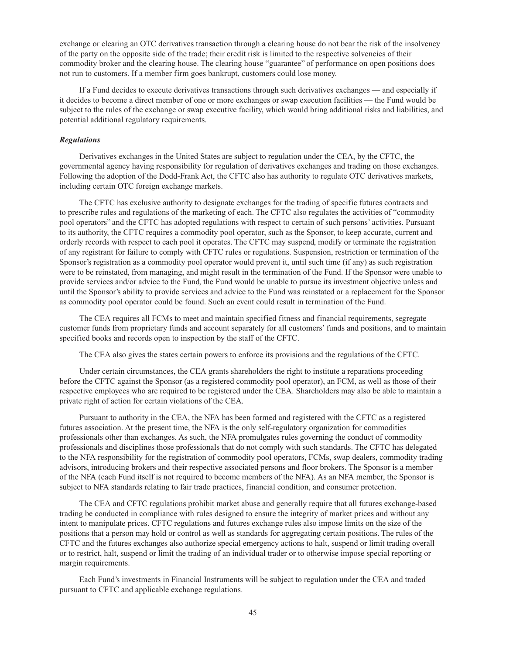exchange or clearing an OTC derivatives transaction through a clearing house do not bear the risk of the insolvency of the party on the opposite side of the trade; their credit risk is limited to the respective solvencies of their commodity broker and the clearing house. The clearing house "guarantee" of performance on open positions does not run to customers. If a member firm goes bankrupt, customers could lose money.

If a Fund decides to execute derivatives transactions through such derivatives exchanges — and especially if it decides to become a direct member of one or more exchanges or swap execution facilities — the Fund would be subject to the rules of the exchange or swap executive facility, which would bring additional risks and liabilities, and potential additional regulatory requirements.

#### *Regulations*

Derivatives exchanges in the United States are subject to regulation under the CEA, by the CFTC, the governmental agency having responsibility for regulation of derivatives exchanges and trading on those exchanges. Following the adoption of the Dodd-Frank Act, the CFTC also has authority to regulate OTC derivatives markets, including certain OTC foreign exchange markets.

The CFTC has exclusive authority to designate exchanges for the trading of specific futures contracts and to prescribe rules and regulations of the marketing of each. The CFTC also regulates the activities of "commodity pool operators" and the CFTC has adopted regulations with respect to certain of such persons' activities. Pursuant to its authority, the CFTC requires a commodity pool operator, such as the Sponsor, to keep accurate, current and orderly records with respect to each pool it operates. The CFTC may suspend, modify or terminate the registration of any registrant for failure to comply with CFTC rules or regulations. Suspension, restriction or termination of the Sponsor's registration as a commodity pool operator would prevent it, until such time (if any) as such registration were to be reinstated, from managing, and might result in the termination of the Fund. If the Sponsor were unable to provide services and/or advice to the Fund, the Fund would be unable to pursue its investment objective unless and until the Sponsor's ability to provide services and advice to the Fund was reinstated or a replacement for the Sponsor as commodity pool operator could be found. Such an event could result in termination of the Fund.

The CEA requires all FCMs to meet and maintain specified fitness and financial requirements, segregate customer funds from proprietary funds and account separately for all customers' funds and positions, and to maintain specified books and records open to inspection by the staff of the CFTC.

The CEA also gives the states certain powers to enforce its provisions and the regulations of the CFTC.

Under certain circumstances, the CEA grants shareholders the right to institute a reparations proceeding before the CFTC against the Sponsor (as a registered commodity pool operator), an FCM, as well as those of their respective employees who are required to be registered under the CEA. Shareholders may also be able to maintain a private right of action for certain violations of the CEA.

Pursuant to authority in the CEA, the NFA has been formed and registered with the CFTC as a registered futures association. At the present time, the NFA is the only self-regulatory organization for commodities professionals other than exchanges. As such, the NFA promulgates rules governing the conduct of commodity professionals and disciplines those professionals that do not comply with such standards. The CFTC has delegated to the NFA responsibility for the registration of commodity pool operators, FCMs, swap dealers, commodity trading advisors, introducing brokers and their respective associated persons and floor brokers. The Sponsor is a member of the NFA (each Fund itself is not required to become members of the NFA). As an NFA member, the Sponsor is subject to NFA standards relating to fair trade practices, financial condition, and consumer protection.

The CEA and CFTC regulations prohibit market abuse and generally require that all futures exchange-based trading be conducted in compliance with rules designed to ensure the integrity of market prices and without any intent to manipulate prices. CFTC regulations and futures exchange rules also impose limits on the size of the positions that a person may hold or control as well as standards for aggregating certain positions. The rules of the CFTC and the futures exchanges also authorize special emergency actions to halt, suspend or limit trading overall or to restrict, halt, suspend or limit the trading of an individual trader or to otherwise impose special reporting or margin requirements.

Each Fund's investments in Financial Instruments will be subject to regulation under the CEA and traded pursuant to CFTC and applicable exchange regulations.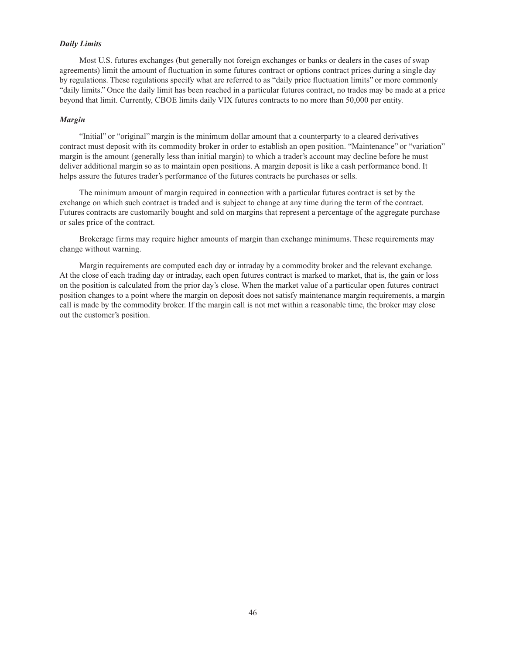### *Daily Limits*

Most U.S. futures exchanges (but generally not foreign exchanges or banks or dealers in the cases of swap agreements) limit the amount of fluctuation in some futures contract or options contract prices during a single day by regulations. These regulations specify what are referred to as "daily price fluctuation limits" or more commonly "daily limits." Once the daily limit has been reached in a particular futures contract, no trades may be made at a price beyond that limit. Currently, CBOE limits daily VIX futures contracts to no more than 50,000 per entity.

#### *Margin*

"Initial" or "original" margin is the minimum dollar amount that a counterparty to a cleared derivatives contract must deposit with its commodity broker in order to establish an open position. "Maintenance" or "variation" margin is the amount (generally less than initial margin) to which a trader's account may decline before he must deliver additional margin so as to maintain open positions. A margin deposit is like a cash performance bond. It helps assure the futures trader's performance of the futures contracts he purchases or sells.

The minimum amount of margin required in connection with a particular futures contract is set by the exchange on which such contract is traded and is subject to change at any time during the term of the contract. Futures contracts are customarily bought and sold on margins that represent a percentage of the aggregate purchase or sales price of the contract.

Brokerage firms may require higher amounts of margin than exchange minimums. These requirements may change without warning.

Margin requirements are computed each day or intraday by a commodity broker and the relevant exchange. At the close of each trading day or intraday, each open futures contract is marked to market, that is, the gain or loss on the position is calculated from the prior day's close. When the market value of a particular open futures contract position changes to a point where the margin on deposit does not satisfy maintenance margin requirements, a margin call is made by the commodity broker. If the margin call is not met within a reasonable time, the broker may close out the customer's position.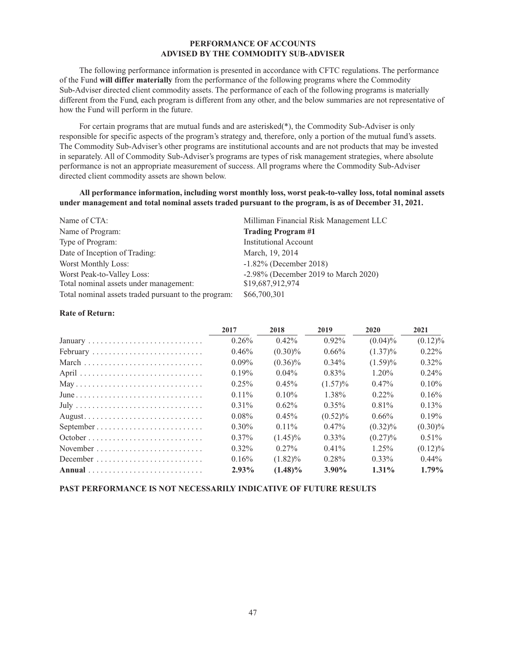## **PERFORMANCE OF ACCOUNTS ADVISED BY THE COMMODITY SUB-ADVISER**

The following performance information is presented in accordance with CFTC regulations. The performance of the Fund **will differ materially** from the performance of the following programs where the Commodity Sub-Adviser directed client commodity assets. The performance of each of the following programs is materially different from the Fund, each program is different from any other, and the below summaries are not representative of how the Fund will perform in the future.

For certain programs that are mutual funds and are asterisked(\*), the Commodity Sub-Adviser is only responsible for specific aspects of the program's strategy and, therefore, only a portion of the mutual fund's assets. The Commodity Sub-Adviser's other programs are institutional accounts and are not products that may be invested in separately. All of Commodity Sub-Adviser's programs are types of risk management strategies, where absolute performance is not an appropriate measurement of success. All programs where the Commodity Sub-Adviser directed client commodity assets are shown below.

## **All performance information, including worst monthly loss, worst peak-to-valley loss, total nominal assets under management and total nominal assets traded pursuant to the program, is as of December 31, 2021.**

| Name of CTA:                                         | Milliman Financial Risk Management LLC  |
|------------------------------------------------------|-----------------------------------------|
| Name of Program:                                     | <b>Trading Program #1</b>               |
| Type of Program:                                     | <b>Institutional Account</b>            |
| Date of Inception of Trading:                        | March, 19, 2014                         |
| <b>Worst Monthly Loss:</b>                           | $-1.82\%$ (December 2018)               |
| Worst Peak-to-Valley Loss:                           | $-2.98\%$ (December 2019 to March 2020) |
| Total nominal assets under management:               | \$19,687,912,974                        |
| Total nominal assets traded pursuant to the program: | \$66,700,301                            |

# **Rate of Return:**

|          | 2017     | 2018       | 2019       | 2020       | 2021       |
|----------|----------|------------|------------|------------|------------|
|          | $0.26\%$ | $0.42\%$   | $0.92\%$   | $(0.04)\%$ | $(0.12)\%$ |
| February | $0.46\%$ | $(0.30)\%$ | $0.66\%$   | $(1.37)\%$ | $0.22\%$   |
|          | $0.09\%$ | $(0.36)\%$ | $0.34\%$   | $(1.59)\%$ | $0.32\%$   |
|          | $0.19\%$ | $0.04\%$   | $0.83\%$   | $1.20\%$   | $0.24\%$   |
|          | $0.25\%$ | $0.45\%$   | $(1.57)\%$ | $0.47\%$   | $0.10\%$   |
| June     | $0.11\%$ | $0.10\%$   | 1.38%      | $0.22\%$   | $0.16\%$   |
|          | $0.31\%$ | $0.62\%$   | $0.35\%$   | $0.81\%$   | $0.13\%$   |
|          | $0.08\%$ | $0.45\%$   | $(0.52)\%$ | $0.66\%$   | $0.19\%$   |
|          | $0.30\%$ | $0.11\%$   | $0.47\%$   | $(0.32)\%$ | $(0.30)\%$ |
|          | $0.37\%$ | $(1.45)\%$ | $0.33\%$   | $(0.27)\%$ | $0.51\%$   |
|          | $0.32\%$ | $0.27\%$   | $0.41\%$   | $1.25\%$   | $(0.12)\%$ |
|          | 0.16%    | $(1.82)\%$ | $0.28\%$   | $0.33\%$   | $0.44\%$   |
|          | $2.93\%$ | $(1.48)\%$ | $3.90\%$   | $1.31\%$   | $1.79\%$   |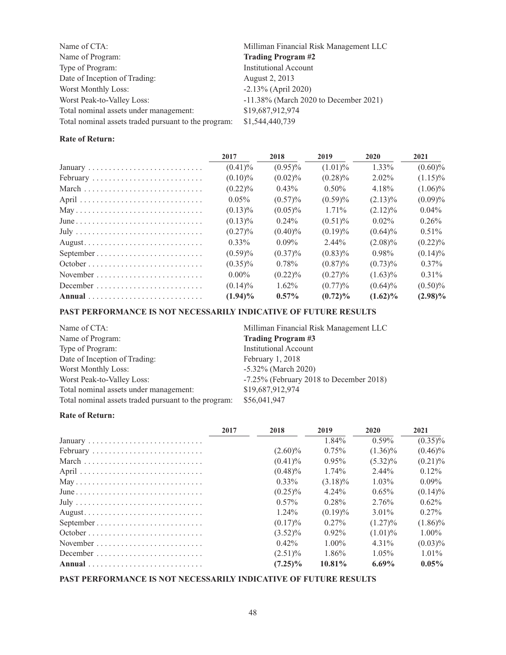| Name of CTA:                                         | Milliman Financial Risk Management LLC   |  |  |  |  |
|------------------------------------------------------|------------------------------------------|--|--|--|--|
| Name of Program:                                     | <b>Trading Program #2</b>                |  |  |  |  |
| Type of Program:                                     | <b>Institutional Account</b>             |  |  |  |  |
| Date of Inception of Trading:                        | August 2, 2013                           |  |  |  |  |
| Worst Monthly Loss:                                  | $-2.13\%$ (April 2020)                   |  |  |  |  |
| Worst Peak-to-Valley Loss:                           | $-11.38\%$ (March 2020 to December 2021) |  |  |  |  |
| Total nominal assets under management:               | \$19,687,912,974                         |  |  |  |  |
| Total nominal assets traded pursuant to the program: | \$1,544,440,739                          |  |  |  |  |

|          | 2017       | 2018       | 2019       | 2020       | 2021       |
|----------|------------|------------|------------|------------|------------|
|          | $(0.41)\%$ | $(0.95)\%$ | $(1.01)\%$ | $1.33\%$   | $(0.60)\%$ |
| February | $(0.10)\%$ | $(0.02)\%$ | $(0.28)\%$ | $2.02\%$   | $(1.15)\%$ |
|          | $(0.22)\%$ | $0.43\%$   | $0.50\%$   | 4.18%      | $(1.06)\%$ |
|          | $0.05\%$   | $(0.57)\%$ | $(0.59)\%$ | $(2.13)\%$ | $(0.09)\%$ |
|          | $(0.13)\%$ | $(0.05)\%$ | $1.71\%$   | $(2.12)\%$ | $0.04\%$   |
| June     | $(0.13)\%$ | $0.24\%$   | $(0.51)\%$ | $0.02\%$   | $0.26\%$   |
|          | $(0.27)\%$ | $(0.40)\%$ | $(0.19)\%$ | $(0.64)\%$ | $0.51\%$   |
| August   | $0.33\%$   | $0.09\%$   | $2.44\%$   | $(2.08)\%$ | $(0.22)\%$ |
|          | $(0.59)\%$ | $(0.37)\%$ | $(0.83)\%$ | $0.98\%$   | $(0.14)\%$ |
|          | $(0.35)\%$ | $0.78\%$   | $(0.87)\%$ | $(0.73)\%$ | $0.37\%$   |
|          | $0.00\%$   | $(0.22)\%$ | $(0.27)\%$ | $(1.63)\%$ | $0.31\%$   |
|          | $(0.14)\%$ | $1.62\%$   | (0.77)%    | $(0.64)\%$ | $(0.50)\%$ |
|          | $(1.94)\%$ | $0.57\%$   | $(0.72)\%$ | $(1.62)\%$ | $(2.98)\%$ |

# **PAST PERFORMANCE IS NOT NECESSARILY INDICATIVE OF FUTURE RESULTS**

| Milliman Financial Risk Management LLC     |
|--------------------------------------------|
| <b>Trading Program #3</b>                  |
| <b>Institutional Account</b>               |
| February $1, 2018$                         |
| $-5.32\%$ (March 2020)                     |
| $-7.25\%$ (February 2018 to December 2018) |
| \$19,687,912,974                           |
| \$56,041,947                               |
|                                            |

# **Rate of Return:**

|          | 2017 | 2018       | 2019       | 2020       | 2021       |
|----------|------|------------|------------|------------|------------|
|          |      |            | 1.84%      | $0.59\%$   | $(0.35)\%$ |
| February |      | $(2.60)\%$ | $0.75\%$   | $(1.36)\%$ | $(0.46)\%$ |
|          |      | $(0.41)\%$ | $0.95\%$   | $(5.32)\%$ | $(0.21)\%$ |
|          |      | $(0.48)\%$ | 1.74%      | 2.44%      | $0.12\%$   |
|          |      | $0.33\%$   | $(3.18)\%$ | $1.03\%$   | $0.09\%$   |
| June     |      | $(0.25)\%$ | 4.24%      | $0.65\%$   | $(0.14)\%$ |
|          |      | $0.57\%$   | $0.28\%$   | 2.76%      | $0.62\%$   |
|          |      | $1.24\%$   | $(0.19)\%$ | $3.01\%$   | $0.27\%$   |
|          |      | $(0.17)\%$ | $0.27\%$   | $(1.27)\%$ | $(1.86)\%$ |
|          |      | $(3.52)\%$ | $0.92\%$   | $(1.01)\%$ | $1.00\%$   |
|          |      | $0.42\%$   | $1.00\%$   | $4.31\%$   | $(0.03)\%$ |
|          |      | $(2.51)\%$ | 1.86%      | $1.05\%$   | $1.01\%$   |
|          |      | $(7.25)\%$ | $10.81\%$  | $6.69\%$   | $0.05\%$   |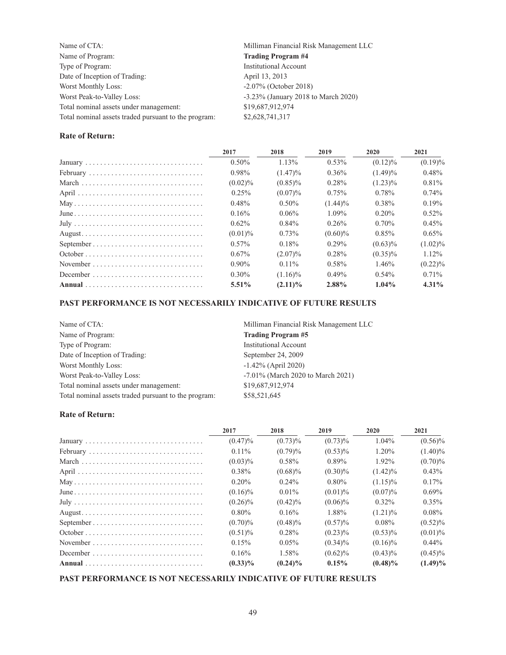| Name of CTA:                                         | Milliman Financial Risk Management LLC |  |  |  |  |
|------------------------------------------------------|----------------------------------------|--|--|--|--|
| Name of Program:                                     | <b>Trading Program #4</b>              |  |  |  |  |
| Type of Program:                                     | <b>Institutional Account</b>           |  |  |  |  |
| Date of Inception of Trading:                        | April 13, 2013                         |  |  |  |  |
| <b>Worst Monthly Loss:</b>                           | $-2.07\%$ (October 2018)               |  |  |  |  |
| Worst Peak-to-Valley Loss:                           | $-3.23\%$ (January 2018 to March 2020) |  |  |  |  |
| Total nominal assets under management:               | \$19,687,912,974                       |  |  |  |  |
| Total nominal assets traded pursuant to the program: | \$2,628,741,317                        |  |  |  |  |

|          | 2017       | 2018       | 2019       | 2020       | 2021       |
|----------|------------|------------|------------|------------|------------|
|          | $0.50\%$   | $1.13\%$   | $0.53\%$   | $(0.12)\%$ | $(0.19)\%$ |
| February | $0.98\%$   | $(1.47)\%$ | $0.36\%$   | $(1.49)\%$ | 0.48%      |
|          | $(0.02)\%$ | $(0.85)\%$ | $0.28\%$   | $(1.23)\%$ | $0.81\%$   |
|          | $0.25\%$   | $(0.07)\%$ | $0.75\%$   | $0.78\%$   | $0.74\%$   |
|          | $0.48\%$   | $0.50\%$   | $(1.44)\%$ | $0.38\%$   | 0.19%      |
|          | 0.16%      | $0.06\%$   | $1.09\%$   | $0.20\%$   | $0.52\%$   |
|          | $0.62\%$   | $0.84\%$   | $0.26\%$   | $0.70\%$   | $0.45\%$   |
|          | $(0.01)\%$ | $0.73\%$   | $(0.60)\%$ | $0.85\%$   | $0.65\%$   |
|          | $0.57\%$   | $0.18\%$   | $0.29\%$   | $(0.63)\%$ | $(1.02)\%$ |
|          | $0.67\%$   | $(2.07)\%$ | $0.28\%$   | $(0.35)\%$ | $1.12\%$   |
|          | $0.90\%$   | $0.11\%$   | $0.58\%$   | 1.46%      | $(0.22)\%$ |
|          | $0.30\%$   | $(1.16)\%$ | $0.49\%$   | $0.54\%$   | $0.71\%$   |
|          | $5.51\%$   | $(2.11)\%$ | 2.88%      | $1.04\%$   | $4.31\%$   |

# **PAST PERFORMANCE IS NOT NECESSARILY INDICATIVE OF FUTURE RESULTS**

| Name of CTA:                                         | Milliman Financial Risk Management LLC |  |  |
|------------------------------------------------------|----------------------------------------|--|--|
| Name of Program:                                     | <b>Trading Program #5</b>              |  |  |
| Type of Program:                                     | <b>Institutional Account</b>           |  |  |
| Date of Inception of Trading:                        | September 24, 2009                     |  |  |
| Worst Monthly Loss:                                  | $-1.42\%$ (April 2020)                 |  |  |
| Worst Peak-to-Valley Loss:                           | $-7.01\%$ (March 2020 to March 2021)   |  |  |
| Total nominal assets under management:               | \$19,687,912,974                       |  |  |
| Total nominal assets traded pursuant to the program: | \$58,521,645                           |  |  |

# **Rate of Return:**

|          | 2017       | 2018       | 2019       | 2020       | 2021       |
|----------|------------|------------|------------|------------|------------|
|          | $(0.47)\%$ | $(0.73)\%$ | $(0.73)\%$ | $1.04\%$   | $(0.56)\%$ |
| February | $0.11\%$   | $(0.79)\%$ | $(0.53)\%$ | $1.20\%$   | $(1.40)\%$ |
|          | $(0.03)\%$ | $0.58\%$   | $0.89\%$   | $1.92\%$   | $(0.70)\%$ |
|          | $0.38\%$   | $(0.68)\%$ | $(0.30)\%$ | $(1.42)\%$ | $0.43\%$   |
|          | $0.20\%$   | $0.24\%$   | $0.80\%$   | $(1.15)\%$ | $0.17\%$   |
|          | $(0.16)\%$ | $0.01\%$   | $(0.01)\%$ | $(0.07)\%$ | $0.69\%$   |
|          | $(0.26)\%$ | $(0.42)\%$ | $(0.06)\%$ | $0.32\%$   | $0.35\%$   |
|          | $0.80\%$   | 0.16%      | 1.88%      | $(1.21)\%$ | $0.08\%$   |
|          | $(0.70)\%$ | $(0.48)\%$ | $(0.57)\%$ | $0.08\%$   | $(0.52)\%$ |
|          | $(0.51)\%$ | $0.28\%$   | $(0.23)\%$ | $(0.53)\%$ | $(0.01)\%$ |
|          | 0.15%      | $0.05\%$   | $(0.34)\%$ | $(0.16)\%$ | $0.44\%$   |
|          | 0.16%      | 1.58%      | $(0.62)\%$ | $(0.43)\%$ | $(0.45)\%$ |
|          | $(0.33)\%$ | $(0.24)\%$ | $0.15\%$   | $(0.48)\%$ | $(1.49)\%$ |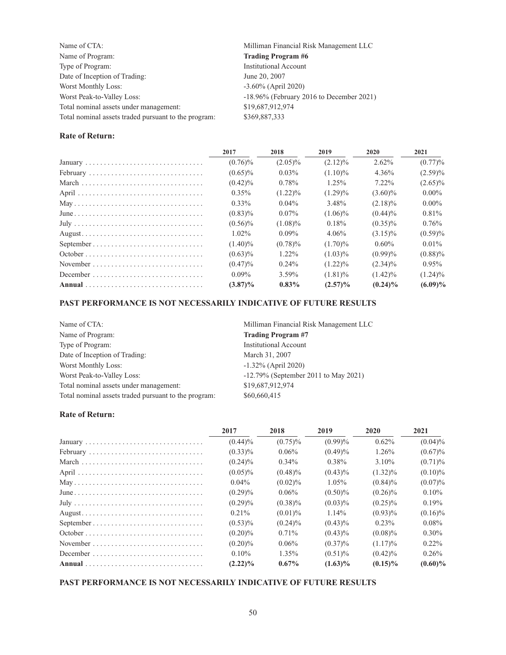| Name of CTA:                                         | Milliman Financial Risk Management LLC      |  |  |  |
|------------------------------------------------------|---------------------------------------------|--|--|--|
| Name of Program:                                     | <b>Trading Program #6</b>                   |  |  |  |
| Type of Program:                                     | <b>Institutional Account</b>                |  |  |  |
| Date of Inception of Trading:                        | June 20, 2007                               |  |  |  |
| <b>Worst Monthly Loss:</b>                           | $-3.60\%$ (April 2020)                      |  |  |  |
| Worst Peak-to-Valley Loss:                           | $-18.96\%$ (February 2016 to December 2021) |  |  |  |
| Total nominal assets under management:               | \$19,687,912,974                            |  |  |  |
| Total nominal assets traded pursuant to the program: | \$369,887,333                               |  |  |  |

|          | 2017       | 2018       | 2019       | 2020       | 2021       |
|----------|------------|------------|------------|------------|------------|
|          | $(0.76)\%$ | $(2.05)\%$ | $(2.12)\%$ | 2.62%      | $(0.77)\%$ |
| February | $(0.65)\%$ | $0.03\%$   | $(1.10)\%$ | 4.36%      | $(2.59)\%$ |
|          | $(0.42)\%$ | $0.78\%$   | $1.25\%$   | $7.22\%$   | $(2.65)\%$ |
|          | $0.35\%$   | $(1.22)\%$ | $(1.29)\%$ | $(3.60)\%$ | $0.00\%$   |
|          | $0.33\%$   | $0.04\%$   | 3.48%      | $(2.18)\%$ | $0.00\%$   |
| June     | $(0.83)\%$ | $0.07\%$   | $(1.06)\%$ | $(0.44)\%$ | $0.81\%$   |
|          | $(0.56)\%$ | $(1.08)\%$ | $0.18\%$   | $(0.35)\%$ | $0.76\%$   |
|          | $1.02\%$   | $0.09\%$   | $4.06\%$   | $(3.15)\%$ | $(0.59)\%$ |
|          | $(1.40)\%$ | $(0.78)\%$ | $(1.70)\%$ | $0.60\%$   | $0.01\%$   |
|          | $(0.63)\%$ | $1.22\%$   | $(1.03)\%$ | $(0.99)\%$ | $(0.88)\%$ |
|          | $(0.47)\%$ | $0.24\%$   | $(1.22)\%$ | $(2.34)\%$ | $0.95\%$   |
|          | $0.09\%$   | $3.59\%$   | $(1.81)\%$ | $(1.42)\%$ | $(1.24)\%$ |
|          | $(3.87)\%$ | $0.83\%$   | $(2.57)\%$ | $(0.24)\%$ | $(6.09)\%$ |

# **PAST PERFORMANCE IS NOT NECESSARILY INDICATIVE OF FUTURE RESULTS**

| Milliman Financial Risk Management LLC<br>Name of CTA: |                                         |
|--------------------------------------------------------|-----------------------------------------|
| Name of Program:                                       | <b>Trading Program #7</b>               |
| Type of Program:                                       | <b>Institutional Account</b>            |
| Date of Inception of Trading:                          | March 31, 2007                          |
| Worst Monthly Loss:                                    | $-1.32\%$ (April 2020)                  |
| Worst Peak-to-Valley Loss:                             | $-12.79\%$ (September 2011 to May 2021) |
| Total nominal assets under management:                 | \$19,687,912,974                        |
| Total nominal assets traded pursuant to the program:   | \$60,660,415                            |

# **Rate of Return:**

|          | 2017       | 2018       | 2019       | 2020       | 2021       |
|----------|------------|------------|------------|------------|------------|
|          | $(0.44)\%$ | $(0.75)\%$ | $(0.99)\%$ | $0.62\%$   | $(0.04)\%$ |
| February | $(0.33)\%$ | $0.06\%$   | $(0.49)\%$ | 1.26%      | $(0.67)\%$ |
|          | $(0.24)\%$ | $0.34\%$   | $0.38\%$   | $3.10\%$   | $(0.71)\%$ |
|          | $(0.05)\%$ | $(0.48)\%$ | $(0.43)\%$ | $(1.32)\%$ | $(0.10)\%$ |
|          | $0.04\%$   | $(0.02)\%$ | $1.05\%$   | $(0.84)\%$ | $(0.07)\%$ |
|          | $(0.29)\%$ | $0.06\%$   | $(0.50)\%$ | $(0.26)\%$ | $0.10\%$   |
|          | $(0.29)\%$ | $(0.38)\%$ | $(0.03)\%$ | $(0.25)\%$ | $0.19\%$   |
|          | $0.21\%$   | $(0.01)\%$ | $1.14\%$   | $(0.93)\%$ | $(0.16)\%$ |
|          | $(0.53)\%$ | $(0.24)\%$ | $(0.43)\%$ | $0.23\%$   | $0.08\%$   |
|          | $(0.20)\%$ | $0.71\%$   | $(0.43)\%$ | $(0.08)\%$ | $0.30\%$   |
|          | $(0.20)\%$ | $0.06\%$   | $(0.37)\%$ | $(1.17)\%$ | $0.22\%$   |
|          | $0.10\%$   | $1.35\%$   | $(0.51)\%$ | $(0.42)\%$ | $0.26\%$   |
|          | $(2.22)\%$ | $0.67\%$   | $(1.63)\%$ | $(0.15)\%$ | $(0.60)\%$ |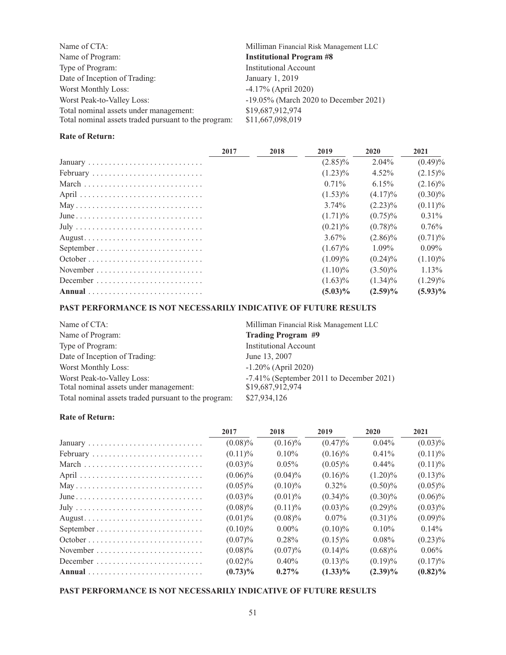| Name of CTA:                                         | Milliman Financial Risk Management LLC |  |  |  |
|------------------------------------------------------|----------------------------------------|--|--|--|
| Name of Program:                                     | <b>Institutional Program #8</b>        |  |  |  |
| Type of Program:                                     | <b>Institutional Account</b>           |  |  |  |
| Date of Inception of Trading:                        | January 1, 2019                        |  |  |  |
| <b>Worst Monthly Loss:</b>                           | $-4.17\%$ (April 2020)                 |  |  |  |
| Worst Peak-to-Valley Loss:                           | -19.05% (March 2020 to December 2021)  |  |  |  |
| Total nominal assets under management:               | \$19,687,912,974                       |  |  |  |
| Total nominal assets traded pursuant to the program: | \$11,667,098,019                       |  |  |  |

|          | 2017 | 2018 | 2019       | 2020       | 2021       |
|----------|------|------|------------|------------|------------|
|          |      |      | $(2.85)\%$ | $2.04\%$   | $(0.49)\%$ |
| February |      |      | $(1.23)\%$ | $4.52\%$   | $(2.15)\%$ |
|          |      |      | $0.71\%$   | 6.15%      | $(2.16)\%$ |
|          |      |      | $(1.53)\%$ | $(4.17)\%$ | $(0.30)\%$ |
|          |      |      | $3.74\%$   | $(2.23)\%$ | $(0.11)\%$ |
| June     |      |      | $(1.71)\%$ | $(0.75)\%$ | $0.31\%$   |
|          |      |      | $(0.21)\%$ | $(0.78)\%$ | $0.76\%$   |
|          |      |      | $3.67\%$   | $(2.86)\%$ | $(0.71)\%$ |
|          |      |      | $(1.67)\%$ | $1.09\%$   | $0.09\%$   |
|          |      |      | $(1.09)\%$ | $(0.24)\%$ | $(1.10)\%$ |
|          |      |      | $(1.10)\%$ | $(3.50)\%$ | $1.13\%$   |
|          |      |      | $(1.63)\%$ | $(1.34)\%$ | $(1.29)\%$ |
|          |      |      | $(5.03)\%$ | $(2.59)\%$ | $(5.93)\%$ |

# **PAST PERFORMANCE IS NOT NECESSARILY INDICATIVE OF FUTURE RESULTS**

| Name of CTA:                                                                                                                 | Milliman Financial Risk Management LLC                                          |
|------------------------------------------------------------------------------------------------------------------------------|---------------------------------------------------------------------------------|
| Name of Program:                                                                                                             | <b>Trading Program #9</b>                                                       |
| Type of Program:                                                                                                             | <b>Institutional Account</b>                                                    |
| Date of Inception of Trading:                                                                                                | June 13, 2007                                                                   |
| Worst Monthly Loss:                                                                                                          | $-1.20\%$ (April 2020)                                                          |
| Worst Peak-to-Valley Loss:<br>Total nominal assets under management:<br>Total nominal assets traded pursuant to the program: | $-7.41\%$ (September 2011 to December 2021)<br>\$19,687,912,974<br>\$27,934,126 |

### **Rate of Return:**

|                                                                                | 2017       | 2018       | 2019       | <b>2020</b> | 2021       |
|--------------------------------------------------------------------------------|------------|------------|------------|-------------|------------|
|                                                                                | $(0.08)\%$ | $(0.16)\%$ | $(0.47)\%$ | $0.04\%$    | $(0.03)\%$ |
| February                                                                       | $(0.11)\%$ | $0.10\%$   | $(0.16)\%$ | $0.41\%$    | $(0.11)\%$ |
|                                                                                | $(0.03)\%$ | $0.05\%$   | $(0.05)\%$ | $0.44\%$    | $(0.11)\%$ |
|                                                                                | $(0.06)\%$ | $(0.04)\%$ | $(0.16)\%$ | $(1.20)\%$  | $(0.13)\%$ |
|                                                                                | $(0.05)\%$ | $(0.10)\%$ | $0.32\%$   | $(0.50)\%$  | $(0.05)\%$ |
| $June \dots \dots \dots \dots \dots \dots \dots \dots \dots \dots \dots \dots$ | $(0.03)\%$ | $(0.01)\%$ | $(0.34)\%$ | $(0.30)\%$  | $(0.06)\%$ |
|                                                                                | $(0.08)\%$ | $(0.11)\%$ | $(0.03)\%$ | $(0.29)\%$  | $(0.03)\%$ |
|                                                                                | $(0.01)\%$ | $(0.08)\%$ | $0.07\%$   | $(0.31)\%$  | $(0.09)\%$ |
|                                                                                | $(0.10)\%$ | $0.00\%$   | $(0.10)\%$ | $0.10\%$    | $0.14\%$   |
|                                                                                | $(0.07)\%$ | $0.28\%$   | $(0.15)\%$ | $0.08\%$    | $(0.23)\%$ |
|                                                                                | $(0.08)\%$ | $(0.07)\%$ | $(0.14)\%$ | $(0.68)\%$  | $0.06\%$   |
|                                                                                | $(0.02)\%$ | $0.40\%$   | $(0.13)\%$ | $(0.19)\%$  | $(0.17)\%$ |
|                                                                                | $(0.73)\%$ | $0.27\%$   | $(1.33)\%$ | $(2.39)\%$  | $(0.82)\%$ |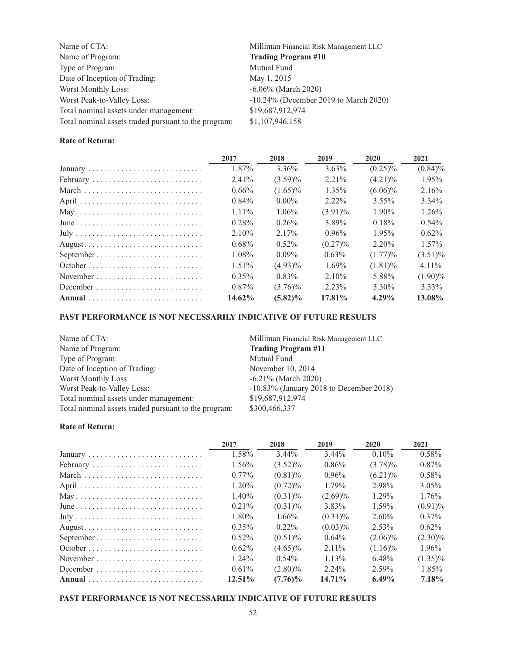| Name of CTA:                                         | Milliman Financial Risk Management LLC   |  |  |  |
|------------------------------------------------------|------------------------------------------|--|--|--|
| Name of Program:                                     | <b>Trading Program #10</b>               |  |  |  |
| Type of Program:                                     | Mutual Fund                              |  |  |  |
| Date of Inception of Trading:                        | May 1, 2015                              |  |  |  |
| Worst Monthly Loss:                                  | $-6.06\%$ (March 2020)                   |  |  |  |
| Worst Peak-to-Valley Loss:                           | $-10.24\%$ (December 2019 to March 2020) |  |  |  |
| Total nominal assets under management:               | \$19,687,912,974                         |  |  |  |
| Total nominal assets traded pursuant to the program: | \$1,107,946,158                          |  |  |  |

|          | 2017     | 2018       | 2019       | 2020       | 2021       |
|----------|----------|------------|------------|------------|------------|
|          | 1.87%    | $3.36\%$   | $3.63\%$   | $(0.25)\%$ | $(0.84)\%$ |
| February | $2.41\%$ | $(3.59)\%$ | $2.21\%$   | $(4.21)\%$ | 1.95%      |
|          | $0.66\%$ | $(1.65)\%$ | $1.35\%$   | $(6.06)\%$ | 2.16%      |
|          | $0.84\%$ | $0.00\%$   | $2.22\%$   | $3.55\%$   | $3.34\%$   |
|          | $1.11\%$ | $1.06\%$   | $(3.91)\%$ | $1.90\%$   | $1.26\%$   |
|          | $0.28\%$ | $0.26\%$   | 3.89%      | 0.18%      | $0.54\%$   |
|          | $2.10\%$ | 2.17%      | $0.96\%$   | $1.95\%$   | $0.62\%$   |
|          | $0.68\%$ | $0.52\%$   | $(0.27)\%$ | $2.20\%$   | $1.57\%$   |
|          | $1.08\%$ | $0.09\%$   | $0.63\%$   | (1.77)%    | $(3.51)\%$ |
|          | $1.51\%$ | $(4.93)\%$ | $1.69\%$   | $(1.81)\%$ | $4.11\%$   |
|          | $0.35\%$ | $0.83\%$   | $2.10\%$   | 5.88%      | $(1.90)\%$ |
|          | $0.87\%$ | $(3.76)\%$ | $2.23\%$   | $3.30\%$   | 3.33%      |
|          | 14.62%   | $(5.82)\%$ | 17.81%     | $4.29\%$   | 13.08%     |

# **PAST PERFORMANCE IS NOT NECESSARILY INDICATIVE OF FUTURE RESULTS**

| Name of CTA:                                         | Milliman Financial Risk Management LLC     |
|------------------------------------------------------|--------------------------------------------|
| Name of Program:                                     | <b>Trading Program #11</b>                 |
| Type of Program:                                     | Mutual Fund                                |
| Date of Inception of Trading:                        | November $10, 2014$                        |
| <b>Worst Monthly Loss:</b>                           | $-6.21\%$ (March 2020)                     |
| Worst Peak-to-Valley Loss:                           | $-10.83\%$ (January 2018 to December 2018) |
| Total nominal assets under management:               | \$19,687,912,974                           |
| Total nominal assets traded pursuant to the program: | \$300,466,337                              |

## **Rate of Return:**

|          | 2017     | 2018       | 2019       | 2020       | 2021       |
|----------|----------|------------|------------|------------|------------|
|          | 1.58%    | $3.44\%$   | $3.44\%$   | $0.10\%$   | $0.58\%$   |
| February | $1.56\%$ | $(3.52)\%$ | $0.86\%$   | $(3.78)\%$ | $0.87\%$   |
|          | $0.77\%$ | $(0.81)\%$ | $0.96\%$   | $(6.21)\%$ | $0.58\%$   |
|          | $1.20\%$ | $(0.72)\%$ | 1.79%      | 2.98%      | $3.05\%$   |
|          | $1.40\%$ | $(0.31)\%$ | $(2.69)\%$ | $1.29\%$   | $1.76\%$   |
| June     | $0.21\%$ | $(0.31)\%$ | 3.83%      | $1.59\%$   | $(0.91)\%$ |
|          | 1.80%    | $1.66\%$   | $(0.31)\%$ | $2.60\%$   | $0.37\%$   |
|          | $0.35\%$ | $0.22\%$   | $(0.03)\%$ | $2.53\%$   | $0.62\%$   |
|          | $0.52\%$ | $(0.51)\%$ | $0.64\%$   | $(2.06)\%$ | $(2.30)\%$ |
|          | $0.62\%$ | $(4.65)\%$ | $2.11\%$   | $(1.16)\%$ | 1.96%      |
|          | $1.24\%$ | $0.54\%$   | $1.13\%$   | 6.48%      | $(1.35)\%$ |
|          | $0.61\%$ | $(2.80)\%$ | 2.24%      | 2.59%      | 1.85%      |
|          | 12.51%   | $(7.76)\%$ | 14.71%     | $6.49\%$   | 7.18%      |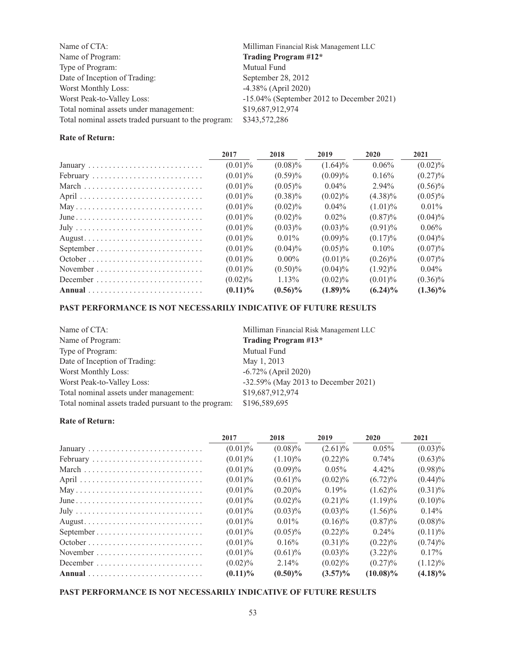| Name of CTA:                                         | Milliman Financial Risk Management LLC       |
|------------------------------------------------------|----------------------------------------------|
| Name of Program:                                     | <b>Trading Program #12*</b>                  |
| Type of Program:                                     | Mutual Fund                                  |
| Date of Inception of Trading:                        | September 28, 2012                           |
| Worst Monthly Loss:                                  | $-4.38\%$ (April 2020)                       |
| Worst Peak-to-Valley Loss:                           | $-15.04\%$ (September 2012 to December 2021) |
| Total nominal assets under management:               | \$19,687,912,974                             |
| Total nominal assets traded pursuant to the program: | \$343,572,286                                |

|          | 2017       | 2018       | 2019       | 2020       | 2021       |
|----------|------------|------------|------------|------------|------------|
|          | $(0.01)\%$ | $(0.08)\%$ | $(1.64)\%$ | $0.06\%$   | $(0.02)\%$ |
| February | $(0.01)\%$ | $(0.59)\%$ | $(0.09)\%$ | $0.16\%$   | $(0.27)\%$ |
|          | $(0.01)\%$ | $(0.05)\%$ | $0.04\%$   | 2.94%      | $(0.56)\%$ |
|          | $(0.01)\%$ | $(0.38)\%$ | $(0.02)\%$ | $(4.38)\%$ | $(0.05)\%$ |
|          | $(0.01)\%$ | $(0.02)\%$ | $0.04\%$   | $(1.01)\%$ | $0.01\%$   |
| June     | $(0.01)\%$ | $(0.02)\%$ | $0.02\%$   | $(0.87)\%$ | $(0.04)\%$ |
|          | $(0.01)\%$ | $(0.03)\%$ | $(0.03)\%$ | $(0.91)\%$ | $0.06\%$   |
|          | $(0.01)\%$ | $0.01\%$   | $(0.09)\%$ | $(0.17)\%$ | $(0.04)\%$ |
|          | $(0.01)\%$ | $(0.04)\%$ | $(0.05)\%$ | $0.10\%$   | $(0.07)\%$ |
|          | $(0.01)\%$ | $0.00\%$   | $(0.01)\%$ | $(0.26)\%$ | $(0.07)\%$ |
|          | $(0.01)\%$ | $(0.50)\%$ | $(0.04)\%$ | $(1.92)\%$ | $0.04\%$   |
|          | $(0.02)\%$ | $1.13\%$   | $(0.02)\%$ | $(0.01)\%$ | $(0.36)\%$ |
|          | $(0.11)\%$ | $(0.56)\%$ | $(1.89)\%$ | $(6.24)\%$ | $(1.36)\%$ |

# **PAST PERFORMANCE IS NOT NECESSARILY INDICATIVE OF FUTURE RESULTS**

| Name of CTA:                                         | Milliman Financial Risk Management LLC |
|------------------------------------------------------|----------------------------------------|
| Name of Program:                                     | Trading Program #13*                   |
| Type of Program:                                     | Mutual Fund                            |
| Date of Inception of Trading:                        | May 1, 2013                            |
| <b>Worst Monthly Loss:</b>                           | $-6.72\%$ (April 2020)                 |
| Worst Peak-to-Valley Loss:                           | $-32.59\%$ (May 2013 to December 2021) |
| Total nominal assets under management:               | \$19,687,912,974                       |
| Total nominal assets traded pursuant to the program: | \$196,589,695                          |

## **Rate of Return:**

|                                                                                | 2017       | 2018       | 2019       | <b>2020</b> | 2021       |
|--------------------------------------------------------------------------------|------------|------------|------------|-------------|------------|
|                                                                                | $(0.01)\%$ | $(0.08)\%$ | $(2.61)\%$ | $0.05\%$    | $(0.03)\%$ |
| February                                                                       | $(0.01)\%$ | $(1.10)\%$ | $(0.22)\%$ | $0.74\%$    | $(0.63)\%$ |
|                                                                                | $(0.01)\%$ | (0.09)%    | $0.05\%$   | $4.42\%$    | $(0.98)\%$ |
|                                                                                | $(0.01)\%$ | $(0.61)\%$ | $(0.02)\%$ | $(6.72)\%$  | $(0.44)\%$ |
|                                                                                | $(0.01)\%$ | $(0.20)\%$ | $0.19\%$   | $(1.62)\%$  | $(0.31)\%$ |
| $June \dots \dots \dots \dots \dots \dots \dots \dots \dots \dots \dots \dots$ | $(0.01)\%$ | $(0.02)\%$ | $(0.21)\%$ | $(1.19)\%$  | $(0.10)\%$ |
|                                                                                | $(0.01)\%$ | $(0.03)\%$ | $(0.03)\%$ | $(1.56)\%$  | $0.14\%$   |
|                                                                                | $(0.01)\%$ | $0.01\%$   | $(0.16)\%$ | $(0.87)\%$  | $(0.08)\%$ |
|                                                                                | $(0.01)\%$ | $(0.05)\%$ | $(0.22)\%$ | $0.24\%$    | $(0.11)\%$ |
|                                                                                | $(0.01)\%$ | $0.16\%$   | $(0.31)\%$ | $(0.22)\%$  | $(0.74)\%$ |
|                                                                                | $(0.01)\%$ | $(0.61)\%$ | $(0.03)\%$ | $(3.22)\%$  | $0.17\%$   |
|                                                                                | $(0.02)\%$ | 2.14%      | $(0.02)\%$ | $(0.27)\%$  | $(1.12)\%$ |
|                                                                                | $(0.11)\%$ | $(0.50)\%$ | $(3.57)\%$ | $(10.08)\%$ | $(4.18)\%$ |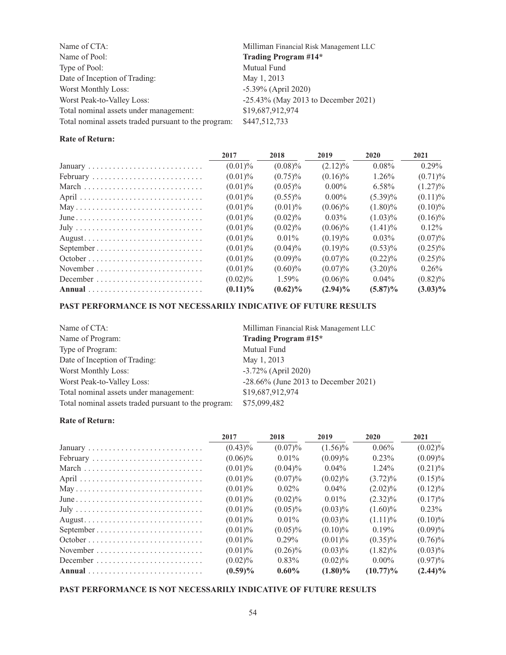| Name of CTA:                                         | Milliman Financial Risk Management LLC |
|------------------------------------------------------|----------------------------------------|
| Name of Pool:                                        | <b>Trading Program #14*</b>            |
| Type of Pool:                                        | Mutual Fund                            |
| Date of Inception of Trading:                        | May 1, 2013                            |
| Worst Monthly Loss:                                  | $-5.39\%$ (April 2020)                 |
| Worst Peak-to-Valley Loss:                           | $-25.43\%$ (May 2013 to December 2021) |
| Total nominal assets under management:               | \$19,687,912,974                       |
| Total nominal assets traded pursuant to the program: | \$447,512,733                          |

|          | 2017       | 2018       | 2019       | 2020       | 2021       |
|----------|------------|------------|------------|------------|------------|
|          | $(0.01)\%$ | $(0.08)\%$ | $(2.12)\%$ | $0.08\%$   | $0.29\%$   |
| February | $(0.01)\%$ | $(0.75)\%$ | $(0.16)\%$ | $1.26\%$   | $(0.71)\%$ |
|          | $(0.01)\%$ | $(0.05)\%$ | $0.00\%$   | 6.58%      | $(1.27)\%$ |
|          | $(0.01)\%$ | $(0.55)\%$ | $0.00\%$   | $(5.39)\%$ | $(0.11)\%$ |
|          | $(0.01)\%$ | $(0.01)\%$ | $(0.06)\%$ | $(1.80)\%$ | $(0.10)\%$ |
| June     | $(0.01)\%$ | $(0.02)\%$ | $0.03\%$   | $(1.03)\%$ | $(0.16)\%$ |
|          | $(0.01)\%$ | $(0.02)\%$ | $(0.06)\%$ | $(1.41)\%$ | $0.12\%$   |
|          | $(0.01)\%$ | $0.01\%$   | $(0.19)\%$ | $0.03\%$   | $(0.07)\%$ |
|          | $(0.01)\%$ | $(0.04)\%$ | $(0.19)\%$ | $(0.53)\%$ | $(0.25)\%$ |
|          | $(0.01)\%$ | $(0.09)\%$ | $(0.07)\%$ | $(0.22)\%$ | $(0.25)\%$ |
|          | $(0.01)\%$ | $(0.60)\%$ | $(0.07)\%$ | $(3.20)\%$ | $0.26\%$   |
|          | $(0.02)\%$ | 1.59%      | $(0.06)\%$ | $0.04\%$   | $(0.82)\%$ |
|          | $(0.11)\%$ | $(0.62)\%$ | $(2.94)\%$ | $(5.87)\%$ | $(3.03)\%$ |

# **PAST PERFORMANCE IS NOT NECESSARILY INDICATIVE OF FUTURE RESULTS**

| Name of CTA:                                         | Milliman Financial Risk Management LLC  |
|------------------------------------------------------|-----------------------------------------|
| Name of Program:                                     | Trading Program #15*                    |
| Type of Program:                                     | Mutual Fund                             |
| Date of Inception of Trading:                        | May 1, 2013                             |
| <b>Worst Monthly Loss:</b>                           | $-3.72\%$ (April 2020)                  |
| Worst Peak-to-Valley Loss:                           | $-28.66\%$ (June 2013 to December 2021) |
| Total nominal assets under management:               | \$19,687,912,974                        |
| Total nominal assets traded pursuant to the program: | \$75,099,482                            |

## **Rate of Return:**

|          | 2017       | 2018       | 2019       | 2020        | 2021       |
|----------|------------|------------|------------|-------------|------------|
|          | $(0.43)\%$ | $(0.07)\%$ | $(1.56)\%$ | $0.06\%$    | $(0.02)\%$ |
| February | $(0.06)\%$ | $0.01\%$   | (0.09)%    | $0.23\%$    | $(0.09)\%$ |
|          | $(0.01)\%$ | $(0.04)\%$ | $0.04\%$   | $1.24\%$    | $(0.21)\%$ |
|          | $(0.01)\%$ | $(0.07)\%$ | $(0.02)\%$ | $(3.72)\%$  | $(0.15)\%$ |
|          | $(0.01)\%$ | $0.02\%$   | $0.04\%$   | $(2.02)\%$  | $(0.12)\%$ |
| June     | $(0.01)\%$ | $(0.02)\%$ | $0.01\%$   | $(2.32)\%$  | $(0.17)\%$ |
|          | $(0.01)\%$ | $(0.05)\%$ | $(0.03)\%$ | $(1.60)\%$  | $0.23\%$   |
|          | $(0.01)\%$ | $0.01\%$   | $(0.03)\%$ | $(1.11)\%$  | $(0.10)\%$ |
|          | $(0.01)\%$ | $(0.05)\%$ | $(0.10)\%$ | $0.19\%$    | $(0.09)\%$ |
|          | $(0.01)\%$ | $0.29\%$   | $(0.01)\%$ | $(0.35)\%$  | $(0.76)\%$ |
|          | $(0.01)\%$ | $(0.26)\%$ | $(0.03)\%$ | $(1.82)\%$  | $(0.03)\%$ |
|          | $(0.02)\%$ | $0.83\%$   | $(0.02)\%$ | $0.00\%$    | $(0.97)\%$ |
|          | $(0.59)\%$ | $0.60\%$   | $(1.80)\%$ | $(10.77)\%$ | $(2.44)\%$ |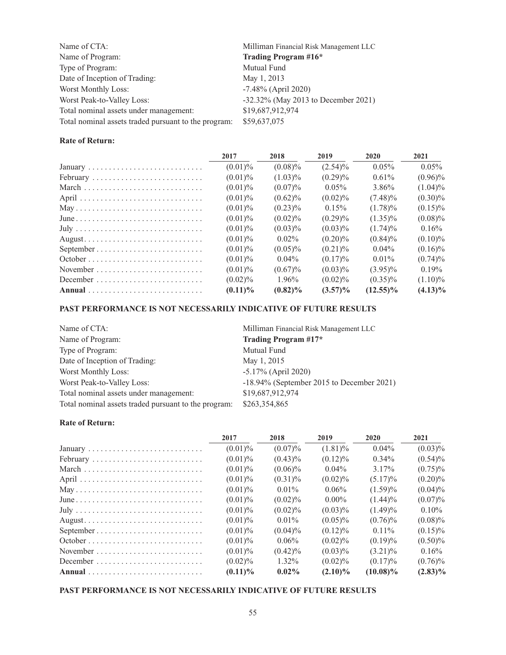| Name of CTA:                                         | Milliman Financial Risk Management LLC |
|------------------------------------------------------|----------------------------------------|
| Name of Program:                                     | <b>Trading Program #16*</b>            |
| Type of Program:                                     | Mutual Fund                            |
| Date of Inception of Trading:                        | May 1, 2013                            |
| <b>Worst Monthly Loss:</b>                           | $-7.48\%$ (April 2020)                 |
| Worst Peak-to-Valley Loss:                           | $-32.32\%$ (May 2013 to December 2021) |
| Total nominal assets under management:               | \$19,687,912,974                       |
| Total nominal assets traded pursuant to the program: | \$59,637,075                           |

|                                                                       | 2017       | 2018       | 2019       | 2020        | 2021       |
|-----------------------------------------------------------------------|------------|------------|------------|-------------|------------|
|                                                                       | $(0.01)\%$ | $(0.08)\%$ | $(2.54)\%$ | $0.05\%$    | $0.05\%$   |
| February                                                              | $(0.01)\%$ | $(1.03)\%$ | $(0.29)\%$ | $0.61\%$    | $(0.96)\%$ |
|                                                                       | $(0.01)\%$ | $(0.07)\%$ | $0.05\%$   | 3.86%       | $(1.04)\%$ |
|                                                                       | $(0.01)\%$ | $(0.62)\%$ | $(0.02)\%$ | $(7.48)\%$  | $(0.30)\%$ |
|                                                                       | $(0.01)\%$ | $(0.23)\%$ | $0.15\%$   | $(1.78)\%$  | $(0.15)\%$ |
| June                                                                  | $(0.01)\%$ | $(0.02)\%$ | $(0.29)\%$ | $(1.35)\%$  | $(0.08)\%$ |
|                                                                       | $(0.01)\%$ | $(0.03)\%$ | $(0.03)\%$ | $(1.74)\%$  | $0.16\%$   |
| August                                                                | $(0.01)\%$ | $0.02\%$   | $(0.20)\%$ | $(0.84)\%$  | $(0.10)\%$ |
|                                                                       | $(0.01)\%$ | $(0.05)\%$ | $(0.21)\%$ | $0.04\%$    | $(0.16)\%$ |
| $October \dots \dots \dots \dots \dots \dots \dots \dots \dots \dots$ | $(0.01)\%$ | $0.04\%$   | $(0.17)\%$ | $0.01\%$    | $(0.74)\%$ |
| November $\dots\dots\dots\dots\dots\dots\dots\dots\dots\dots$         | $(0.01)\%$ | $(0.67)\%$ | $(0.03)\%$ | $(3.95)\%$  | $0.19\%$   |
|                                                                       | $(0.02)\%$ | 1.96%      | $(0.02)\%$ | $(0.35)\%$  | $(1.10)\%$ |
|                                                                       | $(0.11)\%$ | $(0.82)\%$ | $(3.57)\%$ | $(12.55)\%$ | $(4.13)\%$ |

# **PAST PERFORMANCE IS NOT NECESSARILY INDICATIVE OF FUTURE RESULTS**

| Name of CTA:                                         | Milliman Financial Risk Management LLC       |
|------------------------------------------------------|----------------------------------------------|
| Name of Program:                                     | Trading Program #17*                         |
| Type of Program:                                     | Mutual Fund                                  |
| Date of Inception of Trading:                        | May 1, 2015                                  |
| Worst Monthly Loss:                                  | $-5.17\%$ (April 2020)                       |
| Worst Peak-to-Valley Loss:                           | $-18.94\%$ (September 2015 to December 2021) |
| Total nominal assets under management:               | \$19,687,912,974                             |
| Total nominal assets traded pursuant to the program: | \$263,354,865                                |

# **Rate of Return:**

|                                                                                | 2017       | 2018       | 2019       | 2020        | 2021       |
|--------------------------------------------------------------------------------|------------|------------|------------|-------------|------------|
|                                                                                | $(0.01)\%$ | $(0.07)\%$ | $(1.81)\%$ | $0.04\%$    | $(0.03)\%$ |
| February                                                                       | $(0.01)\%$ | $(0.43)\%$ | $(0.12)\%$ | $0.34\%$    | $(0.54)\%$ |
|                                                                                | $(0.01)\%$ | $(0.06)\%$ | $0.04\%$   | $3.17\%$    | $(0.75)\%$ |
|                                                                                | $(0.01)\%$ | $(0.31)\%$ | $(0.02)\%$ | $(5.17)\%$  | $(0.20)\%$ |
|                                                                                | $(0.01)\%$ | $0.01\%$   | $0.06\%$   | $(1.59)\%$  | $(0.04)\%$ |
| $June \dots \dots \dots \dots \dots \dots \dots \dots \dots \dots \dots \dots$ | $(0.01)\%$ | $(0.02)\%$ | $0.00\%$   | $(1.44)\%$  | $(0.07)\%$ |
|                                                                                | $(0.01)\%$ | $(0.02)\%$ | $(0.03)\%$ | $(1.49)\%$  | $0.10\%$   |
|                                                                                | $(0.01)\%$ | $0.01\%$   | $(0.05)\%$ | $(0.76)\%$  | $(0.08)\%$ |
|                                                                                | $(0.01)\%$ | $(0.04)\%$ | $(0.12)\%$ | $0.11\%$    | $(0.15)\%$ |
|                                                                                | $(0.01)\%$ | $0.06\%$   | $(0.02)\%$ | $(0.19)\%$  | $(0.50)\%$ |
|                                                                                | $(0.01)\%$ | $(0.42)\%$ | $(0.03)\%$ | $(3.21)\%$  | $0.16\%$   |
|                                                                                | $(0.02)\%$ | 1.32%      | $(0.02)\%$ | $(0.17)\%$  | $(0.76)\%$ |
|                                                                                | $(0.11)\%$ | $0.02\%$   | $(2.10)\%$ | $(10.08)\%$ | $(2.83)\%$ |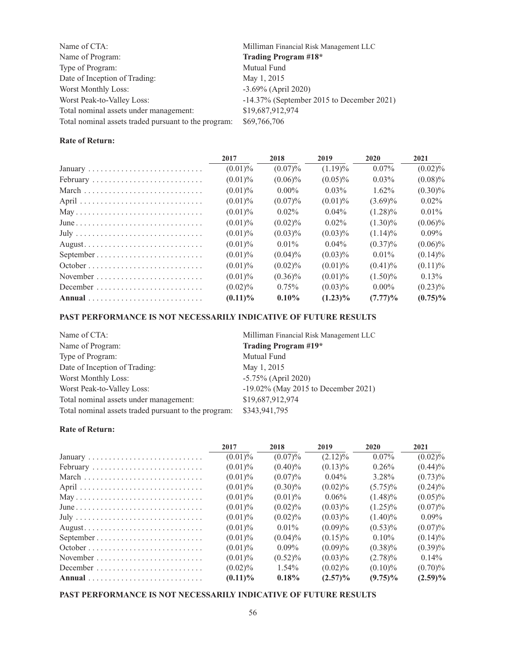| Name of CTA:                                         | Milliman Financial Risk Management LLC       |
|------------------------------------------------------|----------------------------------------------|
| Name of Program:                                     | Trading Program #18*                         |
| Type of Program:                                     | Mutual Fund                                  |
| Date of Inception of Trading:                        | May 1, 2015                                  |
| <b>Worst Monthly Loss:</b>                           | $-3.69\%$ (April 2020)                       |
| Worst Peak-to-Valley Loss:                           | $-14.37\%$ (September 2015 to December 2021) |
| Total nominal assets under management:               | \$19,687,912,974                             |
| Total nominal assets traded pursuant to the program: | \$69,766,706                                 |

|                                                               | 2017       | 2018       | 2019       | 2020       | 2021       |
|---------------------------------------------------------------|------------|------------|------------|------------|------------|
|                                                               | $(0.01)\%$ | $(0.07)\%$ | $(1.19)\%$ | $0.07\%$   | $(0.02)\%$ |
| February                                                      | $(0.01)\%$ | $(0.06)\%$ | $(0.05)\%$ | $0.03\%$   | $(0.08)\%$ |
|                                                               | $(0.01)\%$ | $0.00\%$   | $0.03\%$   | $1.62\%$   | $(0.30)\%$ |
|                                                               | $(0.01)\%$ | $(0.07)\%$ | $(0.01)\%$ | $(3.69)\%$ | $0.02\%$   |
|                                                               | $(0.01)\%$ | $0.02\%$   | $0.04\%$   | $(1.28)\%$ | $0.01\%$   |
| June                                                          | $(0.01)\%$ | $(0.02)\%$ | $0.02\%$   | $(1.30)\%$ | $(0.06)\%$ |
|                                                               | $(0.01)\%$ | $(0.03)\%$ | $(0.03)\%$ | $(1.14)\%$ | $0.09\%$   |
|                                                               | $(0.01)\%$ | $0.01\%$   | $0.04\%$   | $(0.37)\%$ | $(0.06)\%$ |
|                                                               | $(0.01)\%$ | $(0.04)\%$ | $(0.03)\%$ | $0.01\%$   | $(0.14)\%$ |
|                                                               | $(0.01)\%$ | $(0.02)\%$ | $(0.01)\%$ | $(0.41)\%$ | $(0.11)\%$ |
| November $\dots\dots\dots\dots\dots\dots\dots\dots\dots\dots$ | $(0.01)\%$ | $(0.36)\%$ | $(0.01)\%$ | $(1.50)\%$ | $0.13\%$   |
|                                                               | $(0.02)\%$ | $0.75\%$   | $(0.03)\%$ | $0.00\%$   | $(0.23)\%$ |
|                                                               | $(0.11)\%$ | $0.10\%$   | $(1.23)\%$ | $(7.77)\%$ | $(0.75)\%$ |

# **PAST PERFORMANCE IS NOT NECESSARILY INDICATIVE OF FUTURE RESULTS**

| Name of CTA:                                         | Milliman Financial Risk Management LLC |
|------------------------------------------------------|----------------------------------------|
| Name of Program:                                     | <b>Trading Program #19*</b>            |
| Type of Program:                                     | Mutual Fund                            |
| Date of Inception of Trading:                        | May 1, 2015                            |
| Worst Monthly Loss:                                  | $-5.75\%$ (April 2020)                 |
| Worst Peak-to-Valley Loss:                           | $-19.02\%$ (May 2015 to December 2021) |
| Total nominal assets under management:               | \$19,687,912,974                       |
| Total nominal assets traded pursuant to the program: | \$343,941,795                          |

## **Rate of Return:**

|          | 2017       | 2018       | 2019       | 2020       | 2021       |
|----------|------------|------------|------------|------------|------------|
|          | $(0.01)\%$ | $(0.07)\%$ | $(2.12)\%$ | $0.07\%$   | $(0.02)\%$ |
| February | $(0.01)\%$ | $(0.40)\%$ | $(0.13)\%$ | $0.26\%$   | $(0.44)\%$ |
|          | $(0.01)\%$ | $(0.07)\%$ | $0.04\%$   | 3.28%      | $(0.73)\%$ |
|          | $(0.01)\%$ | $(0.30)\%$ | $(0.02)\%$ | $(5.75)\%$ | $(0.24)\%$ |
|          | $(0.01)\%$ | $(0.01)\%$ | $0.06\%$   | $(1.48)\%$ | $(0.05)\%$ |
| June     | $(0.01)\%$ | $(0.02)\%$ | $(0.03)\%$ | $(1.25)\%$ | $(0.07)\%$ |
|          | $(0.01)\%$ | $(0.02)\%$ | $(0.03)\%$ | $(1.40)\%$ | $0.09\%$   |
|          | $(0.01)\%$ | $0.01\%$   | $(0.09)\%$ | $(0.53)\%$ | $(0.07)\%$ |
|          | $(0.01)\%$ | $(0.04)\%$ | $(0.15)\%$ | $0.10\%$   | $(0.14)\%$ |
|          | $(0.01)\%$ | $0.09\%$   | $(0.09)\%$ | $(0.38)\%$ | $(0.39)\%$ |
|          | $(0.01)\%$ | $(0.52)\%$ | $(0.03)\%$ | $(2.78)\%$ | $0.14\%$   |
|          | $(0.02)\%$ | $1.54\%$   | $(0.02)\%$ | $(0.10)\%$ | $(0.70)\%$ |
|          | $(0.11)\%$ | $0.18\%$   | $(2.57)\%$ | $(9.75)\%$ | $(2.59)\%$ |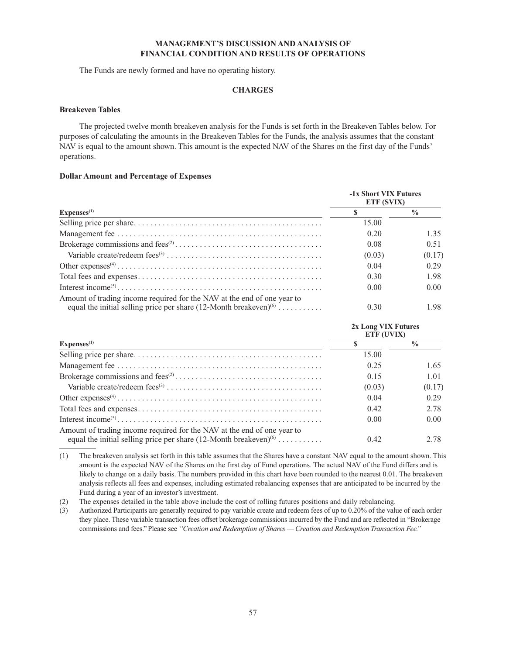# **MANAGEMENT'S DISCUSSION AND ANALYSIS OF FINANCIAL CONDITION AND RESULTS OF OPERATIONS**

The Funds are newly formed and have no operating history.

### **CHARGES**

# **Breakeven Tables**

The projected twelve month breakeven analysis for the Funds is set forth in the Breakeven Tables below. For purposes of calculating the amounts in the Breakeven Tables for the Funds, the analysis assumes that the constant NAV is equal to the amount shown. This amount is the expected NAV of the Shares on the first day of the Funds' operations.

#### **Dollar Amount and Percentage of Expenses**

|                                                                                        | -1x Short VIX Futures<br>ETF (SVIX) |               |  |
|----------------------------------------------------------------------------------------|-------------------------------------|---------------|--|
| Express <sup>(1)</sup>                                                                 |                                     | $\frac{0}{0}$ |  |
|                                                                                        | 15.00                               |               |  |
|                                                                                        | 0.20                                | 1.35          |  |
|                                                                                        | 0.08                                | 0.51          |  |
|                                                                                        | (0.03)                              | (0.17)        |  |
|                                                                                        | 0.04                                | 0.29          |  |
|                                                                                        | 0.30                                | 1.98          |  |
|                                                                                        | 0.00                                | 0.00          |  |
| Amount of trading income required for the NAV at the end of one year to                |                                     |               |  |
| equal the initial selling price per share $(12\text{-Month}$ breakeven) <sup>(6)</sup> | 0.30                                | 1.98          |  |

|                                                                                                                                                                   | 2x Long VIX Futures<br>ETF (UVIX) |               |  |
|-------------------------------------------------------------------------------------------------------------------------------------------------------------------|-----------------------------------|---------------|--|
| Express <sup>(1)</sup>                                                                                                                                            |                                   | $\frac{0}{0}$ |  |
|                                                                                                                                                                   | 15.00                             |               |  |
|                                                                                                                                                                   | 0.25                              | 1.65          |  |
|                                                                                                                                                                   | 0.15                              | 1.01          |  |
|                                                                                                                                                                   | (0.03)                            | (0.17)        |  |
|                                                                                                                                                                   | 0.04                              | 0.29          |  |
|                                                                                                                                                                   | 0.42                              | 2.78          |  |
|                                                                                                                                                                   | 0.00                              | 0.00          |  |
| Amount of trading income required for the NAV at the end of one year to<br>equal the initial selling price per share $(12\text{-Month}$ breakeven) <sup>(6)</sup> | 0.42                              | 2.78          |  |

(1) The breakeven analysis set forth in this table assumes that the Shares have a constant NAV equal to the amount shown. This amount is the expected NAV of the Shares on the first day of Fund operations. The actual NAV of the Fund differs and is likely to change on a daily basis. The numbers provided in this chart have been rounded to the nearest 0.01. The breakeven analysis reflects all fees and expenses, including estimated rebalancing expenses that are anticipated to be incurred by the Fund during a year of an investor's investment.

(2) The expenses detailed in the table above include the cost of rolling futures positions and daily rebalancing.

(3) Authorized Participants are generally required to pay variable create and redeem fees of up to 0.20% of the value of each order they place. These variable transaction fees offset brokerage commissions incurred by the Fund and are reflected in "Brokerage commissions and fees." Please see *"Creation and Redemption of Shares — Creation and Redemption Transaction Fee."*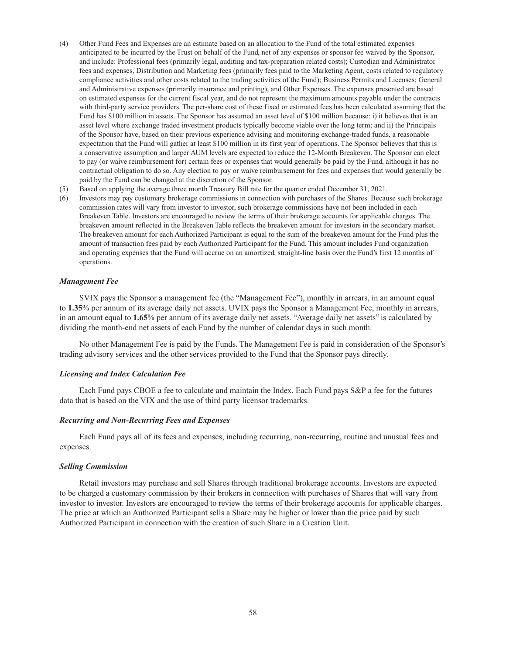- (4) Other Fund Fees and Expenses are an estimate based on an allocation to the Fund of the total estimated expenses anticipated to be incurred by the Trust on behalf of the Fund, net of any expenses or sponsor fee waived by the Sponsor, and include: Professional fees (primarily legal, auditing and tax-preparation related costs); Custodian and Administrator fees and expenses, Distribution and Marketing fees (primarily fees paid to the Marketing Agent, costs related to regulatory compliance activities and other costs related to the trading activities of the Fund); Business Permits and Licenses; General and Administrative expenses (primarily insurance and printing), and Other Expenses. The expenses presented are based on estimated expenses for the current fiscal year, and do not represent the maximum amounts payable under the contracts with third-party service providers. The per-share cost of these fixed or estimated fees has been calculated assuming that the Fund has \$100 million in assets. The Sponsor has assumed an asset level of \$100 million because: i) it believes that is an asset level where exchange traded investment products typically become viable over the long term; and ii) the Principals of the Sponsor have, based on their previous experience advising and monitoring exchange-traded funds, a reasonable expectation that the Fund will gather at least \$100 million in its first year of operations. The Sponsor believes that this is a conservative assumption and larger AUM levels are expected to reduce the 12-Month Breakeven. The Sponsor can elect to pay (or waive reimbursement for) certain fees or expenses that would generally be paid by the Fund, although it has no contractual obligation to do so. Any election to pay or waive reimbursement for fees and expenses that would generally be paid by the Fund can be changed at the discretion of the Sponsor.
- (5) Based on applying the average three month Treasury Bill rate for the quarter ended December 31, 2021.
- (6) Investors may pay customary brokerage commissions in connection with purchases of the Shares. Because such brokerage commission rates will vary from investor to investor, such brokerage commissions have not been included in each Breakeven Table. Investors are encouraged to review the terms of their brokerage accounts for applicable charges. The breakeven amount reflected in the Breakeven Table reflects the breakeven amount for investors in the secondary market. The breakeven amount for each Authorized Participant is equal to the sum of the breakeven amount for the Fund plus the amount of transaction fees paid by each Authorized Participant for the Fund. This amount includes Fund organization and operating expenses that the Fund will accrue on an amortized, straight-line basis over the Fund's first 12 months of operations.

#### *Management Fee*

SVIX pays the Sponsor a management fee (the "Management Fee"), monthly in arrears, in an amount equal to **1.35**% per annum of its average daily net assets. UVIX pays the Sponsor a Management Fee, monthly in arrears, in an amount equal to **1.65**% per annum of its average daily net assets. "Average daily net assets" is calculated by dividing the month-end net assets of each Fund by the number of calendar days in such month.

No other Management Fee is paid by the Funds. The Management Fee is paid in consideration of the Sponsor's trading advisory services and the other services provided to the Fund that the Sponsor pays directly.

#### *Licensing and Index Calculation Fee*

Each Fund pays CBOE a fee to calculate and maintain the Index. Each Fund pays S&P a fee for the futures data that is based on the VIX and the use of third party licensor trademarks.

#### *Recurring and Non-Recurring Fees and Expenses*

Each Fund pays all of its fees and expenses, including recurring, non-recurring, routine and unusual fees and expenses.

#### *Selling Commission*

Retail investors may purchase and sell Shares through traditional brokerage accounts. Investors are expected to be charged a customary commission by their brokers in connection with purchases of Shares that will vary from investor to investor. Investors are encouraged to review the terms of their brokerage accounts for applicable charges. The price at which an Authorized Participant sells a Share may be higher or lower than the price paid by such Authorized Participant in connection with the creation of such Share in a Creation Unit.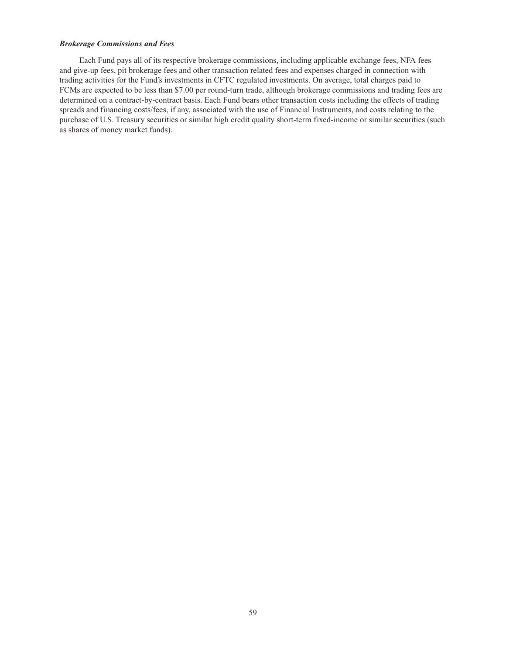## *Brokerage Commissions and Fees*

Each Fund pays all of its respective brokerage commissions, including applicable exchange fees, NFA fees and give-up fees, pit brokerage fees and other transaction related fees and expenses charged in connection with trading activities for the Fund's investments in CFTC regulated investments. On average, total charges paid to FCMs are expected to be less than \$7.00 per round-turn trade, although brokerage commissions and trading fees are determined on a contract-by-contract basis. Each Fund bears other transaction costs including the effects of trading spreads and financing costs/fees, if any, associated with the use of Financial Instruments, and costs relating to the purchase of U.S. Treasury securities or similar high credit quality short-term fixed-income or similar securities (such as shares of money market funds).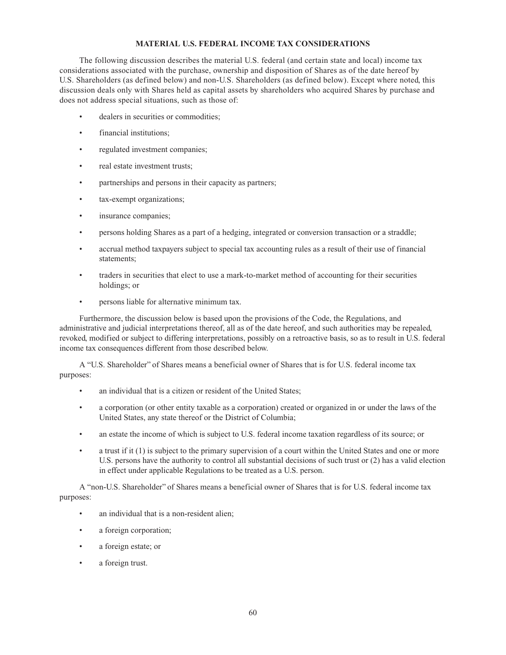## **MATERIAL U.S. FEDERAL INCOME TAX CONSIDERATIONS**

The following discussion describes the material U.S. federal (and certain state and local) income tax considerations associated with the purchase, ownership and disposition of Shares as of the date hereof by U.S. Shareholders (as defined below) and non-U.S. Shareholders (as defined below). Except where noted, this discussion deals only with Shares held as capital assets by shareholders who acquired Shares by purchase and does not address special situations, such as those of:

- dealers in securities or commodities;
- financial institutions;
- regulated investment companies;
- real estate investment trusts;
- partnerships and persons in their capacity as partners;
- tax-exempt organizations;
- insurance companies;
- persons holding Shares as a part of a hedging, integrated or conversion transaction or a straddle;
- accrual method taxpayers subject to special tax accounting rules as a result of their use of financial statements;
- traders in securities that elect to use a mark-to-market method of accounting for their securities holdings; or
- persons liable for alternative minimum tax.

Furthermore, the discussion below is based upon the provisions of the Code, the Regulations, and administrative and judicial interpretations thereof, all as of the date hereof, and such authorities may be repealed, revoked, modified or subject to differing interpretations, possibly on a retroactive basis, so as to result in U.S. federal income tax consequences different from those described below.

A "U.S. Shareholder" of Shares means a beneficial owner of Shares that is for U.S. federal income tax purposes:

- an individual that is a citizen or resident of the United States:
- a corporation (or other entity taxable as a corporation) created or organized in or under the laws of the United States, any state thereof or the District of Columbia;
- an estate the income of which is subject to U.S. federal income taxation regardless of its source; or
- a trust if it (1) is subject to the primary supervision of a court within the United States and one or more U.S. persons have the authority to control all substantial decisions of such trust or (2) has a valid election in effect under applicable Regulations to be treated as a U.S. person.

A "non-U.S. Shareholder" of Shares means a beneficial owner of Shares that is for U.S. federal income tax purposes:

- an individual that is a non-resident alien;
- a foreign corporation;
- a foreign estate; or
- a foreign trust.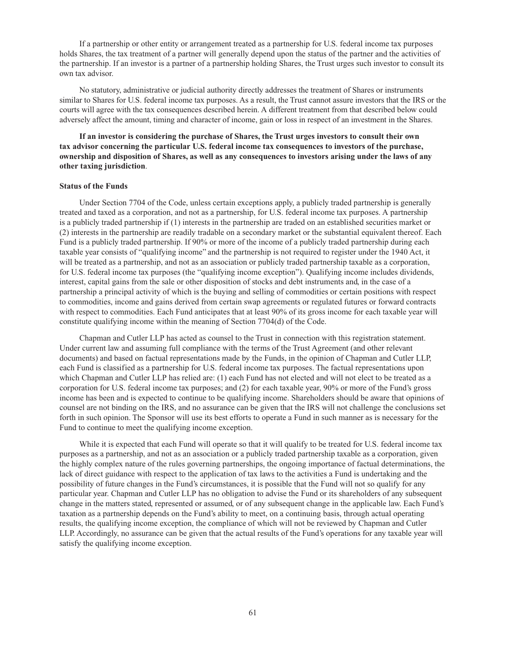If a partnership or other entity or arrangement treated as a partnership for U.S. federal income tax purposes holds Shares, the tax treatment of a partner will generally depend upon the status of the partner and the activities of the partnership. If an investor is a partner of a partnership holding Shares, the Trust urges such investor to consult its own tax advisor.

No statutory, administrative or judicial authority directly addresses the treatment of Shares or instruments similar to Shares for U.S. federal income tax purposes. As a result, the Trust cannot assure investors that the IRS or the courts will agree with the tax consequences described herein. A different treatment from that described below could adversely affect the amount, timing and character of income, gain or loss in respect of an investment in the Shares.

# **If an investor is considering the purchase of Shares, the Trust urges investors to consult their own tax advisor concerning the particular U.S. federal income tax consequences to investors of the purchase, ownership and disposition of Shares, as well as any consequences to investors arising under the laws of any other taxing jurisdiction**.

### **Status of the Funds**

Under Section 7704 of the Code, unless certain exceptions apply, a publicly traded partnership is generally treated and taxed as a corporation, and not as a partnership, for U.S. federal income tax purposes. A partnership is a publicly traded partnership if (1) interests in the partnership are traded on an established securities market or (2) interests in the partnership are readily tradable on a secondary market or the substantial equivalent thereof. Each Fund is a publicly traded partnership. If 90% or more of the income of a publicly traded partnership during each taxable year consists of "qualifying income" and the partnership is not required to register under the 1940 Act, it will be treated as a partnership, and not as an association or publicly traded partnership taxable as a corporation, for U.S. federal income tax purposes (the "qualifying income exception"). Qualifying income includes dividends, interest, capital gains from the sale or other disposition of stocks and debt instruments and, in the case of a partnership a principal activity of which is the buying and selling of commodities or certain positions with respect to commodities, income and gains derived from certain swap agreements or regulated futures or forward contracts with respect to commodities. Each Fund anticipates that at least 90% of its gross income for each taxable year will constitute qualifying income within the meaning of Section 7704(d) of the Code.

Chapman and Cutler LLP has acted as counsel to the Trust in connection with this registration statement. Under current law and assuming full compliance with the terms of the Trust Agreement (and other relevant documents) and based on factual representations made by the Funds, in the opinion of Chapman and Cutler LLP, each Fund is classified as a partnership for U.S. federal income tax purposes. The factual representations upon which Chapman and Cutler LLP has relied are: (1) each Fund has not elected and will not elect to be treated as a corporation for U.S. federal income tax purposes; and (2) for each taxable year, 90% or more of the Fund's gross income has been and is expected to continue to be qualifying income. Shareholders should be aware that opinions of counsel are not binding on the IRS, and no assurance can be given that the IRS will not challenge the conclusions set forth in such opinion. The Sponsor will use its best efforts to operate a Fund in such manner as is necessary for the Fund to continue to meet the qualifying income exception.

While it is expected that each Fund will operate so that it will qualify to be treated for U.S. federal income tax purposes as a partnership, and not as an association or a publicly traded partnership taxable as a corporation, given the highly complex nature of the rules governing partnerships, the ongoing importance of factual determinations, the lack of direct guidance with respect to the application of tax laws to the activities a Fund is undertaking and the possibility of future changes in the Fund's circumstances, it is possible that the Fund will not so qualify for any particular year. Chapman and Cutler LLP has no obligation to advise the Fund or its shareholders of any subsequent change in the matters stated, represented or assumed, or of any subsequent change in the applicable law. Each Fund's taxation as a partnership depends on the Fund's ability to meet, on a continuing basis, through actual operating results, the qualifying income exception, the compliance of which will not be reviewed by Chapman and Cutler LLP. Accordingly, no assurance can be given that the actual results of the Fund's operations for any taxable year will satisfy the qualifying income exception.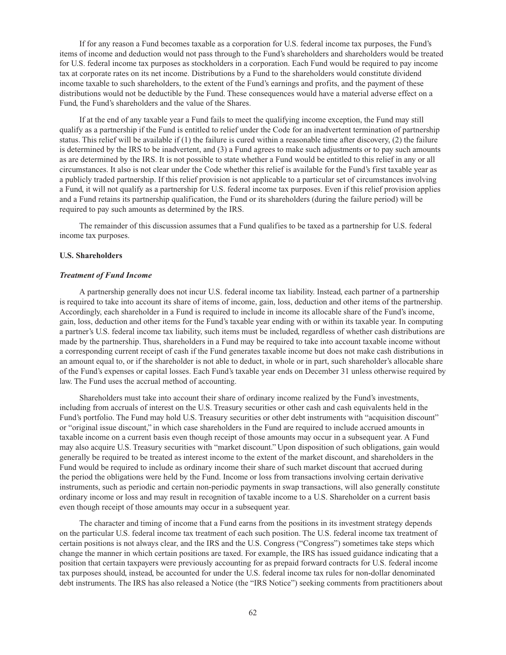If for any reason a Fund becomes taxable as a corporation for U.S. federal income tax purposes, the Fund's items of income and deduction would not pass through to the Fund's shareholders and shareholders would be treated for U.S. federal income tax purposes as stockholders in a corporation. Each Fund would be required to pay income tax at corporate rates on its net income. Distributions by a Fund to the shareholders would constitute dividend income taxable to such shareholders, to the extent of the Fund's earnings and profits, and the payment of these distributions would not be deductible by the Fund. These consequences would have a material adverse effect on a Fund, the Fund's shareholders and the value of the Shares.

If at the end of any taxable year a Fund fails to meet the qualifying income exception, the Fund may still qualify as a partnership if the Fund is entitled to relief under the Code for an inadvertent termination of partnership status. This relief will be available if  $(1)$  the failure is cured within a reasonable time after discovery,  $(2)$  the failure is determined by the IRS to be inadvertent, and (3) a Fund agrees to make such adjustments or to pay such amounts as are determined by the IRS. It is not possible to state whether a Fund would be entitled to this relief in any or all circumstances. It also is not clear under the Code whether this relief is available for the Fund's first taxable year as a publicly traded partnership. If this relief provision is not applicable to a particular set of circumstances involving a Fund, it will not qualify as a partnership for U.S. federal income tax purposes. Even if this relief provision applies and a Fund retains its partnership qualification, the Fund or its shareholders (during the failure period) will be required to pay such amounts as determined by the IRS.

The remainder of this discussion assumes that a Fund qualifies to be taxed as a partnership for U.S. federal income tax purposes.

#### **U.S. Shareholders**

#### *Treatment of Fund Income*

A partnership generally does not incur U.S. federal income tax liability. Instead, each partner of a partnership is required to take into account its share of items of income, gain, loss, deduction and other items of the partnership. Accordingly, each shareholder in a Fund is required to include in income its allocable share of the Fund's income, gain, loss, deduction and other items for the Fund's taxable year ending with or within its taxable year. In computing a partner's U.S. federal income tax liability, such items must be included, regardless of whether cash distributions are made by the partnership. Thus, shareholders in a Fund may be required to take into account taxable income without a corresponding current receipt of cash if the Fund generates taxable income but does not make cash distributions in an amount equal to, or if the shareholder is not able to deduct, in whole or in part, such shareholder's allocable share of the Fund's expenses or capital losses. Each Fund's taxable year ends on December 31 unless otherwise required by law. The Fund uses the accrual method of accounting.

Shareholders must take into account their share of ordinary income realized by the Fund's investments, including from accruals of interest on the U.S. Treasury securities or other cash and cash equivalents held in the Fund's portfolio. The Fund may hold U.S. Treasury securities or other debt instruments with "acquisition discount" or "original issue discount," in which case shareholders in the Fund are required to include accrued amounts in taxable income on a current basis even though receipt of those amounts may occur in a subsequent year. A Fund may also acquire U.S. Treasury securities with "market discount." Upon disposition of such obligations, gain would generally be required to be treated as interest income to the extent of the market discount, and shareholders in the Fund would be required to include as ordinary income their share of such market discount that accrued during the period the obligations were held by the Fund. Income or loss from transactions involving certain derivative instruments, such as periodic and certain non-periodic payments in swap transactions, will also generally constitute ordinary income or loss and may result in recognition of taxable income to a U.S. Shareholder on a current basis even though receipt of those amounts may occur in a subsequent year.

The character and timing of income that a Fund earns from the positions in its investment strategy depends on the particular U.S. federal income tax treatment of each such position. The U.S. federal income tax treatment of certain positions is not always clear, and the IRS and the U.S. Congress ("Congress") sometimes take steps which change the manner in which certain positions are taxed. For example, the IRS has issued guidance indicating that a position that certain taxpayers were previously accounting for as prepaid forward contracts for U.S. federal income tax purposes should, instead, be accounted for under the U.S. federal income tax rules for non-dollar denominated debt instruments. The IRS has also released a Notice (the "IRS Notice") seeking comments from practitioners about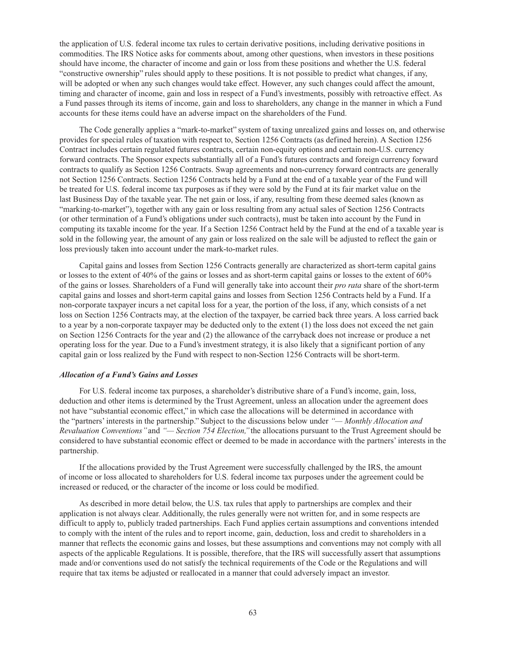the application of U.S. federal income tax rules to certain derivative positions, including derivative positions in commodities. The IRS Notice asks for comments about, among other questions, when investors in these positions should have income, the character of income and gain or loss from these positions and whether the U.S. federal "constructive ownership" rules should apply to these positions. It is not possible to predict what changes, if any, will be adopted or when any such changes would take effect. However, any such changes could affect the amount, timing and character of income, gain and loss in respect of a Fund's investments, possibly with retroactive effect. As a Fund passes through its items of income, gain and loss to shareholders, any change in the manner in which a Fund accounts for these items could have an adverse impact on the shareholders of the Fund.

The Code generally applies a "mark-to-market" system of taxing unrealized gains and losses on, and otherwise provides for special rules of taxation with respect to, Section 1256 Contracts (as defined herein). A Section 1256 Contract includes certain regulated futures contracts, certain non-equity options and certain non-U.S. currency forward contracts. The Sponsor expects substantially all of a Fund's futures contracts and foreign currency forward contracts to qualify as Section 1256 Contracts. Swap agreements and non-currency forward contracts are generally not Section 1256 Contracts. Section 1256 Contracts held by a Fund at the end of a taxable year of the Fund will be treated for U.S. federal income tax purposes as if they were sold by the Fund at its fair market value on the last Business Day of the taxable year. The net gain or loss, if any, resulting from these deemed sales (known as "marking-to-market"), together with any gain or loss resulting from any actual sales of Section 1256 Contracts (or other termination of a Fund's obligations under such contracts), must be taken into account by the Fund in computing its taxable income for the year. If a Section 1256 Contract held by the Fund at the end of a taxable year is sold in the following year, the amount of any gain or loss realized on the sale will be adjusted to reflect the gain or loss previously taken into account under the mark-to-market rules.

Capital gains and losses from Section 1256 Contracts generally are characterized as short-term capital gains or losses to the extent of 40% of the gains or losses and as short-term capital gains or losses to the extent of 60% of the gains or losses. Shareholders of a Fund will generally take into account their *pro rata* share of the short-term capital gains and losses and short-term capital gains and losses from Section 1256 Contracts held by a Fund. If a non-corporate taxpayer incurs a net capital loss for a year, the portion of the loss, if any, which consists of a net loss on Section 1256 Contracts may, at the election of the taxpayer, be carried back three years. A loss carried back to a year by a non-corporate taxpayer may be deducted only to the extent (1) the loss does not exceed the net gain on Section 1256 Contracts for the year and (2) the allowance of the carryback does not increase or produce a net operating loss for the year. Due to a Fund's investment strategy, it is also likely that a significant portion of any capital gain or loss realized by the Fund with respect to non-Section 1256 Contracts will be short-term.

### *Allocation of a Fund's Gains and Losses*

For U.S. federal income tax purposes, a shareholder's distributive share of a Fund's income, gain, loss, deduction and other items is determined by the Trust Agreement, unless an allocation under the agreement does not have "substantial economic effect," in which case the allocations will be determined in accordance with the "partners' interests in the partnership." Subject to the discussions below under *"— Monthly Allocation and Revaluation Conventions"* and *"— Section 754 Election,"* the allocations pursuant to the Trust Agreement should be considered to have substantial economic effect or deemed to be made in accordance with the partners' interests in the partnership.

If the allocations provided by the Trust Agreement were successfully challenged by the IRS, the amount of income or loss allocated to shareholders for U.S. federal income tax purposes under the agreement could be increased or reduced, or the character of the income or loss could be modified.

As described in more detail below, the U.S. tax rules that apply to partnerships are complex and their application is not always clear. Additionally, the rules generally were not written for, and in some respects are difficult to apply to, publicly traded partnerships. Each Fund applies certain assumptions and conventions intended to comply with the intent of the rules and to report income, gain, deduction, loss and credit to shareholders in a manner that reflects the economic gains and losses, but these assumptions and conventions may not comply with all aspects of the applicable Regulations. It is possible, therefore, that the IRS will successfully assert that assumptions made and/or conventions used do not satisfy the technical requirements of the Code or the Regulations and will require that tax items be adjusted or reallocated in a manner that could adversely impact an investor.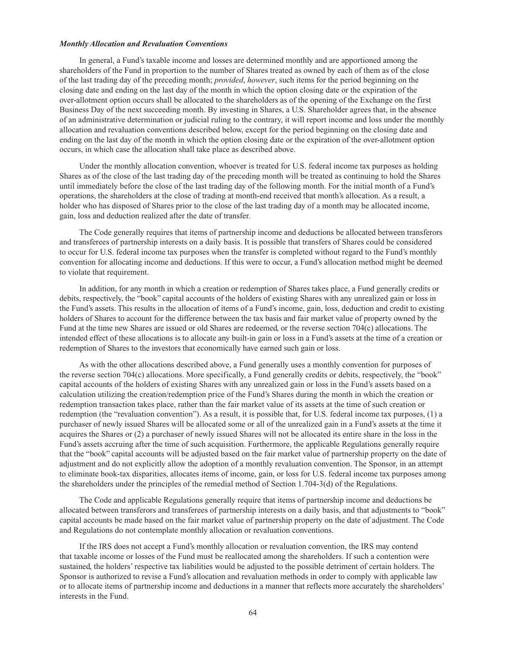### *Monthly Allocation and Revaluation Conventions*

In general, a Fund's taxable income and losses are determined monthly and are apportioned among the shareholders of the Fund in proportion to the number of Shares treated as owned by each of them as of the close of the last trading day of the preceding month; *provided*, *however*, such items for the period beginning on the closing date and ending on the last day of the month in which the option closing date or the expiration of the over-allotment option occurs shall be allocated to the shareholders as of the opening of the Exchange on the first Business Day of the next succeeding month. By investing in Shares, a U.S. Shareholder agrees that, in the absence of an administrative determination or judicial ruling to the contrary, it will report income and loss under the monthly allocation and revaluation conventions described below, except for the period beginning on the closing date and ending on the last day of the month in which the option closing date or the expiration of the over-allotment option occurs, in which case the allocation shall take place as described above.

Under the monthly allocation convention, whoever is treated for U.S. federal income tax purposes as holding Shares as of the close of the last trading day of the preceding month will be treated as continuing to hold the Shares until immediately before the close of the last trading day of the following month. For the initial month of a Fund's operations, the shareholders at the close of trading at month-end received that month's allocation. As a result, a holder who has disposed of Shares prior to the close of the last trading day of a month may be allocated income, gain, loss and deduction realized after the date of transfer.

The Code generally requires that items of partnership income and deductions be allocated between transferors and transferees of partnership interests on a daily basis. It is possible that transfers of Shares could be considered to occur for U.S. federal income tax purposes when the transfer is completed without regard to the Fund's monthly convention for allocating income and deductions. If this were to occur, a Fund's allocation method might be deemed to violate that requirement.

In addition, for any month in which a creation or redemption of Shares takes place, a Fund generally credits or debits, respectively, the "book" capital accounts of the holders of existing Shares with any unrealized gain or loss in the Fund's assets. This results in the allocation of items of a Fund's income, gain, loss, deduction and credit to existing holders of Shares to account for the difference between the tax basis and fair market value of property owned by the Fund at the time new Shares are issued or old Shares are redeemed, or the reverse section 704(c) allocations. The intended effect of these allocations is to allocate any built-in gain or loss in a Fund's assets at the time of a creation or redemption of Shares to the investors that economically have earned such gain or loss.

As with the other allocations described above, a Fund generally uses a monthly convention for purposes of the reverse section 704(c) allocations. More specifically, a Fund generally credits or debits, respectively, the "book" capital accounts of the holders of existing Shares with any unrealized gain or loss in the Fund's assets based on a calculation utilizing the creation/redemption price of the Fund's Shares during the month in which the creation or redemption transaction takes place, rather than the fair market value of its assets at the time of such creation or redemption (the "revaluation convention"). As a result, it is possible that, for U.S. federal income tax purposes, (1) a purchaser of newly issued Shares will be allocated some or all of the unrealized gain in a Fund's assets at the time it acquires the Shares or (2) a purchaser of newly issued Shares will not be allocated its entire share in the loss in the Fund's assets accruing after the time of such acquisition. Furthermore, the applicable Regulations generally require that the "book" capital accounts will be adjusted based on the fair market value of partnership property on the date of adjustment and do not explicitly allow the adoption of a monthly revaluation convention. The Sponsor, in an attempt to eliminate book-tax disparities, allocates items of income, gain, or loss for U.S. federal income tax purposes among the shareholders under the principles of the remedial method of Section 1.704-3(d) of the Regulations.

The Code and applicable Regulations generally require that items of partnership income and deductions be allocated between transferors and transferees of partnership interests on a daily basis, and that adjustments to "book" capital accounts be made based on the fair market value of partnership property on the date of adjustment. The Code and Regulations do not contemplate monthly allocation or revaluation conventions.

If the IRS does not accept a Fund's monthly allocation or revaluation convention, the IRS may contend that taxable income or losses of the Fund must be reallocated among the shareholders. If such a contention were sustained, the holders' respective tax liabilities would be adjusted to the possible detriment of certain holders. The Sponsor is authorized to revise a Fund's allocation and revaluation methods in order to comply with applicable law or to allocate items of partnership income and deductions in a manner that reflects more accurately the shareholders' interests in the Fund.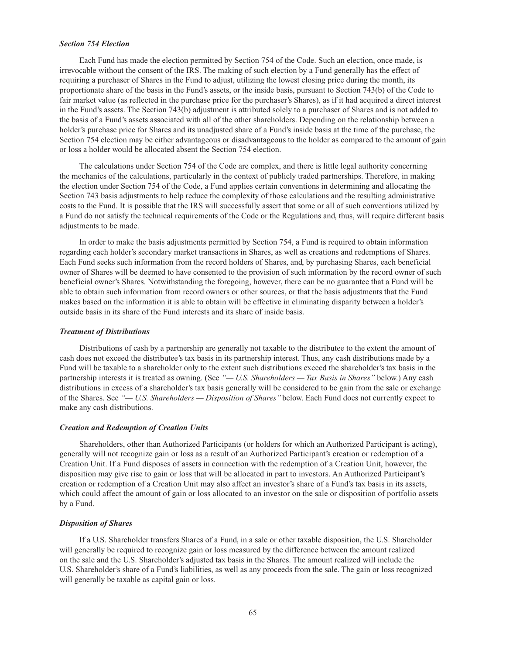### *Section 754 Election*

Each Fund has made the election permitted by Section 754 of the Code. Such an election, once made, is irrevocable without the consent of the IRS. The making of such election by a Fund generally has the effect of requiring a purchaser of Shares in the Fund to adjust, utilizing the lowest closing price during the month, its proportionate share of the basis in the Fund's assets, or the inside basis, pursuant to Section 743(b) of the Code to fair market value (as reflected in the purchase price for the purchaser's Shares), as if it had acquired a direct interest in the Fund's assets. The Section 743(b) adjustment is attributed solely to a purchaser of Shares and is not added to the basis of a Fund's assets associated with all of the other shareholders. Depending on the relationship between a holder's purchase price for Shares and its unadjusted share of a Fund's inside basis at the time of the purchase, the Section 754 election may be either advantageous or disadvantageous to the holder as compared to the amount of gain or loss a holder would be allocated absent the Section 754 election.

The calculations under Section 754 of the Code are complex, and there is little legal authority concerning the mechanics of the calculations, particularly in the context of publicly traded partnerships. Therefore, in making the election under Section 754 of the Code, a Fund applies certain conventions in determining and allocating the Section 743 basis adjustments to help reduce the complexity of those calculations and the resulting administrative costs to the Fund. It is possible that the IRS will successfully assert that some or all of such conventions utilized by a Fund do not satisfy the technical requirements of the Code or the Regulations and, thus, will require different basis adjustments to be made.

In order to make the basis adjustments permitted by Section 754, a Fund is required to obtain information regarding each holder's secondary market transactions in Shares, as well as creations and redemptions of Shares. Each Fund seeks such information from the record holders of Shares, and, by purchasing Shares, each beneficial owner of Shares will be deemed to have consented to the provision of such information by the record owner of such beneficial owner's Shares. Notwithstanding the foregoing, however, there can be no guarantee that a Fund will be able to obtain such information from record owners or other sources, or that the basis adjustments that the Fund makes based on the information it is able to obtain will be effective in eliminating disparity between a holder's outside basis in its share of the Fund interests and its share of inside basis.

#### *Treatment of Distributions*

Distributions of cash by a partnership are generally not taxable to the distributee to the extent the amount of cash does not exceed the distributee's tax basis in its partnership interest. Thus, any cash distributions made by a Fund will be taxable to a shareholder only to the extent such distributions exceed the shareholder's tax basis in the partnership interests it is treated as owning. (See *"— U.S. Shareholders — Tax Basis in Shares"* below.) Any cash distributions in excess of a shareholder's tax basis generally will be considered to be gain from the sale or exchange of the Shares. See *"— U.S. Shareholders — Disposition of Shares"* below. Each Fund does not currently expect to make any cash distributions.

### *Creation and Redemption of Creation Units*

Shareholders, other than Authorized Participants (or holders for which an Authorized Participant is acting), generally will not recognize gain or loss as a result of an Authorized Participant's creation or redemption of a Creation Unit. If a Fund disposes of assets in connection with the redemption of a Creation Unit, however, the disposition may give rise to gain or loss that will be allocated in part to investors. An Authorized Participant's creation or redemption of a Creation Unit may also affect an investor's share of a Fund's tax basis in its assets, which could affect the amount of gain or loss allocated to an investor on the sale or disposition of portfolio assets by a Fund.

#### *Disposition of Shares*

If a U.S. Shareholder transfers Shares of a Fund, in a sale or other taxable disposition, the U.S. Shareholder will generally be required to recognize gain or loss measured by the difference between the amount realized on the sale and the U.S. Shareholder's adjusted tax basis in the Shares. The amount realized will include the U.S. Shareholder's share of a Fund's liabilities, as well as any proceeds from the sale. The gain or loss recognized will generally be taxable as capital gain or loss.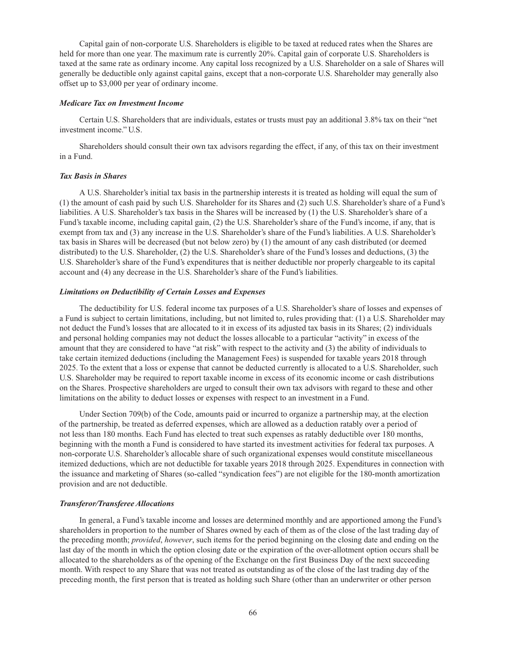Capital gain of non-corporate U.S. Shareholders is eligible to be taxed at reduced rates when the Shares are held for more than one year. The maximum rate is currently 20%. Capital gain of corporate U.S. Shareholders is taxed at the same rate as ordinary income. Any capital loss recognized by a U.S. Shareholder on a sale of Shares will generally be deductible only against capital gains, except that a non-corporate U.S. Shareholder may generally also offset up to \$3,000 per year of ordinary income.

### *Medicare Tax on Investment Income*

Certain U.S. Shareholders that are individuals, estates or trusts must pay an additional 3.8% tax on their "net investment income." U.S.

Shareholders should consult their own tax advisors regarding the effect, if any, of this tax on their investment in a Fund.

### *Tax Basis in Shares*

A U.S. Shareholder's initial tax basis in the partnership interests it is treated as holding will equal the sum of (1) the amount of cash paid by such U.S. Shareholder for its Shares and (2) such U.S. Shareholder's share of a Fund's liabilities. A U.S. Shareholder's tax basis in the Shares will be increased by (1) the U.S. Shareholder's share of a Fund's taxable income, including capital gain, (2) the U.S. Shareholder's share of the Fund's income, if any, that is exempt from tax and (3) any increase in the U.S. Shareholder's share of the Fund's liabilities. A U.S. Shareholder's tax basis in Shares will be decreased (but not below zero) by (1) the amount of any cash distributed (or deemed distributed) to the U.S. Shareholder, (2) the U.S. Shareholder's share of the Fund's losses and deductions, (3) the U.S. Shareholder's share of the Fund's expenditures that is neither deductible nor properly chargeable to its capital account and (4) any decrease in the U.S. Shareholder's share of the Fund's liabilities.

### *Limitations on Deductibility of Certain Losses and Expenses*

The deductibility for U.S. federal income tax purposes of a U.S. Shareholder's share of losses and expenses of a Fund is subject to certain limitations, including, but not limited to, rules providing that: (1) a U.S. Shareholder may not deduct the Fund's losses that are allocated to it in excess of its adjusted tax basis in its Shares; (2) individuals and personal holding companies may not deduct the losses allocable to a particular "activity" in excess of the amount that they are considered to have "at risk" with respect to the activity and (3) the ability of individuals to take certain itemized deductions (including the Management Fees) is suspended for taxable years 2018 through 2025. To the extent that a loss or expense that cannot be deducted currently is allocated to a U.S. Shareholder, such U.S. Shareholder may be required to report taxable income in excess of its economic income or cash distributions on the Shares. Prospective shareholders are urged to consult their own tax advisors with regard to these and other limitations on the ability to deduct losses or expenses with respect to an investment in a Fund.

Under Section 709(b) of the Code, amounts paid or incurred to organize a partnership may, at the election of the partnership, be treated as deferred expenses, which are allowed as a deduction ratably over a period of not less than 180 months. Each Fund has elected to treat such expenses as ratably deductible over 180 months, beginning with the month a Fund is considered to have started its investment activities for federal tax purposes. A non-corporate U.S. Shareholder's allocable share of such organizational expenses would constitute miscellaneous itemized deductions, which are not deductible for taxable years 2018 through 2025. Expenditures in connection with the issuance and marketing of Shares (so-called "syndication fees") are not eligible for the 180-month amortization provision and are not deductible.

#### *Transferor/Transferee Allocations*

In general, a Fund's taxable income and losses are determined monthly and are apportioned among the Fund's shareholders in proportion to the number of Shares owned by each of them as of the close of the last trading day of the preceding month; *provided*, *however*, such items for the period beginning on the closing date and ending on the last day of the month in which the option closing date or the expiration of the over-allotment option occurs shall be allocated to the shareholders as of the opening of the Exchange on the first Business Day of the next succeeding month. With respect to any Share that was not treated as outstanding as of the close of the last trading day of the preceding month, the first person that is treated as holding such Share (other than an underwriter or other person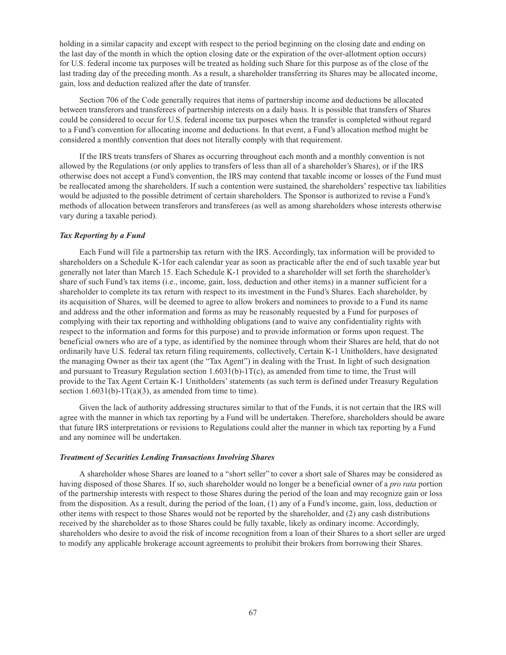holding in a similar capacity and except with respect to the period beginning on the closing date and ending on the last day of the month in which the option closing date or the expiration of the over-allotment option occurs) for U.S. federal income tax purposes will be treated as holding such Share for this purpose as of the close of the last trading day of the preceding month. As a result, a shareholder transferring its Shares may be allocated income, gain, loss and deduction realized after the date of transfer.

Section 706 of the Code generally requires that items of partnership income and deductions be allocated between transferors and transferees of partnership interests on a daily basis. It is possible that transfers of Shares could be considered to occur for U.S. federal income tax purposes when the transfer is completed without regard to a Fund's convention for allocating income and deductions. In that event, a Fund's allocation method might be considered a monthly convention that does not literally comply with that requirement.

If the IRS treats transfers of Shares as occurring throughout each month and a monthly convention is not allowed by the Regulations (or only applies to transfers of less than all of a shareholder's Shares), or if the IRS otherwise does not accept a Fund's convention, the IRS may contend that taxable income or losses of the Fund must be reallocated among the shareholders. If such a contention were sustained, the shareholders' respective tax liabilities would be adjusted to the possible detriment of certain shareholders. The Sponsor is authorized to revise a Fund's methods of allocation between transferors and transferees (as well as among shareholders whose interests otherwise vary during a taxable period).

#### *Tax Reporting by a Fund*

Each Fund will file a partnership tax return with the IRS. Accordingly, tax information will be provided to shareholders on a Schedule K-1for each calendar year as soon as practicable after the end of such taxable year but generally not later than March 15. Each Schedule K-1 provided to a shareholder will set forth the shareholder's share of such Fund's tax items (i.e., income, gain, loss, deduction and other items) in a manner sufficient for a shareholder to complete its tax return with respect to its investment in the Fund's Shares. Each shareholder, by its acquisition of Shares, will be deemed to agree to allow brokers and nominees to provide to a Fund its name and address and the other information and forms as may be reasonably requested by a Fund for purposes of complying with their tax reporting and withholding obligations (and to waive any confidentiality rights with respect to the information and forms for this purpose) and to provide information or forms upon request. The beneficial owners who are of a type, as identified by the nominee through whom their Shares are held, that do not ordinarily have U.S. federal tax return filing requirements, collectively, Certain K-1 Unitholders, have designated the managing Owner as their tax agent (the "Tax Agent") in dealing with the Trust. In light of such designation and pursuant to Treasury Regulation section 1.6031(b)-1T(c), as amended from time to time, the Trust will provide to the Tax Agent Certain K-1 Unitholders' statements (as such term is defined under Treasury Regulation section  $1.6031(b)$ -1T(a)(3), as amended from time to time).

Given the lack of authority addressing structures similar to that of the Funds, it is not certain that the IRS will agree with the manner in which tax reporting by a Fund will be undertaken. Therefore, shareholders should be aware that future IRS interpretations or revisions to Regulations could alter the manner in which tax reporting by a Fund and any nominee will be undertaken.

#### *Treatment of Securities Lending Transactions Involving Shares*

A shareholder whose Shares are loaned to a "short seller" to cover a short sale of Shares may be considered as having disposed of those Shares. If so, such shareholder would no longer be a beneficial owner of a *pro rata* portion of the partnership interests with respect to those Shares during the period of the loan and may recognize gain or loss from the disposition. As a result, during the period of the loan, (1) any of a Fund's income, gain, loss, deduction or other items with respect to those Shares would not be reported by the shareholder, and (2) any cash distributions received by the shareholder as to those Shares could be fully taxable, likely as ordinary income. Accordingly, shareholders who desire to avoid the risk of income recognition from a loan of their Shares to a short seller are urged to modify any applicable brokerage account agreements to prohibit their brokers from borrowing their Shares.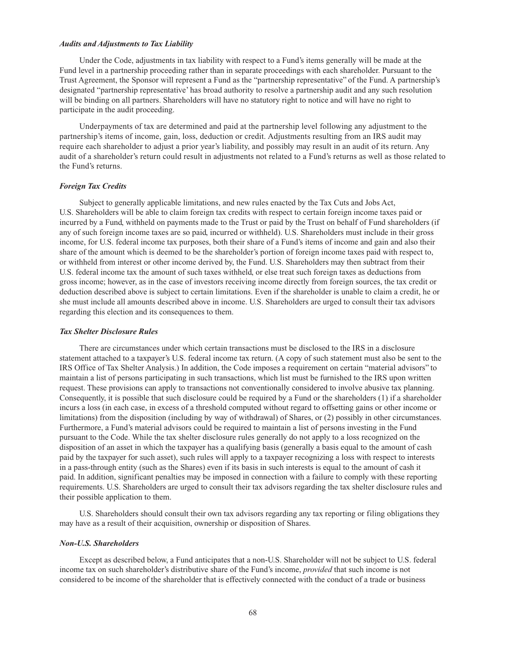### *Audits and Adjustments to Tax Liability*

Under the Code, adjustments in tax liability with respect to a Fund's items generally will be made at the Fund level in a partnership proceeding rather than in separate proceedings with each shareholder. Pursuant to the Trust Agreement, the Sponsor will represent a Fund as the "partnership representative" of the Fund. A partnership's designated "partnership representative' has broad authority to resolve a partnership audit and any such resolution will be binding on all partners. Shareholders will have no statutory right to notice and will have no right to participate in the audit proceeding.

Underpayments of tax are determined and paid at the partnership level following any adjustment to the partnership's items of income, gain, loss, deduction or credit. Adjustments resulting from an IRS audit may require each shareholder to adjust a prior year's liability, and possibly may result in an audit of its return. Any audit of a shareholder's return could result in adjustments not related to a Fund's returns as well as those related to the Fund's returns.

### *Foreign Tax Credits*

Subject to generally applicable limitations, and new rules enacted by the Tax Cuts and Jobs Act, U.S. Shareholders will be able to claim foreign tax credits with respect to certain foreign income taxes paid or incurred by a Fund, withheld on payments made to the Trust or paid by the Trust on behalf of Fund shareholders (if any of such foreign income taxes are so paid, incurred or withheld). U.S. Shareholders must include in their gross income, for U.S. federal income tax purposes, both their share of a Fund's items of income and gain and also their share of the amount which is deemed to be the shareholder's portion of foreign income taxes paid with respect to, or withheld from interest or other income derived by, the Fund. U.S. Shareholders may then subtract from their U.S. federal income tax the amount of such taxes withheld, or else treat such foreign taxes as deductions from gross income; however, as in the case of investors receiving income directly from foreign sources, the tax credit or deduction described above is subject to certain limitations. Even if the shareholder is unable to claim a credit, he or she must include all amounts described above in income. U.S. Shareholders are urged to consult their tax advisors regarding this election and its consequences to them.

#### *Tax Shelter Disclosure Rules*

There are circumstances under which certain transactions must be disclosed to the IRS in a disclosure statement attached to a taxpayer's U.S. federal income tax return. (A copy of such statement must also be sent to the IRS Office of Tax Shelter Analysis.) In addition, the Code imposes a requirement on certain "material advisors" to maintain a list of persons participating in such transactions, which list must be furnished to the IRS upon written request. These provisions can apply to transactions not conventionally considered to involve abusive tax planning. Consequently, it is possible that such disclosure could be required by a Fund or the shareholders (1) if a shareholder incurs a loss (in each case, in excess of a threshold computed without regard to offsetting gains or other income or limitations) from the disposition (including by way of withdrawal) of Shares, or (2) possibly in other circumstances. Furthermore, a Fund's material advisors could be required to maintain a list of persons investing in the Fund pursuant to the Code. While the tax shelter disclosure rules generally do not apply to a loss recognized on the disposition of an asset in which the taxpayer has a qualifying basis (generally a basis equal to the amount of cash paid by the taxpayer for such asset), such rules will apply to a taxpayer recognizing a loss with respect to interests in a pass-through entity (such as the Shares) even if its basis in such interests is equal to the amount of cash it paid. In addition, significant penalties may be imposed in connection with a failure to comply with these reporting requirements. U.S. Shareholders are urged to consult their tax advisors regarding the tax shelter disclosure rules and their possible application to them.

U.S. Shareholders should consult their own tax advisors regarding any tax reporting or filing obligations they may have as a result of their acquisition, ownership or disposition of Shares.

#### *Non-U.S. Shareholders*

Except as described below, a Fund anticipates that a non-U.S. Shareholder will not be subject to U.S. federal income tax on such shareholder's distributive share of the Fund's income, *provided* that such income is not considered to be income of the shareholder that is effectively connected with the conduct of a trade or business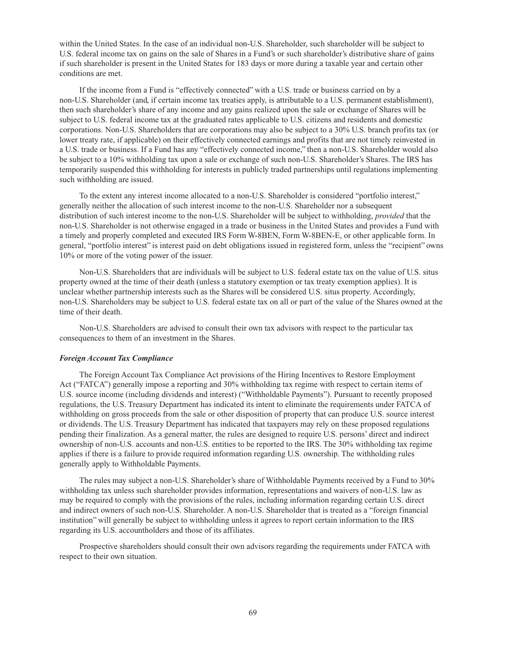within the United States. In the case of an individual non-U.S. Shareholder, such shareholder will be subject to U.S. federal income tax on gains on the sale of Shares in a Fund's or such shareholder's distributive share of gains if such shareholder is present in the United States for 183 days or more during a taxable year and certain other conditions are met.

If the income from a Fund is "effectively connected" with a U.S. trade or business carried on by a non-U.S. Shareholder (and, if certain income tax treaties apply, is attributable to a U.S. permanent establishment), then such shareholder's share of any income and any gains realized upon the sale or exchange of Shares will be subject to U.S. federal income tax at the graduated rates applicable to U.S. citizens and residents and domestic corporations. Non-U.S. Shareholders that are corporations may also be subject to a 30% U.S. branch profits tax (or lower treaty rate, if applicable) on their effectively connected earnings and profits that are not timely reinvested in a U.S. trade or business. If a Fund has any "effectively connected income," then a non-U.S. Shareholder would also be subject to a 10% withholding tax upon a sale or exchange of such non-U.S. Shareholder's Shares. The IRS has temporarily suspended this withholding for interests in publicly traded partnerships until regulations implementing such withholding are issued.

To the extent any interest income allocated to a non-U.S. Shareholder is considered "portfolio interest," generally neither the allocation of such interest income to the non-U.S. Shareholder nor a subsequent distribution of such interest income to the non-U.S. Shareholder will be subject to withholding, *provided* that the non-U.S. Shareholder is not otherwise engaged in a trade or business in the United States and provides a Fund with a timely and properly completed and executed IRS Form W-8BEN, Form W-8BEN-E, or other applicable form. In general, "portfolio interest" is interest paid on debt obligations issued in registered form, unless the "recipient" owns 10% or more of the voting power of the issuer.

Non-U.S. Shareholders that are individuals will be subject to U.S. federal estate tax on the value of U.S. situs property owned at the time of their death (unless a statutory exemption or tax treaty exemption applies). It is unclear whether partnership interests such as the Shares will be considered U.S. situs property. Accordingly, non-U.S. Shareholders may be subject to U.S. federal estate tax on all or part of the value of the Shares owned at the time of their death.

Non-U.S. Shareholders are advised to consult their own tax advisors with respect to the particular tax consequences to them of an investment in the Shares.

# *Foreign Account Tax Compliance*

The Foreign Account Tax Compliance Act provisions of the Hiring Incentives to Restore Employment Act ("FATCA") generally impose a reporting and 30% withholding tax regime with respect to certain items of U.S. source income (including dividends and interest) ("Withholdable Payments"). Pursuant to recently proposed regulations, the U.S. Treasury Department has indicated its intent to eliminate the requirements under FATCA of withholding on gross proceeds from the sale or other disposition of property that can produce U.S. source interest or dividends. The U.S. Treasury Department has indicated that taxpayers may rely on these proposed regulations pending their finalization. As a general matter, the rules are designed to require U.S. persons' direct and indirect ownership of non-U.S. accounts and non-U.S. entities to be reported to the IRS. The 30% withholding tax regime applies if there is a failure to provide required information regarding U.S. ownership. The withholding rules generally apply to Withholdable Payments.

The rules may subject a non-U.S. Shareholder's share of Withholdable Payments received by a Fund to 30% withholding tax unless such shareholder provides information, representations and waivers of non-U.S. law as may be required to comply with the provisions of the rules, including information regarding certain U.S. direct and indirect owners of such non-U.S. Shareholder. A non-U.S. Shareholder that is treated as a "foreign financial institution" will generally be subject to withholding unless it agrees to report certain information to the IRS regarding its U.S. accountholders and those of its affiliates.

Prospective shareholders should consult their own advisors regarding the requirements under FATCA with respect to their own situation.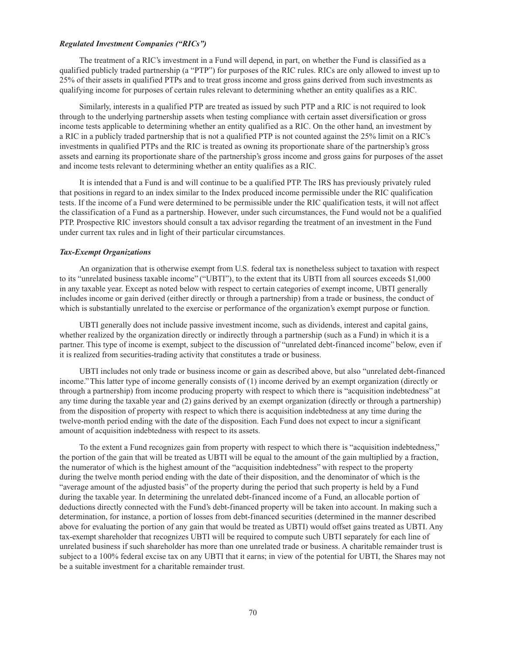### *Regulated Investment Companies ("RICs")*

The treatment of a RIC's investment in a Fund will depend, in part, on whether the Fund is classified as a qualified publicly traded partnership (a "PTP") for purposes of the RIC rules. RICs are only allowed to invest up to 25% of their assets in qualified PTPs and to treat gross income and gross gains derived from such investments as qualifying income for purposes of certain rules relevant to determining whether an entity qualifies as a RIC.

Similarly, interests in a qualified PTP are treated as issued by such PTP and a RIC is not required to look through to the underlying partnership assets when testing compliance with certain asset diversification or gross income tests applicable to determining whether an entity qualified as a RIC. On the other hand, an investment by a RIC in a publicly traded partnership that is not a qualified PTP is not counted against the 25% limit on a RIC's investments in qualified PTPs and the RIC is treated as owning its proportionate share of the partnership's gross assets and earning its proportionate share of the partnership's gross income and gross gains for purposes of the asset and income tests relevant to determining whether an entity qualifies as a RIC.

It is intended that a Fund is and will continue to be a qualified PTP. The IRS has previously privately ruled that positions in regard to an index similar to the Index produced income permissible under the RIC qualification tests. If the income of a Fund were determined to be permissible under the RIC qualification tests, it will not affect the classification of a Fund as a partnership. However, under such circumstances, the Fund would not be a qualified PTP. Prospective RIC investors should consult a tax advisor regarding the treatment of an investment in the Fund under current tax rules and in light of their particular circumstances.

#### *Tax-Exempt Organizations*

An organization that is otherwise exempt from U.S. federal tax is nonetheless subject to taxation with respect to its "unrelated business taxable income" ("UBTI"), to the extent that its UBTI from all sources exceeds \$1,000 in any taxable year. Except as noted below with respect to certain categories of exempt income, UBTI generally includes income or gain derived (either directly or through a partnership) from a trade or business, the conduct of which is substantially unrelated to the exercise or performance of the organization's exempt purpose or function.

UBTI generally does not include passive investment income, such as dividends, interest and capital gains, whether realized by the organization directly or indirectly through a partnership (such as a Fund) in which it is a partner. This type of income is exempt, subject to the discussion of "unrelated debt-financed income" below, even if it is realized from securities-trading activity that constitutes a trade or business.

UBTI includes not only trade or business income or gain as described above, but also "unrelated debt-financed income." This latter type of income generally consists of (1) income derived by an exempt organization (directly or through a partnership) from income producing property with respect to which there is "acquisition indebtedness" at any time during the taxable year and (2) gains derived by an exempt organization (directly or through a partnership) from the disposition of property with respect to which there is acquisition indebtedness at any time during the twelve-month period ending with the date of the disposition. Each Fund does not expect to incur a significant amount of acquisition indebtedness with respect to its assets.

To the extent a Fund recognizes gain from property with respect to which there is "acquisition indebtedness," the portion of the gain that will be treated as UBTI will be equal to the amount of the gain multiplied by a fraction, the numerator of which is the highest amount of the "acquisition indebtedness" with respect to the property during the twelve month period ending with the date of their disposition, and the denominator of which is the "average amount of the adjusted basis" of the property during the period that such property is held by a Fund during the taxable year. In determining the unrelated debt-financed income of a Fund, an allocable portion of deductions directly connected with the Fund's debt-financed property will be taken into account. In making such a determination, for instance, a portion of losses from debt-financed securities (determined in the manner described above for evaluating the portion of any gain that would be treated as UBTI) would offset gains treated as UBTI. Any tax-exempt shareholder that recognizes UBTI will be required to compute such UBTI separately for each line of unrelated business if such shareholder has more than one unrelated trade or business. A charitable remainder trust is subject to a 100% federal excise tax on any UBTI that it earns; in view of the potential for UBTI, the Shares may not be a suitable investment for a charitable remainder trust.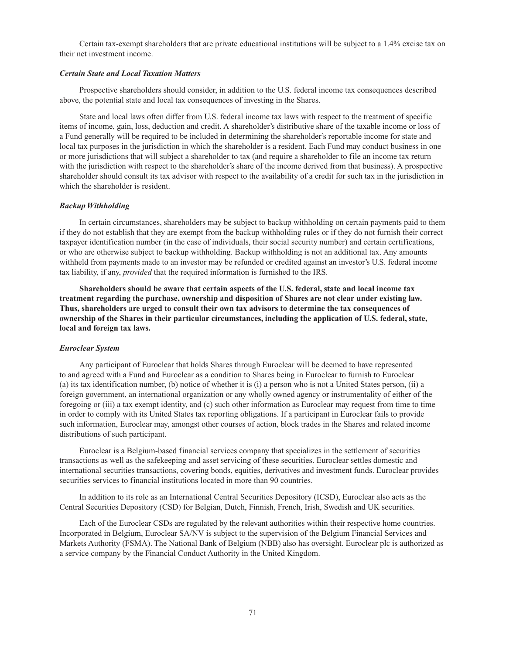Certain tax-exempt shareholders that are private educational institutions will be subject to a 1.4% excise tax on their net investment income.

### *Certain State and Local Taxation Matters*

Prospective shareholders should consider, in addition to the U.S. federal income tax consequences described above, the potential state and local tax consequences of investing in the Shares.

State and local laws often differ from U.S. federal income tax laws with respect to the treatment of specific items of income, gain, loss, deduction and credit. A shareholder's distributive share of the taxable income or loss of a Fund generally will be required to be included in determining the shareholder's reportable income for state and local tax purposes in the jurisdiction in which the shareholder is a resident. Each Fund may conduct business in one or more jurisdictions that will subject a shareholder to tax (and require a shareholder to file an income tax return with the jurisdiction with respect to the shareholder's share of the income derived from that business). A prospective shareholder should consult its tax advisor with respect to the availability of a credit for such tax in the jurisdiction in which the shareholder is resident.

### *Backup Withholding*

In certain circumstances, shareholders may be subject to backup withholding on certain payments paid to them if they do not establish that they are exempt from the backup withholding rules or if they do not furnish their correct taxpayer identification number (in the case of individuals, their social security number) and certain certifications, or who are otherwise subject to backup withholding. Backup withholding is not an additional tax. Any amounts withheld from payments made to an investor may be refunded or credited against an investor's U.S. federal income tax liability, if any, *provided* that the required information is furnished to the IRS.

**Shareholders should be aware that certain aspects of the U.S. federal, state and local income tax treatment regarding the purchase, ownership and disposition of Shares are not clear under existing law. Thus, shareholders are urged to consult their own tax advisors to determine the tax consequences of ownership of the Shares in their particular circumstances, including the application of U.S. federal, state, local and foreign tax laws.**

#### *Euroclear System*

Any participant of Euroclear that holds Shares through Euroclear will be deemed to have represented to and agreed with a Fund and Euroclear as a condition to Shares being in Euroclear to furnish to Euroclear (a) its tax identification number, (b) notice of whether it is (i) a person who is not a United States person, (ii) a foreign government, an international organization or any wholly owned agency or instrumentality of either of the foregoing or (iii) a tax exempt identity, and (c) such other information as Euroclear may request from time to time in order to comply with its United States tax reporting obligations. If a participant in Euroclear fails to provide such information, Euroclear may, amongst other courses of action, block trades in the Shares and related income distributions of such participant.

Euroclear is a Belgium-based financial services company that specializes in the settlement of securities transactions as well as the safekeeping and asset servicing of these securities. Euroclear settles domestic and international securities transactions, covering bonds, equities, derivatives and investment funds. Euroclear provides securities services to financial institutions located in more than 90 countries.

In addition to its role as an International Central Securities Depository (ICSD), Euroclear also acts as the Central Securities Depository (CSD) for Belgian, Dutch, Finnish, French, Irish, Swedish and UK securities.

Each of the Euroclear CSDs are regulated by the relevant authorities within their respective home countries. Incorporated in Belgium, Euroclear SA/NV is subject to the supervision of the Belgium Financial Services and Markets Authority (FSMA). The National Bank of Belgium (NBB) also has oversight. Euroclear plc is authorized as a service company by the Financial Conduct Authority in the United Kingdom.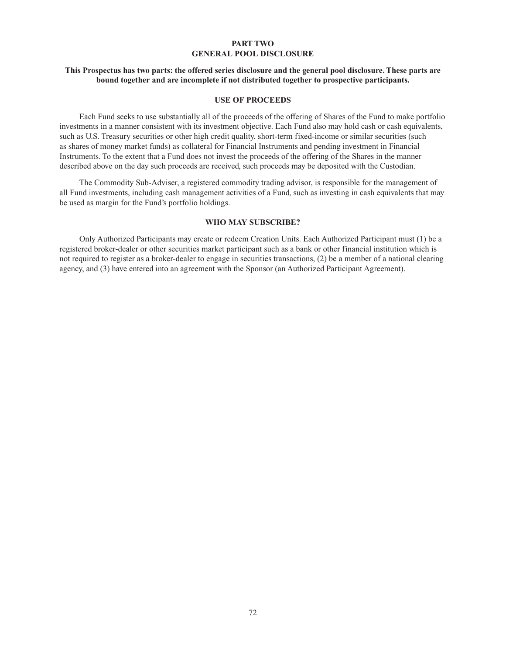# **PART TWO GENERAL POOL DISCLOSURE**

# **This Prospectus has two parts: the offered series disclosure and the general pool disclosure. These parts are bound together and are incomplete if not distributed together to prospective participants.**

# **USE OF PROCEEDS**

Each Fund seeks to use substantially all of the proceeds of the offering of Shares of the Fund to make portfolio investments in a manner consistent with its investment objective. Each Fund also may hold cash or cash equivalents, such as U.S. Treasury securities or other high credit quality, short-term fixed-income or similar securities (such as shares of money market funds) as collateral for Financial Instruments and pending investment in Financial Instruments. To the extent that a Fund does not invest the proceeds of the offering of the Shares in the manner described above on the day such proceeds are received, such proceeds may be deposited with the Custodian.

The Commodity Sub-Adviser, a registered commodity trading advisor, is responsible for the management of all Fund investments, including cash management activities of a Fund, such as investing in cash equivalents that may be used as margin for the Fund's portfolio holdings.

# **WHO MAY SUBSCRIBE?**

Only Authorized Participants may create or redeem Creation Units. Each Authorized Participant must (1) be a registered broker-dealer or other securities market participant such as a bank or other financial institution which is not required to register as a broker-dealer to engage in securities transactions, (2) be a member of a national clearing agency, and (3) have entered into an agreement with the Sponsor (an Authorized Participant Agreement).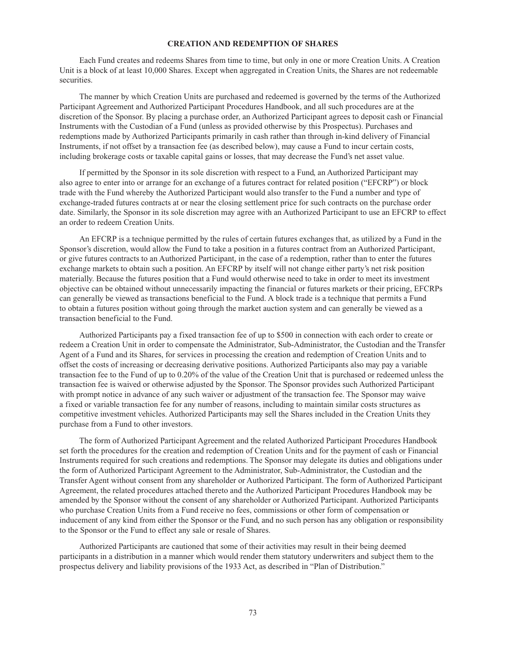### **CREATION AND REDEMPTION OF SHARES**

Each Fund creates and redeems Shares from time to time, but only in one or more Creation Units. A Creation Unit is a block of at least 10,000 Shares. Except when aggregated in Creation Units, the Shares are not redeemable securities.

The manner by which Creation Units are purchased and redeemed is governed by the terms of the Authorized Participant Agreement and Authorized Participant Procedures Handbook, and all such procedures are at the discretion of the Sponsor. By placing a purchase order, an Authorized Participant agrees to deposit cash or Financial Instruments with the Custodian of a Fund (unless as provided otherwise by this Prospectus). Purchases and redemptions made by Authorized Participants primarily in cash rather than through in-kind delivery of Financial Instruments, if not offset by a transaction fee (as described below), may cause a Fund to incur certain costs, including brokerage costs or taxable capital gains or losses, that may decrease the Fund's net asset value.

If permitted by the Sponsor in its sole discretion with respect to a Fund, an Authorized Participant may also agree to enter into or arrange for an exchange of a futures contract for related position ("EFCRP") or block trade with the Fund whereby the Authorized Participant would also transfer to the Fund a number and type of exchange-traded futures contracts at or near the closing settlement price for such contracts on the purchase order date. Similarly, the Sponsor in its sole discretion may agree with an Authorized Participant to use an EFCRP to effect an order to redeem Creation Units.

An EFCRP is a technique permitted by the rules of certain futures exchanges that, as utilized by a Fund in the Sponsor's discretion, would allow the Fund to take a position in a futures contract from an Authorized Participant, or give futures contracts to an Authorized Participant, in the case of a redemption, rather than to enter the futures exchange markets to obtain such a position. An EFCRP by itself will not change either party's net risk position materially. Because the futures position that a Fund would otherwise need to take in order to meet its investment objective can be obtained without unnecessarily impacting the financial or futures markets or their pricing, EFCRPs can generally be viewed as transactions beneficial to the Fund. A block trade is a technique that permits a Fund to obtain a futures position without going through the market auction system and can generally be viewed as a transaction beneficial to the Fund.

Authorized Participants pay a fixed transaction fee of up to \$500 in connection with each order to create or redeem a Creation Unit in order to compensate the Administrator, Sub-Administrator, the Custodian and the Transfer Agent of a Fund and its Shares, for services in processing the creation and redemption of Creation Units and to offset the costs of increasing or decreasing derivative positions. Authorized Participants also may pay a variable transaction fee to the Fund of up to 0.20% of the value of the Creation Unit that is purchased or redeemed unless the transaction fee is waived or otherwise adjusted by the Sponsor. The Sponsor provides such Authorized Participant with prompt notice in advance of any such waiver or adjustment of the transaction fee. The Sponsor may waive a fixed or variable transaction fee for any number of reasons, including to maintain similar costs structures as competitive investment vehicles. Authorized Participants may sell the Shares included in the Creation Units they purchase from a Fund to other investors.

The form of Authorized Participant Agreement and the related Authorized Participant Procedures Handbook set forth the procedures for the creation and redemption of Creation Units and for the payment of cash or Financial Instruments required for such creations and redemptions. The Sponsor may delegate its duties and obligations under the form of Authorized Participant Agreement to the Administrator, Sub-Administrator, the Custodian and the Transfer Agent without consent from any shareholder or Authorized Participant. The form of Authorized Participant Agreement, the related procedures attached thereto and the Authorized Participant Procedures Handbook may be amended by the Sponsor without the consent of any shareholder or Authorized Participant. Authorized Participants who purchase Creation Units from a Fund receive no fees, commissions or other form of compensation or inducement of any kind from either the Sponsor or the Fund, and no such person has any obligation or responsibility to the Sponsor or the Fund to effect any sale or resale of Shares.

Authorized Participants are cautioned that some of their activities may result in their being deemed participants in a distribution in a manner which would render them statutory underwriters and subject them to the prospectus delivery and liability provisions of the 1933 Act, as described in "Plan of Distribution."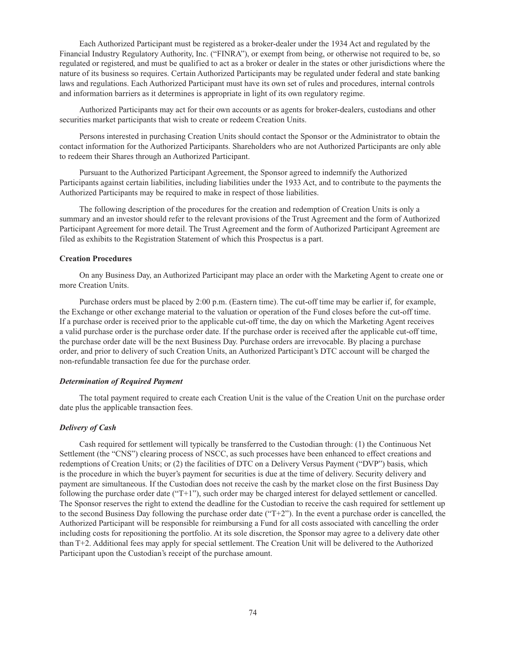Each Authorized Participant must be registered as a broker-dealer under the 1934 Act and regulated by the Financial Industry Regulatory Authority, Inc. ("FINRA"), or exempt from being, or otherwise not required to be, so regulated or registered, and must be qualified to act as a broker or dealer in the states or other jurisdictions where the nature of its business so requires. Certain Authorized Participants may be regulated under federal and state banking laws and regulations. Each Authorized Participant must have its own set of rules and procedures, internal controls and information barriers as it determines is appropriate in light of its own regulatory regime.

Authorized Participants may act for their own accounts or as agents for broker-dealers, custodians and other securities market participants that wish to create or redeem Creation Units.

Persons interested in purchasing Creation Units should contact the Sponsor or the Administrator to obtain the contact information for the Authorized Participants. Shareholders who are not Authorized Participants are only able to redeem their Shares through an Authorized Participant.

Pursuant to the Authorized Participant Agreement, the Sponsor agreed to indemnify the Authorized Participants against certain liabilities, including liabilities under the 1933 Act, and to contribute to the payments the Authorized Participants may be required to make in respect of those liabilities.

The following description of the procedures for the creation and redemption of Creation Units is only a summary and an investor should refer to the relevant provisions of the Trust Agreement and the form of Authorized Participant Agreement for more detail. The Trust Agreement and the form of Authorized Participant Agreement are filed as exhibits to the Registration Statement of which this Prospectus is a part.

# **Creation Procedures**

On any Business Day, an Authorized Participant may place an order with the Marketing Agent to create one or more Creation Units.

Purchase orders must be placed by 2:00 p.m. (Eastern time). The cut-off time may be earlier if, for example, the Exchange or other exchange material to the valuation or operation of the Fund closes before the cut-off time. If a purchase order is received prior to the applicable cut-off time, the day on which the Marketing Agent receives a valid purchase order is the purchase order date. If the purchase order is received after the applicable cut-off time, the purchase order date will be the next Business Day. Purchase orders are irrevocable. By placing a purchase order, and prior to delivery of such Creation Units, an Authorized Participant's DTC account will be charged the non-refundable transaction fee due for the purchase order.

### *Determination of Required Payment*

The total payment required to create each Creation Unit is the value of the Creation Unit on the purchase order date plus the applicable transaction fees.

# *Delivery of Cash*

Cash required for settlement will typically be transferred to the Custodian through: (1) the Continuous Net Settlement (the "CNS") clearing process of NSCC, as such processes have been enhanced to effect creations and redemptions of Creation Units; or (2) the facilities of DTC on a Delivery Versus Payment ("DVP") basis, which is the procedure in which the buyer's payment for securities is due at the time of delivery. Security delivery and payment are simultaneous. If the Custodian does not receive the cash by the market close on the first Business Day following the purchase order date ("T+1"), such order may be charged interest for delayed settlement or cancelled. The Sponsor reserves the right to extend the deadline for the Custodian to receive the cash required for settlement up to the second Business Day following the purchase order date (" $T+2$ "). In the event a purchase order is cancelled, the Authorized Participant will be responsible for reimbursing a Fund for all costs associated with cancelling the order including costs for repositioning the portfolio. At its sole discretion, the Sponsor may agree to a delivery date other than T+2. Additional fees may apply for special settlement. The Creation Unit will be delivered to the Authorized Participant upon the Custodian's receipt of the purchase amount.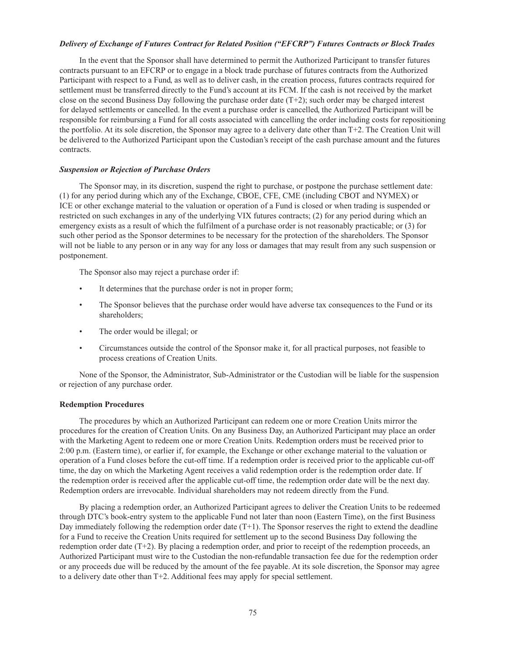### *Delivery of Exchange of Futures Contract for Related Position ("EFCRP") Futures Contracts or Block Trades*

In the event that the Sponsor shall have determined to permit the Authorized Participant to transfer futures contracts pursuant to an EFCRP or to engage in a block trade purchase of futures contracts from the Authorized Participant with respect to a Fund, as well as to deliver cash, in the creation process, futures contracts required for settlement must be transferred directly to the Fund's account at its FCM. If the cash is not received by the market close on the second Business Day following the purchase order date  $(T+2)$ ; such order may be charged interest for delayed settlements or cancelled. In the event a purchase order is cancelled, the Authorized Participant will be responsible for reimbursing a Fund for all costs associated with cancelling the order including costs for repositioning the portfolio. At its sole discretion, the Sponsor may agree to a delivery date other than T+2. The Creation Unit will be delivered to the Authorized Participant upon the Custodian's receipt of the cash purchase amount and the futures contracts.

### *Suspension or Rejection of Purchase Orders*

The Sponsor may, in its discretion, suspend the right to purchase, or postpone the purchase settlement date: (1) for any period during which any of the Exchange, CBOE, CFE, CME (including CBOT and NYMEX) or ICE or other exchange material to the valuation or operation of a Fund is closed or when trading is suspended or restricted on such exchanges in any of the underlying VIX futures contracts; (2) for any period during which an emergency exists as a result of which the fulfilment of a purchase order is not reasonably practicable; or (3) for such other period as the Sponsor determines to be necessary for the protection of the shareholders. The Sponsor will not be liable to any person or in any way for any loss or damages that may result from any such suspension or postponement.

The Sponsor also may reject a purchase order if:

- It determines that the purchase order is not in proper form;
- The Sponsor believes that the purchase order would have adverse tax consequences to the Fund or its shareholders;
- The order would be illegal; or
- Circumstances outside the control of the Sponsor make it, for all practical purposes, not feasible to process creations of Creation Units.

None of the Sponsor, the Administrator, Sub-Administrator or the Custodian will be liable for the suspension or rejection of any purchase order.

### **Redemption Procedures**

The procedures by which an Authorized Participant can redeem one or more Creation Units mirror the procedures for the creation of Creation Units. On any Business Day, an Authorized Participant may place an order with the Marketing Agent to redeem one or more Creation Units. Redemption orders must be received prior to 2:00 p.m. (Eastern time), or earlier if, for example, the Exchange or other exchange material to the valuation or operation of a Fund closes before the cut-off time. If a redemption order is received prior to the applicable cut-off time, the day on which the Marketing Agent receives a valid redemption order is the redemption order date. If the redemption order is received after the applicable cut-off time, the redemption order date will be the next day. Redemption orders are irrevocable. Individual shareholders may not redeem directly from the Fund.

By placing a redemption order, an Authorized Participant agrees to deliver the Creation Units to be redeemed through DTC's book-entry system to the applicable Fund not later than noon (Eastern Time), on the first Business Day immediately following the redemption order date (T+1). The Sponsor reserves the right to extend the deadline for a Fund to receive the Creation Units required for settlement up to the second Business Day following the redemption order date (T+2). By placing a redemption order, and prior to receipt of the redemption proceeds, an Authorized Participant must wire to the Custodian the non-refundable transaction fee due for the redemption order or any proceeds due will be reduced by the amount of the fee payable. At its sole discretion, the Sponsor may agree to a delivery date other than T+2. Additional fees may apply for special settlement.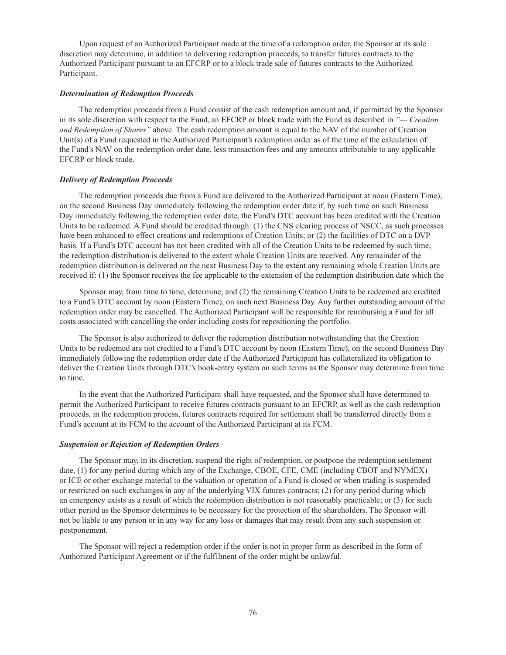Upon request of an Authorized Participant made at the time of a redemption order, the Sponsor at its sole discretion may determine, in addition to delivering redemption proceeds, to transfer futures contracts to the Authorized Participant pursuant to an EFCRP or to a block trade sale of futures contracts to the Authorized Participant.

#### *Determination of Redemption Proceeds*

The redemption proceeds from a Fund consist of the cash redemption amount and, if permitted by the Sponsor in its sole discretion with respect to the Fund, an EFCRP or block trade with the Fund as described in *"— Creation and Redemption of Shares"* above. The cash redemption amount is equal to the NAV of the number of Creation Unit(s) of a Fund requested in the Authorized Participant's redemption order as of the time of the calculation of the Fund's NAV on the redemption order date, less transaction fees and any amounts attributable to any applicable EFCRP or block trade.

### *Delivery of Redemption Proceeds*

The redemption proceeds due from a Fund are delivered to the Authorized Participant at noon (Eastern Time), on the second Business Day immediately following the redemption order date if, by such time on such Business Day immediately following the redemption order date, the Fund's DTC account has been credited with the Creation Units to be redeemed. A Fund should be credited through: (1) the CNS clearing process of NSCC, as such processes have been enhanced to effect creations and redemptions of Creation Units; or (2) the facilities of DTC on a DVP basis. If a Fund's DTC account has not been credited with all of the Creation Units to be redeemed by such time, the redemption distribution is delivered to the extent whole Creation Units are received. Any remainder of the redemption distribution is delivered on the next Business Day to the extent any remaining whole Creation Units are received if: (1) the Sponsor receives the fee applicable to the extension of the redemption distribution date which the

Sponsor may, from time to time, determine, and (2) the remaining Creation Units to be redeemed are credited to a Fund's DTC account by noon (Eastern Time), on such next Business Day. Any further outstanding amount of the redemption order may be cancelled. The Authorized Participant will be responsible for reimbursing a Fund for all costs associated with cancelling the order including costs for repositioning the portfolio.

The Sponsor is also authorized to deliver the redemption distribution notwithstanding that the Creation Units to be redeemed are not credited to a Fund's DTC account by noon (Eastern Time), on the second Business Day immediately following the redemption order date if the Authorized Participant has collateralized its obligation to deliver the Creation Units through DTC's book-entry system on such terms as the Sponsor may determine from time to time.

In the event that the Authorized Participant shall have requested, and the Sponsor shall have determined to permit the Authorized Participant to receive futures contracts pursuant to an EFCRP, as well as the cash redemption proceeds, in the redemption process, futures contracts required for settlement shall be transferred directly from a Fund's account at its FCM to the account of the Authorized Participant at its FCM.

#### *Suspension or Rejection of Redemption Orders*

The Sponsor may, in its discretion, suspend the right of redemption, or postpone the redemption settlement date, (1) for any period during which any of the Exchange, CBOE, CFE, CME (including CBOT and NYMEX) or ICE or other exchange material to the valuation or operation of a Fund is closed or when trading is suspended or restricted on such exchanges in any of the underlying VIX futures contracts; (2) for any period during which an emergency exists as a result of which the redemption distribution is not reasonably practicable; or (3) for such other period as the Sponsor determines to be necessary for the protection of the shareholders. The Sponsor will not be liable to any person or in any way for any loss or damages that may result from any such suspension or postponement.

The Sponsor will reject a redemption order if the order is not in proper form as described in the form of Authorized Participant Agreement or if the fulfilment of the order might be unlawful.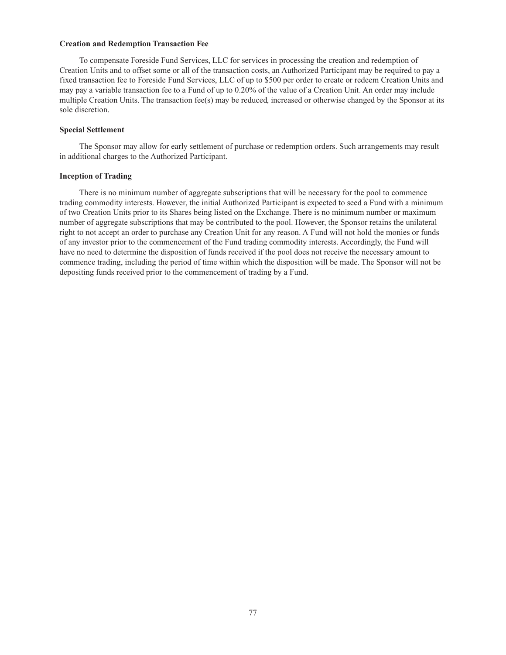### **Creation and Redemption Transaction Fee**

To compensate Foreside Fund Services, LLC for services in processing the creation and redemption of Creation Units and to offset some or all of the transaction costs, an Authorized Participant may be required to pay a fixed transaction fee to Foreside Fund Services, LLC of up to \$500 per order to create or redeem Creation Units and may pay a variable transaction fee to a Fund of up to 0.20% of the value of a Creation Unit. An order may include multiple Creation Units. The transaction fee(s) may be reduced, increased or otherwise changed by the Sponsor at its sole discretion.

# **Special Settlement**

The Sponsor may allow for early settlement of purchase or redemption orders. Such arrangements may result in additional charges to the Authorized Participant.

### **Inception of Trading**

There is no minimum number of aggregate subscriptions that will be necessary for the pool to commence trading commodity interests. However, the initial Authorized Participant is expected to seed a Fund with a minimum of two Creation Units prior to its Shares being listed on the Exchange. There is no minimum number or maximum number of aggregate subscriptions that may be contributed to the pool. However, the Sponsor retains the unilateral right to not accept an order to purchase any Creation Unit for any reason. A Fund will not hold the monies or funds of any investor prior to the commencement of the Fund trading commodity interests. Accordingly, the Fund will have no need to determine the disposition of funds received if the pool does not receive the necessary amount to commence trading, including the period of time within which the disposition will be made. The Sponsor will not be depositing funds received prior to the commencement of trading by a Fund.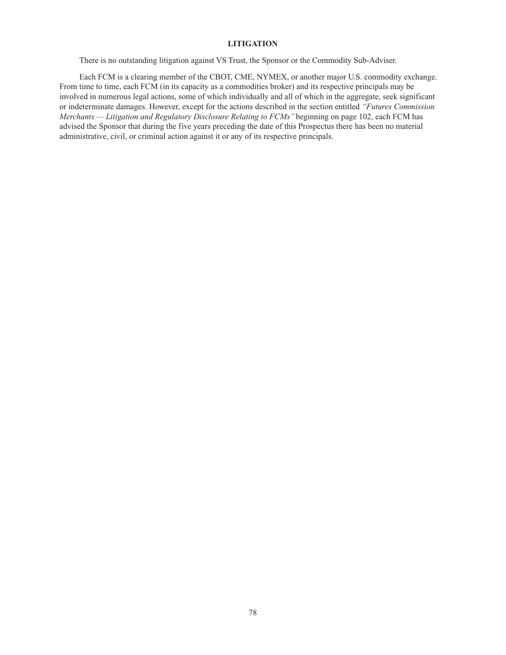# **LITIGATION**

There is no outstanding litigation against VS Trust, the Sponsor or the Commodity Sub-Adviser.

Each FCM is a clearing member of the CBOT, CME, NYMEX, or another major U.S. commodity exchange. From time to time, each FCM (in its capacity as a commodities broker) and its respective principals may be involved in numerous legal actions, some of which individually and all of which in the aggregate, seek significant or indeterminate damages. However, except for the actions described in the section entitled *"Futures Commission Merchants — Litigation and Regulatory Disclosure Relating to FCMs"* beginning on page 102, each FCM has advised the Sponsor that during the five years preceding the date of this Prospectus there has been no material administrative, civil, or criminal action against it or any of its respective principals.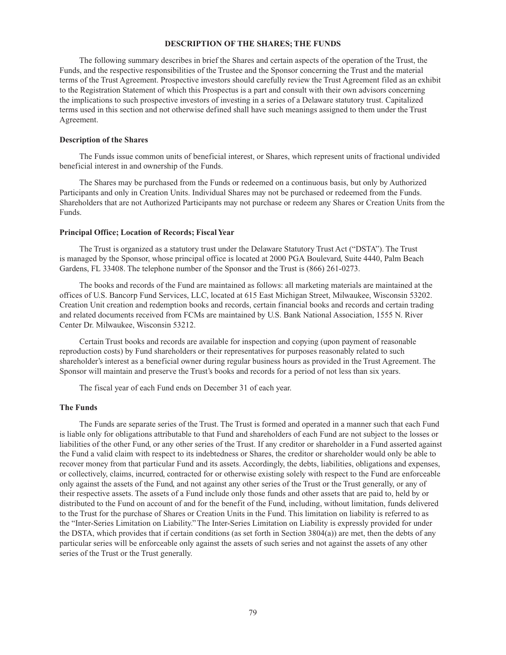### **DESCRIPTION OF THE SHARES; THE FUNDS**

The following summary describes in brief the Shares and certain aspects of the operation of the Trust, the Funds, and the respective responsibilities of the Trustee and the Sponsor concerning the Trust and the material terms of the Trust Agreement. Prospective investors should carefully review the Trust Agreement filed as an exhibit to the Registration Statement of which this Prospectus is a part and consult with their own advisors concerning the implications to such prospective investors of investing in a series of a Delaware statutory trust. Capitalized terms used in this section and not otherwise defined shall have such meanings assigned to them under the Trust Agreement.

### **Description of the Shares**

The Funds issue common units of beneficial interest, or Shares, which represent units of fractional undivided beneficial interest in and ownership of the Funds.

The Shares may be purchased from the Funds or redeemed on a continuous basis, but only by Authorized Participants and only in Creation Units. Individual Shares may not be purchased or redeemed from the Funds. Shareholders that are not Authorized Participants may not purchase or redeem any Shares or Creation Units from the Funds.

# **Principal Office; Location of Records; Fiscal Year**

The Trust is organized as a statutory trust under the Delaware Statutory Trust Act ("DSTA"). The Trust is managed by the Sponsor, whose principal office is located at 2000 PGA Boulevard, Suite 4440, Palm Beach Gardens, FL 33408. The telephone number of the Sponsor and the Trust is (866) 261-0273.

The books and records of the Fund are maintained as follows: all marketing materials are maintained at the offices of U.S. Bancorp Fund Services, LLC, located at 615 East Michigan Street, Milwaukee, Wisconsin 53202. Creation Unit creation and redemption books and records, certain financial books and records and certain trading and related documents received from FCMs are maintained by U.S. Bank National Association, 1555 N. River Center Dr. Milwaukee, Wisconsin 53212.

Certain Trust books and records are available for inspection and copying (upon payment of reasonable reproduction costs) by Fund shareholders or their representatives for purposes reasonably related to such shareholder's interest as a beneficial owner during regular business hours as provided in the Trust Agreement. The Sponsor will maintain and preserve the Trust's books and records for a period of not less than six years.

The fiscal year of each Fund ends on December 31 of each year.

#### **The Funds**

The Funds are separate series of the Trust. The Trust is formed and operated in a manner such that each Fund is liable only for obligations attributable to that Fund and shareholders of each Fund are not subject to the losses or liabilities of the other Fund, or any other series of the Trust. If any creditor or shareholder in a Fund asserted against the Fund a valid claim with respect to its indebtedness or Shares, the creditor or shareholder would only be able to recover money from that particular Fund and its assets. Accordingly, the debts, liabilities, obligations and expenses, or collectively, claims, incurred, contracted for or otherwise existing solely with respect to the Fund are enforceable only against the assets of the Fund, and not against any other series of the Trust or the Trust generally, or any of their respective assets. The assets of a Fund include only those funds and other assets that are paid to, held by or distributed to the Fund on account of and for the benefit of the Fund, including, without limitation, funds delivered to the Trust for the purchase of Shares or Creation Units in the Fund. This limitation on liability is referred to as the "Inter-Series Limitation on Liability." The Inter-Series Limitation on Liability is expressly provided for under the DSTA, which provides that if certain conditions (as set forth in Section 3804(a)) are met, then the debts of any particular series will be enforceable only against the assets of such series and not against the assets of any other series of the Trust or the Trust generally.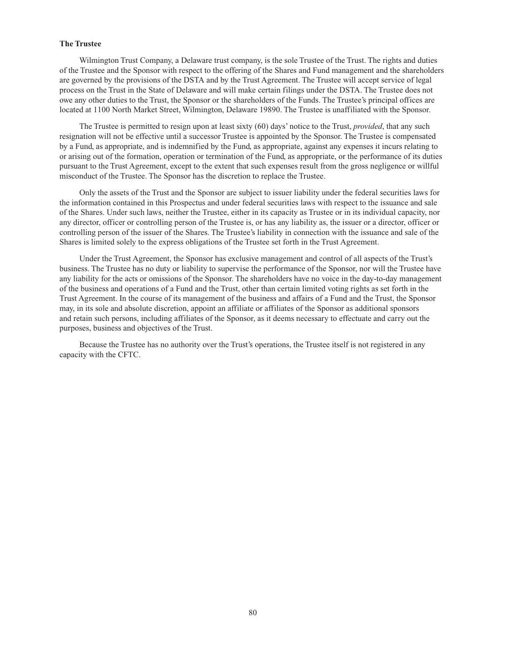### **The Trustee**

Wilmington Trust Company, a Delaware trust company, is the sole Trustee of the Trust. The rights and duties of the Trustee and the Sponsor with respect to the offering of the Shares and Fund management and the shareholders are governed by the provisions of the DSTA and by the Trust Agreement. The Trustee will accept service of legal process on the Trust in the State of Delaware and will make certain filings under the DSTA. The Trustee does not owe any other duties to the Trust, the Sponsor or the shareholders of the Funds. The Trustee's principal offices are located at 1100 North Market Street, Wilmington, Delaware 19890. The Trustee is unaffiliated with the Sponsor.

The Trustee is permitted to resign upon at least sixty (60) days' notice to the Trust, *provided*, that any such resignation will not be effective until a successor Trustee is appointed by the Sponsor. The Trustee is compensated by a Fund, as appropriate, and is indemnified by the Fund, as appropriate, against any expenses it incurs relating to or arising out of the formation, operation or termination of the Fund, as appropriate, or the performance of its duties pursuant to the Trust Agreement, except to the extent that such expenses result from the gross negligence or willful misconduct of the Trustee. The Sponsor has the discretion to replace the Trustee.

Only the assets of the Trust and the Sponsor are subject to issuer liability under the federal securities laws for the information contained in this Prospectus and under federal securities laws with respect to the issuance and sale of the Shares. Under such laws, neither the Trustee, either in its capacity as Trustee or in its individual capacity, nor any director, officer or controlling person of the Trustee is, or has any liability as, the issuer or a director, officer or controlling person of the issuer of the Shares. The Trustee's liability in connection with the issuance and sale of the Shares is limited solely to the express obligations of the Trustee set forth in the Trust Agreement.

Under the Trust Agreement, the Sponsor has exclusive management and control of all aspects of the Trust's business. The Trustee has no duty or liability to supervise the performance of the Sponsor, nor will the Trustee have any liability for the acts or omissions of the Sponsor. The shareholders have no voice in the day-to-day management of the business and operations of a Fund and the Trust, other than certain limited voting rights as set forth in the Trust Agreement. In the course of its management of the business and affairs of a Fund and the Trust, the Sponsor may, in its sole and absolute discretion, appoint an affiliate or affiliates of the Sponsor as additional sponsors and retain such persons, including affiliates of the Sponsor, as it deems necessary to effectuate and carry out the purposes, business and objectives of the Trust.

Because the Trustee has no authority over the Trust's operations, the Trustee itself is not registered in any capacity with the CFTC.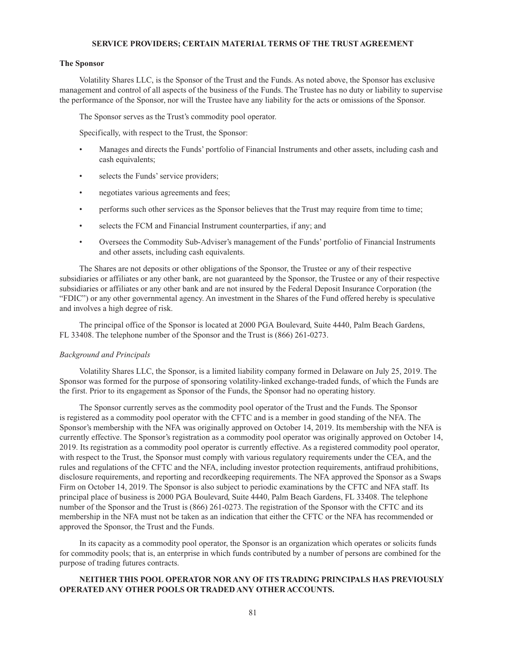### **SERVICE PROVIDERS; CERTAIN MATERIAL TERMS OF THE TRUST AGREEMENT**

### **The Sponsor**

Volatility Shares LLC, is the Sponsor of the Trust and the Funds. As noted above, the Sponsor has exclusive management and control of all aspects of the business of the Funds. The Trustee has no duty or liability to supervise the performance of the Sponsor, nor will the Trustee have any liability for the acts or omissions of the Sponsor.

The Sponsor serves as the Trust's commodity pool operator.

Specifically, with respect to the Trust, the Sponsor:

- Manages and directs the Funds' portfolio of Financial Instruments and other assets, including cash and cash equivalents;
- selects the Funds' service providers;
- negotiates various agreements and fees;
- performs such other services as the Sponsor believes that the Trust may require from time to time;
- selects the FCM and Financial Instrument counterparties, if any; and
- Oversees the Commodity Sub-Adviser's management of the Funds' portfolio of Financial Instruments and other assets, including cash equivalents.

The Shares are not deposits or other obligations of the Sponsor, the Trustee or any of their respective subsidiaries or affiliates or any other bank, are not guaranteed by the Sponsor, the Trustee or any of their respective subsidiaries or affiliates or any other bank and are not insured by the Federal Deposit Insurance Corporation (the "FDIC") or any other governmental agency. An investment in the Shares of the Fund offered hereby is speculative and involves a high degree of risk.

The principal office of the Sponsor is located at 2000 PGA Boulevard, Suite 4440, Palm Beach Gardens, FL 33408. The telephone number of the Sponsor and the Trust is (866) 261-0273.

# *Background and Principals*

Volatility Shares LLC, the Sponsor, is a limited liability company formed in Delaware on July 25, 2019. The Sponsor was formed for the purpose of sponsoring volatility-linked exchange-traded funds, of which the Funds are the first. Prior to its engagement as Sponsor of the Funds, the Sponsor had no operating history.

The Sponsor currently serves as the commodity pool operator of the Trust and the Funds. The Sponsor is registered as a commodity pool operator with the CFTC and is a member in good standing of the NFA. The Sponsor's membership with the NFA was originally approved on October 14, 2019. Its membership with the NFA is currently effective. The Sponsor's registration as a commodity pool operator was originally approved on October 14, 2019. Its registration as a commodity pool operator is currently effective. As a registered commodity pool operator, with respect to the Trust, the Sponsor must comply with various regulatory requirements under the CEA, and the rules and regulations of the CFTC and the NFA, including investor protection requirements, antifraud prohibitions, disclosure requirements, and reporting and recordkeeping requirements. The NFA approved the Sponsor as a Swaps Firm on October 14, 2019. The Sponsor is also subject to periodic examinations by the CFTC and NFA staff. Its principal place of business is 2000 PGA Boulevard, Suite 4440, Palm Beach Gardens, FL 33408. The telephone number of the Sponsor and the Trust is (866) 261-0273. The registration of the Sponsor with the CFTC and its membership in the NFA must not be taken as an indication that either the CFTC or the NFA has recommended or approved the Sponsor, the Trust and the Funds.

In its capacity as a commodity pool operator, the Sponsor is an organization which operates or solicits funds for commodity pools; that is, an enterprise in which funds contributed by a number of persons are combined for the purpose of trading futures contracts.

# **NEITHER THIS POOL OPERATOR NOR ANY OF ITS TRADING PRINCIPALS HAS PREVIOUSLY OPERATED ANY OTHER POOLS OR TRADED ANY OTHER ACCOUNTS.**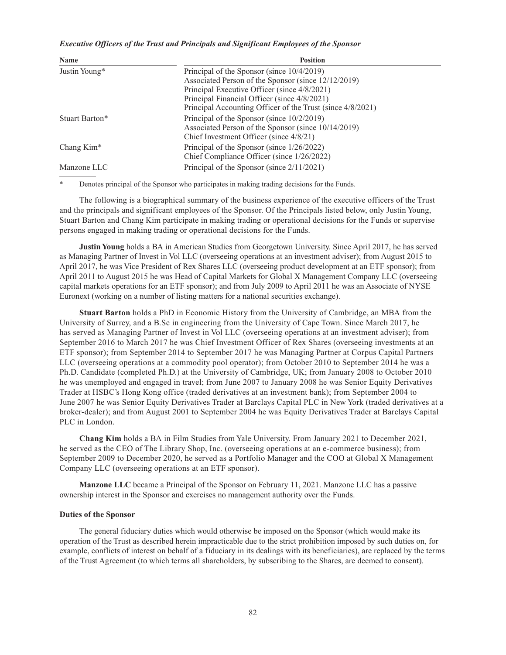### *Executive Officers of the Trust and Principals and Significant Employees of the Sponsor*

| <b>Name</b>            | <b>Position</b>                                                                                                                                 |  |
|------------------------|-------------------------------------------------------------------------------------------------------------------------------------------------|--|
| Justin Young*          | Principal of the Sponsor (since $10/4/2019$ )                                                                                                   |  |
|                        | Associated Person of the Sponsor (since 12/12/2019)                                                                                             |  |
|                        | Principal Executive Officer (since 4/8/2021)                                                                                                    |  |
|                        | Principal Financial Officer (since 4/8/2021)                                                                                                    |  |
|                        | Principal Accounting Officer of the Trust (since 4/8/2021)                                                                                      |  |
| Stuart Barton*         | Principal of the Sponsor (since 10/2/2019)<br>Associated Person of the Sponsor (since 10/14/2019)<br>Chief Investment Officer (since $4/8/21$ ) |  |
| Chang Kim <sup>*</sup> | Principal of the Sponsor (since 1/26/2022)<br>Chief Compliance Officer (since 1/26/2022)                                                        |  |
| Manzone LLC            | Principal of the Sponsor (since $2/11/2021$ )                                                                                                   |  |

Denotes principal of the Sponsor who participates in making trading decisions for the Funds.

The following is a biographical summary of the business experience of the executive officers of the Trust and the principals and significant employees of the Sponsor. Of the Principals listed below, only Justin Young, Stuart Barton and Chang Kim participate in making trading or operational decisions for the Funds or supervise persons engaged in making trading or operational decisions for the Funds.

**Justin Young** holds a BA in American Studies from Georgetown University. Since April 2017, he has served as Managing Partner of Invest in Vol LLC (overseeing operations at an investment adviser); from August 2015 to April 2017, he was Vice President of Rex Shares LLC (overseeing product development at an ETF sponsor); from April 2011 to August 2015 he was Head of Capital Markets for Global X Management Company LLC (overseeing capital markets operations for an ETF sponsor); and from July 2009 to April 2011 he was an Associate of NYSE Euronext (working on a number of listing matters for a national securities exchange).

**Stuart Barton** holds a PhD in Economic History from the University of Cambridge, an MBA from the University of Surrey, and a B.Sc in engineering from the University of Cape Town. Since March 2017, he has served as Managing Partner of Invest in Vol LLC (overseeing operations at an investment adviser); from September 2016 to March 2017 he was Chief Investment Officer of Rex Shares (overseeing investments at an ETF sponsor); from September 2014 to September 2017 he was Managing Partner at Corpus Capital Partners LLC (overseeing operations at a commodity pool operator); from October 2010 to September 2014 he was a Ph.D. Candidate (completed Ph.D.) at the University of Cambridge, UK; from January 2008 to October 2010 he was unemployed and engaged in travel; from June 2007 to January 2008 he was Senior Equity Derivatives Trader at HSBC's Hong Kong office (traded derivatives at an investment bank); from September 2004 to June 2007 he was Senior Equity Derivatives Trader at Barclays Capital PLC in New York (traded derivatives at a broker-dealer); and from August 2001 to September 2004 he was Equity Derivatives Trader at Barclays Capital PLC in London.

**Chang Kim** holds a BA in Film Studies from Yale University. From January 2021 to December 2021, he served as the CEO of The Library Shop, Inc. (overseeing operations at an e-commerce business); from September 2009 to December 2020, he served as a Portfolio Manager and the COO at Global X Management Company LLC (overseeing operations at an ETF sponsor).

**Manzone LLC** became a Principal of the Sponsor on February 11, 2021. Manzone LLC has a passive ownership interest in the Sponsor and exercises no management authority over the Funds.

#### **Duties of the Sponsor**

The general fiduciary duties which would otherwise be imposed on the Sponsor (which would make its operation of the Trust as described herein impracticable due to the strict prohibition imposed by such duties on, for example, conflicts of interest on behalf of a fiduciary in its dealings with its beneficiaries), are replaced by the terms of the Trust Agreement (to which terms all shareholders, by subscribing to the Shares, are deemed to consent).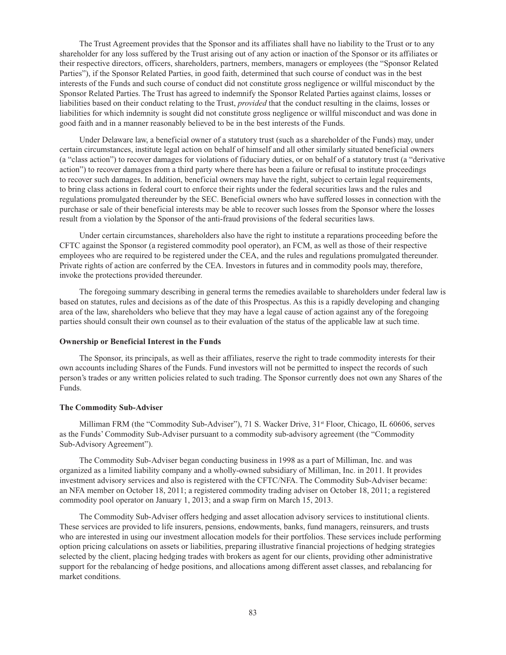The Trust Agreement provides that the Sponsor and its affiliates shall have no liability to the Trust or to any shareholder for any loss suffered by the Trust arising out of any action or inaction of the Sponsor or its affiliates or their respective directors, officers, shareholders, partners, members, managers or employees (the "Sponsor Related Parties"), if the Sponsor Related Parties, in good faith, determined that such course of conduct was in the best interests of the Funds and such course of conduct did not constitute gross negligence or willful misconduct by the Sponsor Related Parties. The Trust has agreed to indemnify the Sponsor Related Parties against claims, losses or liabilities based on their conduct relating to the Trust, *provided* that the conduct resulting in the claims, losses or liabilities for which indemnity is sought did not constitute gross negligence or willful misconduct and was done in good faith and in a manner reasonably believed to be in the best interests of the Funds.

Under Delaware law, a beneficial owner of a statutory trust (such as a shareholder of the Funds) may, under certain circumstances, institute legal action on behalf of himself and all other similarly situated beneficial owners (a "class action") to recover damages for violations of fiduciary duties, or on behalf of a statutory trust (a "derivative action") to recover damages from a third party where there has been a failure or refusal to institute proceedings to recover such damages. In addition, beneficial owners may have the right, subject to certain legal requirements, to bring class actions in federal court to enforce their rights under the federal securities laws and the rules and regulations promulgated thereunder by the SEC. Beneficial owners who have suffered losses in connection with the purchase or sale of their beneficial interests may be able to recover such losses from the Sponsor where the losses result from a violation by the Sponsor of the anti-fraud provisions of the federal securities laws.

Under certain circumstances, shareholders also have the right to institute a reparations proceeding before the CFTC against the Sponsor (a registered commodity pool operator), an FCM, as well as those of their respective employees who are required to be registered under the CEA, and the rules and regulations promulgated thereunder. Private rights of action are conferred by the CEA. Investors in futures and in commodity pools may, therefore, invoke the protections provided thereunder.

The foregoing summary describing in general terms the remedies available to shareholders under federal law is based on statutes, rules and decisions as of the date of this Prospectus. As this is a rapidly developing and changing area of the law, shareholders who believe that they may have a legal cause of action against any of the foregoing parties should consult their own counsel as to their evaluation of the status of the applicable law at such time.

#### **Ownership or Beneficial Interest in the Funds**

The Sponsor, its principals, as well as their affiliates, reserve the right to trade commodity interests for their own accounts including Shares of the Funds. Fund investors will not be permitted to inspect the records of such person's trades or any written policies related to such trading. The Sponsor currently does not own any Shares of the Funds.

### **The Commodity Sub-Adviser**

Milliman FRM (the "Commodity Sub-Adviser"), 71 S. Wacker Drive, 31<sup>st</sup> Floor, Chicago, IL 60606, serves as the Funds' Commodity Sub-Adviser pursuant to a commodity sub-advisory agreement (the "Commodity Sub-Advisory Agreement").

The Commodity Sub-Adviser began conducting business in 1998 as a part of Milliman, Inc. and was organized as a limited liability company and a wholly-owned subsidiary of Milliman, Inc. in 2011. It provides investment advisory services and also is registered with the CFTC/NFA. The Commodity Sub-Adviser became: an NFA member on October 18, 2011; a registered commodity trading adviser on October 18, 2011; a registered commodity pool operator on January 1, 2013; and a swap firm on March 15, 2013.

The Commodity Sub-Adviser offers hedging and asset allocation advisory services to institutional clients. These services are provided to life insurers, pensions, endowments, banks, fund managers, reinsurers, and trusts who are interested in using our investment allocation models for their portfolios. These services include performing option pricing calculations on assets or liabilities, preparing illustrative financial projections of hedging strategies selected by the client, placing hedging trades with brokers as agent for our clients, providing other administrative support for the rebalancing of hedge positions, and allocations among different asset classes, and rebalancing for market conditions.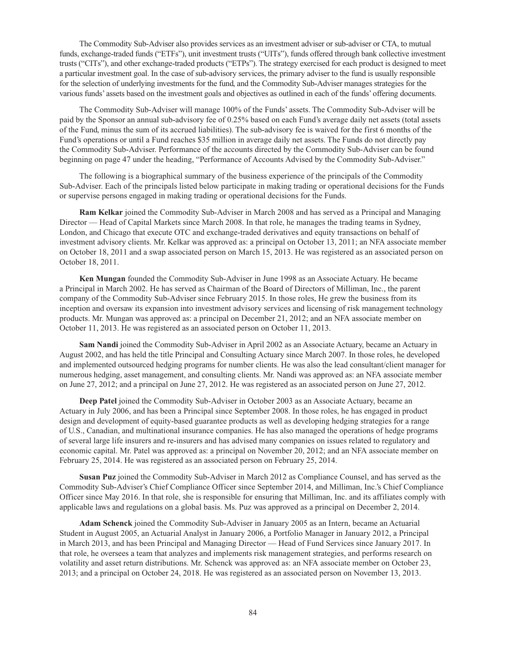The Commodity Sub-Adviser also provides services as an investment adviser or sub-adviser or CTA, to mutual funds, exchange-traded funds ("ETFs"), unit investment trusts ("UITs"), funds offered through bank collective investment trusts ("CITs"), and other exchange-traded products ("ETPs"). The strategy exercised for each product is designed to meet a particular investment goal. In the case of sub-advisory services, the primary adviser to the fund is usually responsible for the selection of underlying investments for the fund, and the Commodity Sub-Adviser manages strategies for the various funds' assets based on the investment goals and objectives as outlined in each of the funds' offering documents.

The Commodity Sub-Adviser will manage 100% of the Funds' assets. The Commodity Sub-Adviser will be paid by the Sponsor an annual sub-advisory fee of 0.25% based on each Fund's average daily net assets (total assets of the Fund, minus the sum of its accrued liabilities). The sub-advisory fee is waived for the first 6 months of the Fund's operations or until a Fund reaches \$35 million in average daily net assets. The Funds do not directly pay the Commodity Sub-Adviser. Performance of the accounts directed by the Commodity Sub-Adviser can be found beginning on page 47 under the heading, "Performance of Accounts Advised by the Commodity Sub-Adviser."

The following is a biographical summary of the business experience of the principals of the Commodity Sub-Adviser. Each of the principals listed below participate in making trading or operational decisions for the Funds or supervise persons engaged in making trading or operational decisions for the Funds.

**Ram Kelkar** joined the Commodity Sub-Adviser in March 2008 and has served as a Principal and Managing Director — Head of Capital Markets since March 2008. In that role, he manages the trading teams in Sydney, London, and Chicago that execute OTC and exchange-traded derivatives and equity transactions on behalf of investment advisory clients. Mr. Kelkar was approved as: a principal on October 13, 2011; an NFA associate member on October 18, 2011 and a swap associated person on March 15, 2013. He was registered as an associated person on October 18, 2011.

**Ken Mungan** founded the Commodity Sub-Adviser in June 1998 as an Associate Actuary. He became a Principal in March 2002. He has served as Chairman of the Board of Directors of Milliman, Inc., the parent company of the Commodity Sub-Adviser since February 2015. In those roles, He grew the business from its inception and oversaw its expansion into investment advisory services and licensing of risk management technology products. Mr. Mungan was approved as: a principal on December 21, 2012; and an NFA associate member on October 11, 2013. He was registered as an associated person on October 11, 2013.

**Sam Nandi** joined the Commodity Sub-Adviser in April 2002 as an Associate Actuary, became an Actuary in August 2002, and has held the title Principal and Consulting Actuary since March 2007. In those roles, he developed and implemented outsourced hedging programs for number clients. He was also the lead consultant/client manager for numerous hedging, asset management, and consulting clients. Mr. Nandi was approved as: an NFA associate member on June 27, 2012; and a principal on June 27, 2012. He was registered as an associated person on June 27, 2012.

**Deep Patel** joined the Commodity Sub-Adviser in October 2003 as an Associate Actuary, became an Actuary in July 2006, and has been a Principal since September 2008. In those roles, he has engaged in product design and development of equity-based guarantee products as well as developing hedging strategies for a range of U.S., Canadian, and multinational insurance companies. He has also managed the operations of hedge programs of several large life insurers and re-insurers and has advised many companies on issues related to regulatory and economic capital. Mr. Patel was approved as: a principal on November 20, 2012; and an NFA associate member on February 25, 2014. He was registered as an associated person on February 25, 2014.

**Susan Puz** joined the Commodity Sub-Adviser in March 2012 as Compliance Counsel, and has served as the Commodity Sub-Adviser's Chief Compliance Officer since September 2014, and Milliman, Inc.'s Chief Compliance Officer since May 2016. In that role, she is responsible for ensuring that Milliman, Inc. and its affiliates comply with applicable laws and regulations on a global basis. Ms. Puz was approved as a principal on December 2, 2014.

**Adam Schenck** joined the Commodity Sub-Adviser in January 2005 as an Intern, became an Actuarial Student in August 2005, an Actuarial Analyst in January 2006, a Portfolio Manager in January 2012, a Principal in March 2013, and has been Principal and Managing Director — Head of Fund Services since January 2017. In that role, he oversees a team that analyzes and implements risk management strategies, and performs research on volatility and asset return distributions. Mr. Schenck was approved as: an NFA associate member on October 23, 2013; and a principal on October 24, 2018. He was registered as an associated person on November 13, 2013.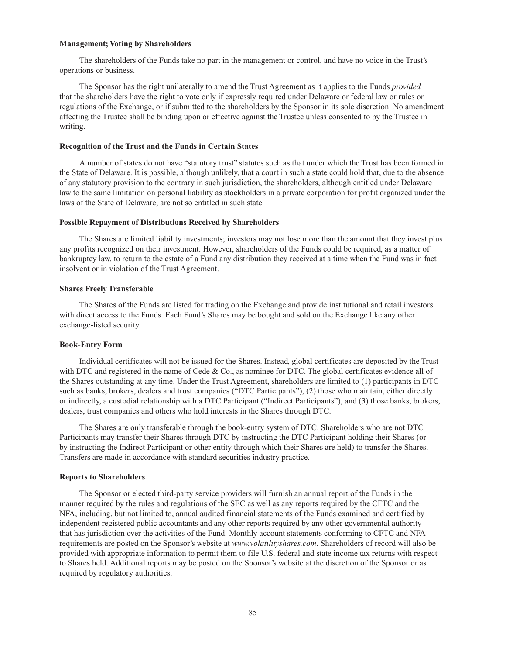### **Management; Voting by Shareholders**

The shareholders of the Funds take no part in the management or control, and have no voice in the Trust's operations or business.

The Sponsor has the right unilaterally to amend the Trust Agreement as it applies to the Funds *provided* that the shareholders have the right to vote only if expressly required under Delaware or federal law or rules or regulations of the Exchange, or if submitted to the shareholders by the Sponsor in its sole discretion. No amendment affecting the Trustee shall be binding upon or effective against the Trustee unless consented to by the Trustee in writing.

### **Recognition of the Trust and the Funds in Certain States**

A number of states do not have "statutory trust" statutes such as that under which the Trust has been formed in the State of Delaware. It is possible, although unlikely, that a court in such a state could hold that, due to the absence of any statutory provision to the contrary in such jurisdiction, the shareholders, although entitled under Delaware law to the same limitation on personal liability as stockholders in a private corporation for profit organized under the laws of the State of Delaware, are not so entitled in such state.

#### **Possible Repayment of Distributions Received by Shareholders**

The Shares are limited liability investments; investors may not lose more than the amount that they invest plus any profits recognized on their investment. However, shareholders of the Funds could be required, as a matter of bankruptcy law, to return to the estate of a Fund any distribution they received at a time when the Fund was in fact insolvent or in violation of the Trust Agreement.

### **Shares Freely Transferable**

The Shares of the Funds are listed for trading on the Exchange and provide institutional and retail investors with direct access to the Funds. Each Fund's Shares may be bought and sold on the Exchange like any other exchange-listed security.

### **Book-Entry Form**

Individual certificates will not be issued for the Shares. Instead, global certificates are deposited by the Trust with DTC and registered in the name of Cede & Co., as nominee for DTC. The global certificates evidence all of the Shares outstanding at any time. Under the Trust Agreement, shareholders are limited to (1) participants in DTC such as banks, brokers, dealers and trust companies ("DTC Participants"), (2) those who maintain, either directly or indirectly, a custodial relationship with a DTC Participant ("Indirect Participants"), and (3) those banks, brokers, dealers, trust companies and others who hold interests in the Shares through DTC.

The Shares are only transferable through the book-entry system of DTC. Shareholders who are not DTC Participants may transfer their Shares through DTC by instructing the DTC Participant holding their Shares (or by instructing the Indirect Participant or other entity through which their Shares are held) to transfer the Shares. Transfers are made in accordance with standard securities industry practice.

# **Reports to Shareholders**

The Sponsor or elected third-party service providers will furnish an annual report of the Funds in the manner required by the rules and regulations of the SEC as well as any reports required by the CFTC and the NFA, including, but not limited to, annual audited financial statements of the Funds examined and certified by independent registered public accountants and any other reports required by any other governmental authority that has jurisdiction over the activities of the Fund. Monthly account statements conforming to CFTC and NFA requirements are posted on the Sponsor's website at *www.volatilityshares.com*. Shareholders of record will also be provided with appropriate information to permit them to file U.S. federal and state income tax returns with respect to Shares held. Additional reports may be posted on the Sponsor's website at the discretion of the Sponsor or as required by regulatory authorities.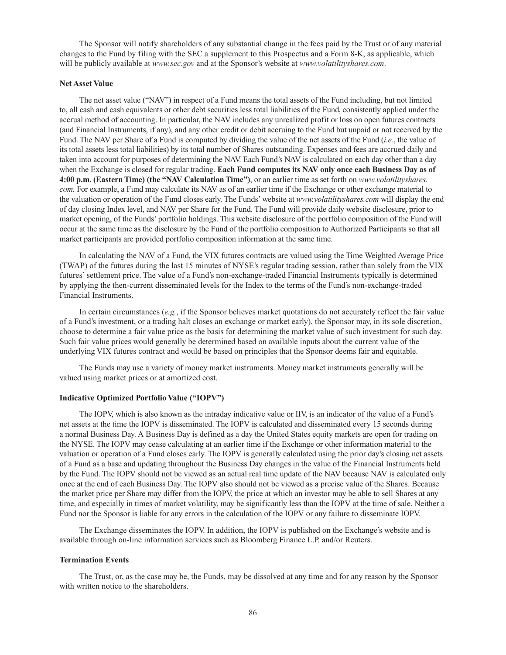The Sponsor will notify shareholders of any substantial change in the fees paid by the Trust or of any material changes to the Fund by filing with the SEC a supplement to this Prospectus and a Form 8-K, as applicable, which will be publicly available at *www.sec.gov* and at the Sponsor's website at *www.volatilityshares.com*.

### **Net Asset Value**

The net asset value ("NAV") in respect of a Fund means the total assets of the Fund including, but not limited to, all cash and cash equivalents or other debt securities less total liabilities of the Fund, consistently applied under the accrual method of accounting. In particular, the NAV includes any unrealized profit or loss on open futures contracts (and Financial Instruments, if any), and any other credit or debit accruing to the Fund but unpaid or not received by the Fund. The NAV per Share of a Fund is computed by dividing the value of the net assets of the Fund (*i.e.*, the value of its total assets less total liabilities) by its total number of Shares outstanding. Expenses and fees are accrued daily and taken into account for purposes of determining the NAV. Each Fund's NAV is calculated on each day other than a day when the Exchange is closed for regular trading. **Each Fund computes its NAV only once each Business Day as of 4:00 p.m. (Eastern Time) (the "NAV Calculation Time")**, or an earlier time as set forth on *www.volatilityshares. com.* For example, a Fund may calculate its NAV as of an earlier time if the Exchange or other exchange material to the valuation or operation of the Fund closes early. The Funds' website at *www.volatilityshares.com* will display the end of day closing Index level, and NAV per Share for the Fund. The Fund will provide daily website disclosure, prior to market opening, of the Funds' portfolio holdings. This website disclosure of the portfolio composition of the Fund will occur at the same time as the disclosure by the Fund of the portfolio composition to Authorized Participants so that all market participants are provided portfolio composition information at the same time.

In calculating the NAV of a Fund, the VIX futures contracts are valued using the Time Weighted Average Price (TWAP) of the futures during the last 15 minutes of NYSE's regular trading session, rather than solely from the VIX futures' settlement price. The value of a Fund's non-exchange-traded Financial Instruments typically is determined by applying the then-current disseminated levels for the Index to the terms of the Fund's non-exchange-traded Financial Instruments.

In certain circumstances (*e.g.*, if the Sponsor believes market quotations do not accurately reflect the fair value of a Fund's investment, or a trading halt closes an exchange or market early), the Sponsor may, in its sole discretion, choose to determine a fair value price as the basis for determining the market value of such investment for such day. Such fair value prices would generally be determined based on available inputs about the current value of the underlying VIX futures contract and would be based on principles that the Sponsor deems fair and equitable.

The Funds may use a variety of money market instruments. Money market instruments generally will be valued using market prices or at amortized cost.

#### **Indicative Optimized Portfolio Value ("IOPV")**

The IOPV, which is also known as the intraday indicative value or IIV, is an indicator of the value of a Fund's net assets at the time the IOPV is disseminated. The IOPV is calculated and disseminated every 15 seconds during a normal Business Day. A Business Day is defined as a day the United States equity markets are open for trading on the NYSE. The IOPV may cease calculating at an earlier time if the Exchange or other information material to the valuation or operation of a Fund closes early. The IOPV is generally calculated using the prior day's closing net assets of a Fund as a base and updating throughout the Business Day changes in the value of the Financial Instruments held by the Fund. The IOPV should not be viewed as an actual real time update of the NAV because NAV is calculated only once at the end of each Business Day. The IOPV also should not be viewed as a precise value of the Shares. Because the market price per Share may differ from the IOPV, the price at which an investor may be able to sell Shares at any time, and especially in times of market volatility, may be significantly less than the IOPV at the time of sale. Neither a Fund nor the Sponsor is liable for any errors in the calculation of the IOPV or any failure to disseminate IOPV.

The Exchange disseminates the IOPV. In addition, the IOPV is published on the Exchange's website and is available through on-line information services such as Bloomberg Finance L.P. and/or Reuters.

### **Termination Events**

The Trust, or, as the case may be, the Funds, may be dissolved at any time and for any reason by the Sponsor with written notice to the shareholders.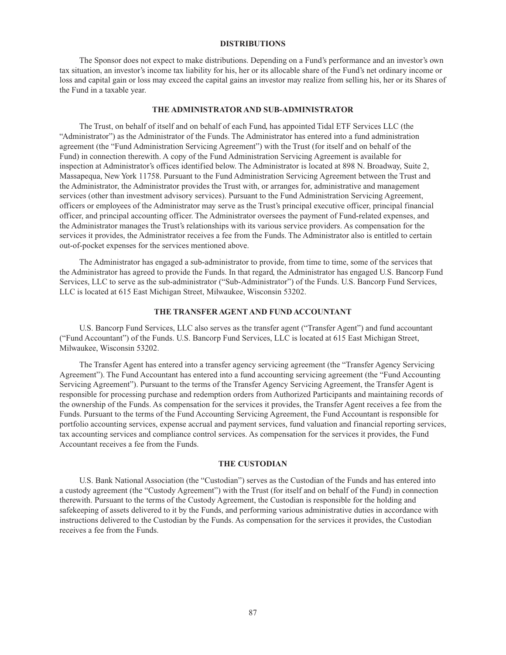### **DISTRIBUTIONS**

The Sponsor does not expect to make distributions. Depending on a Fund's performance and an investor's own tax situation, an investor's income tax liability for his, her or its allocable share of the Fund's net ordinary income or loss and capital gain or loss may exceed the capital gains an investor may realize from selling his, her or its Shares of the Fund in a taxable year.

# **THE ADMINISTRATOR AND SUB-ADMINISTRATOR**

The Trust, on behalf of itself and on behalf of each Fund, has appointed Tidal ETF Services LLC (the "Administrator") as the Administrator of the Funds. The Administrator has entered into a fund administration agreement (the "Fund Administration Servicing Agreement") with the Trust (for itself and on behalf of the Fund) in connection therewith. A copy of the Fund Administration Servicing Agreement is available for inspection at Administrator's offices identified below. The Administrator is located at 898 N. Broadway, Suite 2, Massapequa, New York 11758. Pursuant to the Fund Administration Servicing Agreement between the Trust and the Administrator, the Administrator provides the Trust with, or arranges for, administrative and management services (other than investment advisory services). Pursuant to the Fund Administration Servicing Agreement, officers or employees of the Administrator may serve as the Trust's principal executive officer, principal financial officer, and principal accounting officer. The Administrator oversees the payment of Fund-related expenses, and the Administrator manages the Trust's relationships with its various service providers. As compensation for the services it provides, the Administrator receives a fee from the Funds. The Administrator also is entitled to certain out-of-pocket expenses for the services mentioned above.

The Administrator has engaged a sub-administrator to provide, from time to time, some of the services that the Administrator has agreed to provide the Funds. In that regard, the Administrator has engaged U.S. Bancorp Fund Services, LLC to serve as the sub-administrator ("Sub-Administrator") of the Funds. U.S. Bancorp Fund Services, LLC is located at 615 East Michigan Street, Milwaukee, Wisconsin 53202.

# **THE TRANSFER AGENT AND FUND ACCOUNTANT**

U.S. Bancorp Fund Services, LLC also serves as the transfer agent ("Transfer Agent") and fund accountant ("Fund Accountant") of the Funds. U.S. Bancorp Fund Services, LLC is located at 615 East Michigan Street, Milwaukee, Wisconsin 53202.

The Transfer Agent has entered into a transfer agency servicing agreement (the "Transfer Agency Servicing Agreement"). The Fund Accountant has entered into a fund accounting servicing agreement (the "Fund Accounting Servicing Agreement"). Pursuant to the terms of the Transfer Agency Servicing Agreement, the Transfer Agent is responsible for processing purchase and redemption orders from Authorized Participants and maintaining records of the ownership of the Funds. As compensation for the services it provides, the Transfer Agent receives a fee from the Funds. Pursuant to the terms of the Fund Accounting Servicing Agreement, the Fund Accountant is responsible for portfolio accounting services, expense accrual and payment services, fund valuation and financial reporting services, tax accounting services and compliance control services. As compensation for the services it provides, the Fund Accountant receives a fee from the Funds.

# **THE CUSTODIAN**

U.S. Bank National Association (the "Custodian") serves as the Custodian of the Funds and has entered into a custody agreement (the "Custody Agreement") with the Trust (for itself and on behalf of the Fund) in connection therewith. Pursuant to the terms of the Custody Agreement, the Custodian is responsible for the holding and safekeeping of assets delivered to it by the Funds, and performing various administrative duties in accordance with instructions delivered to the Custodian by the Funds. As compensation for the services it provides, the Custodian receives a fee from the Funds.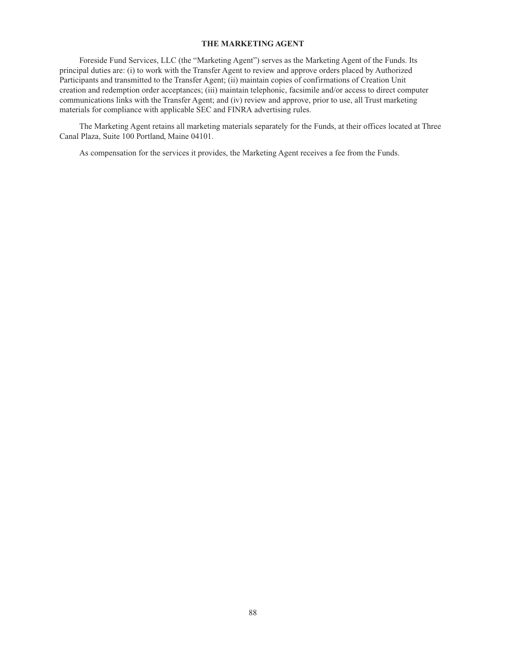# **THE MARKETING AGENT**

Foreside Fund Services, LLC (the "Marketing Agent") serves as the Marketing Agent of the Funds. Its principal duties are: (i) to work with the Transfer Agent to review and approve orders placed by Authorized Participants and transmitted to the Transfer Agent; (ii) maintain copies of confirmations of Creation Unit creation and redemption order acceptances; (iii) maintain telephonic, facsimile and/or access to direct computer communications links with the Transfer Agent; and (iv) review and approve, prior to use, all Trust marketing materials for compliance with applicable SEC and FINRA advertising rules.

The Marketing Agent retains all marketing materials separately for the Funds, at their offices located at Three Canal Plaza, Suite 100 Portland, Maine 04101.

As compensation for the services it provides, the Marketing Agent receives a fee from the Funds.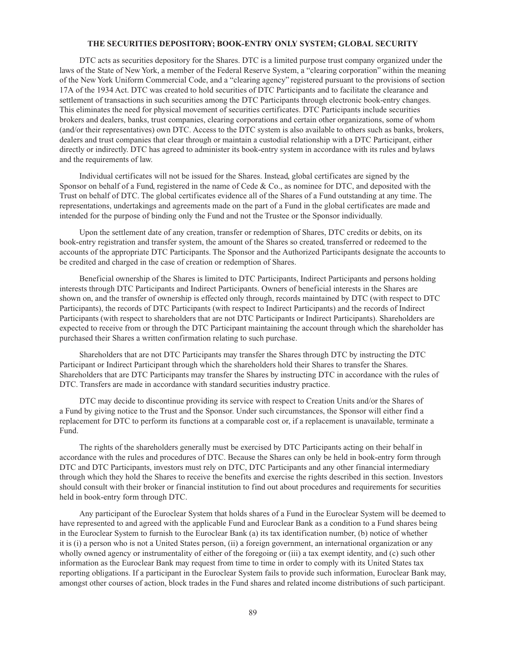### **THE SECURITIES DEPOSITORY; BOOK-ENTRY ONLY SYSTEM; GLOBAL SECURITY**

DTC acts as securities depository for the Shares. DTC is a limited purpose trust company organized under the laws of the State of New York, a member of the Federal Reserve System, a "clearing corporation" within the meaning of the New York Uniform Commercial Code, and a "clearing agency" registered pursuant to the provisions of section 17A of the 1934 Act. DTC was created to hold securities of DTC Participants and to facilitate the clearance and settlement of transactions in such securities among the DTC Participants through electronic book-entry changes. This eliminates the need for physical movement of securities certificates. DTC Participants include securities brokers and dealers, banks, trust companies, clearing corporations and certain other organizations, some of whom (and/or their representatives) own DTC. Access to the DTC system is also available to others such as banks, brokers, dealers and trust companies that clear through or maintain a custodial relationship with a DTC Participant, either directly or indirectly. DTC has agreed to administer its book-entry system in accordance with its rules and bylaws and the requirements of law.

Individual certificates will not be issued for the Shares. Instead, global certificates are signed by the Sponsor on behalf of a Fund, registered in the name of Cede & Co., as nominee for DTC, and deposited with the Trust on behalf of DTC. The global certificates evidence all of the Shares of a Fund outstanding at any time. The representations, undertakings and agreements made on the part of a Fund in the global certificates are made and intended for the purpose of binding only the Fund and not the Trustee or the Sponsor individually.

Upon the settlement date of any creation, transfer or redemption of Shares, DTC credits or debits, on its book-entry registration and transfer system, the amount of the Shares so created, transferred or redeemed to the accounts of the appropriate DTC Participants. The Sponsor and the Authorized Participants designate the accounts to be credited and charged in the case of creation or redemption of Shares.

Beneficial ownership of the Shares is limited to DTC Participants, Indirect Participants and persons holding interests through DTC Participants and Indirect Participants. Owners of beneficial interests in the Shares are shown on, and the transfer of ownership is effected only through, records maintained by DTC (with respect to DTC Participants), the records of DTC Participants (with respect to Indirect Participants) and the records of Indirect Participants (with respect to shareholders that are not DTC Participants or Indirect Participants). Shareholders are expected to receive from or through the DTC Participant maintaining the account through which the shareholder has purchased their Shares a written confirmation relating to such purchase.

Shareholders that are not DTC Participants may transfer the Shares through DTC by instructing the DTC Participant or Indirect Participant through which the shareholders hold their Shares to transfer the Shares. Shareholders that are DTC Participants may transfer the Shares by instructing DTC in accordance with the rules of DTC. Transfers are made in accordance with standard securities industry practice.

DTC may decide to discontinue providing its service with respect to Creation Units and/or the Shares of a Fund by giving notice to the Trust and the Sponsor. Under such circumstances, the Sponsor will either find a replacement for DTC to perform its functions at a comparable cost or, if a replacement is unavailable, terminate a Fund.

The rights of the shareholders generally must be exercised by DTC Participants acting on their behalf in accordance with the rules and procedures of DTC. Because the Shares can only be held in book-entry form through DTC and DTC Participants, investors must rely on DTC, DTC Participants and any other financial intermediary through which they hold the Shares to receive the benefits and exercise the rights described in this section. Investors should consult with their broker or financial institution to find out about procedures and requirements for securities held in book-entry form through DTC.

Any participant of the Euroclear System that holds shares of a Fund in the Euroclear System will be deemed to have represented to and agreed with the applicable Fund and Euroclear Bank as a condition to a Fund shares being in the Euroclear System to furnish to the Euroclear Bank (a) its tax identification number, (b) notice of whether it is (i) a person who is not a United States person, (ii) a foreign government, an international organization or any wholly owned agency or instrumentality of either of the foregoing or (iii) a tax exempt identity, and (c) such other information as the Euroclear Bank may request from time to time in order to comply with its United States tax reporting obligations. If a participant in the Euroclear System fails to provide such information, Euroclear Bank may, amongst other courses of action, block trades in the Fund shares and related income distributions of such participant.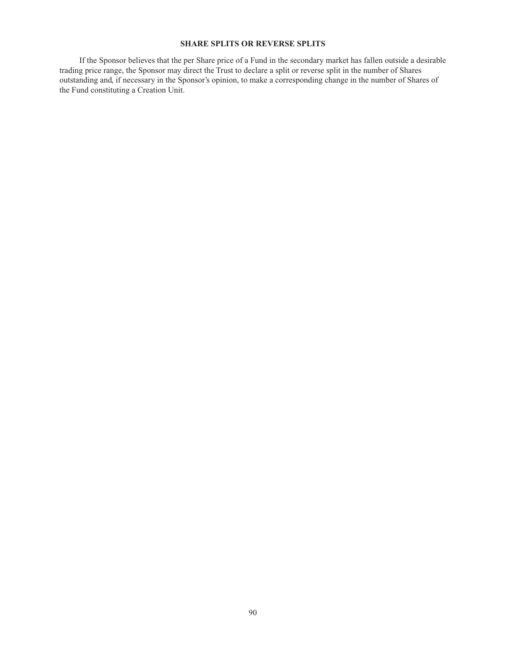# **SHARE SPLITS OR REVERSE SPLITS**

If the Sponsor believes that the per Share price of a Fund in the secondary market has fallen outside a desirable trading price range, the Sponsor may direct the Trust to declare a split or reverse split in the number of Shares outstanding and, if necessary in the Sponsor's opinion, to make a corresponding change in the number of Shares of the Fund constituting a Creation Unit.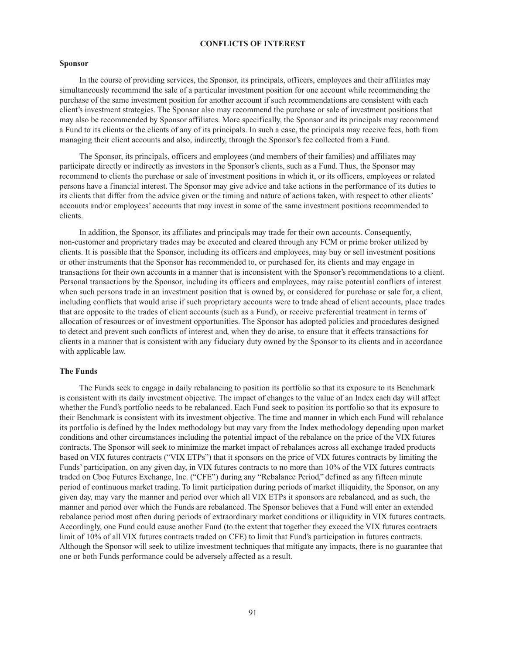### **CONFLICTS OF INTEREST**

#### **Sponsor**

In the course of providing services, the Sponsor, its principals, officers, employees and their affiliates may simultaneously recommend the sale of a particular investment position for one account while recommending the purchase of the same investment position for another account if such recommendations are consistent with each client's investment strategies. The Sponsor also may recommend the purchase or sale of investment positions that may also be recommended by Sponsor affiliates. More specifically, the Sponsor and its principals may recommend a Fund to its clients or the clients of any of its principals. In such a case, the principals may receive fees, both from managing their client accounts and also, indirectly, through the Sponsor's fee collected from a Fund.

The Sponsor, its principals, officers and employees (and members of their families) and affiliates may participate directly or indirectly as investors in the Sponsor's clients, such as a Fund. Thus, the Sponsor may recommend to clients the purchase or sale of investment positions in which it, or its officers, employees or related persons have a financial interest. The Sponsor may give advice and take actions in the performance of its duties to its clients that differ from the advice given or the timing and nature of actions taken, with respect to other clients' accounts and/or employees' accounts that may invest in some of the same investment positions recommended to clients.

In addition, the Sponsor, its affiliates and principals may trade for their own accounts. Consequently, non-customer and proprietary trades may be executed and cleared through any FCM or prime broker utilized by clients. It is possible that the Sponsor, including its officers and employees, may buy or sell investment positions or other instruments that the Sponsor has recommended to, or purchased for, its clients and may engage in transactions for their own accounts in a manner that is inconsistent with the Sponsor's recommendations to a client. Personal transactions by the Sponsor, including its officers and employees, may raise potential conflicts of interest when such persons trade in an investment position that is owned by, or considered for purchase or sale for, a client, including conflicts that would arise if such proprietary accounts were to trade ahead of client accounts, place trades that are opposite to the trades of client accounts (such as a Fund), or receive preferential treatment in terms of allocation of resources or of investment opportunities. The Sponsor has adopted policies and procedures designed to detect and prevent such conflicts of interest and, when they do arise, to ensure that it effects transactions for clients in a manner that is consistent with any fiduciary duty owned by the Sponsor to its clients and in accordance with applicable law.

### **The Funds**

The Funds seek to engage in daily rebalancing to position its portfolio so that its exposure to its Benchmark is consistent with its daily investment objective. The impact of changes to the value of an Index each day will affect whether the Fund's portfolio needs to be rebalanced. Each Fund seek to position its portfolio so that its exposure to their Benchmark is consistent with its investment objective. The time and manner in which each Fund will rebalance its portfolio is defined by the Index methodology but may vary from the Index methodology depending upon market conditions and other circumstances including the potential impact of the rebalance on the price of the VIX futures contracts. The Sponsor will seek to minimize the market impact of rebalances across all exchange traded products based on VIX futures contracts ("VIX ETPs") that it sponsors on the price of VIX futures contracts by limiting the Funds' participation, on any given day, in VIX futures contracts to no more than 10% of the VIX futures contracts traded on Cboe Futures Exchange, Inc. ("CFE") during any "Rebalance Period," defined as any fifteen minute period of continuous market trading. To limit participation during periods of market illiquidity, the Sponsor, on any given day, may vary the manner and period over which all VIX ETPs it sponsors are rebalanced, and as such, the manner and period over which the Funds are rebalanced. The Sponsor believes that a Fund will enter an extended rebalance period most often during periods of extraordinary market conditions or illiquidity in VIX futures contracts. Accordingly, one Fund could cause another Fund (to the extent that together they exceed the VIX futures contracts limit of 10% of all VIX futures contracts traded on CFE) to limit that Fund's participation in futures contracts. Although the Sponsor will seek to utilize investment techniques that mitigate any impacts, there is no guarantee that one or both Funds performance could be adversely affected as a result.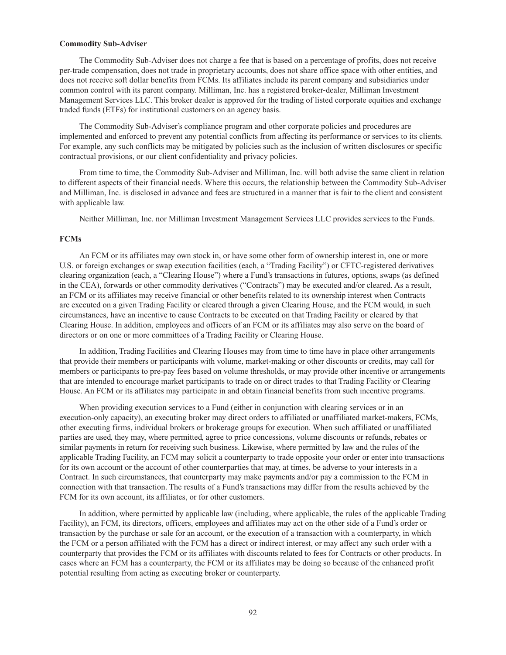### **Commodity Sub-Adviser**

The Commodity Sub-Adviser does not charge a fee that is based on a percentage of profits, does not receive per-trade compensation, does not trade in proprietary accounts, does not share office space with other entities, and does not receive soft dollar benefits from FCMs. Its affiliates include its parent company and subsidiaries under common control with its parent company. Milliman, Inc. has a registered broker-dealer, Milliman Investment Management Services LLC. This broker dealer is approved for the trading of listed corporate equities and exchange traded funds (ETFs) for institutional customers on an agency basis.

The Commodity Sub-Adviser's compliance program and other corporate policies and procedures are implemented and enforced to prevent any potential conflicts from affecting its performance or services to its clients. For example, any such conflicts may be mitigated by policies such as the inclusion of written disclosures or specific contractual provisions, or our client confidentiality and privacy policies.

From time to time, the Commodity Sub-Adviser and Milliman, Inc. will both advise the same client in relation to different aspects of their financial needs. Where this occurs, the relationship between the Commodity Sub-Adviser and Milliman, Inc. is disclosed in advance and fees are structured in a manner that is fair to the client and consistent with applicable law.

Neither Milliman, Inc. nor Milliman Investment Management Services LLC provides services to the Funds.

### **FCMs**

An FCM or its affiliates may own stock in, or have some other form of ownership interest in, one or more U.S. or foreign exchanges or swap execution facilities (each, a "Trading Facility") or CFTC-registered derivatives clearing organization (each, a "Clearing House") where a Fund's transactions in futures, options, swaps (as defined in the CEA), forwards or other commodity derivatives ("Contracts") may be executed and/or cleared. As a result, an FCM or its affiliates may receive financial or other benefits related to its ownership interest when Contracts are executed on a given Trading Facility or cleared through a given Clearing House, and the FCM would, in such circumstances, have an incentive to cause Contracts to be executed on that Trading Facility or cleared by that Clearing House. In addition, employees and officers of an FCM or its affiliates may also serve on the board of directors or on one or more committees of a Trading Facility or Clearing House.

In addition, Trading Facilities and Clearing Houses may from time to time have in place other arrangements that provide their members or participants with volume, market-making or other discounts or credits, may call for members or participants to pre-pay fees based on volume thresholds, or may provide other incentive or arrangements that are intended to encourage market participants to trade on or direct trades to that Trading Facility or Clearing House. An FCM or its affiliates may participate in and obtain financial benefits from such incentive programs.

When providing execution services to a Fund (either in conjunction with clearing services or in an execution-only capacity), an executing broker may direct orders to affiliated or unaffiliated market-makers, FCMs, other executing firms, individual brokers or brokerage groups for execution. When such affiliated or unaffiliated parties are used, they may, where permitted, agree to price concessions, volume discounts or refunds, rebates or similar payments in return for receiving such business. Likewise, where permitted by law and the rules of the applicable Trading Facility, an FCM may solicit a counterparty to trade opposite your order or enter into transactions for its own account or the account of other counterparties that may, at times, be adverse to your interests in a Contract. In such circumstances, that counterparty may make payments and/or pay a commission to the FCM in connection with that transaction. The results of a Fund's transactions may differ from the results achieved by the FCM for its own account, its affiliates, or for other customers.

In addition, where permitted by applicable law (including, where applicable, the rules of the applicable Trading Facility), an FCM, its directors, officers, employees and affiliates may act on the other side of a Fund's order or transaction by the purchase or sale for an account, or the execution of a transaction with a counterparty, in which the FCM or a person affiliated with the FCM has a direct or indirect interest, or may affect any such order with a counterparty that provides the FCM or its affiliates with discounts related to fees for Contracts or other products. In cases where an FCM has a counterparty, the FCM or its affiliates may be doing so because of the enhanced profit potential resulting from acting as executing broker or counterparty.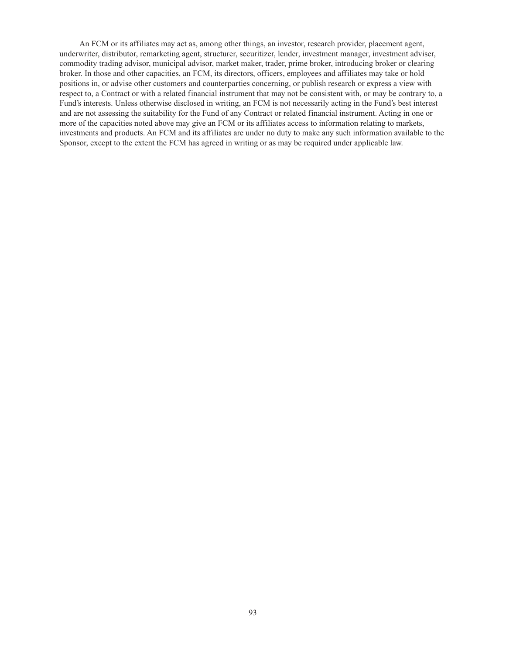An FCM or its affiliates may act as, among other things, an investor, research provider, placement agent, underwriter, distributor, remarketing agent, structurer, securitizer, lender, investment manager, investment adviser, commodity trading advisor, municipal advisor, market maker, trader, prime broker, introducing broker or clearing broker. In those and other capacities, an FCM, its directors, officers, employees and affiliates may take or hold positions in, or advise other customers and counterparties concerning, or publish research or express a view with respect to, a Contract or with a related financial instrument that may not be consistent with, or may be contrary to, a Fund's interests. Unless otherwise disclosed in writing, an FCM is not necessarily acting in the Fund's best interest and are not assessing the suitability for the Fund of any Contract or related financial instrument. Acting in one or more of the capacities noted above may give an FCM or its affiliates access to information relating to markets, investments and products. An FCM and its affiliates are under no duty to make any such information available to the Sponsor, except to the extent the FCM has agreed in writing or as may be required under applicable law.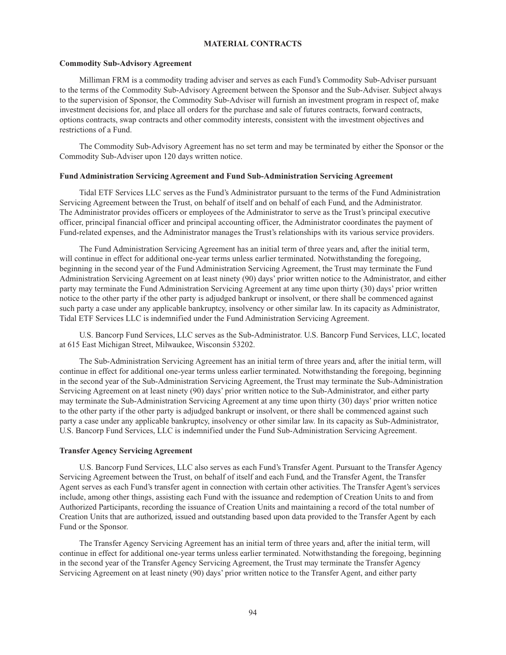### **MATERIAL CONTRACTS**

### **Commodity Sub-Advisory Agreement**

Milliman FRM is a commodity trading adviser and serves as each Fund's Commodity Sub-Adviser pursuant to the terms of the Commodity Sub-Advisory Agreement between the Sponsor and the Sub-Adviser. Subject always to the supervision of Sponsor, the Commodity Sub-Adviser will furnish an investment program in respect of, make investment decisions for, and place all orders for the purchase and sale of futures contracts, forward contracts, options contracts, swap contracts and other commodity interests, consistent with the investment objectives and restrictions of a Fund.

The Commodity Sub-Advisory Agreement has no set term and may be terminated by either the Sponsor or the Commodity Sub-Adviser upon 120 days written notice.

### **Fund Administration Servicing Agreement and Fund Sub-Administration Servicing Agreement**

Tidal ETF Services LLC serves as the Fund's Administrator pursuant to the terms of the Fund Administration Servicing Agreement between the Trust, on behalf of itself and on behalf of each Fund, and the Administrator. The Administrator provides officers or employees of the Administrator to serve as the Trust's principal executive officer, principal financial officer and principal accounting officer, the Administrator coordinates the payment of Fund-related expenses, and the Administrator manages the Trust's relationships with its various service providers.

The Fund Administration Servicing Agreement has an initial term of three years and, after the initial term, will continue in effect for additional one-year terms unless earlier terminated. Notwithstanding the foregoing, beginning in the second year of the Fund Administration Servicing Agreement, the Trust may terminate the Fund Administration Servicing Agreement on at least ninety (90) days' prior written notice to the Administrator, and either party may terminate the Fund Administration Servicing Agreement at any time upon thirty (30) days' prior written notice to the other party if the other party is adjudged bankrupt or insolvent, or there shall be commenced against such party a case under any applicable bankruptcy, insolvency or other similar law. In its capacity as Administrator, Tidal ETF Services LLC is indemnified under the Fund Administration Servicing Agreement.

U.S. Bancorp Fund Services, LLC serves as the Sub-Administrator. U.S. Bancorp Fund Services, LLC, located at 615 East Michigan Street, Milwaukee, Wisconsin 53202.

The Sub-Administration Servicing Agreement has an initial term of three years and, after the initial term, will continue in effect for additional one-year terms unless earlier terminated. Notwithstanding the foregoing, beginning in the second year of the Sub-Administration Servicing Agreement, the Trust may terminate the Sub-Administration Servicing Agreement on at least ninety (90) days' prior written notice to the Sub-Administrator, and either party may terminate the Sub-Administration Servicing Agreement at any time upon thirty (30) days' prior written notice to the other party if the other party is adjudged bankrupt or insolvent, or there shall be commenced against such party a case under any applicable bankruptcy, insolvency or other similar law. In its capacity as Sub-Administrator, U.S. Bancorp Fund Services, LLC is indemnified under the Fund Sub-Administration Servicing Agreement.

### **Transfer Agency Servicing Agreement**

U.S. Bancorp Fund Services, LLC also serves as each Fund's Transfer Agent. Pursuant to the Transfer Agency Servicing Agreement between the Trust, on behalf of itself and each Fund, and the Transfer Agent, the Transfer Agent serves as each Fund's transfer agent in connection with certain other activities. The Transfer Agent's services include, among other things, assisting each Fund with the issuance and redemption of Creation Units to and from Authorized Participants, recording the issuance of Creation Units and maintaining a record of the total number of Creation Units that are authorized, issued and outstanding based upon data provided to the Transfer Agent by each Fund or the Sponsor.

The Transfer Agency Servicing Agreement has an initial term of three years and, after the initial term, will continue in effect for additional one-year terms unless earlier terminated. Notwithstanding the foregoing, beginning in the second year of the Transfer Agency Servicing Agreement, the Trust may terminate the Transfer Agency Servicing Agreement on at least ninety (90) days' prior written notice to the Transfer Agent, and either party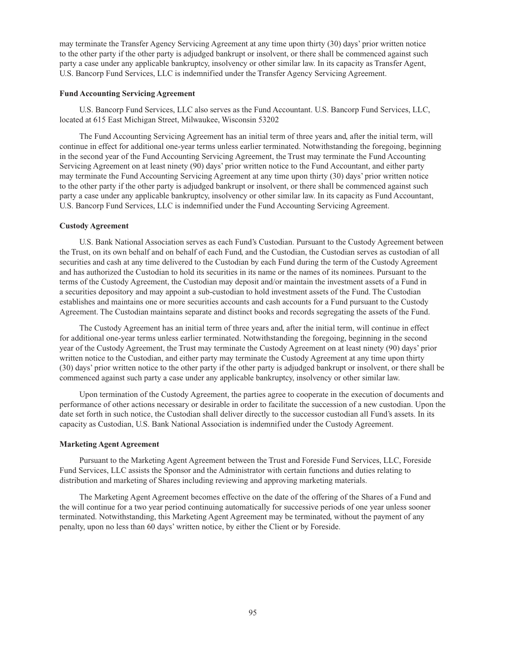may terminate the Transfer Agency Servicing Agreement at any time upon thirty (30) days' prior written notice to the other party if the other party is adjudged bankrupt or insolvent, or there shall be commenced against such party a case under any applicable bankruptcy, insolvency or other similar law. In its capacity as Transfer Agent, U.S. Bancorp Fund Services, LLC is indemnified under the Transfer Agency Servicing Agreement.

### **Fund Accounting Servicing Agreement**

U.S. Bancorp Fund Services, LLC also serves as the Fund Accountant. U.S. Bancorp Fund Services, LLC, located at 615 East Michigan Street, Milwaukee, Wisconsin 53202

The Fund Accounting Servicing Agreement has an initial term of three years and, after the initial term, will continue in effect for additional one-year terms unless earlier terminated. Notwithstanding the foregoing, beginning in the second year of the Fund Accounting Servicing Agreement, the Trust may terminate the Fund Accounting Servicing Agreement on at least ninety (90) days' prior written notice to the Fund Accountant, and either party may terminate the Fund Accounting Servicing Agreement at any time upon thirty (30) days' prior written notice to the other party if the other party is adjudged bankrupt or insolvent, or there shall be commenced against such party a case under any applicable bankruptcy, insolvency or other similar law. In its capacity as Fund Accountant, U.S. Bancorp Fund Services, LLC is indemnified under the Fund Accounting Servicing Agreement.

### **Custody Agreement**

U.S. Bank National Association serves as each Fund's Custodian. Pursuant to the Custody Agreement between the Trust, on its own behalf and on behalf of each Fund, and the Custodian, the Custodian serves as custodian of all securities and cash at any time delivered to the Custodian by each Fund during the term of the Custody Agreement and has authorized the Custodian to hold its securities in its name or the names of its nominees. Pursuant to the terms of the Custody Agreement, the Custodian may deposit and/or maintain the investment assets of a Fund in a securities depository and may appoint a sub-custodian to hold investment assets of the Fund. The Custodian establishes and maintains one or more securities accounts and cash accounts for a Fund pursuant to the Custody Agreement. The Custodian maintains separate and distinct books and records segregating the assets of the Fund.

The Custody Agreement has an initial term of three years and, after the initial term, will continue in effect for additional one-year terms unless earlier terminated. Notwithstanding the foregoing, beginning in the second year of the Custody Agreement, the Trust may terminate the Custody Agreement on at least ninety (90) days' prior written notice to the Custodian, and either party may terminate the Custody Agreement at any time upon thirty (30) days' prior written notice to the other party if the other party is adjudged bankrupt or insolvent, or there shall be commenced against such party a case under any applicable bankruptcy, insolvency or other similar law.

Upon termination of the Custody Agreement, the parties agree to cooperate in the execution of documents and performance of other actions necessary or desirable in order to facilitate the succession of a new custodian. Upon the date set forth in such notice, the Custodian shall deliver directly to the successor custodian all Fund's assets. In its capacity as Custodian, U.S. Bank National Association is indemnified under the Custody Agreement.

#### **Marketing Agent Agreement**

Pursuant to the Marketing Agent Agreement between the Trust and Foreside Fund Services, LLC, Foreside Fund Services, LLC assists the Sponsor and the Administrator with certain functions and duties relating to distribution and marketing of Shares including reviewing and approving marketing materials.

The Marketing Agent Agreement becomes effective on the date of the offering of the Shares of a Fund and the will continue for a two year period continuing automatically for successive periods of one year unless sooner terminated. Notwithstanding, this Marketing Agent Agreement may be terminated, without the payment of any penalty, upon no less than 60 days' written notice, by either the Client or by Foreside.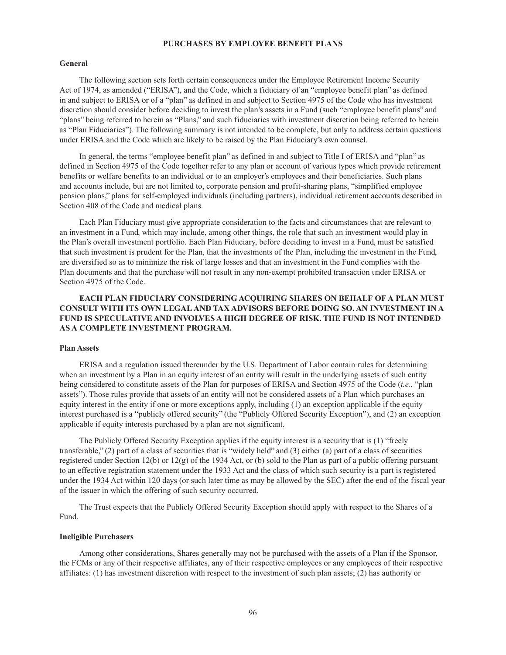### **PURCHASES BY EMPLOYEE BENEFIT PLANS**

# **General**

The following section sets forth certain consequences under the Employee Retirement Income Security Act of 1974, as amended ("ERISA"), and the Code, which a fiduciary of an "employee benefit plan" as defined in and subject to ERISA or of a "plan" as defined in and subject to Section 4975 of the Code who has investment discretion should consider before deciding to invest the plan's assets in a Fund (such "employee benefit plans" and "plans" being referred to herein as "Plans," and such fiduciaries with investment discretion being referred to herein as "Plan Fiduciaries"). The following summary is not intended to be complete, but only to address certain questions under ERISA and the Code which are likely to be raised by the Plan Fiduciary's own counsel.

In general, the terms "employee benefit plan" as defined in and subject to Title I of ERISA and "plan" as defined in Section 4975 of the Code together refer to any plan or account of various types which provide retirement benefits or welfare benefits to an individual or to an employer's employees and their beneficiaries. Such plans and accounts include, but are not limited to, corporate pension and profit-sharing plans, "simplified employee pension plans," plans for self-employed individuals (including partners), individual retirement accounts described in Section 408 of the Code and medical plans.

Each Plan Fiduciary must give appropriate consideration to the facts and circumstances that are relevant to an investment in a Fund, which may include, among other things, the role that such an investment would play in the Plan's overall investment portfolio. Each Plan Fiduciary, before deciding to invest in a Fund, must be satisfied that such investment is prudent for the Plan, that the investments of the Plan, including the investment in the Fund, are diversified so as to minimize the risk of large losses and that an investment in the Fund complies with the Plan documents and that the purchase will not result in any non-exempt prohibited transaction under ERISA or Section 4975 of the Code.

# **EACH PLAN FIDUCIARY CONSIDERING ACQUIRING SHARES ON BEHALF OF A PLAN MUST CONSULT WITH ITS OWN LEGAL AND TAX ADVISORS BEFORE DOING SO. AN INVESTMENT IN A FUND IS SPECULATIVE AND INVOLVES A HIGH DEGREE OF RISK. THE FUND IS NOT INTENDED AS A COMPLETE INVESTMENT PROGRAM.**

#### **Plan Assets**

ERISA and a regulation issued thereunder by the U.S. Department of Labor contain rules for determining when an investment by a Plan in an equity interest of an entity will result in the underlying assets of such entity being considered to constitute assets of the Plan for purposes of ERISA and Section 4975 of the Code (*i.e.*, "plan assets"). Those rules provide that assets of an entity will not be considered assets of a Plan which purchases an equity interest in the entity if one or more exceptions apply, including (1) an exception applicable if the equity interest purchased is a "publicly offered security" (the "Publicly Offered Security Exception"), and (2) an exception applicable if equity interests purchased by a plan are not significant.

The Publicly Offered Security Exception applies if the equity interest is a security that is (1) "freely transferable," (2) part of a class of securities that is "widely held" and (3) either (a) part of a class of securities registered under Section 12(b) or 12(g) of the 1934 Act, or (b) sold to the Plan as part of a public offering pursuant to an effective registration statement under the 1933 Act and the class of which such security is a part is registered under the 1934 Act within 120 days (or such later time as may be allowed by the SEC) after the end of the fiscal year of the issuer in which the offering of such security occurred.

The Trust expects that the Publicly Offered Security Exception should apply with respect to the Shares of a Fund.

### **Ineligible Purchasers**

Among other considerations, Shares generally may not be purchased with the assets of a Plan if the Sponsor, the FCMs or any of their respective affiliates, any of their respective employees or any employees of their respective affiliates: (1) has investment discretion with respect to the investment of such plan assets; (2) has authority or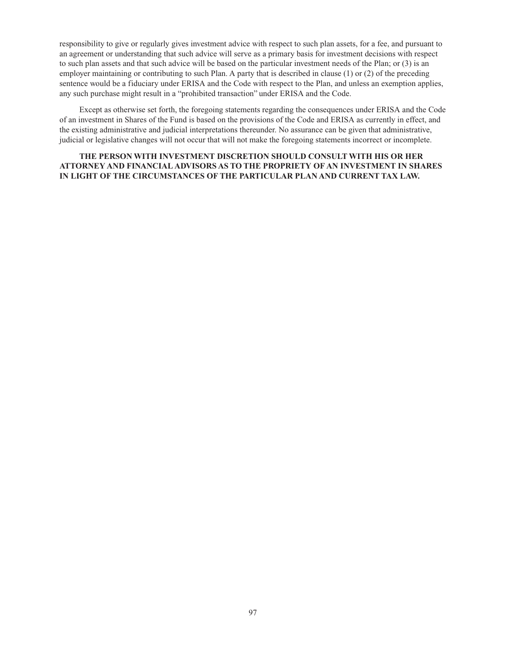responsibility to give or regularly gives investment advice with respect to such plan assets, for a fee, and pursuant to an agreement or understanding that such advice will serve as a primary basis for investment decisions with respect to such plan assets and that such advice will be based on the particular investment needs of the Plan; or (3) is an employer maintaining or contributing to such Plan. A party that is described in clause (1) or (2) of the preceding sentence would be a fiduciary under ERISA and the Code with respect to the Plan, and unless an exemption applies, any such purchase might result in a "prohibited transaction" under ERISA and the Code.

Except as otherwise set forth, the foregoing statements regarding the consequences under ERISA and the Code of an investment in Shares of the Fund is based on the provisions of the Code and ERISA as currently in effect, and the existing administrative and judicial interpretations thereunder. No assurance can be given that administrative, judicial or legislative changes will not occur that will not make the foregoing statements incorrect or incomplete.

# **THE PERSON WITH INVESTMENT DISCRETION SHOULD CONSULT WITH HIS OR HER ATTORNEY AND FINANCIAL ADVISORS AS TO THE PROPRIETY OF AN INVESTMENT IN SHARES IN LIGHT OF THE CIRCUMSTANCES OF THE PARTICULAR PLAN AND CURRENT TAX LAW.**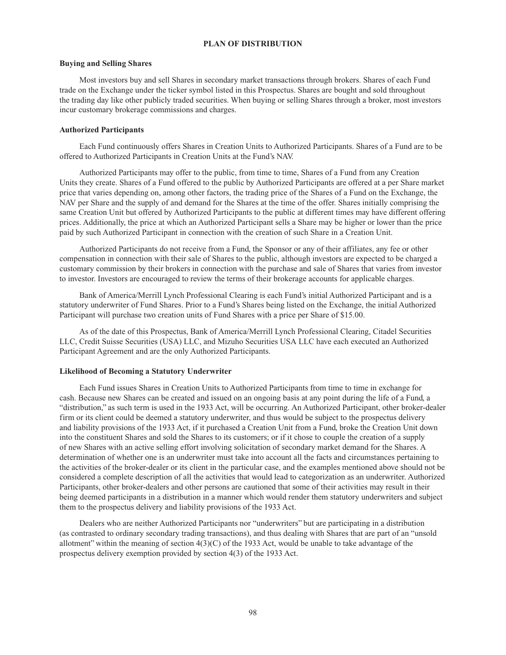### **PLAN OF DISTRIBUTION**

### **Buying and Selling Shares**

Most investors buy and sell Shares in secondary market transactions through brokers. Shares of each Fund trade on the Exchange under the ticker symbol listed in this Prospectus. Shares are bought and sold throughout the trading day like other publicly traded securities. When buying or selling Shares through a broker, most investors incur customary brokerage commissions and charges.

# **Authorized Participants**

Each Fund continuously offers Shares in Creation Units to Authorized Participants. Shares of a Fund are to be offered to Authorized Participants in Creation Units at the Fund's NAV.

Authorized Participants may offer to the public, from time to time, Shares of a Fund from any Creation Units they create. Shares of a Fund offered to the public by Authorized Participants are offered at a per Share market price that varies depending on, among other factors, the trading price of the Shares of a Fund on the Exchange, the NAV per Share and the supply of and demand for the Shares at the time of the offer. Shares initially comprising the same Creation Unit but offered by Authorized Participants to the public at different times may have different offering prices. Additionally, the price at which an Authorized Participant sells a Share may be higher or lower than the price paid by such Authorized Participant in connection with the creation of such Share in a Creation Unit.

Authorized Participants do not receive from a Fund, the Sponsor or any of their affiliates, any fee or other compensation in connection with their sale of Shares to the public, although investors are expected to be charged a customary commission by their brokers in connection with the purchase and sale of Shares that varies from investor to investor. Investors are encouraged to review the terms of their brokerage accounts for applicable charges.

Bank of America/Merrill Lynch Professional Clearing is each Fund's initial Authorized Participant and is a statutory underwriter of Fund Shares. Prior to a Fund's Shares being listed on the Exchange, the initial Authorized Participant will purchase two creation units of Fund Shares with a price per Share of \$15.00.

As of the date of this Prospectus, Bank of America/Merrill Lynch Professional Clearing, Citadel Securities LLC, Credit Suisse Securities (USA) LLC, and Mizuho Securities USA LLC have each executed an Authorized Participant Agreement and are the only Authorized Participants.

# **Likelihood of Becoming a Statutory Underwriter**

Each Fund issues Shares in Creation Units to Authorized Participants from time to time in exchange for cash. Because new Shares can be created and issued on an ongoing basis at any point during the life of a Fund, a "distribution," as such term is used in the 1933 Act, will be occurring. An Authorized Participant, other broker-dealer firm or its client could be deemed a statutory underwriter, and thus would be subject to the prospectus delivery and liability provisions of the 1933 Act, if it purchased a Creation Unit from a Fund, broke the Creation Unit down into the constituent Shares and sold the Shares to its customers; or if it chose to couple the creation of a supply of new Shares with an active selling effort involving solicitation of secondary market demand for the Shares. A determination of whether one is an underwriter must take into account all the facts and circumstances pertaining to the activities of the broker-dealer or its client in the particular case, and the examples mentioned above should not be considered a complete description of all the activities that would lead to categorization as an underwriter. Authorized Participants, other broker-dealers and other persons are cautioned that some of their activities may result in their being deemed participants in a distribution in a manner which would render them statutory underwriters and subject them to the prospectus delivery and liability provisions of the 1933 Act.

Dealers who are neither Authorized Participants nor "underwriters" but are participating in a distribution (as contrasted to ordinary secondary trading transactions), and thus dealing with Shares that are part of an "unsold allotment" within the meaning of section  $4(3)(C)$  of the 1933 Act, would be unable to take advantage of the prospectus delivery exemption provided by section 4(3) of the 1933 Act.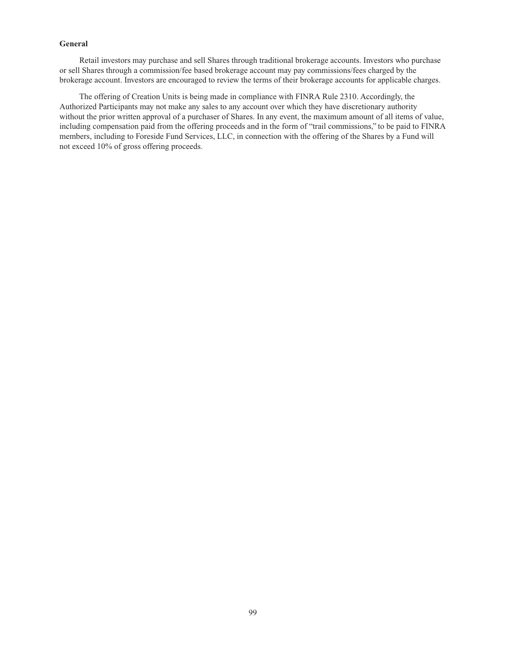#### **General**

Retail investors may purchase and sell Shares through traditional brokerage accounts. Investors who purchase or sell Shares through a commission/fee based brokerage account may pay commissions/fees charged by the brokerage account. Investors are encouraged to review the terms of their brokerage accounts for applicable charges.

The offering of Creation Units is being made in compliance with FINRA Rule 2310. Accordingly, the Authorized Participants may not make any sales to any account over which they have discretionary authority without the prior written approval of a purchaser of Shares. In any event, the maximum amount of all items of value, including compensation paid from the offering proceeds and in the form of "trail commissions," to be paid to FINRA members, including to Foreside Fund Services, LLC, in connection with the offering of the Shares by a Fund will not exceed 10% of gross offering proceeds.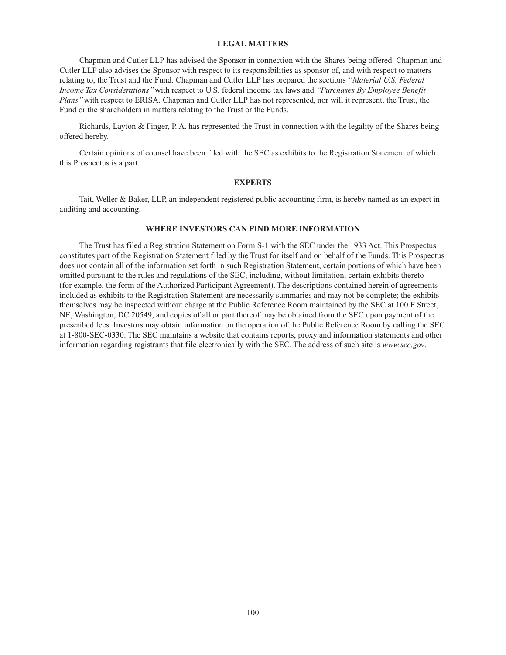### **LEGAL MATTERS**

Chapman and Cutler LLP has advised the Sponsor in connection with the Shares being offered. Chapman and Cutler LLP also advises the Sponsor with respect to its responsibilities as sponsor of, and with respect to matters relating to, the Trust and the Fund. Chapman and Cutler LLP has prepared the sections *"Material U.S. Federal Income Tax Considerations"* with respect to U.S. federal income tax laws and *"Purchases By Employee Benefit Plans"* with respect to ERISA. Chapman and Cutler LLP has not represented, nor will it represent, the Trust, the Fund or the shareholders in matters relating to the Trust or the Funds.

Richards, Layton & Finger, P. A. has represented the Trust in connection with the legality of the Shares being offered hereby.

Certain opinions of counsel have been filed with the SEC as exhibits to the Registration Statement of which this Prospectus is a part.

### **EXPERTS**

Tait, Weller & Baker, LLP, an independent registered public accounting firm, is hereby named as an expert in auditing and accounting.

### **WHERE INVESTORS CAN FIND MORE INFORMATION**

The Trust has filed a Registration Statement on Form S-1 with the SEC under the 1933 Act. This Prospectus constitutes part of the Registration Statement filed by the Trust for itself and on behalf of the Funds. This Prospectus does not contain all of the information set forth in such Registration Statement, certain portions of which have been omitted pursuant to the rules and regulations of the SEC, including, without limitation, certain exhibits thereto (for example, the form of the Authorized Participant Agreement). The descriptions contained herein of agreements included as exhibits to the Registration Statement are necessarily summaries and may not be complete; the exhibits themselves may be inspected without charge at the Public Reference Room maintained by the SEC at 100 F Street, NE, Washington, DC 20549, and copies of all or part thereof may be obtained from the SEC upon payment of the prescribed fees. Investors may obtain information on the operation of the Public Reference Room by calling the SEC at 1-800-SEC-0330. The SEC maintains a website that contains reports, proxy and information statements and other information regarding registrants that file electronically with the SEC. The address of such site is *www.sec.gov*.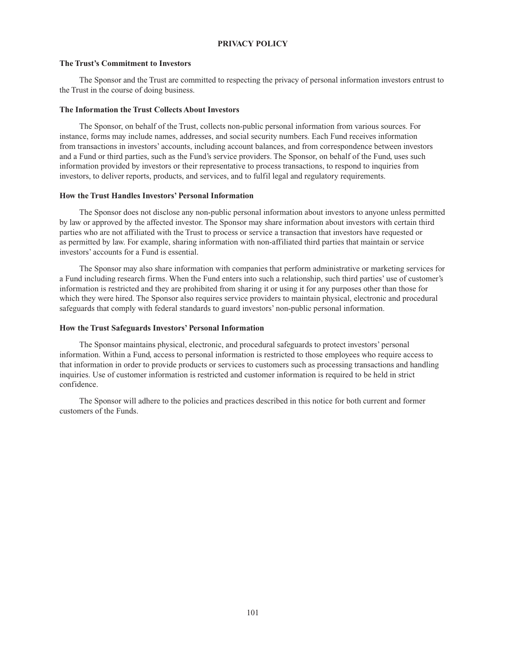#### **PRIVACY POLICY**

### **The Trust's Commitment to Investors**

The Sponsor and the Trust are committed to respecting the privacy of personal information investors entrust to the Trust in the course of doing business.

#### **The Information the Trust Collects About Investors**

The Sponsor, on behalf of the Trust, collects non-public personal information from various sources. For instance, forms may include names, addresses, and social security numbers. Each Fund receives information from transactions in investors' accounts, including account balances, and from correspondence between investors and a Fund or third parties, such as the Fund's service providers. The Sponsor, on behalf of the Fund, uses such information provided by investors or their representative to process transactions, to respond to inquiries from investors, to deliver reports, products, and services, and to fulfil legal and regulatory requirements.

## **How the Trust Handles Investors' Personal Information**

The Sponsor does not disclose any non-public personal information about investors to anyone unless permitted by law or approved by the affected investor. The Sponsor may share information about investors with certain third parties who are not affiliated with the Trust to process or service a transaction that investors have requested or as permitted by law. For example, sharing information with non-affiliated third parties that maintain or service investors' accounts for a Fund is essential.

The Sponsor may also share information with companies that perform administrative or marketing services for a Fund including research firms. When the Fund enters into such a relationship, such third parties' use of customer's information is restricted and they are prohibited from sharing it or using it for any purposes other than those for which they were hired. The Sponsor also requires service providers to maintain physical, electronic and procedural safeguards that comply with federal standards to guard investors' non-public personal information.

#### **How the Trust Safeguards Investors' Personal Information**

The Sponsor maintains physical, electronic, and procedural safeguards to protect investors' personal information. Within a Fund, access to personal information is restricted to those employees who require access to that information in order to provide products or services to customers such as processing transactions and handling inquiries. Use of customer information is restricted and customer information is required to be held in strict confidence.

The Sponsor will adhere to the policies and practices described in this notice for both current and former customers of the Funds.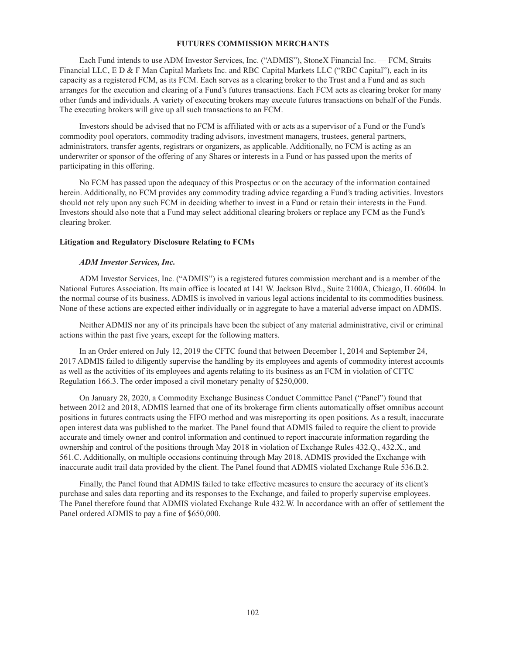#### **FUTURES COMMISSION MERCHANTS**

Each Fund intends to use ADM Investor Services, Inc. ("ADMIS"), StoneX Financial Inc. — FCM, Straits Financial LLC, E D & F Man Capital Markets Inc. and RBC Capital Markets LLC ("RBC Capital"), each in its capacity as a registered FCM, as its FCM. Each serves as a clearing broker to the Trust and a Fund and as such arranges for the execution and clearing of a Fund's futures transactions. Each FCM acts as clearing broker for many other funds and individuals. A variety of executing brokers may execute futures transactions on behalf of the Funds. The executing brokers will give up all such transactions to an FCM.

Investors should be advised that no FCM is affiliated with or acts as a supervisor of a Fund or the Fund's commodity pool operators, commodity trading advisors, investment managers, trustees, general partners, administrators, transfer agents, registrars or organizers, as applicable. Additionally, no FCM is acting as an underwriter or sponsor of the offering of any Shares or interests in a Fund or has passed upon the merits of participating in this offering.

No FCM has passed upon the adequacy of this Prospectus or on the accuracy of the information contained herein. Additionally, no FCM provides any commodity trading advice regarding a Fund's trading activities. Investors should not rely upon any such FCM in deciding whether to invest in a Fund or retain their interests in the Fund. Investors should also note that a Fund may select additional clearing brokers or replace any FCM as the Fund's clearing broker.

### **Litigation and Regulatory Disclosure Relating to FCMs**

#### *ADM Investor Services, Inc.*

ADM Investor Services, Inc. ("ADMIS") is a registered futures commission merchant and is a member of the National Futures Association. Its main office is located at 141 W. Jackson Blvd., Suite 2100A, Chicago, IL 60604. In the normal course of its business, ADMIS is involved in various legal actions incidental to its commodities business. None of these actions are expected either individually or in aggregate to have a material adverse impact on ADMIS.

Neither ADMIS nor any of its principals have been the subject of any material administrative, civil or criminal actions within the past five years, except for the following matters.

In an Order entered on July 12, 2019 the CFTC found that between December 1, 2014 and September 24, 2017 ADMIS failed to diligently supervise the handling by its employees and agents of commodity interest accounts as well as the activities of its employees and agents relating to its business as an FCM in violation of CFTC Regulation 166.3. The order imposed a civil monetary penalty of \$250,000.

On January 28, 2020, a Commodity Exchange Business Conduct Committee Panel ("Panel") found that between 2012 and 2018, ADMIS learned that one of its brokerage firm clients automatically offset omnibus account positions in futures contracts using the FIFO method and was misreporting its open positions. As a result, inaccurate open interest data was published to the market. The Panel found that ADMIS failed to require the client to provide accurate and timely owner and control information and continued to report inaccurate information regarding the ownership and control of the positions through May 2018 in violation of Exchange Rules 432.Q., 432.X., and 561.C. Additionally, on multiple occasions continuing through May 2018, ADMIS provided the Exchange with inaccurate audit trail data provided by the client. The Panel found that ADMIS violated Exchange Rule 536.B.2.

Finally, the Panel found that ADMIS failed to take effective measures to ensure the accuracy of its client's purchase and sales data reporting and its responses to the Exchange, and failed to properly supervise employees. The Panel therefore found that ADMIS violated Exchange Rule 432.W. In accordance with an offer of settlement the Panel ordered ADMIS to pay a fine of \$650,000.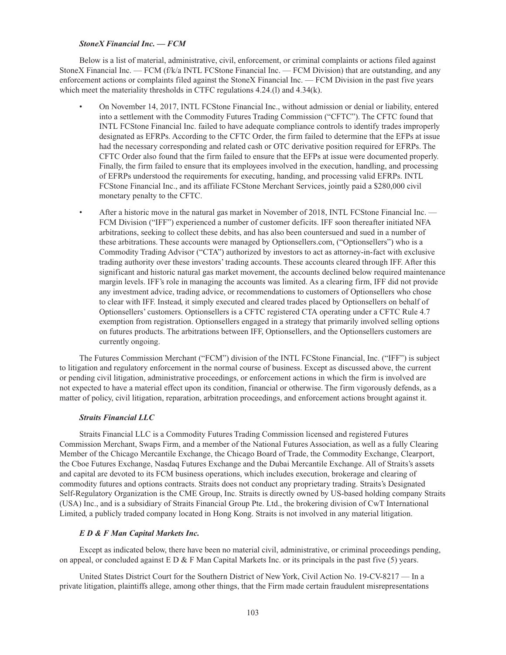#### *StoneX Financial Inc. — FCM*

Below is a list of material, administrative, civil, enforcement, or criminal complaints or actions filed against StoneX Financial Inc. — FCM (f/k/a INTL FCStone Financial Inc. — FCM Division) that are outstanding, and any enforcement actions or complaints filed against the StoneX Financial Inc. — FCM Division in the past five years which meet the materiality thresholds in CTFC regulations 4.24.(1) and 4.34(k).

- On November 14, 2017, INTL FCStone Financial Inc., without admission or denial or liability, entered into a settlement with the Commodity Futures Trading Commission ("CFTC"). The CFTC found that INTL FCStone Financial Inc. failed to have adequate compliance controls to identify trades improperly designated as EFRPs. According to the CFTC Order, the firm failed to determine that the EFPs at issue had the necessary corresponding and related cash or OTC derivative position required for EFRPs. The CFTC Order also found that the firm failed to ensure that the EFPs at issue were documented properly. Finally, the firm failed to ensure that its employees involved in the execution, handling, and processing of EFRPs understood the requirements for executing, handing, and processing valid EFRPs. INTL FCStone Financial Inc., and its affiliate FCStone Merchant Services, jointly paid a \$280,000 civil monetary penalty to the CFTC.
- After a historic move in the natural gas market in November of 2018, INTL FCStone Financial Inc. FCM Division ("IFF") experienced a number of customer deficits. IFF soon thereafter initiated NFA arbitrations, seeking to collect these debits, and has also been countersued and sued in a number of these arbitrations. These accounts were managed by Optionsellers.com, ("Optionsellers") who is a Commodity Trading Advisor ("CTA") authorized by investors to act as attorney-in-fact with exclusive trading authority over these investors' trading accounts. These accounts cleared through IFF. After this significant and historic natural gas market movement, the accounts declined below required maintenance margin levels. IFF's role in managing the accounts was limited. As a clearing firm, IFF did not provide any investment advice, trading advice, or recommendations to customers of Optionsellers who chose to clear with IFF. Instead, it simply executed and cleared trades placed by Optionsellers on behalf of Optionsellers' customers. Optionsellers is a CFTC registered CTA operating under a CFTC Rule 4.7 exemption from registration. Optionsellers engaged in a strategy that primarily involved selling options on futures products. The arbitrations between IFF, Optionsellers, and the Optionsellers customers are currently ongoing.

The Futures Commission Merchant ("FCM") division of the INTL FCStone Financial, Inc. ("IFF") is subject to litigation and regulatory enforcement in the normal course of business. Except as discussed above, the current or pending civil litigation, administrative proceedings, or enforcement actions in which the firm is involved are not expected to have a material effect upon its condition, financial or otherwise. The firm vigorously defends, as a matter of policy, civil litigation, reparation, arbitration proceedings, and enforcement actions brought against it.

### *Straits Financial LLC*

Straits Financial LLC is a Commodity Futures Trading Commission licensed and registered Futures Commission Merchant, Swaps Firm, and a member of the National Futures Association, as well as a fully Clearing Member of the Chicago Mercantile Exchange, the Chicago Board of Trade, the Commodity Exchange, Clearport, the Cboe Futures Exchange, Nasdaq Futures Exchange and the Dubai Mercantile Exchange. All of Straits's assets and capital are devoted to its FCM business operations, which includes execution, brokerage and clearing of commodity futures and options contracts. Straits does not conduct any proprietary trading. Straits's Designated Self-Regulatory Organization is the CME Group, Inc. Straits is directly owned by US-based holding company Straits (USA) Inc., and is a subsidiary of Straits Financial Group Pte. Ltd., the brokering division of CwT International Limited, a publicly traded company located in Hong Kong. Straits is not involved in any material litigation.

# *E D & F Man Capital Markets Inc.*

Except as indicated below, there have been no material civil, administrative, or criminal proceedings pending, on appeal, or concluded against  $E D & F$  Man Capital Markets Inc. or its principals in the past five (5) years.

United States District Court for the Southern District of New York, Civil Action No. 19-CV-8217 — In a private litigation, plaintiffs allege, among other things, that the Firm made certain fraudulent misrepresentations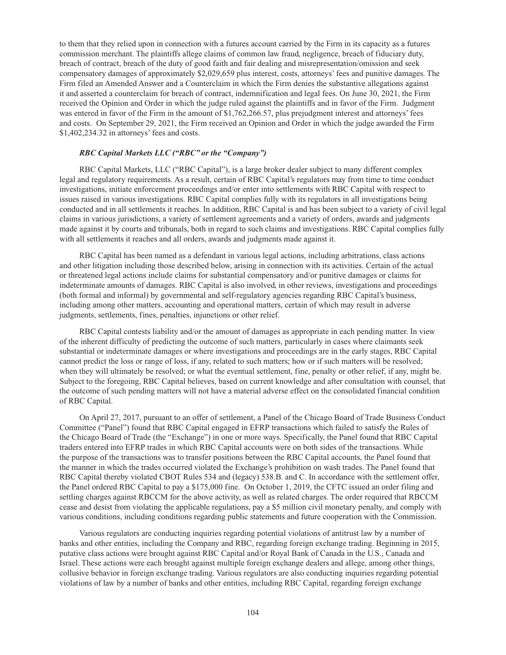to them that they relied upon in connection with a futures account carried by the Firm in its capacity as a futures commission merchant. The plaintiffs allege claims of common law fraud, negligence, breach of fiduciary duty, breach of contract, breach of the duty of good faith and fair dealing and misrepresentation/omission and seek compensatory damages of approximately \$2,029,659 plus interest, costs, attorneys' fees and punitive damages. The Firm filed an Amended Answer and a Counterclaim in which the Firm denies the substantive allegations against it and asserted a counterclaim for breach of contract, indemnification and legal fees. On June 30, 2021, the Firm received the Opinion and Order in which the judge ruled against the plaintiffs and in favor of the Firm. Judgment was entered in favor of the Firm in the amount of  $$1,762,266.57$ , plus prejudgment interest and attorneys' fees and costs. On September 29, 2021, the Firm received an Opinion and Order in which the judge awarded the Firm \$1,402,234.32 in attorneys' fees and costs.

### *RBC Capital Markets LLC ("RBC" or the "Company")*

RBC Capital Markets, LLC ("RBC Capital"), is a large broker dealer subject to many different complex legal and regulatory requirements. As a result, certain of RBC Capital's regulators may from time to time conduct investigations, initiate enforcement proceedings and/or enter into settlements with RBC Capital with respect to issues raised in various investigations. RBC Capital complies fully with its regulators in all investigations being conducted and in all settlements it reaches. In addition, RBC Capital is and has been subject to a variety of civil legal claims in various jurisdictions, a variety of settlement agreements and a variety of orders, awards and judgments made against it by courts and tribunals, both in regard to such claims and investigations. RBC Capital complies fully with all settlements it reaches and all orders, awards and judgments made against it.

RBC Capital has been named as a defendant in various legal actions, including arbitrations, class actions and other litigation including those described below, arising in connection with its activities. Certain of the actual or threatened legal actions include claims for substantial compensatory and/or punitive damages or claims for indeterminate amounts of damages. RBC Capital is also involved, in other reviews, investigations and proceedings (both formal and informal) by governmental and self-regulatory agencies regarding RBC Capital's business, including among other matters, accounting and operational matters, certain of which may result in adverse judgments, settlements, fines, penalties, injunctions or other relief.

RBC Capital contests liability and/or the amount of damages as appropriate in each pending matter. In view of the inherent difficulty of predicting the outcome of such matters, particularly in cases where claimants seek substantial or indeterminate damages or where investigations and proceedings are in the early stages, RBC Capital cannot predict the loss or range of loss, if any, related to such matters; how or if such matters will be resolved; when they will ultimately be resolved; or what the eventual settlement, fine, penalty or other relief, if any, might be. Subject to the foregoing, RBC Capital believes, based on current knowledge and after consultation with counsel, that the outcome of such pending matters will not have a material adverse effect on the consolidated financial condition of RBC Capital.

On April 27, 2017, pursuant to an offer of settlement, a Panel of the Chicago Board of Trade Business Conduct Committee ("Panel") found that RBC Capital engaged in EFRP transactions which failed to satisfy the Rules of the Chicago Board of Trade (the "Exchange") in one or more ways. Specifically, the Panel found that RBC Capital traders entered into EFRP trades in which RBC Capital accounts were on both sides of the transactions. While the purpose of the transactions was to transfer positions between the RBC Capital accounts, the Panel found that the manner in which the trades occurred violated the Exchange's prohibition on wash trades. The Panel found that RBC Capital thereby violated CBOT Rules 534 and (legacy) 538.B. and C. In accordance with the settlement offer, the Panel ordered RBC Capital to pay a \$175,000 fine. On October 1, 2019, the CFTC issued an order filing and settling charges against RBCCM for the above activity, as well as related charges. The order required that RBCCM cease and desist from violating the applicable regulations, pay a \$5 million civil monetary penalty, and comply with various conditions, including conditions regarding public statements and future cooperation with the Commission.

Various regulators are conducting inquiries regarding potential violations of antitrust law by a number of banks and other entities, including the Company and RBC, regarding foreign exchange trading. Beginning in 2015, putative class actions were brought against RBC Capital and/or Royal Bank of Canada in the U.S., Canada and Israel. These actions were each brought against multiple foreign exchange dealers and allege, among other things, collusive behavior in foreign exchange trading. Various regulators are also conducting inquiries regarding potential violations of law by a number of banks and other entities, including RBC Capital, regarding foreign exchange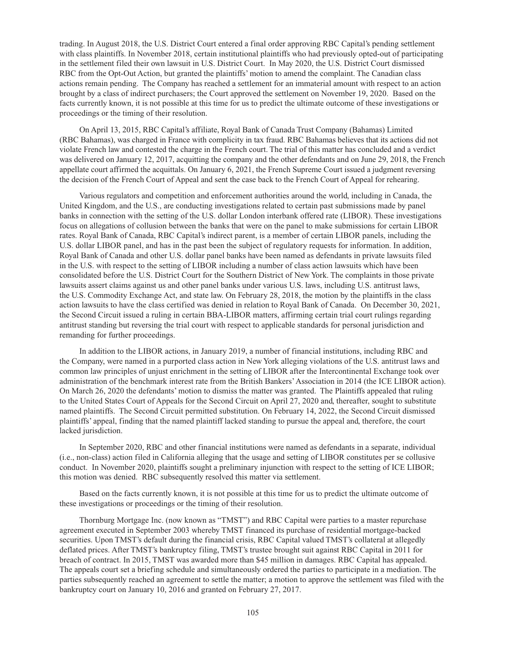trading. In August 2018, the U.S. District Court entered a final order approving RBC Capital's pending settlement with class plaintiffs. In November 2018, certain institutional plaintiffs who had previously opted-out of participating in the settlement filed their own lawsuit in U.S. District Court. In May 2020, the U.S. District Court dismissed RBC from the Opt-Out Action, but granted the plaintiffs' motion to amend the complaint. The Canadian class actions remain pending. The Company has reached a settlement for an immaterial amount with respect to an action brought by a class of indirect purchasers; the Court approved the settlement on November 19, 2020. Based on the facts currently known, it is not possible at this time for us to predict the ultimate outcome of these investigations or proceedings or the timing of their resolution.

On April 13, 2015, RBC Capital's affiliate, Royal Bank of Canada Trust Company (Bahamas) Limited (RBC Bahamas), was charged in France with complicity in tax fraud. RBC Bahamas believes that its actions did not violate French law and contested the charge in the French court. The trial of this matter has concluded and a verdict was delivered on January 12, 2017, acquitting the company and the other defendants and on June 29, 2018, the French appellate court affirmed the acquittals. On January 6, 2021, the French Supreme Court issued a judgment reversing the decision of the French Court of Appeal and sent the case back to the French Court of Appeal for rehearing.

Various regulators and competition and enforcement authorities around the world, including in Canada, the United Kingdom, and the U.S., are conducting investigations related to certain past submissions made by panel banks in connection with the setting of the U.S. dollar London interbank offered rate (LIBOR). These investigations focus on allegations of collusion between the banks that were on the panel to make submissions for certain LIBOR rates. Royal Bank of Canada, RBC Capital's indirect parent, is a member of certain LIBOR panels, including the U.S. dollar LIBOR panel, and has in the past been the subject of regulatory requests for information. In addition, Royal Bank of Canada and other U.S. dollar panel banks have been named as defendants in private lawsuits filed in the U.S. with respect to the setting of LIBOR including a number of class action lawsuits which have been consolidated before the U.S. District Court for the Southern District of New York. The complaints in those private lawsuits assert claims against us and other panel banks under various U.S. laws, including U.S. antitrust laws, the U.S. Commodity Exchange Act, and state law. On February 28, 2018, the motion by the plaintiffs in the class action lawsuits to have the class certified was denied in relation to Royal Bank of Canada. On December 30, 2021, the Second Circuit issued a ruling in certain BBA-LIBOR matters, affirming certain trial court rulings regarding antitrust standing but reversing the trial court with respect to applicable standards for personal jurisdiction and remanding for further proceedings.

In addition to the LIBOR actions, in January 2019, a number of financial institutions, including RBC and the Company, were named in a purported class action in New York alleging violations of the U.S. antitrust laws and common law principles of unjust enrichment in the setting of LIBOR after the Intercontinental Exchange took over administration of the benchmark interest rate from the British Bankers' Association in 2014 (the ICE LIBOR action). On March 26, 2020 the defendants' motion to dismiss the matter was granted. The Plaintiffs appealed that ruling to the United States Court of Appeals for the Second Circuit on April 27, 2020 and, thereafter, sought to substitute named plaintiffs. The Second Circuit permitted substitution. On February 14, 2022, the Second Circuit dismissed plaintiffs' appeal, finding that the named plaintiff lacked standing to pursue the appeal and, therefore, the court lacked jurisdiction.

In September 2020, RBC and other financial institutions were named as defendants in a separate, individual (i.e., non-class) action filed in California alleging that the usage and setting of LIBOR constitutes per se collusive conduct. In November 2020, plaintiffs sought a preliminary injunction with respect to the setting of ICE LIBOR; this motion was denied. RBC subsequently resolved this matter via settlement.

Based on the facts currently known, it is not possible at this time for us to predict the ultimate outcome of these investigations or proceedings or the timing of their resolution.

Thornburg Mortgage Inc. (now known as "TMST") and RBC Capital were parties to a master repurchase agreement executed in September 2003 whereby TMST financed its purchase of residential mortgage-backed securities. Upon TMST's default during the financial crisis, RBC Capital valued TMST's collateral at allegedly deflated prices. After TMST's bankruptcy filing, TMST's trustee brought suit against RBC Capital in 2011 for breach of contract. In 2015, TMST was awarded more than \$45 million in damages. RBC Capital has appealed. The appeals court set a briefing schedule and simultaneously ordered the parties to participate in a mediation. The parties subsequently reached an agreement to settle the matter; a motion to approve the settlement was filed with the bankruptcy court on January 10, 2016 and granted on February 27, 2017.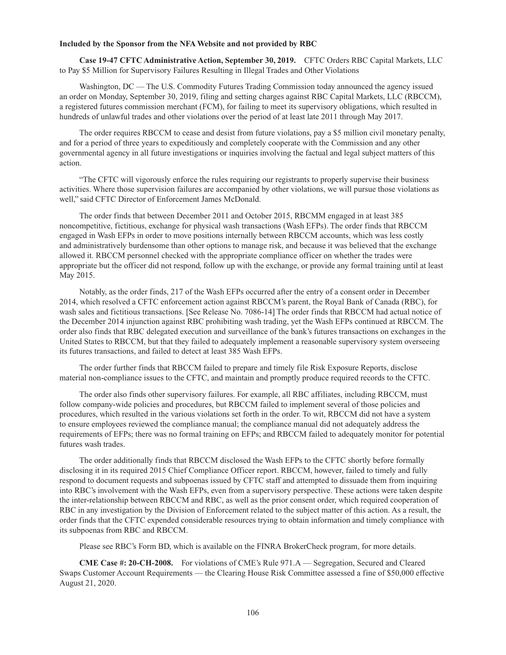#### **Included by the Sponsor from the NFA Website and not provided by RBC**

**Case 19-47 CFTC Administrative Action, September 30, 2019.** CFTC Orders RBC Capital Markets, LLC to Pay \$5 Million for Supervisory Failures Resulting in Illegal Trades and Other Violations

Washington, DC — The U.S. Commodity Futures Trading Commission today announced the agency issued an order on Monday, September 30, 2019, filing and setting charges against RBC Capital Markets, LLC (RBCCM), a registered futures commission merchant (FCM), for failing to meet its supervisory obligations, which resulted in hundreds of unlawful trades and other violations over the period of at least late 2011 through May 2017.

The order requires RBCCM to cease and desist from future violations, pay a \$5 million civil monetary penalty, and for a period of three years to expeditiously and completely cooperate with the Commission and any other governmental agency in all future investigations or inquiries involving the factual and legal subject matters of this action.

"The CFTC will vigorously enforce the rules requiring our registrants to properly supervise their business activities. Where those supervision failures are accompanied by other violations, we will pursue those violations as well," said CFTC Director of Enforcement James McDonald.

The order finds that between December 2011 and October 2015, RBCMM engaged in at least 385 noncompetitive, fictitious, exchange for physical wash transactions (Wash EFPs). The order finds that RBCCM engaged in Wash EFPs in order to move positions internally between RBCCM accounts, which was less costly and administratively burdensome than other options to manage risk, and because it was believed that the exchange allowed it. RBCCM personnel checked with the appropriate compliance officer on whether the trades were appropriate but the officer did not respond, follow up with the exchange, or provide any formal training until at least May 2015.

Notably, as the order finds, 217 of the Wash EFPs occurred after the entry of a consent order in December 2014, which resolved a CFTC enforcement action against RBCCM's parent, the Royal Bank of Canada (RBC), for wash sales and fictitious transactions. [See Release No. 7086-14] The order finds that RBCCM had actual notice of the December 2014 injunction against RBC prohibiting wash trading, yet the Wash EFPs continued at RBCCM. The order also finds that RBC delegated execution and surveillance of the bank's futures transactions on exchanges in the United States to RBCCM, but that they failed to adequately implement a reasonable supervisory system overseeing its futures transactions, and failed to detect at least 385 Wash EFPs.

The order further finds that RBCCM failed to prepare and timely file Risk Exposure Reports, disclose material non-compliance issues to the CFTC, and maintain and promptly produce required records to the CFTC.

The order also finds other supervisory failures. For example, all RBC affiliates, including RBCCM, must follow company-wide policies and procedures, but RBCCM failed to implement several of those policies and procedures, which resulted in the various violations set forth in the order. To wit, RBCCM did not have a system to ensure employees reviewed the compliance manual; the compliance manual did not adequately address the requirements of EFPs; there was no formal training on EFPs; and RBCCM failed to adequately monitor for potential futures wash trades.

The order additionally finds that RBCCM disclosed the Wash EFPs to the CFTC shortly before formally disclosing it in its required 2015 Chief Compliance Officer report. RBCCM, however, failed to timely and fully respond to document requests and subpoenas issued by CFTC staff and attempted to dissuade them from inquiring into RBC's involvement with the Wash EFPs, even from a supervisory perspective. These actions were taken despite the inter-relationship between RBCCM and RBC, as well as the prior consent order, which required cooperation of RBC in any investigation by the Division of Enforcement related to the subject matter of this action. As a result, the order finds that the CFTC expended considerable resources trying to obtain information and timely compliance with its subpoenas from RBC and RBCCM.

Please see RBC's Form BD, which is available on the FINRA BrokerCheck program, for more details.

**CME Case #: 20-CH-2008.** For violations of CME's Rule 971.A — Segregation, Secured and Cleared Swaps Customer Account Requirements — the Clearing House Risk Committee assessed a fine of \$50,000 effective August 21, 2020.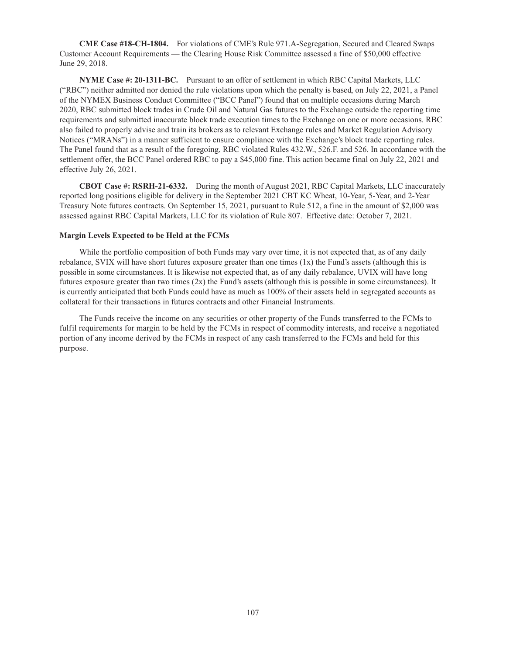**CME Case #18-CH-1804.** For violations of CME's Rule 971.A-Segregation, Secured and Cleared Swaps Customer Account Requirements — the Clearing House Risk Committee assessed a fine of \$50,000 effective June 29, 2018.

**NYME Case #: 20-1311-BC.** Pursuant to an offer of settlement in which RBC Capital Markets, LLC ("RBC") neither admitted nor denied the rule violations upon which the penalty is based, on July 22, 2021, a Panel of the NYMEX Business Conduct Committee ("BCC Panel") found that on multiple occasions during March 2020, RBC submitted block trades in Crude Oil and Natural Gas futures to the Exchange outside the reporting time requirements and submitted inaccurate block trade execution times to the Exchange on one or more occasions. RBC also failed to properly advise and train its brokers as to relevant Exchange rules and Market Regulation Advisory Notices ("MRANs") in a manner sufficient to ensure compliance with the Exchange's block trade reporting rules. The Panel found that as a result of the foregoing, RBC violated Rules 432.W., 526.F. and 526. In accordance with the settlement offer, the BCC Panel ordered RBC to pay a \$45,000 fine. This action became final on July 22, 2021 and effective July 26, 2021.

**CBOT Case #: RSRH-21-6332.** During the month of August 2021, RBC Capital Markets, LLC inaccurately reported long positions eligible for delivery in the September 2021 CBT KC Wheat, 10-Year, 5-Year, and 2-Year Treasury Note futures contracts. On September 15, 2021, pursuant to Rule 512, a fine in the amount of \$2,000 was assessed against RBC Capital Markets, LLC for its violation of Rule 807. Effective date: October 7, 2021.

#### **Margin Levels Expected to be Held at the FCMs**

While the portfolio composition of both Funds may vary over time, it is not expected that, as of any daily rebalance, SVIX will have short futures exposure greater than one times (1x) the Fund's assets (although this is possible in some circumstances. It is likewise not expected that, as of any daily rebalance, UVIX will have long futures exposure greater than two times (2x) the Fund's assets (although this is possible in some circumstances). It is currently anticipated that both Funds could have as much as 100% of their assets held in segregated accounts as collateral for their transactions in futures contracts and other Financial Instruments.

The Funds receive the income on any securities or other property of the Funds transferred to the FCMs to fulfil requirements for margin to be held by the FCMs in respect of commodity interests, and receive a negotiated portion of any income derived by the FCMs in respect of any cash transferred to the FCMs and held for this purpose.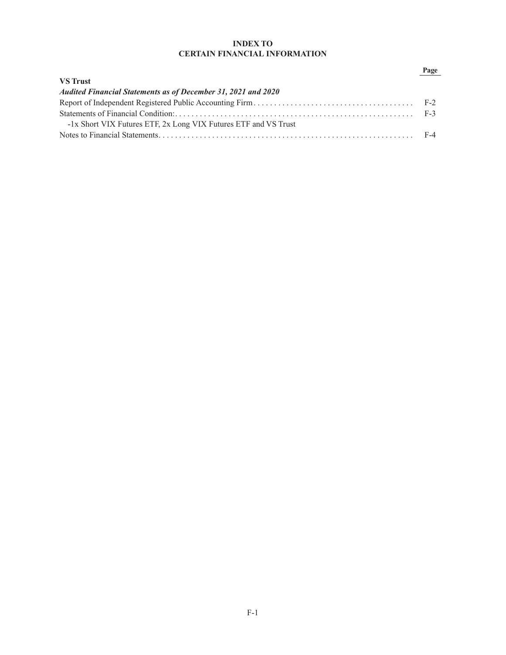# **INDEX TO CERTAIN FINANCIAL INFORMATION**

Page

#### **VS Trust** Audited Financial Statements as of December 31, 2021 and 2020  $F-2$  $F-3$ -1x Short VIX Futures ETF, 2x Long VIX Futures ETF and VS Trust  $F-4$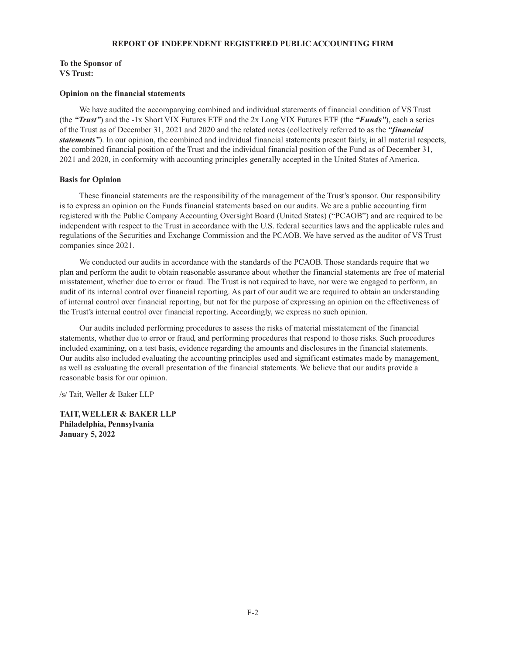**To the Sponsor of VS Trust:**

#### **Opinion on the financial statements**

We have audited the accompanying combined and individual statements of financial condition of VS Trust (the *"Trust"*) and the -1x Short VIX Futures ETF and the 2x Long VIX Futures ETF (the *"Funds"*), each a series of the Trust as of December 31, 2021 and 2020 and the related notes (collectively referred to as the *"financial statements"*). In our opinion, the combined and individual financial statements present fairly, in all material respects, the combined financial position of the Trust and the individual financial position of the Fund as of December 31, 2021 and 2020, in conformity with accounting principles generally accepted in the United States of America.

#### **Basis for Opinion**

These financial statements are the responsibility of the management of the Trust's sponsor. Our responsibility is to express an opinion on the Funds financial statements based on our audits. We are a public accounting firm registered with the Public Company Accounting Oversight Board (United States) ("PCAOB") and are required to be independent with respect to the Trust in accordance with the U.S. federal securities laws and the applicable rules and regulations of the Securities and Exchange Commission and the PCAOB. We have served as the auditor of VS Trust companies since 2021.

We conducted our audits in accordance with the standards of the PCAOB. Those standards require that we plan and perform the audit to obtain reasonable assurance about whether the financial statements are free of material misstatement, whether due to error or fraud. The Trust is not required to have, nor were we engaged to perform, an audit of its internal control over financial reporting. As part of our audit we are required to obtain an understanding of internal control over financial reporting, but not for the purpose of expressing an opinion on the effectiveness of the Trust's internal control over financial reporting. Accordingly, we express no such opinion.

Our audits included performing procedures to assess the risks of material misstatement of the financial statements, whether due to error or fraud, and performing procedures that respond to those risks. Such procedures included examining, on a test basis, evidence regarding the amounts and disclosures in the financial statements. Our audits also included evaluating the accounting principles used and significant estimates made by management, as well as evaluating the overall presentation of the financial statements. We believe that our audits provide a reasonable basis for our opinion.

/s/ Tait, Weller & Baker LLP

**TAIT, WELLER & BAKER LLP Philadelphia, Pennsylvania January 5, 2022**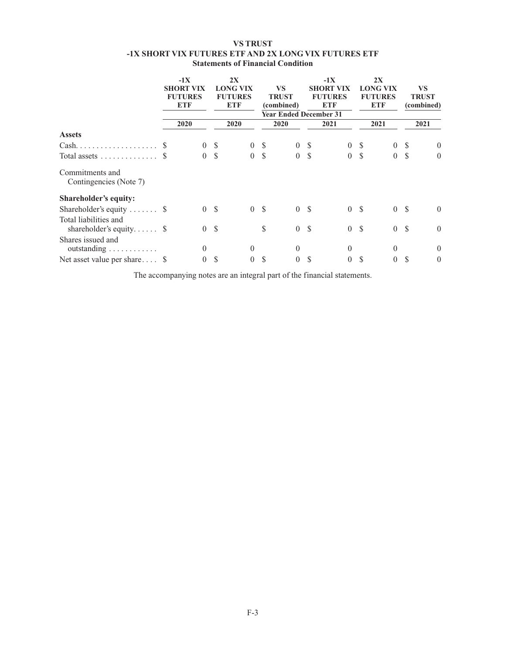# **VS TRUST** -1X SHORT VIX FUTURES ETF AND 2X LONG VIX FUTURES ETF **Statements of Financial Condition**

|                                                  | -1X<br><b>SHORT VIX</b><br><b>FUTURES</b><br><b>ETF</b> |               | 2X<br><b>LONG VIX</b><br><b>FUTURES</b><br><b>ETF</b> |                               | VS<br><b>TRUST</b><br>(combined) |                | -1X<br><b>SHORT</b><br>VIX<br><b>FUTURES</b><br><b>ETF</b> |              | 2X<br><b>LONG</b><br>VIX<br><b>FUTURES</b><br><b>ETF</b> |               | <b>VS</b><br><b>TRUST</b><br>(combined) |
|--------------------------------------------------|---------------------------------------------------------|---------------|-------------------------------------------------------|-------------------------------|----------------------------------|----------------|------------------------------------------------------------|--------------|----------------------------------------------------------|---------------|-----------------------------------------|
|                                                  |                                                         |               |                                                       | <b>Year Ended December 31</b> |                                  |                |                                                            |              |                                                          |               |                                         |
|                                                  | 2020                                                    |               | 2020                                                  |                               | 2020                             |                | 2021                                                       |              | 2021                                                     |               | 2021                                    |
| <b>Assets</b>                                    |                                                         |               |                                                       |                               |                                  |                |                                                            |              |                                                          |               |                                         |
| $Cash. \ldots \ldots \ldots \ldots \ldots \quad$ |                                                         | 0S            |                                                       | $0 \quad$                     |                                  | 0 S            |                                                            | 0 S          |                                                          | 0 S           | $\overline{0}$                          |
| Total assets $\dots \dots \dots \dots$           |                                                         | 0 S           |                                                       | 0 S                           |                                  | 0 S            |                                                            | 0 S          | $\overline{0}$                                           | $\mathcal{S}$ | $\theta$                                |
| Commitments and<br>Contingencies (Note 7)        |                                                         |               |                                                       |                               |                                  |                |                                                            |              |                                                          |               |                                         |
| Shareholder's equity:                            |                                                         |               |                                                       |                               |                                  |                |                                                            |              |                                                          |               |                                         |
| Shareholder's equity  \$                         | $\Omega$                                                | - S           |                                                       | 0 S                           |                                  | 0 <sup>5</sup> |                                                            | 0 S          | $\theta$                                                 | - \$          | $\theta$                                |
| Total liabilities and                            |                                                         |               |                                                       |                               |                                  |                |                                                            |              |                                                          |               |                                         |
| shareholder's equity $\$                         | $\mathbf{0}$                                            | <sup>\$</sup> |                                                       | S                             | $\overline{0}$                   | <sup>\$</sup>  | $\overline{0}$                                             | <sup>S</sup> | $\overline{0}$                                           | -S            | $\overline{0}$                          |
| Shares issued and                                |                                                         |               |                                                       |                               |                                  |                |                                                            |              |                                                          |               |                                         |
| outstanding                                      | $\theta$                                                |               | $\mathbf{0}$                                          |                               | $\theta$                         |                | $\theta$                                                   |              | $\mathbf{0}$                                             |               | $\overline{0}$                          |
|                                                  | $\Omega$                                                | S             | $\theta$                                              | <sup>S</sup>                  | $\Omega$                         | S              | $\theta$                                                   | S            | $\theta$                                                 | <sup>\$</sup> | $\theta$                                |
| Net asset value per share $\$                    |                                                         |               |                                                       |                               |                                  |                |                                                            |              |                                                          |               |                                         |

The accompanying notes are an integral part of the financial statements.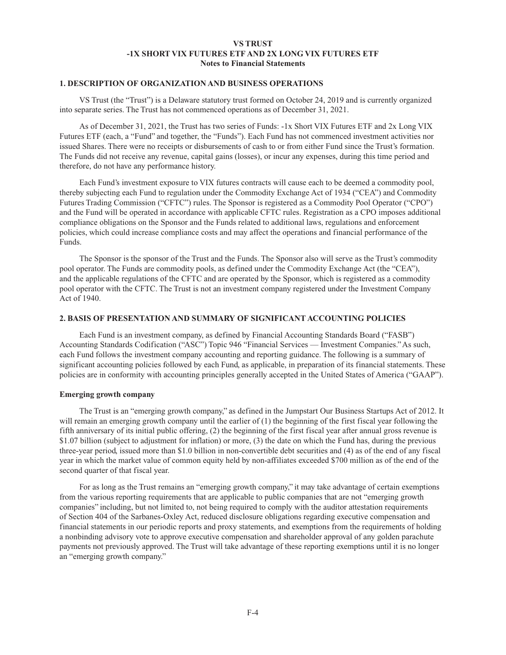#### **1. DESCRIPTION OF ORGANIZATION AND BUSINESS OPERATIONS**

VS Trust (the "Trust") is a Delaware statutory trust formed on October 24, 2019 and is currently organized into separate series. The Trust has not commenced operations as of December 31, 2021.

As of December 31, 2021, the Trust has two series of Funds: -1x Short VIX Futures ETF and 2x Long VIX Futures ETF (each, a "Fund" and together, the "Funds"). Each Fund has not commenced investment activities nor issued Shares. There were no receipts or disbursements of cash to or from either Fund since the Trust's formation. The Funds did not receive any revenue, capital gains (losses), or incur any expenses, during this time period and therefore, do not have any performance history.

Each Fund's investment exposure to VIX futures contracts will cause each to be deemed a commodity pool, thereby subjecting each Fund to regulation under the Commodity Exchange Act of 1934 ("CEA") and Commodity Futures Trading Commission ("CFTC") rules. The Sponsor is registered as a Commodity Pool Operator ("CPO") and the Fund will be operated in accordance with applicable CFTC rules. Registration as a CPO imposes additional compliance obligations on the Sponsor and the Funds related to additional laws, regulations and enforcement policies, which could increase compliance costs and may affect the operations and financial performance of the Funds.

The Sponsor is the sponsor of the Trust and the Funds. The Sponsor also will serve as the Trust's commodity pool operator. The Funds are commodity pools, as defined under the Commodity Exchange Act (the "CEA"), and the applicable regulations of the CFTC and are operated by the Sponsor, which is registered as a commodity pool operator with the CFTC. The Trust is not an investment company registered under the Investment Company Act of 1940.

## **2. BASIS OF PRESENTATION AND SUMMARY OF SIGNIFICANT ACCOUNTING POLICIES**

Each Fund is an investment company, as defined by Financial Accounting Standards Board ("FASB") Accounting Standards Codification ("ASC") Topic 946 "Financial Services — Investment Companies." As such, each Fund follows the investment company accounting and reporting guidance. The following is a summary of significant accounting policies followed by each Fund, as applicable, in preparation of its financial statements. These policies are in conformity with accounting principles generally accepted in the United States of America ("GAAP").

### **Emerging growth company**

The Trust is an "emerging growth company," as defined in the Jumpstart Our Business Startups Act of 2012. It will remain an emerging growth company until the earlier of (1) the beginning of the first fiscal year following the fifth anniversary of its initial public offering, (2) the beginning of the first fiscal year after annual gross revenue is \$1.07 billion (subject to adjustment for inflation) or more, (3) the date on which the Fund has, during the previous three-year period, issued more than \$1.0 billion in non-convertible debt securities and (4) as of the end of any fiscal year in which the market value of common equity held by non-affiliates exceeded \$700 million as of the end of the second quarter of that fiscal year.

For as long as the Trust remains an "emerging growth company," it may take advantage of certain exemptions from the various reporting requirements that are applicable to public companies that are not "emerging growth companies" including, but not limited to, not being required to comply with the auditor attestation requirements of Section 404 of the Sarbanes-Oxley Act, reduced disclosure obligations regarding executive compensation and financial statements in our periodic reports and proxy statements, and exemptions from the requirements of holding a nonbinding advisory vote to approve executive compensation and shareholder approval of any golden parachute payments not previously approved. The Trust will take advantage of these reporting exemptions until it is no longer an "emerging growth company."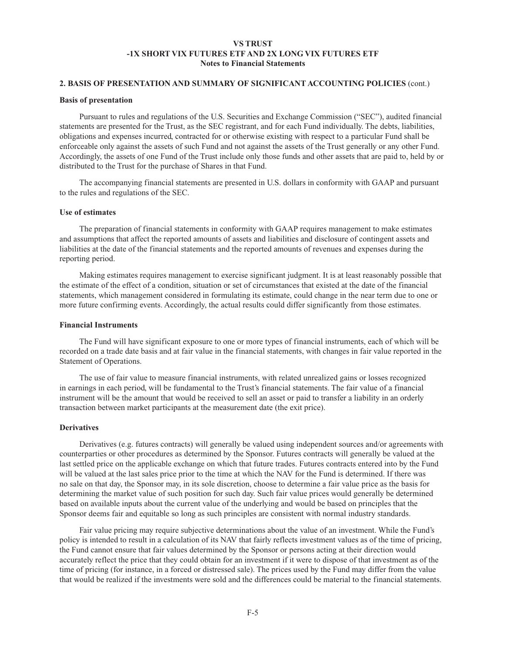### **2. BASIS OF PRESENTATION AND SUMMARY OF SIGNIFICANT ACCOUNTING POLICIES** (cont.)

#### **Basis of presentation**

Pursuant to rules and regulations of the U.S. Securities and Exchange Commission ("SEC"), audited financial statements are presented for the Trust, as the SEC registrant, and for each Fund individually. The debts, liabilities, obligations and expenses incurred, contracted for or otherwise existing with respect to a particular Fund shall be enforceable only against the assets of such Fund and not against the assets of the Trust generally or any other Fund. Accordingly, the assets of one Fund of the Trust include only those funds and other assets that are paid to, held by or distributed to the Trust for the purchase of Shares in that Fund.

The accompanying financial statements are presented in U.S. dollars in conformity with GAAP and pursuant to the rules and regulations of the SEC.

#### **Use of estimates**

The preparation of financial statements in conformity with GAAP requires management to make estimates and assumptions that affect the reported amounts of assets and liabilities and disclosure of contingent assets and liabilities at the date of the financial statements and the reported amounts of revenues and expenses during the reporting period.

Making estimates requires management to exercise significant judgment. It is at least reasonably possible that the estimate of the effect of a condition, situation or set of circumstances that existed at the date of the financial statements, which management considered in formulating its estimate, could change in the near term due to one or more future confirming events. Accordingly, the actual results could differ significantly from those estimates.

#### **Financial Instruments**

The Fund will have significant exposure to one or more types of financial instruments, each of which will be recorded on a trade date basis and at fair value in the financial statements, with changes in fair value reported in the Statement of Operations.

The use of fair value to measure financial instruments, with related unrealized gains or losses recognized in earnings in each period, will be fundamental to the Trust's financial statements. The fair value of a financial instrument will be the amount that would be received to sell an asset or paid to transfer a liability in an orderly transaction between market participants at the measurement date (the exit price).

### **Derivatives**

Derivatives (e.g. futures contracts) will generally be valued using independent sources and/or agreements with counterparties or other procedures as determined by the Sponsor. Futures contracts will generally be valued at the last settled price on the applicable exchange on which that future trades. Futures contracts entered into by the Fund will be valued at the last sales price prior to the time at which the NAV for the Fund is determined. If there was no sale on that day, the Sponsor may, in its sole discretion, choose to determine a fair value price as the basis for determining the market value of such position for such day. Such fair value prices would generally be determined based on available inputs about the current value of the underlying and would be based on principles that the Sponsor deems fair and equitable so long as such principles are consistent with normal industry standards.

Fair value pricing may require subjective determinations about the value of an investment. While the Fund's policy is intended to result in a calculation of its NAV that fairly reflects investment values as of the time of pricing, the Fund cannot ensure that fair values determined by the Sponsor or persons acting at their direction would accurately reflect the price that they could obtain for an investment if it were to dispose of that investment as of the time of pricing (for instance, in a forced or distressed sale). The prices used by the Fund may differ from the value that would be realized if the investments were sold and the differences could be material to the financial statements.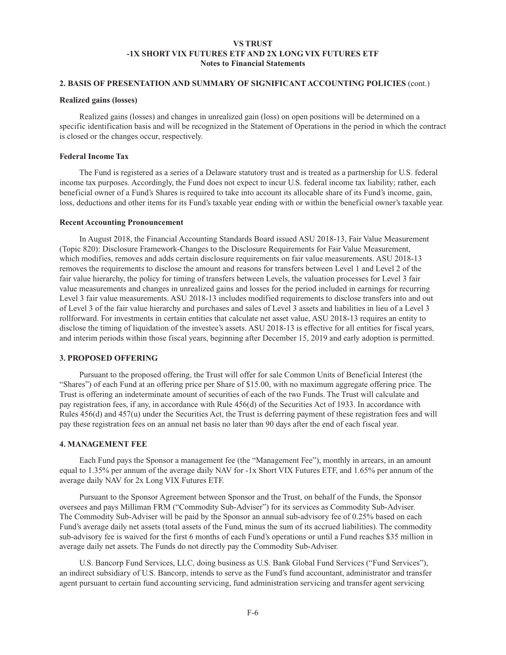### **2. BASIS OF PRESENTATION AND SUMMARY OF SIGNIFICANT ACCOUNTING POLICIES** (cont.)

#### **Realized gains (losses)**

Realized gains (losses) and changes in unrealized gain (loss) on open positions will be determined on a specific identification basis and will be recognized in the Statement of Operations in the period in which the contract is closed or the changes occur, respectively.

## **Federal Income Tax**

The Fund is registered as a series of a Delaware statutory trust and is treated as a partnership for U.S. federal income tax purposes. Accordingly, the Fund does not expect to incur U.S. federal income tax liability; rather, each beneficial owner of a Fund's Shares is required to take into account its allocable share of its Fund's income, gain, loss, deductions and other items for its Fund's taxable year ending with or within the beneficial owner's taxable year.

#### **Recent Accounting Pronouncement**

In August 2018, the Financial Accounting Standards Board issued ASU 2018-13, Fair Value Measurement (Topic 820): Disclosure Framework-Changes to the Disclosure Requirements for Fair Value Measurement, which modifies, removes and adds certain disclosure requirements on fair value measurements. ASU 2018-13 removes the requirements to disclose the amount and reasons for transfers between Level 1 and Level 2 of the fair value hierarchy, the policy for timing of transfers between Levels, the valuation processes for Level 3 fair value measurements and changes in unrealized gains and losses for the period included in earnings for recurring Level 3 fair value measurements. ASU 2018-13 includes modified requirements to disclose transfers into and out of Level 3 of the fair value hierarchy and purchases and sales of Level 3 assets and liabilities in lieu of a Level 3 rollforward. For investments in certain entities that calculate net asset value, ASU 2018-13 requires an entity to disclose the timing of liquidation of the investee's assets. ASU 2018-13 is effective for all entities for fiscal years, and interim periods within those fiscal years, beginning after December 15, 2019 and early adoption is permitted.

#### **3. PROPOSED OFFERING**

Pursuant to the proposed offering, the Trust will offer for sale Common Units of Beneficial Interest (the "Shares") of each Fund at an offering price per Share of \$15.00, with no maximum aggregate offering price. The Trust is offering an indeterminate amount of securities of each of the two Funds. The Trust will calculate and pay registration fees, if any, in accordance with Rule 456(d) of the Securities Act of 1933. In accordance with Rules 456(d) and 457(u) under the Securities Act, the Trust is deferring payment of these registration fees and will pay these registration fees on an annual net basis no later than 90 days after the end of each fiscal year.

## **4. MANAGEMENT FEE**

Each Fund pays the Sponsor a management fee (the "Management Fee"), monthly in arrears, in an amount equal to 1.35% per annum of the average daily NAV for -1x Short VIX Futures ETF, and 1.65% per annum of the average daily NAV for 2x Long VIX Futures ETF.

Pursuant to the Sponsor Agreement between Sponsor and the Trust, on behalf of the Funds, the Sponsor oversees and pays Milliman FRM ("Commodity Sub-Adviser") for its services as Commodity Sub-Adviser. The Commodity Sub-Adviser will be paid by the Sponsor an annual sub-advisory fee of 0.25% based on each Fund's average daily net assets (total assets of the Fund, minus the sum of its accrued liabilities). The commodity sub-advisory fee is waived for the first 6 months of each Fund's operations or until a Fund reaches \$35 million in average daily net assets. The Funds do not directly pay the Commodity Sub-Adviser.

U.S. Bancorp Fund Services, LLC, doing business as U.S. Bank Global Fund Services ("Fund Services"), an indirect subsidiary of U.S. Bancorp, intends to serve as the Fund's fund accountant, administrator and transfer agent pursuant to certain fund accounting servicing, fund administration servicing and transfer agent servicing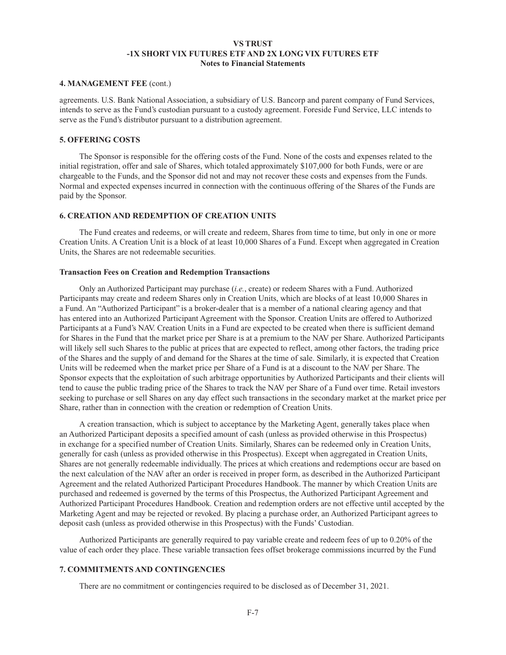### **4. MANAGEMENT FEE** (cont.)

agreements. U.S. Bank National Association, a subsidiary of U.S. Bancorp and parent company of Fund Services, intends to serve as the Fund's custodian pursuant to a custody agreement. Foreside Fund Service, LLC intends to serve as the Fund's distributor pursuant to a distribution agreement.

#### **5. OFFERING COSTS**

The Sponsor is responsible for the offering costs of the Fund. None of the costs and expenses related to the initial registration, offer and sale of Shares, which totaled approximately \$107,000 for both Funds, were or are chargeable to the Funds, and the Sponsor did not and may not recover these costs and expenses from the Funds. Normal and expected expenses incurred in connection with the continuous offering of the Shares of the Funds are paid by the Sponsor.

### **6. CREATION AND REDEMPTION OF CREATION UNITS**

The Fund creates and redeems, or will create and redeem, Shares from time to time, but only in one or more Creation Units. A Creation Unit is a block of at least 10,000 Shares of a Fund. Except when aggregated in Creation Units, the Shares are not redeemable securities.

## **Transaction Fees on Creation and Redemption Transactions**

Only an Authorized Participant may purchase (*i.e.*, create) or redeem Shares with a Fund. Authorized Participants may create and redeem Shares only in Creation Units, which are blocks of at least 10,000 Shares in a Fund. An "Authorized Participant" is a broker-dealer that is a member of a national clearing agency and that has entered into an Authorized Participant Agreement with the Sponsor. Creation Units are offered to Authorized Participants at a Fund's NAV. Creation Units in a Fund are expected to be created when there is sufficient demand for Shares in the Fund that the market price per Share is at a premium to the NAV per Share. Authorized Participants will likely sell such Shares to the public at prices that are expected to reflect, among other factors, the trading price of the Shares and the supply of and demand for the Shares at the time of sale. Similarly, it is expected that Creation Units will be redeemed when the market price per Share of a Fund is at a discount to the NAV per Share. The Sponsor expects that the exploitation of such arbitrage opportunities by Authorized Participants and their clients will tend to cause the public trading price of the Shares to track the NAV per Share of a Fund over time. Retail investors seeking to purchase or sell Shares on any day effect such transactions in the secondary market at the market price per Share, rather than in connection with the creation or redemption of Creation Units.

A creation transaction, which is subject to acceptance by the Marketing Agent, generally takes place when an Authorized Participant deposits a specified amount of cash (unless as provided otherwise in this Prospectus) in exchange for a specified number of Creation Units. Similarly, Shares can be redeemed only in Creation Units, generally for cash (unless as provided otherwise in this Prospectus). Except when aggregated in Creation Units, Shares are not generally redeemable individually. The prices at which creations and redemptions occur are based on the next calculation of the NAV after an order is received in proper form, as described in the Authorized Participant Agreement and the related Authorized Participant Procedures Handbook. The manner by which Creation Units are purchased and redeemed is governed by the terms of this Prospectus, the Authorized Participant Agreement and Authorized Participant Procedures Handbook. Creation and redemption orders are not effective until accepted by the Marketing Agent and may be rejected or revoked. By placing a purchase order, an Authorized Participant agrees to deposit cash (unless as provided otherwise in this Prospectus) with the Funds' Custodian.

Authorized Participants are generally required to pay variable create and redeem fees of up to 0.20% of the value of each order they place. These variable transaction fees offset brokerage commissions incurred by the Fund

### **7. COMMITMENTS AND CONTINGENCIES**

There are no commitment or contingencies required to be disclosed as of December 31, 2021.